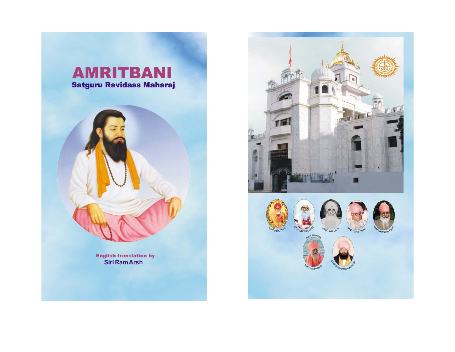



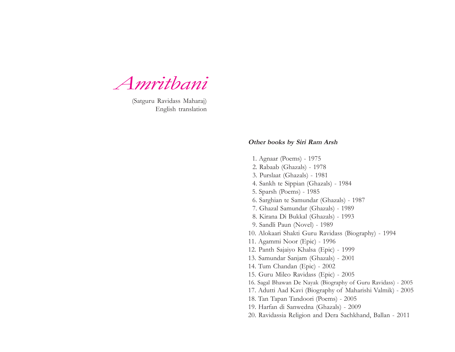*Amritbani*

(Satguru Ravidass Maharaj) English translation

#### **Other books by Siri Ram Arsh**

 1. Agnaar (Poems) - 1975 2. Rabaab (Ghazals) - 1978 3. Purslaat (Ghazals) - 1981 4. Sankh te Sippian (Ghazals) - 1984 5. Sparsh (Poems) - 1985 6. Sarghian te Samundar (Ghazals) - 1987 7. Ghazal Samundar (Ghazals) - 1989 8. Kirana Di Bukkal (Ghazals) - 1993 9. Sandli Paun (Novel) - 1989 10. Alokaari Shakti Guru Ravidass (Biography) - 1994 11. Agammi Noor (Epic) - 1996 12. Panth Sajaiyo Khalsa (Epic) - 1999 13. Samundar Sanjam (Ghazals) - 2001 14. Tum Chandan (Epic) - 2002 15. Guru Mileo Ravidass (Epic) - 2005 16. Sagal Bhawan De Nayak (Biography of Guru Ravidass) - 2005 17. Adutti Aad Kavi (Biography of Maharishi Valmik) - 2005 18. Tan Tapan Tandoori (Poems) - 2005 19. Harfan di Sanwedna (Ghazals) - 2009 20. Ravidassia Religion and Dera Sachkhand, Ballan - 2011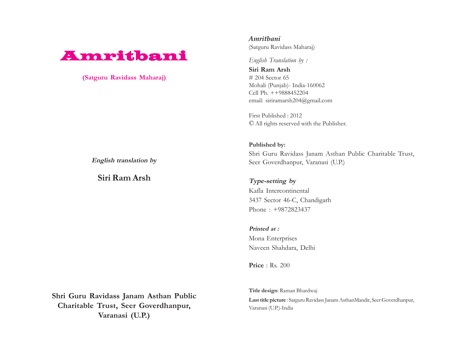# Amritbani Amritbani

**(Satguru Ravidass Maharaj)**

*Amritbani* (Satguru Ravidass Maharaj)

*English Translation by :*

**Siri Ram Arsh** # 204 Sector 65 Mohali (Punjab)- India-160062 Cell Ph. ++9888452204 email: siriramarsh204@gmail.com

First Published : 2012 © All rights reserved with the Publisher.

**Published by:** Shri Guru Ravidass Janam Asthan Public Charitable Trust, Seer Goverdhanpur, Varanasi (U.P.)

**Type-setting by** Kafla Intercontinental 3437 Sector 46-C, Chandigarh Phone : +9872823437

**Printed at :** Mona Enterprises Naveen Shahdara, Delhi

**Price** : Rs. 200

**Shri Guru Ravidass Janam Asthan Public Charitable Trust, Seer Goverdhanpur, Varanasi (U.P.)**

**Title design**: Raman Bhardwaj **Last title picture** : Satguru Ravidass Janam AsthanMandir, Seer Goverdhanpur, Varanasi (U.P.)-India

**English translation by**

**Siri Ram Arsh**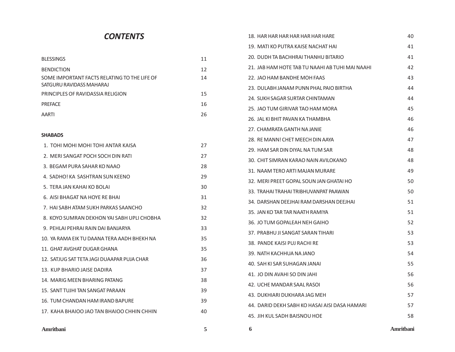## *CONTENTS*

| <b>BLESSINGS</b>                                                         | 11 |
|--------------------------------------------------------------------------|----|
| <b>BENDICTION</b>                                                        | 12 |
| SOME IMPORTANT FACTS RELATING TO THE LIFE OF<br>SATGURU RAVIDASS MAHARAJ | 14 |
| PRINCIPLES OF RAVIDASSIA RELIGION                                        | 15 |
| <b>PREFACE</b>                                                           | 16 |
| <b>AARTI</b>                                                             | 26 |
|                                                                          |    |

#### **SHABADS**

| 1. TOHI MOHI MOHI TOHI ANTAR KAISA          | 27 |
|---------------------------------------------|----|
| 2. MERI SANGAT POCH SOCH DIN RATI           | 27 |
| 3. BEGAM PURA SAHAR KO NAAO                 | 28 |
| 4. SADHO! KA SASHTRAN SUN KEENO             | 29 |
| 5. TERA JAN KAHAI KO BOLAI                  | 30 |
| 6. AISI BHAGAT NA HOYE RE BHAI              | 31 |
| 7. HAI SABH ATAM SUKH PARKAS SAANCHO        | 32 |
| 8. KOYO SUMRAN DEKHON YAI SABH UPLI CHOBHA  | 32 |
| 9. PEHLAI PEHRAI RAIN DAI BANJARYA          | 33 |
| 10. YA RAMA FIK TU DAANA TFRA AADH BHFKH NA | 35 |
| 11. GHAT AVGHAT DUGAR GHANA                 | 35 |
| 12. SATJUG SAT TETA JAGI DUAAPAR PUJA CHAR  | 36 |
| 13. KUP BHARIO JAISE DADIRA                 | 37 |
| 14. MARIG MEEN BHARING PATANG               | 38 |
| 15. SANT TUJHI TAN SANGAT PARAAN            | 39 |
| 16. TUM CHANDAN HAM IRAND BAPURE            | 39 |
| 17. KAHA BHAIOO JAO TAN BHAIOO CHHIN CHHIN  | 40 |
|                                             |    |

| <b>CONTENTS</b>                              |    | 18. HAR HAR HAR HAR HAR HAR HARE                | 40        |
|----------------------------------------------|----|-------------------------------------------------|-----------|
|                                              |    | 19. MATI KO PUTRA KAISE NACHAT HAI              | 41        |
| <b>BLESSINGS</b>                             | 11 | 20. DUDH TA BACHHRAI THANHU BITARIO             | 41        |
| BENDICTION                                   | 12 | 21. JAB HAM HOTE TAB TU NAAHI AB TUHI MAI NAAHI | 42        |
| SOME IMPORTANT FACTS RELATING TO THE LIFE OF | 14 | 22. JAO HAM BANDHE MOH FAAS                     | 43        |
| SATGURU RAVIDASS MAHARAJ                     |    | 23. DULABH JANAM PUNN PHAL PAIO BIRTHA          | 44        |
| PRINCIPLES OF RAVIDASSIA RELIGION            | 15 | 24. SUKH SAGAR SURTAR CHINTAMAN                 | 44        |
| PREFACE                                      | 16 | 25. JAO TUM GIRIVAR TAO HAM MORA                | 45        |
| AARTI                                        | 26 | 26. JAL KI BHIT PAVAN KA THAMBHA                | 46        |
|                                              |    | 27. CHAMRATA GANTH NA JANIE                     | 46        |
| SHABADS                                      |    | 28. RE MANN! CHET MEECH DIN AAYA                | 47        |
| 1. TOHI MOHI MOHI TOHI ANTAR KAISA           | 27 | 29. HAM SAR DIN DIYAL NA TUM SAR                | 48        |
| 2. MERI SANGAT POCH SOCH DIN RATI            | 27 | 30. CHIT SIMRAN KARAO NAIN AVILOKANO            | 48        |
| 3. BEGAM PURA SAHAR KO NAAO                  | 28 | 31. NAAM TERO ARTI MAJAN MURARE                 | 49        |
| 4. SADHO! KA SASHTRAN SUN KEENO              | 29 | 32. MERI PREET GOPAL SOUN JAN GHATAI HO         | 50        |
| 5. TERA JAN KAHAI KO BOLAI                   | 30 | 33. TRAHAI TRAHAI TRIBHUVANPAT PAAWAN           | 50        |
| 6. AISI BHAGAT NA HOYE RE BHAI               | 31 | 34. DARSHAN DEEJHAI RAM DARSHAN DEEJHAI         | 51        |
| 7. HAI SABH ATAM SUKH PARKAS SAANCHO         | 32 | 35. JAN KO TAR TAR NAATH RAMIYA                 | 51        |
| 8. KOYO SUMRAN DEKHON YAI SABH UPLI CHOBHA   | 32 | 36. JO TUM GOPALEAH NEH GAIHO                   | 52        |
| 9. PEHLAI PEHRAI RAIN DAI BANJARYA           | 33 | 37. PRABHU JI SANGAT SARAN TIHARI               | 53        |
| 10. YA RAMA EIK TU DAANA TERA AADH BHEKH NA  | 35 | 38. PANDE KAISI PUJ RACHI RE                    | 53        |
| 11. GHAT AVGHAT DUGAR GHANA                  | 35 | 39. NATH KACHHUA NA JANO                        | 54        |
| 12. SATJUG SAT TETA JAGI DUAAPAR PUJA CHAR   | 36 | 40. SAH KI SAR SUHAGAN JANAI                    | 55        |
| 13. KUP BHARIO JAISE DADIRA                  | 37 | 41. JO DIN AVAHI SO DIN JAHI                    | 56        |
| 14. MARIG MEEN BHARING PATANG                | 38 | 42. UCHE MANDAR SAAL RASOL                      | 56        |
| 15. SANT TUJHI TAN SANGAT PARAAN             | 39 |                                                 | 57        |
| 16. TUM CHANDAN HAM IRAND BAPURE             | 39 | 43. DUKHIARI DUKHARA JAG MEH                    |           |
| 17. KAHA BHAIOO JAO TAN BHAIOO CHHIN CHHIN   | 40 | 44. DARID DEKH SABH KO HASAI AISI DASA HAMARI   | 57        |
|                                              |    | 45. JIH KUL SADH BAISNOU HOE                    | 58        |
| Amritbani                                    | 5  | 6                                               | Amritbani |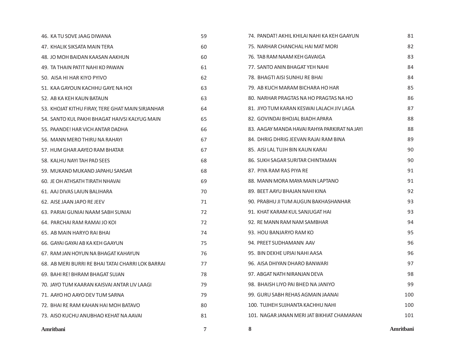| 46. KA TU SOVE JAAG DIWANA                        | 59 | 74. PANDAT! AKHIL KHILAI NAHI KA KEH GAAYUN  | 81        |
|---------------------------------------------------|----|----------------------------------------------|-----------|
| 47. KHALIK SIKSATA MAIN TERA                      | 60 | 75. NARHAR CHANCHAL HAI MAT MORI             | 82        |
| 48. JO MOH BAIDAN KAASAN AAKHUN                   | 60 | 76. TAB RAM NAAM KEH GAVAIGA                 | 83        |
| 49. TA THAIN PATIT NAHI KO PAWAN                  | 61 | 77. SANTO ANIN BHAGAT YEH NAHI               | 84        |
| 50. AISA HI HAR KIYO PYIVO                        | 62 | 78. BHAGTI AISI SUNHU RE BHAI                | 84        |
| 51. KAA GAYOUN KACHHU GAYE NA HOL                 | 63 | 79. AB KUCH MARAM BICHARA HO HAR             | 85        |
| 52. AB KA KEH KAUN BATAUN                         | 63 | 80. NARHAR PRAGTAS NA HO PRAGTAS NA HO       | 86        |
| 53. KHOJAT KITHU FIRAY, TERE GHAT MAIN SIRJANHAR  | 64 | 81. JIYO TUM KARAN KESWAI LALACH JIV LAGA    | 87        |
| 54. SANTO KUL PAKHI BHAGAT HAIVSI KALYUG MAIN     | 65 | 82. GOVINDAI BHOJAL BIADH APARA              | 88        |
| 55. PAANDE! HAR VICH ANTAR DADHA                  | 66 | 83. AAGAY MANDA HAVAI RAHYA PARKIRAT NA JAYI | 88        |
| 56. MANN MERO THIRU NA RAHAYI                     | 67 | 84. DHRIG DHRIG JEEVAN RAJAI RAM BINA        | 89        |
| 57. HUM GHAR AAYEO RAM BHATAR                     | 67 | 85. AISI LAL TUJH BIN KAUN KARAI             | 90        |
| 58. KALHU NAYI TAH PAD SEES                       | 68 | 86. SUKH SAGAR SURITAR CHINTAMAN             | 90        |
| 59. MUKAND MUKAND JAPAHU SANSAR                   | 68 | 87. PIYA RAM RAS PIYA RE                     | 91        |
| 60. JE OH ATHSATH TIRATH NHAVAI                   | 69 | 88. MANN MORA MAYA MAIN LAPTANO              | 91        |
| 61. AAJ DIVAS LAIUN BALIHARA                      | 70 | 89. BEET AAYU BHAJAN NAHI KINA               | 92        |
| 62. AISE JAAN JAPO RE JEEV                        | 71 | 90. PRABHU JI TUM AUGUN BAKHASHANHAR         | 93        |
| 63. PARIAI GUNIAI NAAM SABH SUNIAI                | 72 | 91. KHAT KARAM KUL SANJUGAT HAI              | 93        |
| 64. PARCHAI RAM RAMAI JO KOI                      | 72 | 92. RE MANN RAM NAM SAMBHAR                  | 94        |
| 65. AB MAIN HARYO RAI BHAI                        | 74 | 93. HOU BANJARYO RAM KO                      | 95        |
| 66. GAYAI GAYAI AB KA KEH GAAYUN                  | 75 | 94. PREET SUDHAMANN AAV                      | 96        |
| 67. RAM JAN HOYUN NA BHAGAT KAHAYUN               | 76 | 95. BIN DEKHE UPJAI NAHI AASA                | 96        |
| 68. AB MERI BURRI RE BHAI TATAI CHARRI LOK BARRAI | 77 | 96. AISA DHIYAN DHARO BANWARI                | 97        |
| 69. BAHI RE! BHRAM BHAGAT SUJAN                   | 78 | 97. ABGAT NATH NIRANJAN DEVA                 | 98        |
| 70. JAYO TUM KAARAN KAISVAI ANTAR LIV LAAGI       | 79 | 98. BHAISH LIYO PAI BHED NA JANIYO           | 99        |
| 71. AAYO HO AAYO DEV TUM SARNA                    | 79 | 99. GURU SABH REHAS AGMAIN JAANAI            | 100       |
| 72. BHAI RE RAM KAHAN HAI MOH BATAVO              | 80 | 100. TUJHEH SUJHANTA KACHHU NAHI             | 100       |
| 73. AISO KUCHU ANUBHAO KEHAT NA AAVAI             | 81 | 101. NAGAR JANAN MERI JAT BIKHIAT CHAMARAN   | 101       |
| Amritbani                                         | 7  | 8                                            | Amritbani |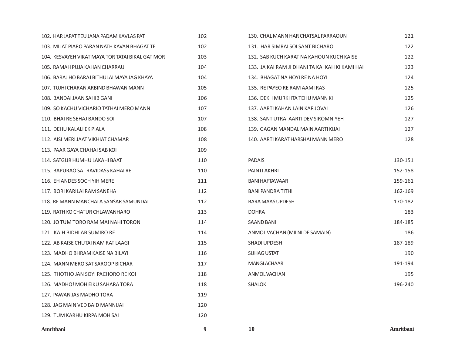| 102. HAR JAPAT TEU JANA PADAM KAVLAS PAT         | 102 |
|--------------------------------------------------|-----|
| 103. MILAT PIARO PARAN NATH KAVAN BHAGAT TE      | 102 |
| 104. KESVAYEH VIKAT MAYA TOR TATAI BIKAL GAT MOR | 103 |
| 105. RAMAH PUJA KAHAN CHARRAU                    | 104 |
| 106. BARAJ HO BARAJ BITHULAI MAYA JAG KHAYA      | 104 |
| 107. TUJHI CHARAN ARBIND BHAWAN MANN             | 105 |
| 108. BANDAI JAAN SAHIB GANI                      | 106 |
| 109. SO KACHU VICHARIO TATHAI MERO MANN          | 107 |
| 110. BHAI RE SEHAJ BANDO SOI                     | 107 |
| 111. DEHU KALALI EK PIALA                        | 108 |
| 112. AISI MERI JAAT VIKHIAT CHAMAR               | 108 |
| 113. PAAR GAYA CHAHAI SAB KOI                    | 109 |
| 114. SATGUR HUMHU LAKAHI BAAT                    | 110 |
| 115. BAPURAO SAT RAVIDASS KAHAI RE               | 110 |
| 116. EH ANDES SOCH YIH MERE                      | 111 |
| 117. BORI KARILAI RAM SANEHA                     | 112 |
| 118. RE MANN MANCHALA SANSAR SAMUNDAI            | 112 |
| 119. RATH KO CHATUR CHLAWANHARO                  | 113 |
| 120. JO TUM TORO RAM MAI NAHI TORON              | 114 |
| 121. KAIH BIDHI AB SUMIRO RE                     | 114 |
| 122. AB KAISE CHUTAI NAM RAT LAAGI               | 115 |
| 123. MADHO BHRAM KAISE NA BILAYI                 | 116 |
| 124. MANN MERO SAT SAROOP BICHAR                 | 117 |
| 125. THOTHO JAN SOYI PACHORO RE KOI              | 118 |
| 126. MADHO! MOH EIKU SAHARA TORA                 | 118 |
| 127. PAWAN JAS MADHO TORA                        | 119 |
| 128. JAG MAIN VED BAID MANNIJAI                  | 120 |
| 129. TUM KARHU KIRPA MOH SAI                     | 120 |
|                                                  |     |

| 130. CHAL MANN HAR CHATSAL PARRAOUN             | 121     |
|-------------------------------------------------|---------|
| 131. HAR SIMRAI SOI SANT BICHARO                | 122     |
| 132. SAB KUCH KARAT NA KAHOUN KUCH KAISE        | 122     |
| 133. JA KAI RAM JI DHANI TA KAI KAH KI KAMI HAI | 123     |
| 134. BHAGAT NA HOYI RE NA HOYI                  | 124     |
| 135. RE PAYEO RE RAM AAMI RAS                   | 125     |
| 136. DEKH MURKHTA TEHU MANN KI                  | 125     |
| 137. AARTI KAHAN LAIN KAR JOVAI                 | 126     |
| 138. SANT UTRAI AARTI DEV SIROMNIYEH            | 127     |
| 139. GAGAN MANDAL MAIN AARTI KIJAI              | 127     |
| 140. AARTI KARAT HARSHAI MANN MERO              | 128     |
|                                                 |         |
| <b>PADAIS</b>                                   | 130-151 |
| <b>PAINTI AKHRI</b>                             | 152-158 |

| <b>BANI HAFTAWAAR</b>          | 159-161 |
|--------------------------------|---------|
| <b>BANI PANDRA TITHI</b>       | 162-169 |
| <b>BARA MAAS UPDESH</b>        | 170-182 |
| <b>DOHRA</b>                   | 183     |
| <b>SAAND BANI</b>              | 184-185 |
| ANMOL VACHAN (MILNI DE SAMAIN) | 186     |
| <b>SHADI UPDESH</b>            | 187-189 |
| <b>SUHAG USTAT</b>             | 190     |
| <b>MANGLACHAAR</b>             | 191-194 |
| ANMOL VACHAN                   | 195     |
| <b>SHALOK</b>                  | 196-240 |

**Amritbani 9 10 Amritbani**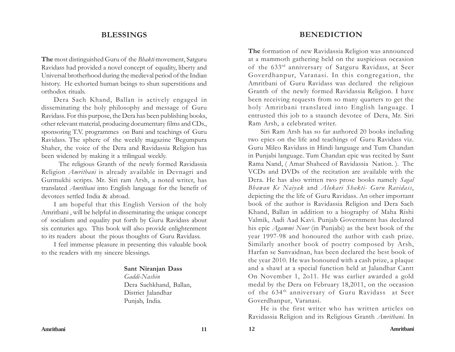## **BLESSINGS**

**The** most distinguished Guru of the *Bhakti* movement, Satguru Ravidass had provided a novel concept of equality, liberty and Universal brotherhood during the medieval period of the Indian history. He exhorted human beings to shun superstitions and orthodox rituals.

Dera Sach Khand, Ballan is actively engaged in disseminating the holy philosophy and message of Guru Ravidass. For this purpose, the Dera has been publishing books, other relevant material, producing documentary films and CDs., sponsoring T.V. programmes on Bani and teachings of Guru Ravidass. The sphere of the weekly magazine 'Begumpura Shaher, the voice of the Dera and Ravidassia Religion has been widened by making it a trilingual weekly.

 The religious Granth of the newly formed Ravidassia Religion *Amritbani* is already available in Devnagri and Gurmukhi scripts. Mr. Siri ram Arsh, a noted writer, has translated *Amritbani* into English language for the benefit of devotees settled India & abroad.

I am hopeful that this English Version of the holy Amritbani , will be helpful in disseminating the unique concept of socialism and equality put forth by Guru Ravidass about six centuries ago. This book will also provide enlightenment to its readers about the pious thoughts of Guru Ravidass.

I feel immense pleasure in presenting this valuable book to the readers with my sincere blessings.

#### **Sant Niranjan Dass**

*Gaddi-Nashin* Dera Sachkhand, Ballan, District Jalandhar Punjab, India.

## **BENEDICTION**

**The** formation of new Ravidassia Religion was announced at a mammoth gathering held on the auspicious occasion of the 633rd anniversary of Satguru Ravidass, at Seer Goverdhanpur, Varanasi. In this congregation, the Amritbani of Guru Ravidass was declared the religious Granth of the newly formed Ravidassia Religion. I have been receiving requests from so many quarters to get the holy Amritbani translated into English language. I entrusted this job to a staunch devotee of Dera, Mr. Siri Ram Arsh, a celebrated writer.

Siri Ram Arsh has so far authored 20 books including two epics on the life and teachings of Guru Ravidass viz. Guru Mileo Ravidass in Hindi language and Tum Chandan in Punjabi language. Tum Chandan epic was recited by Sant Rama Nand, ( Amar Shaheed of Ravidassia Nation. ). The VCDs and DVDs of the recitation are available with the Dera. He has also written two prose books namely *Sagal Bhawan Ke Naiyak* and *Alokari Shakti- Guru Ravidass*, depicting the the life of Guru Ravidass. An other important book of the author is Ravidassia Religion and Dera Sach Khand, Ballan in addition to a biography of Maha Rishi Valmik, Aadi Aad Kavi. Punjab Government has declared his epic *Agammi Noor* (in Punjabi) as the best book of the year 1997-98 and honoured the author with cash prize. Similarly another book of poetry composed by Arsh, Harfan se Sanvaidnan, has been declared the best book of the year 2010. He was honoured with a cash prize, a plaque and a shawl at a special function held at Jalandhar Cantt On November 1, 2o11. He was earlier awarded a gold medal by the Dera on February 18,2011, on the occasion of the 634th anniversary of Guru Ravidass at Seer Goverdhanpur, Varanasi.

He is the first writer who has written articles on Ravidassia Religion and its Religious Granth *Amritbani.* In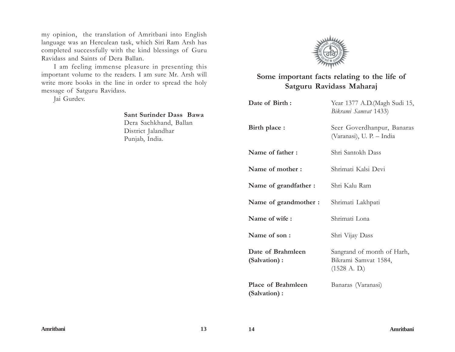my opinion, the translation of Amritbani into English language was an Herculean task, which Siri Ram Arsh has completed successfully with the kind blessings of Guru Ravidass and Saints of Dera Ballan.

I am feeling immense pleasure in presenting this important volume to the readers. I am sure Mr. Arsh will write more books in the line in order to spread the holy message of Satguru Ravidass*.*

Jai Gurdev.

# **Sant Surinder Dass Bawa** Dera Sachkhand, Ballan District Jalandhar Punjab, India.



## **Some important facts relating to the life of Satguru Ravidass Maharaj**

| Date of Birth:                     | Year 1377 A.D. (Magh Sudi 15,<br>Bikrami Samvat 1433)                        |
|------------------------------------|------------------------------------------------------------------------------|
| Birth place :                      | Seer Goverdhanpur, Banaras<br>(Varanasi), U. P. – India                      |
| Name of father:                    | Shri Santokh Dass                                                            |
| Name of mother:                    | Shrimati Kalsi Devi                                                          |
| Name of grandfather :              | Shri Kalu Ram                                                                |
| Name of grandmother :              | Shrimati Lakhpati                                                            |
| Name of wife:                      | Shrimati Lona                                                                |
| Name of son:                       | Shri Vijay Dass                                                              |
| Date of Brahmleen<br>(Salvation):  | Sangrand of month of Harh,<br>Bikrami Samvat 1584,<br>$(1528 \text{ A. D.})$ |
| Place of Brahmleen<br>(Salvation): | Banaras (Varanasi)                                                           |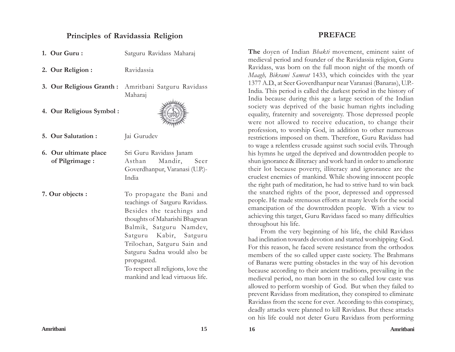## **Principles of Ravidassia Religion**

- **1. Our Guru :** Satguru Ravidass Maharaj
- 2. Our Religion : Ravidassia
- **3. Our Religious Granth :** Amritbani Satguru Ravidass Maharaj
- **4. Our Religious Symbol :**



**5. Our Salutation :** Jai Gurudev

**6. Our ultimate place** Sri Guru Ravidass Janam  **of Pilgrimage :** Asthan Mandir, Seer Goverdhanpur, Varanasi (U.P.)- India

**7. Our objects :** To propagate the Bani and teachings of Satguru Ravidass. Besides the teachings and thoughts of Maharishi Bhagwan Balmik, Satguru Namdev, Satguru Kabir, Satguru Trilochan, Satguru Sain and Satguru Sadna would also be propagated.

To respect all religions, love the mankind and lead virtuous life.

## **PREFACE**

**The** doyen of Indian *Bhakti* movement, eminent saint of medieval period and founder of the Ravidassia religion, Guru Ravidass, was born on the full moon night of the month of *Maagh, Bikrami Samvat* 1433, which coincides with the year 1377 A.D., at Seer Goverdhanpur near Varanasi (Banaras), U.P.- India. This period is called the darkest period in the history of India because during this age a large section of the Indian society was deprived of the basic human rights including equality, fraternity and sovereignty. Those depressed people were not allowed to receive education, to change their profession, to worship God, in addition to other numerous restrictions imposed on them. Therefore, Guru Ravidass had to wage a relentless crusade against such social evils. Through his hymns he urged the deprived and downtrodden people to shun ignorance & illiteracy and work hard in order to ameliorate their lot because poverty, illiteracy and ignorance are the cruelest enemies of mankind. While showing innocent people the right path of meditation, he had to strive hard to win back the snatched rights of the poor, depressed and oppressed people. He made strenuous efforts at many levels for the social emancipation of the downtrodden people. With a view to achieving this target, Guru Ravidass faced so many difficulties throughout his life.

From the very beginning of his life, the child Ravidass had inclination towards devotion and started worshipping God. For this reason, he faced severe resistance from the orthodox members of the so called upper caste society. The Brahmans of Banaras were putting obstacles in the way of his devotion because according to their ancient traditions, prevailing in the medieval period, no man born in the so called low caste was allowed to perform worship of God. But when they failed to prevent Ravidass from meditation, they conspired to eliminate Ravidass from the scene for ever. According to this conspiracy, deadly attacks were planned to kill Ravidass. But these attacks on his life could not deter Guru Ravidass from performing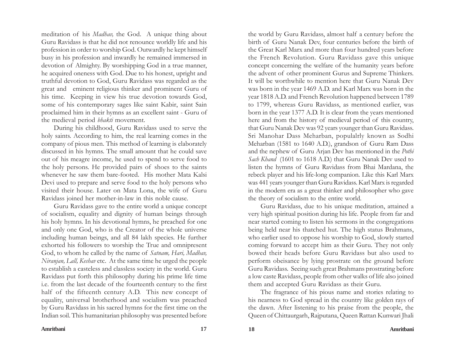meditation of his *Madhav,* the God. A unique thing about Guru Ravidass is that he did not renounce worldly life and his profession in order to worship God. Outwardly he kept himself busy in his profession and inwardly he remained immersed in devotion of Almighty. By worshipping God in a true manner, he acquired oneness with God. Due to his honest, upright and truthful devotion to God, Guru Ravidass was regarded as the great and eminent religious thinker and prominent Guru of his time. Keeping in view his true devotion towards God, some of his contemporary sages like saint Kabir, saint Sain proclaimed him in their hymns as an excellent saint - Guru of the medieval period *bhakti* movement.

During his childhood, Guru Ravidass used to serve the holy saints. According to him, the real learning comes in the company of pious men. This method of learning is elaborately discussed in his hymns. The small amount that he could save out of his meagre income, he used to spend to serve food to the holy persons. He provided pairs of shoes to the saints whenever he saw them bare-footed. His mother Mata Kalsi Devi used to prepare and serve food to the holy persons who visited their house. Later on Mata Lona, the wife of Guru Ravidass joined her mother-in-law in this noble cause.

Guru Ravidass gave to the entire world a unique concept of socialism, equality and dignity of human beings through his holy hymns. In his devotional hymns, he preached for one and only one God, who is the Creator of the whole universe including human beings, and all 84 lakh species. He further exhorted his followers to worship the True and omnipresent God, to whom he called by the name of *Satnam, Hari, Madhav, Niranjan, Lall, Keshav* etc. At the same time he urged the people to establish a casteless and classless society in the world. Guru Ravidass put forth this philosophy during his prime life time i.e. from the last decade of the fourteenth century to the first half of the fifteenth century A.D. This new concept of equality, universal brotherhood and socialism was preached by Guru Ravidass in his sacred hymns for the first time on the Indian soil. This humanitarian philosophy was presented before

the world by Guru Ravidass, almost half a century before the birth of Guru Nanak Dev, four centuries before the birth of the Great Karl Marx and more than four hundred years before the French Revolution. Guru Ravidass gave this unique concept concerning the welfare of the humanity years before the advent of other prominent Gurus and Supreme Thinkers. It will be worthwhile to mention here that Guru Nanak Dev was born in the year 1469 A.D. and Karl Marx was born in the year 1818 A.D. and French Revolution happened between 1789 to 1799, whereas Guru Ravidass, as mentioned earlier, was born in the year 1377 A.D. It is clear from the years mentioned here and from the history of medieval period of this country, that Guru Nanak Dev was 92 years younger than Guru Ravidass. Sri Manohar Dass Meharban, populalrly known as Sodhi Meharban (1581 to 1640 A.D.), grandson of Guru Ram Dass and the nephew of Guru Arjan Dev has mentioned in the *Pothi Sach Khand* (1601 to 1618 A.D.) that Guru Nanak Dev used to listen the hymns of Guru Ravidass from Bhai Mardana, the rebeck player and his life-long companion. Like this Karl Marx was 441 years younger than Guru Ravidass. Karl Marx is regarded in the modern era as a great thinker and philosopher who gave the theory of socialism to the entire world.

Guru Ravidass, due to his unique meditation, attained a very high spiritual position during his life. People from far and near started coming to listen his sermons in the congregations being held near his thatched hut. The high status Brahmans, who earlier used to oppose his worship to God, slowly started coming forward to accept him as their Guru. They not only bowed their heads before Guru Ravidass but also used to perform obeisance by lying prostrate on the ground before Guru Ravidass. Seeing such great Brahmans prostrating before a low caste Ravidass, people from other walks of life also joined them and accepted Guru Ravidass as their Guru.

The fragrance of his pious name and stories relating to his nearness to God spread in the country like golden rays of the dawn. After listening to his praise from the people, the Queen of Chittaurgarh, Rajputana, Queen Rattan Kunwari Jhali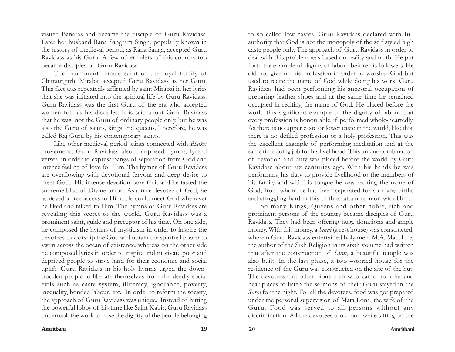visited Banaras and became the disciple of Guru Ravidass. Later her husband Rana Sangram Singh, popularly known in the history of medieval period, as Rana Sanga, accepted Guru Ravidass as his Guru. A few other rulers of this country too became disciples of Guru Ravidass.

The prominent female saint of the royal family of Chittaurgarh, Mirabai accepted Guru Ravidass as her Guru. This fact was repeatedly affirmed by saint Mirabai in her lyrics that she was initiated into the spiritual life by Guru Ravidass. Guru Ravidass was the first Guru of the era who accepted women folk as his disciples. It is said about Guru Ravidass that he was not the Guru of ordinary people only, but he was also the Guru of saints, kings and queens. Therefore, he was called Raj Guru by his contemporary saints.

Like other medieval period saints connected with *Bhakti* movement, Guru Ravidass also composed hymns, lyrical verses, in order to express pangs of separation from God and intense feeling of love for Him. The hymns of Guru Ravidass are overflowing with devotional fervour and deep desire to meet God. His intense devotion bore fruit and he tasted the supreme bliss of Divine union. As a true devotee of God, he achieved a free access to Him. He could meet God whenever he liked and talked to Him. The hymns of Guru Ravidass are revealing this secret to the world. Guru Ravidass was a prominent saint, guide and preceptor of his time. On one side, he composed the hymns of mysticism in order to inspire the devotees to worship the God and obtain the spiritual power to swim across the ocean of existence, whereas on the other side he composed lyrics in order to inspire and motivate poor and deprived people to strive hard for their economic and social uplift. Guru Ravidass in his holy hymns urged the downtrodden people to liberate themselves from the deadly social evils such as caste system, illiteracy, ignorance, poverty, inequality, bonded labour, etc. In order to reform the society, the approach of Guru Ravidass was unique. Instead of hitting the powerful lobby of his time like Saint Kabir, Guru Ravidass undertook the work to raise the dignity of the people belonging

to so called low castes. Guru Ravidass declared with full authority that God is not the monopoly of the self styled high caste people only. The approach of Guru Ravidass in order to deal with this problem was based on reality and truth. He put forth the example of dignity of labour before his followers. He did not give up his profession in order to worship God but used to recite the name of God while doing his work. Guru Ravidass had been performing his ancestral occupation of preparing leather shoes and at the same time he remained occupied in reciting the name of God. He placed before the world this significant example of the dignity of labour that every profession is honourable, if performed whole-heartedly. As there is no upper caste or lower caste in the world, like this, there is no defiled profession or a holy profession. This was the excellent example of performing meditation and at the same time doing job for his livelihood. This unique combination of devotion and duty was placed before the world by Guru Ravidass about six centuries ago. With his hands he was performing his duty to provide livelihood to the members of his family and with his tongue he was reciting the name of God, from whom he had been separated for so many births and struggling hard in this birth to attain reunion with Him.

So many Kings, Queens and other noble, rich and prominent persons of the country became disciples of Guru Ravidass. They had been offering huge donations and ample money. With this money, a *Sarai* (a rest house) was constructed, wherein Guru Ravidass entertained holy men. M.A. Maculiffe, the author of the Sikh Religion in its sixth volume had written that after the construction of *Sarai*, a beautiful temple was also built. In the last phase, a two –storied house for the residence of the Guru was constructed on the site of the hut. The devotees and other pious men who came from far and near places to listen the sermons of their Guru stayed in the *Sarai* for the night. For all the devotees, food was got prepared under the personal supervision of Mata Lona, the wife of the Guru. Food was served to all persons without any discrimination. All the devotees took food while sitting on the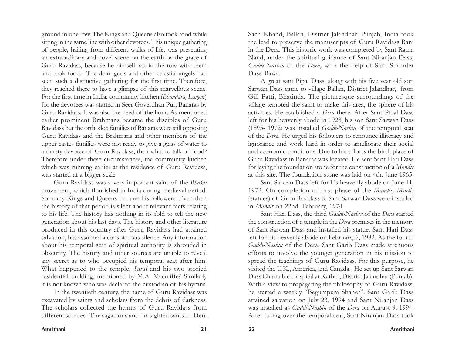ground in one row. The Kings and Queens also took food while sitting in the same line with other devotees. This unique gathering of people, hailing from different walks of life, was presenting an extraordinary and novel scene on the earth by the grace of Guru Ravidass, because he himself sat in the row with them and took food. The demi-gods and other celestial angels had seen such a distinctive gathering for the first time. Therefore, they reached there to have a glimpse of this marvellous scene. For the first time in India, community kitchen (*Bhandara, Langar*) for the devotees was started in Seer Goverdhan Pur, Banaras by Guru Ravidass. It was also the need of the hour. As mentioned earlier prominent Brahmans became the disciples of Guru Ravidass but the orthodox families of Banaras were still opposing Guru Ravidass and the Brahmans and other members of the upper castes families were not ready to give a glass of water to a thirsty devotee of Guru Ravidass, then what to talk of food? Therefore under these circumstances, the community kitchen which was running earlier at the residence of Guru Ravidass, was started at a bigger scale.

Guru Ravidass was a very important saint of the *Bhakti* movement, which flourished in India during medieval period. So many Kings and Queens became his followers. Even then the history of that period is silent about relevant facts relating to his life. The history has nothing in its fold to tell the new generation about his last days. The history and other literature produced in this country after Guru Ravidass had attained salvation, has assumed a conspicuous silence. Any information about his temporal seat of spiritual authority is shrouded in obscurity. The history and other sources are unable to reveal any secret as to who occupied his temporal seat after him. What happened to the temple, *Sarai* and his two storied residential building, mentioned by M.A. Maculiffe? Similarly it is not known who was declared the custodian of his hymns.

In the twentieth century, the name of Guru Ravidass was excavated by saints and scholars from the debris of darkness. The scholars collected the hymns of Guru Ravidass from different sources. The sagacious and far-sighted sants of Dera Sach Khand, Ballan, District Jalandhar, Punjab, India took the lead to preserve the manuscripts of Guru Ravidass Bani in the Dera. This historic work was completed by Sant Rama Nand, under the spiritual guidance of Sant Niranjan Dass, *Gaddi-Nashin* of the *Dera*, with the help of Sant Surinder Dass Bawa.

A great sant Pipal Dass, along with his five year old son Sarwan Dass came to village Ballan, District Jalandhar, from Gill Patti, Bhatinda. The picturesque surroundings of the village tempted the saint to make this area, the sphere of his activities. He established a *Dera* there. After Sant Pipal Dass left for his heavenly abode in 1928, his son Sant Sarwan Dass (1895- 1972) was installed *Gaddi-Nashin* of the temporal seat of the *Dera*. He urged his followers to renounce illiteracy and ignorance and work hard in order to ameliorate their social and economic conditions. Due to his efforts the birth place of Guru Ravidass in Banaras was located. He sent Sant Hari Dass for laying the foundation stone for the construction of a *Mandir* at this site. The foundation stone was laid on 4th. June 1965.

Sant Sarwan Dass left for his heavenly abode on June 11, 1972. On completion of first phase of the *Mandir, Murtis* (statues) of Guru Ravidass & Sant Sarwan Dass were installed in *Mandir* on 22nd. February, 1974.

Sant Hari Dass, the third *Gaddi-Nashin* of the *Dera* started the construction of a temple in the *Dera* premises in the memory of Sant Sarwan Dass and installed his statue. Sant Hari Dass left for his heavenly abode on February, 6, 1982. As the fourth *Gaddi-Nashin* of the Dera, Sant Garib Dass made strenuous efforts to involve the younger generation in his mission to spread the teachings of Guru Ravidass. For this purpose, he visited the U.K., America, and Canada. He set up Sant Sarwan Dass Charitable Hospital at Kathar, District Jalandhar (Punjab). With a view to propagating the philosophy of Guru Ravidass, he started a weekly "Begumpura Shaher". Sant Garib Dass attained salvation on July 23, 1994 and Sant Niranjan Dass was installed as *Gaddi-Nashin* of the *Dera* on August 9, 1994. After taking over the temporal seat, Sant Niranjan Dass took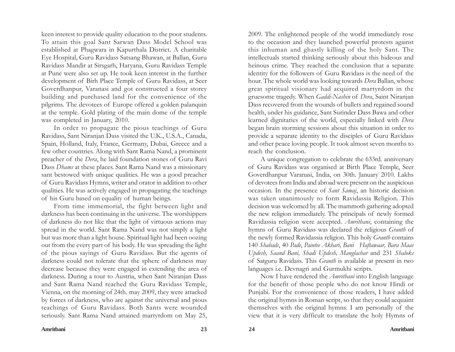keen interest to provide quality education to the poor students. To attain this goal Sant Sarwan Dass Model School was established at Phagwara in Kapurthala District. A charitable Eye Hospital, Guru Ravidass Satsang Bhawan, at Ballan, Guru Ravidass Mandir at Sirsgarh, Haryana, Guru Ravidass Temple at Pune were also set up. He took keen interest in the further development of Birh Place Temple of Guru Ravidass, at Seer Goverdhanpur, Varanasi and got constructed a four storey building and purchased land for the convenience of the pilgrims. The devotees of Europe offered a golden palanquin at the temple. Gold plating of the main dome of the temple was completed in January, 2010.

In order to propagate the pious teachings of Guru Ravidass, Sant Niranjan Dass visited the U.K., U.S.A., Canada, Spain, Holland, Italy, France, Germany, Dubai, Greece and a few other countries. Along with Sant Rama Nand, a prominent preacher of the *Dera*, he laid foundation stones of Guru Ravi Dass *Dhams* at these places. Sant Rama Nand was a missionary sant bestowed with unique qualities. He was a good preacher of Guru Ravidass Hymns, writer and orator in addition to other qualities. He was actively engaged in propagating the teachings of his Guru based on equality of human beings.

From time immemorial, the fight between light and darkness has been continuing in the universe. The worshippers of darkness do not like that the light of virtuous actions may spread in the world. Sant Rama Nand was not simply a light but was more than a light house. Spiritual light had been oozing out from the every part of his body. He was spreading the light of the pious sayings of Guru Ravidass. But the agents of darkness could not tolerate that the sphere of darkness may decrease because they were engaged in extending the area of darkness. During a tour to Austria, when Sant Niranjan Dass and Sant Rama Nand reached the Guru Ravidass Temple, Vienna, on the morning of 24th. may 2009, they were attacked by forces of darkness, who are against the universal and pious teachings of Guru Ravidass. Both Sants were wounded seriously. Sant Rama Nand attained martyrdom on May 25,

2009. The enlightened people of the world immediately rose to the occasion and they launched powerful protests against this inhuman and ghastly killing of the holy Sant. The intellectuals started thinking seriously about this hideous and heinous crime. They reached the conclusion that a separate identity for the followers of Guru Ravidass is the need of the hour. The whole world was looking towards *Dera* Ballan, whose great spiritual visionary had acquired martyrdom in the gruesome tragedy. When *Gaddi-Nashin* of *Dera*, Saint Niranjan Dass recovered from the wounds of bullets and regained sound health, under his guidance, Sant Surinder Dass Bawa and other learned dignitaries of the world, especially linked with *Dera* began brain storming sessions about this situation in order to provide a separate identity to the disciples of Guru Ravidass and other peace loving people. It took almost seven months to reach the conclusion.

A unique congregation to celebrate the 633rd. anniversary of Guru Ravidass was organised at Birth Place Temple, Seer Goverdhanpur Varanasi, India, on 30th. January 2010. Lakhs of devotees from India and abroad were present on the auspicious occasion. In the presence of *Sant Samaj*, an historic decision was taken unanimously to form Ravidassia Religion. This decision was welcomed by all. The mammoth gathering adopted the new religion immediately. The principals of newly formed Ravidassia religion were accepted. *Amritbani*, containing the hymns of Guru Ravidass was declared the religious *Granth* of the newly formed Ravidassia religion. This holy *Granth* contains 140 *Shabads*, 40 *Pade*, *Paintee Akhari, Bani Haftawaar, Bara Maas Updesh, Saand Bani, Shadi Updesh, Manglachar* and 231 *Shaloks* of Satguru Ravidass. This *Granth* is available at present in two languages i.e. Devnagri and Gurmukhi scripts.

Now I have rendered the *Amritbani* into English language for the benefit of those people who do not know Hindi or Punjabi. For the convenience of those readers, I have added the original hymns in Roman script, so that they could acquaint themselves with the original hymns. I am personally of the view that it is very difficult to translate the holy Hymns of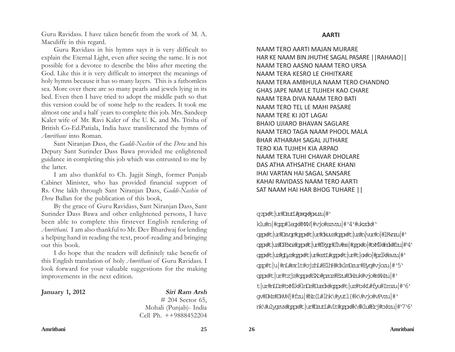Guru Ravidass. I have taken benefit from the work of M. A. Maculiffe in this regard.

Guru Ravidass in his hymns says it is very difficult to explain the Eternal Light, even after seeing the same. It is not possible for a devotee to describe the bliss after meeting the God. Like this it is very difficult to interpret the meanings of holy hymns because it has so many layers. This is a fathomless sea. More over there are so many pearls and jewels lying in its bed. Even then I have tried to adopt the middle path so that this version could be of some help to the readers. It took me almost one and a half years to complete this job. Mrs. Sandeep Kaler wife of Mr. Ravi Kaler of the U. K. and Ms. Trisha of British Co-Ed.Patiala, India have transliterated the hymns of *Amritbani* into Roman.

Sant Niranjan Dass, the *Gaddi-Nashin* of the *Dera* and his Deputy Sant Surinder Dass Bawa provided me enlightened guidance in completing this job which was entrusted to me by the latter.

I am also thankful to Ch. Jagjit Singh, former Punjab Cabinet Minister, who has provided financial support of Rs. One lakh through Sant Niranjan Dass, *Gaddi-Nashin* of *Dera* Ballan for the publication of this book,

By the grace of Guru Ravidass, Sant Niranjan Dass, Sant Surinder Dass Bawa and other enlightened persons, I have been able to complete this firstever English rendering of *Amritbani.* I am also thankful to Mr. Dev Bhardwaj for lending a helping hand in reading the text, proof-reading and bringing out this book.

I do hope that the readers will definitely take benefit of this English translation of holy *Amritbani* of Guru Ravidass. I look forward for your valuable suggestions for the making improvements in the next edition.

| <b>January 1, 2012</b> | Siri Ram Arsh      |
|------------------------|--------------------|
|                        | $# 204$ Sector 65, |

 $\sec$  65, Mohali (Punjab)- India Cell Ph. ++9888452204

NAAM TERO AARTI MAJAN MURARE HAR KE NAAM BIN JHUTHE SAGAL PASARE ||RAHAAO|| NAAM TERO AASNO NAAM TERO URSA NAAM TERA KESRO LE CHHITKARE NAAM TERA AMBHULA NAAM TERO CHANDNO GHAS JAPE NAM LE TUJHEH KAO CHARE NAAM TERA DIVA NAAM TERO BATI NAAM TERO TEL LE MAHI PASARE NAAM TERE KI JOT LAGAI BHAIO UJIARO BHAVAN SAGLARE NAAM TERO TAGA NAAM PHOOL MALA BHAR ATHARAH SAGAL JUTHARE TERO KIA TUJHEH KIA ARPAO NAAM TERA TUHI CHAVAR DHOLARE DAS ATHA ATHSATHE CHARE KHANI IHAI VARTAN HAI SAGAL SANSARE KAHAI RAVIDASS NAAM TERO AARTI SAT NAAM HAI HAR BHOG TUHARE ||

qzps#t|ur#DautI#props#pxuau|#

klu#n|#opp#1eopx#MW|#vjo#szvzu|#`4`#ukzdx#` cqox#t|ur#Dexop#cqox#t|ur#dxuz#cqox#t|uz#n|vur#o|#1Evrau|#' qqx#U|u#DEXoz#qqx#U|u#EBgq#J1v#ns|#gqx#b|#xM1k#rdx#fzu|#^4` qqx#t[uz#giyz#qqx#t[ur#eztI#qqx#t[ur#t[ox#o|#pz1k#svzu|#' ozo#t|u|#nL#mr1t#ojzhL#E1hF#dx1mDzur#Eyo#vjozu|#`5` ogox#t|ur#tzjz#ogox#SXo#pzoz#Ezu#DWzuk#vjo#nWzu|#' t | ur#nIDz#txM1k#1nDz#Dusck#cgpx#t | uz#txkI#fyu#Irozu | # '6' gv#DWz#DWW|#fzu|#Nz{L#1hk\#yut1{#k\#vjo#vPvzu|#' nk\#ulygzvx#gqox#t|ur#DzutI#v1t#gqox#k\#klu#Erj#txkzu|#`7`6`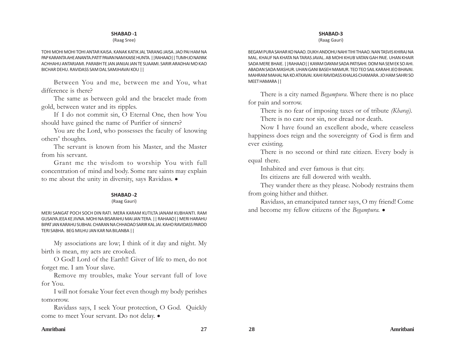#### (Raag Sree)

TOHI MOHI MOHI TOHI ANTAR KAISA. KANAK KATIK JAL TARANG JAISA. JAO PAI HAM NA PAP KARANTA AHE ANANTA.PATIT PAVAN NAM KAISE HUNTA. ||RAHAAO|| TUMH JO NAIYAK ACHHAHU ANTARJAMI. PARABH TE JAN JANIJAI JAN TE SUAAMI. SARIR ARADHAI MO KAO BICHAR DEHU. RAVIDASS SAM DAL SAMJHAVAI KOU ||

Between You and me, between me and You, what difference is there?

The same as between gold and the bracelet made from gold, between water and its ripples.

If I do not commit sin, O Eternal One, then how You should have gained the name of Purifier of sinners?

You are the Lord, who possesses the faculty of knowing others' thoughts.

The servant is known from his Master, and the Master from his servant.

Grant me the wisdom to worship You with full concentration of mind and body. Some rare saints may explain to me about the unity in diversity, says Ravidass.  $\bullet$ 

#### **SHABAD -2**

#### (Raag Gauri)

MERI SANGAT POCH SOCH DIN RATI. MERA KARAM KUTILTA JANAM KUBHANTI. RAM GUSAIYA JEEA KE JIVNA. MOHI NA BISARAHU MAI JAN TERA. || RAHAAO|| MERI HARAHU BIPAT JAN KARAHU SUBHAI. CHARAN NA CHHADAO SARIR KAL JAI. KAHO RAVIDASS PAROO TERI SABHA. BEG MILHU JAN KAR NA BILANBA ||

My associations are low; I think of it day and night. My birth is mean, my acts are crooked.

O God! Lord of the Earth!! Giver of life to men, do not forget me. I am Your slave.

Remove my troubles, make Your servant full of love for You.

I will not forsake Your feet even though my body perishes tomorrow.

Ravidass says, I seek Your protection, O God. Quickly come to meet Your servant. Do not delay.  $\bullet$ 

#### **SHABAD-3**

(Raag Gauri)

BEGAM PURA SAHAR KO NAAO. DUKH ANDOHU NAHI TIHI THAAO. NAN TASVIS KHIRAJ NA MAL. KHAUF NA KHATA NA TARAS JAVAL. AB MOHI KHUB VATAN GAH PAIE. UHAN KHAIR SADA MERE BHAIE. ||RAHAAO|| KAYAM DAYAM SADA PATISAHI. DOM NA SEM EK SO AHI. ABADAN SADA MASHUR. UHAN GANI BASEH MAMUR. TEO TEO SAIL KARAHI JEO BHAVAI. MAHRAM MAHAL NA KO ATKAVAI. KAHI RAVIDASS KHALAS CHAMARA. JO HAM SAHRI SO MEET HAMARA ||

There is a city named *Begampura*. Where there is no place for pain and sorrow.

There is no fear of imposing taxes or of tribute *(Kharaj)*. There is no care nor sin, nor dread nor death.

Now I have found an excellent abode, where ceaseless happiness does reign and the sovereignty of God is firm and ever existing.

There is no second or third rate citizen. Every body is equal there.

Inhabited and ever famous is that city.

Its citizens are full dowered with wealth.

They wander there as they please. Nobody restrains them from going hither and thither.

Ravidass, an emancipated tanner says, O my friend! Come and become my fellow citizens of the *Begampura*.  $\bullet$ 

#### **Amritbani 27 28 Amritbani**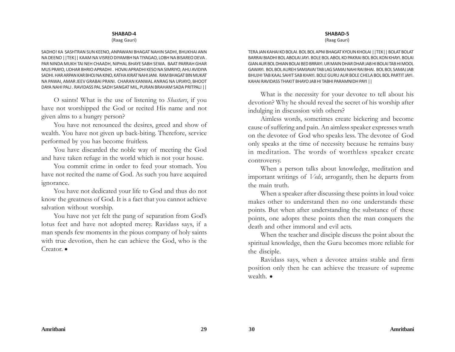#### (Raag Gauri)

SADHO! KA SASHTRAN SUN KEENO, ANPAWANI BHAGAT NAHIN SADHI, BHUKHAI ANN NA DEENO ||TEK|| KAAM NA VISREO DIYAMBH NA TIYAGAO, LOBH NA BISAREO DEVA . PAR NINDA MUKH TAI NEH CHAADH, NIPHAL BHAYE SABH SEWA. BAAT PARRAH GHAR MUS PRAYO, UDHAR BHRIO APRADHI . HOVAI APRADHI KESO NA SIMRIYO, AHU AVIDIYA SADHI. HAR ARPAN KAR BHOJ NA KINO, KATHA KIRAT NAHI JANI. RAM BHAGAT BIN MUKAT NA PAWAI, AMAR JEEV GRABAI PRANI. CHARAN KANWAL ANRAG NA UPJAYO, BHOOT DAYA NAHI PALI . RAVIDASS PAL SADH SANGAT MIL, PURAN BRAHAM SADA PRITPALI ||

O saints! What is the use of listening to *Shastars*, if you have not worshipped the God or recited His name and not given alms to a hungry person?

You have not renounced the desires, greed and show of wealth. You have not given up back-biting. Therefore, service performed by you has become fruitless.

You have discarded the noble way of meeting the God and have taken refuge in the world which is not your house.

You commit crime in order to feed your stomach. You have not recited the name of God. As such you have acquired ignorance.

You have not dedicated your life to God and thus do not know the greatness of God. It is a fact that you cannot achieve salvation without worship.

You have not yet felt the pang of separation from God's lotus feet and have not adopted mercy. Ravidass says, if a man spends few moments in the pious company of holy saints with true devotion, then he can achieve the God, who is the Creator.  $\bullet$ 

#### **SHABAD-5**

(Raag Gauri)

TERA JAN KAHAI KO BOLAI. BOL BOL APNI BHAGAT KYOUN KHOLAI ||TEK|| BOLAT BOLAT BARRAI BIADHI BOL ABOLAI JAYI. BOLE BOL ABOL KO PAKRAI BOL BOL KON KHAYI. BOLAI GIAN AUR BOL DHIAN BOLAI BED BRRAYI. UR MAIN DHAR DHAR JAB HI BOLAI TAB HI MOOL GAWAYI. BOL BOL AUREH SAMJAVAI TAB LAG SAMAJ NAHI RAI BHAI. BOL BOL SAMAJ JAB BHUJHI TAB KAAL SAHIT SAB KHAYI. BOLE GURU AUR BOLE CHELA BOL BOL PARTIT JAYI. KAHAI RAVIDASS THAKIT BHAYO JAB HI TABHI PARAMNIDH PAYI ||

What is the necessity for your devotee to tell about his devotion? Why he should reveal the secret of his worship after indulging in discussion with others?

Aimless words, sometimes create bickering and become cause of suffering and pain. An aimless speaker expresses wrath on the devotee of God who speaks less. The devotee of God only speaks at the time of necessity because he remains busy in meditation. The words of worthless speaker create controversy.

When a person talks about knowledge, meditation and important writings of *Veds*, arrogantly, then he departs from the main truth.

When a speaker after discussing these points in loud voice makes other to understand then no one understands these points. But when after understanding the substance of these points, one adopts these points then the man conquers the death and other immoral and evil acts.

When the teacher and disciple discuss the point about the spiritual knowledge, then the Guru becomes more reliable for the disciple.

Ravidass says, when a devotee attains stable and firm position only then he can achieve the treasure of supreme wealth.  $\bullet$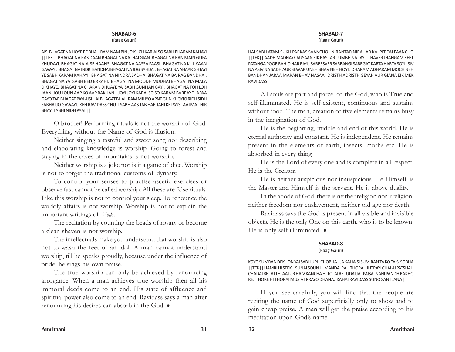(Raag Gauri)

AISI BHAGAT NA HOYE RE BHAI . RAM NAM BIN JO KUCH KARIAI SO SABH BHARAM KAHAYI ||TEK|| BHAGAT NA RAS DAAN BHAGAT NA KATHAI GIAN. BHAGAT NA BAN MAIN GUFA KHUDAYI. BHAGAT NA AISE HAANSI BHAGAT NA AASSA PAASI. BHAGAT NA KUL KAAN GAWAYI. BHAGAT NA INDRI BANDHAI BHAGAT NA JOG SAHDAI. BHAGAT NA AHAAR GHTAYI YE SABH KARAM KAHAYI. BHAGAT NA NINDRA SADHAI BHAGAT NA BAIRAG BANDHAI. BHAGAT NA YAI SABH BED BRRAHI. BHAGAT NA MOODH MUDHAI BHAGAT NA MALA DIKHAYE. BHAGAT NA CHARAN DHUAYE YAI SABH GUNI JAN GAYI. BHAGAT NA TOH LOH JAANI JOU LOUN AAP KO AAP BAKHANI. JOYI JOYI KARAI SO SO KARAM BARRAYE. APAA GAYO TAB BHAGAT PAYI AISI HAI BHAGAT BHAI. RAM MILIYO APNE GUN KHOYIO RIDH SIDH SABHAI JO GAWAYI. KEH RAVIDASS CHUTI SABH AAS TAB HAR TAHI KE PASS. AATMA THIR BHAYI TABHI NIDH PAAI ||

O brother! Performing rituals is not the worship of God. Everything, without the Name of God is illusion.

Neither singing a tasteful and sweet song nor describing and elaborating knowledge is worship. Going to forest and staying in the caves of mountains is not worship.

Neither worship is a joke nor is it a game of dice. Worship is not to forget the traditional customs of dynasty.

To control your senses to practise ascetic exercises or observe fast cannot be called worship. All these are false rituals. Like this worship is not to control your sleep. To renounce the worldly affairs is not worship. Worship is not to explain the important writings of *Veds*.

The recitation by counting the beads of rosary or become a clean shaven is not worship.

The intellectuals make you understand that worship is also not to wash the feet of an idol. A man cannot understand worship, till he speaks proudly, because under the influence of pride, he sings his own praise.

The true worship can only be achieved by renouncing arrogance. When a man achieves true worship then all his immoral deeds come to an end. His state of affluence and spiritual power also come to an end. Ravidass says a man after renouncing his desires can absorb in the God.  $\bullet$ 

### **SHABAD-7**

(Raag Gauri)

HAI SABH ATAM SUKH PARKAS SAANCHO. NIRANTAR NIRAHAR KALPIT EAI PAANCHO ||TEK|| AADH MADHAYE AUSAAN EIK RAS TAR TUMBH NA TAYI. THAVER JHANGAM KEET PATANGA POOR RAHIO HAR RAYI. SARBESVER SARBANGI SARBGAT KARTA HARTA SOYI. SIV NA ASIV NA SADH AUR SEWAK UNEH BHAV NEH HOYI. DHARAM ADHARAM MOCH NEH BANDHAN JARAA MARAN BHAV NASAA. DRISTH ADRISTH GEYAH AUR GIANA EIK MEK RAVIDASS ||

All souls are part and parcel of the God, who is True and self-illuminated. He is self-existent, continuous and sustains without food. The man, creation of five elements remains busy in the imagination of God.

He is the beginning, middle and end of this world. He is eternal authority and constant. He is independent. He remains present in the elements of earth, insects, moths etc. He is absorbed in every thing.

He is the Lord of every one and is complete in all respect. He is the Creator.

He is neither auspicious nor inauspicious. He Himself is the Master and Himself is the servant. He is above duality.

In the abode of God, there is neither religion nor irreligion, neither freedom nor enslavement, neither old age nor death.

Ravidass says the God is present in all visible and invisible objects. He is the only One on this earth, who is to be known. He is only self-illuminated.  $\bullet$ 

## **SHABAD-8**

(Raag Gauri)

KOYO SUMRAN DEKHON YAI SABH UPLI CHOBHA . JA KAI JAISI SUMIRAN TA KO TAISI SOBHA ||TEK|| HAMRI HI SEEKH SUNAI SOUN HI MANDAI RAI. THORAI HI ITRAYI CHALAI PATSHAH CHADAI RE. ATTHI AATUR HAIV KANCHA HI TOLAI RE. UDAI JAL PAISAI NAHI PANDH RAKHO RE. THORE HI THORAI MUSIAT PRAYO DHANA. KAHAI RAVIDASS SUNO SANT JANA ||

If you see carefully, you will find that the people are reciting the name of God superficially only to show and to gain cheap praise. A man will get the praise according to his meditation upon God's name.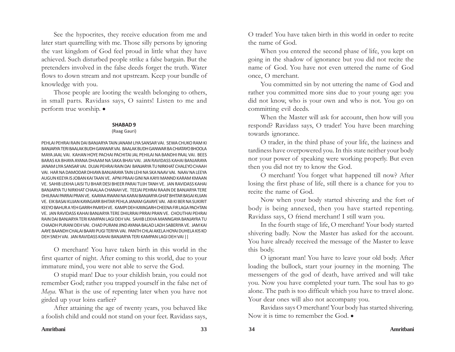See the hypocrites, they receive education from me and later start quarrelling with me. Those silly persons by ignoring the vast kingdom of God feel proud in little what they have achieved. Such disturbed people strike a false bargain. But the pretenders involved in the false deeds forget the truth. Water flows to down stream and not upstream. Keep your bundle of knowledge with you.

Those people are looting the wealth belonging to others, in small parts. Ravidass says, O saints! Listen to me and perform true worship.  $\bullet$ 

#### **SHABAD 9**

#### (Raag Gauri)

PEHLAI PEHRAI RAIN DAI BANJARYA TAIN JANAM LIYA SANSAR VAI. SEWA CHUKO RAM KI BANJARYA TERI BAALAK BUDH GANWAR VAI. BAALAK BUDH GANWAR BA CHIATAYO BHOOLA MAYA JAAL VAI. KAHAN HOYE PACHAI PACHITAI JAL PEHILAI NA BANDHI PAAL VAI. BEES BARAS KA BHAYA AYANA DHAAM NA SAKA BHAV VAI. JAN RAVIDASS KAHAI BANJARAYA JANAM LIYA SANSAR VAI. DUJAI PEHRAI RAIN DAI BANJARYA TU NIRKHAT CHALEYO CHAAH VAI. HAR NA DAMODAR DHIAYA BANJARAYA TAIN LEHI NA SKA NAAV VAI. NAAV NA LEEYA AUGUN KEEYA IS JOBAN KAI TAAN VE. APNI PRAAI GINI NA KAYII MANND KARAM KMAAN VE. SAHIB LEKHA LAISI TU BHAR DESI BHEER PARAI TUJH TANH VE. JAN RAVIDASS KAHAI BANJARYA TU NIRKHAT CHAALAA CHANAH VE. TEEJAI PEHRAI RAAIN DE BANJARYA TERE DHILRAAI PARRAI PRAN VE. KAAYAA RWANI NA KARAI BANJARYA GHAT BHITAR BASAI KUJAN VE. EIK BASAI KUJAN KAYAGARR BHITAR PEHLA JANAM GAVAYE VAI. AB KI BER NA SUKIRIT KEEYO BAHUR A YEH GARRH PAAYEH VE. KAMPI DEH KAYAGARH CHEENA FIR LAGA PACHTAN VE. JAN RAVIDASS KAHAI BANJARYA TERE DHILRRAI PRRAI PRAN VE. CHOUTHAI PEHRAI RAIN DAI BANJARYA TERI KAMPAN LAGI DEH VAI. SAHIB LEKHA MANNGAYA BANJAYRA TU CHAADH PURANI DEH VAI. CHAD PURANI JIND AYANA BALAD LADH SABERIYA VE. JAM KAI AAYE BAANDH CHALAI BAARI PUGI TERIYA VAI. PANTH CHLAI AKELA HOYAI DUHELA KIS KO DEH SNEH VAI. JAN RAVIDASS KAHAI BANJARYA TERI KAMPAN LAGI DEH VAI ||

O merchant! You have taken birth in this world in the first quarter of night. After coming to this world, due to your immature mind, you were not able to serve the God.

O stupid man! Due to your childish brain, you could not remember God; rather you trapped yourself in the false net of *Maya*. What is the use of repenting later when you have not girded up your loins earlier?

After attaining the age of twenty years, you behaved like a foolish child and could not stand on your feet. Ravidass says,

O trader! You have taken birth in this world in order to recite the name of God.

When you entered the second phase of life, you kept on going in the shadow of ignorance but you did not recite the name of God. You have not even uttered the name of God once, O merchant.

You committed sin by not uttering the name of God and rather you committed more sins due to your young age: you did not know, who is your own and who is not. You go on committing evil deeds.

When the Master will ask for account, then how will you respond? Ravidass says, O trader! You have been marching towards ignorance.

O trader, in the third phase of your life, the laziness and tardiness have overpowered you. In this state neither your body nor your power of speaking were working properly. But even then you did not try to know the God.

O merchant! You forget what happened till now? After losing the first phase of life, still there is a chance for you to recite the name of God.

Now when your body started shivering and the fort of body is being annexed, then you have started repenting. Ravidass says, O friend merchant! I still warn you.

In the fourth stage of life, O merchant! Your body started shivering badly. Now the Master has asked for the account. You have already received the message of the Master to leave this body.

O ignorant man! You have to leave your old body. After loading the bullock, start your journey in the morning. The messengers of the god of death, have arrived and will take you. Now you have completed your turn. The soul has to go alone. The path is too difficult which you have to travel alone. Your dear ones will also not accompany you.

Ravidass says O merchant! Your body has started shivering. Now it is time to remember the God.  $\bullet$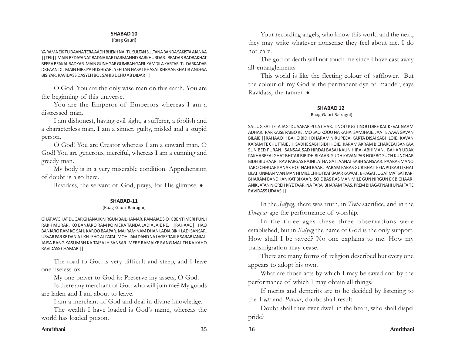#### (Raag Gauri)

YA RAMA EIK TU DAANA TERA AADH BHEKH NA. TU SULTAN SULTANA BANDA SAKISTA AJANAA ||TEK|| MAIN BEDAYANAT BADNAJJAR DARMANND BARKHURDAR. BEADAB BADBAKHAT BEERA BEAKAL BADKAR. MAIN GUNHGAR GUMRAH GAFIL KAMDILA KARTAR. TU DARKADAR DREAAN DIL MAIN HIRSIYA HUSHIYAR. YEH TAN HASAT KHASAT KHRAAB KHATIR ANDESA BISIYAR. RAVIDASS DASYEH BOL SAHIB DEHU AB DIDAR ||

O God! You are the only wise man on this earth. You are the beginning of this universe.

You are the Emperor of Emperors whereas I am a distressed man.

I am dishonest, having evil sight, a sufferer, a foolish and a characterless man. I am a sinner, guilty, misled and a stupid person.

O God! You are Creator whereas I am a coward man. O God! You are generous, merciful, whereas I am a cunning and greedy man.

My body is in a very miserable condition. Apprehension of doubt is also here.

Ravidass, the servant of God, prays, for His glimpse.  $\bullet$ 

#### **SHABAD-11**

#### (Raag Gauri Bairagni)

GHAT AVGHAT DUGAR GHANA IK NIRGUN BAIL HAMAR. RAMAIAE SIO IK BENTI MERI PUNJI RAKH MURAR. KO BANJARO RAM KO MERA TANDA LADIA JAIE RE. ||RAHAAO|| HAO BANJARO RAM KO SAHJ KAROO BAAPAR. MAI RAM NAM DHAN LADIA BIKH LADI SANSAR. URVAR PAR KE DANIA LIKH LEHO AL PATAL. MOHI JAM DAND NA LAGEE TAJILE SARAB JANJAL. JAISA RANG KASUMBH KA TAISA IH SANSAR. MERE RAMAIYE RANG MAJITH KA KAHO RAVIDASS CHAMAR ||

The road to God is very difficult and steep, and I have one useless ox.

My one prayer to God is: Preserve my assets, O God.

Is there any merchant of God who will join me? My goods are laden and I am about to leave.

I am a merchant of God and deal in divine knowledge.

The wealth I have loaded is God's name, whereas the world has loaded poison.

Your recording angels, who know this world and the next, they may write whatever nonsense they feel about me. I do not care.

The god of death will not touch me since I have cast away all entanglements.

This world is like the fleeting colour of safflower. But the colour of my God is the permanent dye of madder, says Ravidass, the tanner.  $\bullet$ 

#### **SHABAD 12**

#### (Raag Gauri Bairagni)

SATJUG SAT TETA JAGI DUAAPAR PUJA CHAR. TINOU JUG TINOU DIRE KAL KEVAL NAAM ADHAR. PAR KAISE PAIBO RE. MO SAO KOOU NA KAHAI SAMJHAIE. JAA TE AAVA GAVAN BILAIE ||RAHAAO|| BAHO BIDH DHARAM NIRUPEEAI KARTA DISAI SABH LOIE. KAVAN KARAM TE CHUTTAIE JIH SADHE SABH SIDH HOIE. KARAM AKRAM BICHAREEAI SANKAA SUN BED PURAN. SANSAA SAD HIRDAI BASAI KAUN HIRAI ABHIMAN. BAHAR UDAK PAKHAREEAI GHAT BHITAR BIBIDH BIKAAR. SUDH KAVAN PAR HOIEBO SUCH KUNCHAR BIDH BIUHAAR. RAV PARGAS RAJNI JATHA GAT JAANAT SABH SANSAAR. PAARAS MANO TABO CHHUAE KANAK HOT NAHI BAAR. PARAM PARAS GUR BHAITEEIA PURAB LIKHAT LILAT. UNMAN MAN MAN HI MILE CHHUTKAT BAJAR KAPAAT. BHAGAT JUGAT MAT SAT KARI BHARAM BANDHAN KAT BIKAAR. SOIE BAS RAS MAN MILE GUN NIRGUN EK BICHAAR. ANIK JATAN NIGREH KIYE TAARI NA TARAI BHARAM FAAS. PREM BHAGAT NAHI UPJAI TA TE RAVIDASS UDAAS ||

In the *Satyug,* there was truth, in *Treta* sacrifice, and in the *Dwapar* age the performance of worship.

In the three ages these three observations were established, but in *Kalyug* the name of God is the only support. How shall I be saved? No one explains to me. How my transmigration may cease.

There are many forms of religion described but every one appears to adopt his own.

What are those acts by which I may be saved and by the performance of which I may obtain all things?

If merits and demerits are to be decided by listening to the *Veds* and *Purans*, doubt shall result.

Doubt shall thus ever dwell in the heart, who shall dispel pride?

#### **Amritbani 35 36 Amritbani**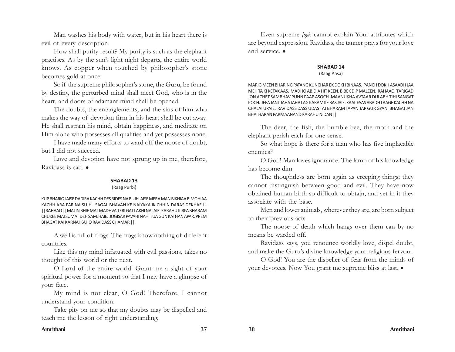Man washes his body with water, but in his heart there is evil of every description.

How shall purity result? My purity is such as the elephant practises. As by the sun's light night departs, the entire world knows. As copper when touched by philosopher's stone becomes gold at once.

So if the supreme philosopher's stone, the Guru, be found by destiny, the perturbed mind shall meet God, who is in the heart, and doors of adamant mind shall be opened.

The doubts, the entanglements, and the sins of him who makes the way of devotion firm in his heart shall be cut away. He shall restrain his mind, obtain happiness, and meditate on Him alone who possesses all qualities and yet possesses none.

I have made many efforts to ward off the noose of doubt, but I did not succeed.

Love and devotion have not sprung up in me, therefore, Ravidass is sad.  $\bullet$ 

#### **SHABAD 13**

#### (Raag Purbi)

KUP BHARIO JAISE DADIRA KACHH DES BIDES NA BUJH. AISE MERA MAN BIKHIAA BIMOHIAA KACHH ARA PAR NA SUJH. SAGAL BHAVAN KE NAIYAKA IK CHHIN DARAS DEKHAE JI. ||RAHAAO|| MALIN BHIE MAT MADHVA TERI GAT LAKHI NA JAIE. KARAHU KIRPA BHARAM CHUKEE MAI SUMAT DEH SAMJHAIE. JOGISAR PAVAHI NAHI TUA GUN KATHAN APAR. PREM BHAGAT KAI KARNAI KAHO RAVIDASS CHAMAR ||

A well is full of frogs. The frogs know nothing of different countries.

Like this my mind infatuated with evil passions, takes no thought of this world or the next.

O Lord of the entire world! Grant me a sight of your spiritual power for a moment so that I may have a glimpse of your face.

My mind is not clear, O God! Therefore, I cannot understand your condition.

Take pity on me so that my doubts may be dispelled and teach me the lesson of right understanding.

Even supreme *Jogis* cannot explain Your attributes which are beyond expression. Ravidass, the tanner prays for your love and service.  $\bullet$ 

## **SHABAD 14**

(Raag Aasa)

MARIG MEEN BHARING PATANG KUNCHAR EK DOKH BINAAS. PANCH DOKH ASAADH JAA MEH TA KI KETAK AAS. MADHO ABIDIA HIT KEEN. BIBEK DIP MALEEN. RAHAAO. TARIGAD JON ACHET SAMBHAV PUNN PAAP ASOCH. MAANUKHA AVTAAR DULABH TIHI SANGAT POCH. JEEA JANT JAHA JAHA LAG KARAM KE BAS JAIE. KAAL FAAS ABADH LAAGE KACHH NA CHALAI UPAIE. RAVIDASS DASS UDAS TAJ BHARAM TAPAN TAP GUR GYAN. BHAGAT JAN BHAI HARAN PARMAANAND KARAHU NIDAN||

The deer, the fish, the bumble-bee, the moth and the elephant perish each for one sense.

So what hope is there for a man who has five implacable enemies?

O God! Man loves ignorance. The lamp of his knowledge has become dim.

The thoughtless are born again as creeping things; they cannot distinguish between good and evil. They have now obtained human birth so difficult to obtain, and yet in it they associate with the base.

Men and lower animals, wherever they are, are born subject to their previous acts.

The noose of death which hangs over them can by no means be warded off.

Ravidass says, you renounce worldly love, dispel doubt, and make the Guru's divine knowledge your religious fervour.

O God! You are the dispeller of fear from the minds of your devotees. Now You grant me supreme bliss at last.  $\bullet$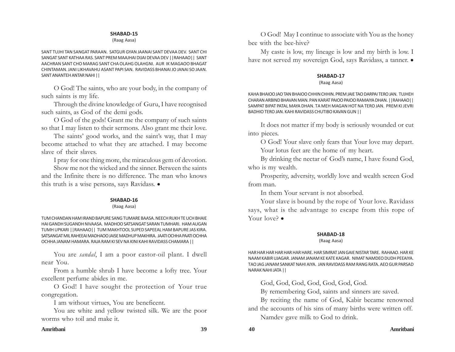(Raag Aasa)

SANT TUJHI TAN SANGAT PARAAN. SATGUR GYAN JAANAI SANT DEVAA DEV. SANT CHI SANGAT SANT KATHAA RAS. SANT PREM MAAJHAI DIJAI DEVAA DEV ||RAHAAO|| SANT AACHRAN SANT CHO MARAG SANT CHA OLAHG OLAHGNI. AUR IK MAGAOO BHAGAT CHINTAMAN. JANI LIKHAVAHU ASANT PAPI SAN. RAVIDASS BHANAI JO JANAI SO JAAN. SANT ANANTEH ANTAR NAHI ||

O God! The saints, who are your body, in the company of such saints is my life.

Through the divine knowledge of Guru, I have recognised such saints, as God of the demi gods.

O God of the gods! Grant me the company of such saints so that I may listen to their sermons. Also grant me their love.

The saints' good works, and the saint's way, that I may become attached to what they are attached. I may become slave of their slaves.

I pray for one thing more, the miraculous gem of devotion.

Show me not the wicked and the sinner. Between the saints and the Infinite there is no difference. The man who knows this truth is a wise persons, says Ravidass.  $\bullet$ 

#### **SHABAD-16**

#### (Raag Aasa)

TUM CHANDAN HAM IRAND BAPURE SANG TUMARE BAASA. NEECH RUKH TE UCH BHAIE HAI GANDH SUGANDH NIVAASA. MADHOO SATSANGAT SARAN TUMHARI. HAM AUGAN TUMH UPKARI ||RAHAAO|| TUM MAKHTOOL SUPED SAPEEAL HAM BAPURE JAS KIRA. SATSANGAT MIL RAHEEAI MADHAOO JAISE MADHUP MAKHIRA. JAATI OCHHA PAATI OCHHA OCHHA JANAM HAMARA. RAJA RAM KI SEV NA KINI KAHI RAVIDASS CHAMARA ||

You are *sandal*, I am a poor castor-oil plant. I dwell near You.

From a humble shrub I have become a lofty tree. Your excellent perfume abides in me.

O God! I have sought the protection of Your true congregation.

I am without virtues, You are beneficent.

You are white and yellow twisted silk. We are the poor worms who toil and make it.

#### **Amritbani 39 40 Amritbani**

O God! May I continue to associate with You as the honey bee with the bee-hive?

My caste is low, my lineage is low and my birth is low. I have not served my sovereign God, says Ravidass, a tanner.  $\bullet$ 

#### **SHABAD-17**

#### (Raag Aasa)

KAHA BHAIOO JAO TAN BHAIOO CHHIN CHHIN. PREM JAIE TAO DARPAI TERO JAN. TUJHEH CHARAN ARBIND BHAVAN MAN. PAN KARAT PAIOO PAIOO RAMAIYA DHAN. ||RAHAAO|| SAMPAT BIPAT PATAL MAYA DHAN. TA MEH MAGAN HOT NA TERO JAN. PREM KI JEVRI BADHIO TERO JAN. KAHI RAVIDASS CHUTIBO KAVAN GUN ||

It does not matter if my body is seriously wounded or cut into pieces.

O God! Your slave only fears that Your love may depart. Your lotus feet are the home of my heart.

By drinking the nectar of God's name, I have found God, who is my wealth.

Prosperity, adversity, worldly love and wealth screen God from man.

In them Your servant is not absorbed.

Your slave is bound by the rope of Your love. Ravidass says, what is the advantage to escape from this rope of Your love?  $\bullet$ 

## **SHABAD-18**

#### (Raag Aasa)

HAR HAR HAR HAR HAR HAR HARE. HAR SIMRAT JAN GAIE NISTAR TARE. RAHAAO. HAR KE NAAM KABIR UJAGAR. JANAM JANAM KE KATE KAGAR. NIMAT NAMDEO DUDH PEEAIYA. TAO JAG JANAM SANKAT NAHI AIYA. JAN RAVIDASS RAM RANG RATA. AEO GUR PARSAD NARAK NAHI JATA ||

God, God, God, God, God, God, God.

By remembering God, saints and sinners are saved.

By reciting the name of God, Kabir became renowned and the accounts of his sins of many births were written off. Namdev gave milk to God to drink.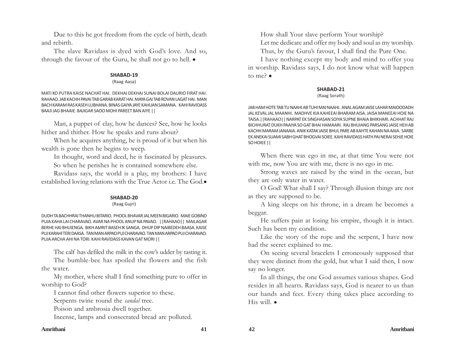Due to this he got freedom from the cycle of birth, death and rebirth.

The slave Ravidass is dyed with God's love. And so, through the favour of the Guru, he shall not go to hell.  $\bullet$ 

#### **SHABAD-19**

#### (Raag Aasa)

MATI KO PUTRA KAISE NACHAT HAI. DEKHAI DEKHAI SUNAI BOLAI DAURIO FIRAT HAI. RAHAAO. JAB KACHH PAVAI TAB GARAB KARAT HAI. MAYA GAI TAB ROVAN LAGAT HAI. MAN BACH KARAM RAS KASEH LUBHANA. BINAS GAIYA JAYE KAHUAN SAMANA. KAHI RAVIDASS BAAJI JAG BHAAIE. BAJIGAR SAOO MOHI PAREET BAN AIYE ||

Man, a puppet of clay, how he dances? See, how he looks hither and thither. How he speaks and runs about?

When he acquires anything, he is proud of it but when his wealth is gone then he begins to weep.

In thought, word and deed, he is fascinated by pleasures.

So when he perishes he is contained somewhere else.

Ravidass says, the world is a play, my brothers: I have established loving relations with the True Actor i.e. The God.

#### **SHABAD-20**

#### (Raag Gujri)

DUDH TA BACHHRAI THANHU BITARIO. PHOOL BHAVAR JAL MEEN BIGARIO. MAIE GOBIND PUJA KAHA LAI CHARAVAO. AVAR NA PHOOL ANUP NA PAVAO. ||RAHAAO|| MAILAGAR BERHE HAI BHUIENGA. BIKH AMRIT BASEH IK SANGA. DHUP DIP NAIBEDEH BAASA. KAISE PUJ KARAHI TERI DAASA. TAN MAN ARPAO PUJ CHARAVAO. TAN MAN ARPAO PUJ CHARAVAO. PUJA ARCHA AHI NA TORI. KAHI RAVIDASS KAVAN GAT MORI ||

The calf has defiled the milk in the cow's udder by tasting it.

The bumble-bee has spoiled the flowers and the fish the water.

My mother, where shall I find something pure to offer in worship to God?

I cannot find other flowers superior to these.

Serpents twine round the *sandal* tree.

Poison and ambrosia dwell together.

Incense, lamps and consecrated bread are polluted.

How shall Your slave perform Your worship? Let me dedicate and offer my body and soul as my worship. Thus, by the Guru's favour, I shall find the Pure One.

I have nothing except my body and mind to offer you in worship. Ravidass says, I do not know what will happen to me? $\bullet$ 

#### **SHABAD-21**

#### (Raag Sorath)

JAB HAM HOTE TAB TU NAAHI AB TUHI MAI NAAHI. ANAL AGAM JAISE LAHAR MAIOODADH JAL KEVAL JAL MAANHI. MADHVE KIA KAHEEAI BHARAM AISA. JAISA MANEEAI HOIE NA TAISA.||RAHAAO|| NARPAT EK SINGHASAN SOIYA SUPNE BHAIA BHIKHARI. ACHHAT RAJ BICHHURAT DUKH PAAIYA SO GAT BHAI HAMAARI. RAJ BHUIANG PARSANG JAISE HEH AB KACHH MARAM JANAAIA. ANIK KATAK JAISE BHUL PARE AB KAHTE KAHAN NA AAIA. SARBE EK ANEKAI SUAMI SABH GHAT BHOGVAI SOIEE. KAHI RAVIDASS HATH PAI NERAI SEHJE HOIE SO HOIEE ||

When there was ego in me, at that time You were not with me, now You are with me, there is no ego in me.

Strong waves are raised by the wind in the ocean, but they are only water in water.

O God! What shall I say? Through illusion things are not as they are supposed to be.

A king sleeps on his throne, in a dream he becomes a beggar.

He suffers pain at losing his empire, though it is intact. Such has been my condition.

Like the story of the rope and the serpent, I have now had the secret explained to me.

On seeing several bracelets I erroneously supposed that they were distinct from the gold, but what I said then, I now say no longer.

In all things, the one God assumes various shapes. God resides in all hearts. Ravidass says, God is nearer to us than our hands and feet. Every thing takes place according to His will.  $\bullet$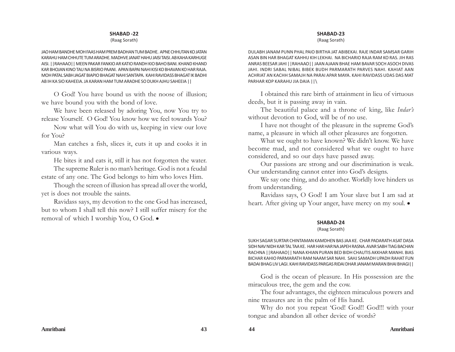#### (Raag Sorath)

JAO HAM BANDHE MOH FAAS HAM PREM BADHAN TUM BADHE. APNE CHHUTAN KO JATAN KARAHU HAM CHHUTE TUM ARADHE. MADHVE JANAT HAHU JAISI TAISI. AB KAHA KARHUGE AISI. ||RAHAAO|| MEEN PAKAR FANKIO AR KATIO RANDH KIO BAHO BANI. KHAND KHAND KAR BHOJAN KINO TAU NA BISRIO PAANI. APAN BAPAI NAHI KISI KO BHAVAN KO HAR RAJA. MOH PATAL SABH JAGAT BIAPIO BHAGAT NAHI SANTAPA. KAHI RAVIDASS BHAGAT IK BADHI AB IH KA SIO KAHEEIA. JA KARAN HAM TUM ARADHE SO DUKH AJHU SAHEEIA ||

O God! You have bound us with the noose of illusion; we have bound you with the bond of love.

We have been released by adoring You, now You try to release Yourself. O God! You know how we feel towards You?

Now what will You do with us, keeping in view our love for You?

Man catches a fish, slices it, cuts it up and cooks it in various ways.

He bites it and eats it, still it has not forgotten the water.

The supreme Ruler is no man's heritage. God is not a feudal estate of any one. The God belongs to him who loves Him.

Though the screen of illusion has spread all over the world, yet is does not trouble the saints.

Ravidass says, my devotion to the one God has increased, but to whom I shall tell this now? I still suffer misery for the removal of which I worship You, O God.  $\bullet$ 

#### **SHABAD-23**

(Raag Sorath)

DULABH JANAM PUNN PHAL PAIO BIRTHA JAT ABIBEKAI. RAJE INDAR SAMSAR GARIH ASAN BIN HAR BHAGAT KAHHU KIH LEKHAI. NA BICHARIO RAJA RAM KO RAS. JIH RAS ANRAS BEESAR JAHI ||RAHAAO|| JAAN AJAAN BHAE HAM BAVAR SOCH ASOCH DIVAS JAHI. INDRI SABAL NIBAL BIBEK BUDH PARMARATH PARVES NAHI. KAHIAT AAN ACHRIAT AN KACHH SAMAJH NA PARAI APAR MAYA. KAHI RAVIDASS UDAS DAS MAT PARHAR KOP KARAHU JIA DAIA ||\

I obtained this rare birth of attainment in lieu of virtuous deeds, but it is passing away in vain.

The beautiful palace and a throne of king, like *Indar's* without devotion to God, will be of no use.

I have not thought of the pleasure in the supreme God's name, a pleasure in which all other pleasures are forgotten.

What we ought to have known? We didn't know. We have become mad, and not considered what we ought to have considered, and so our days have passed away.

Our passions are strong and our discrimination is weak. Our understanding cannot enter into God's designs.

We say one thing, and do another. Worldly love hinders us from understanding.

Ravidass says, O God! I am Your slave but I am sad at heart. After giving up Your anger, have mercy on my soul.  $\bullet$ 

#### **SHABAD-24**

(Raag Sorath)

SUKH SAGAR SURTAR CHINTAMAN KAMDHEN BAS JAA KE. CHAR PADARATH ASAT DASA SIDH NAV NIDH KAR TAL TAA KE. HAR HAR HAR NA JAPEH RASNA. AVAR SABH TIAG BACHAN RACHNA ||RAHAAO|| NANA KHIAN PURAN BED BIDH CHAUTIS AKKHAR MANHI. BIAS BICHAR KAHIO PARMARATH RAM NAAM SAR NAHI. SAHJ SAMADH UPADH RAHAT FUN BADAI BHAG LIV LAGI. KAHI RAVIDASS PARGAS RIDAI DHAR JANAM MARAN BHAI BHAGI||

God is the ocean of pleasure. In His possession are the miraculous tree, the gem and the cow.

The four advantages, the eighteen miraculous powers and nine treasures are in the palm of His hand.

Why do not you repeat 'God! God!! God!!! with your tongue and abandon all other device of words?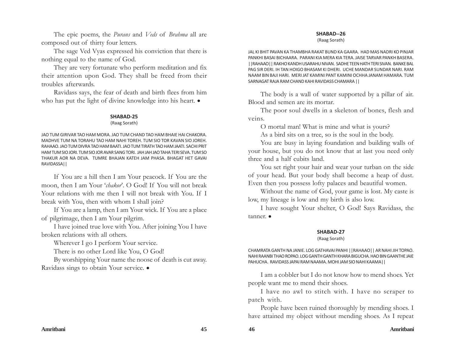The epic poems, the *Purans* and *Veds* of *Brahma* all are composed out of thirty four letters.

The sage Ved Vyas expressed his conviction that there is nothing equal to the name of God.

They are very fortunate who perform meditation and fix their attention upon God. They shall be freed from their troubles afterwards.

Ravidass says, the fear of death and birth flees from him who has put the light of divine knowledge into his heart.  $\bullet$ 

#### **SHABAD-25**

#### (Raag Sorath)

JAO TUM GIRIVAR TAO HAM MORA. JAO TUM CHAND TAO HAM BHAIE HAI CHAKORA. MADHVE TUM NA TORAHU TAO HAM NAHI TOREH. TUM SIO TOR KAVAN SIO JOREH. RAHAAO. JAO TUM DIVRA TAO HAM BAATI. JAO TUM TIRATH TAO HAM JAATI. SACHI PRIT HAM TUM SIO JORI. TUM SIO JOR AVAR SANG TORI. JAH JAH JAO TAHA TERI SEVA. TUM SO THAKUR AOR NA DEVA. TUMRE BHAJAN KATEH JAM PHASA. BHAGAT HET GAVAI RAVIDASSA||

If You are a hill then I am Your peacock. If You are the moon, then I am Your '*chakor*'. O God! If You will not break Your relations with me then I will not break with You. If I break with You, then with whom I shall join?

If You are a lamp, then I am Your wick. If You are a place of pilgrimage, then I am Your pilgrim.

I have joined true love with You. After joining You I have broken relations with all others.

Wherever I go I perform Your service.

There is no other Lord like You, O God!

By worshipping Your name the noose of death is cut away. Ravidass sings to obtain Your service.  $\bullet$ 

#### **SHABAD--26**

#### (Raag Sorath)

JAL KI BHIT PAVAN KA THAMBHA RAKAT BUND KA GAARA. HAD MAS NADRI KO PINJAR PANKHI BASAI BICHAARA. PARANI KIA MERA KIA TERA. JAISE TARVAR PANKH BASERA. ||RAHAAO|| RAKHO KANDH USARAHU NIVAN. SADHE TEEN HATH TERI SIVAN. BANKE BAL PAG SIR DERI. IH TAN HOIGO BHASAM KI DHERI. UCHE MANDAR SUNDAR NARI. RAM NAAM BIN BAJI HARI. MERI JAT KAMINI PANT KAMINI OCHHA JANAM HAMARA. TUM SARNAGAT RAJA RAM CHAND KAHI RAVIDASS CHAMARA ||

The body is a wall of water supported by a pillar of air. Blood and semen are its mortar.

The poor soul dwells in a skeleton of bones, flesh and veins.

O mortal man! What is mine and what is yours?

As a bird sits on a tree, so is the soul in the body.

You are busy in laying foundation and building walls of your house, but you do not know that at last you need only three and a half cubits land.

You set right your hair and wear your turban on the side of your head. But your body shall become a heap of dust. Even then you possess lofty palaces and beautiful women.

Without the name of God, your game is lost. My caste is low, my lineage is low and my birth is also low.

I have sought Your shelter, O God! Says Ravidass, the tanner.  $\bullet$ 

#### **SHABAD-27**

#### (Raag Sorath)

CHAMRATA GANTH NA JANIE. LOG GATHAVAI PANHI ||RAHAAO|| AR NAHI JIH TOPAO. NAHI RAANBI THAO ROPAO. LOG GANTH GANTH KHARA BIGUCHA. HAO BIN GAANTHE JAIE PAHUCHA. RAVIDASS JAPAI RAM NAAMA. MOHI JAM SIO NAHI KAAMA||

I am a cobbler but I do not know how to mend shoes. Yet people want me to mend their shoes.

I have no awl to stitch with. I have no scraper to patch with.

People have been ruined thoroughly by mending shoes. I have attained my object without mending shoes. As I repeat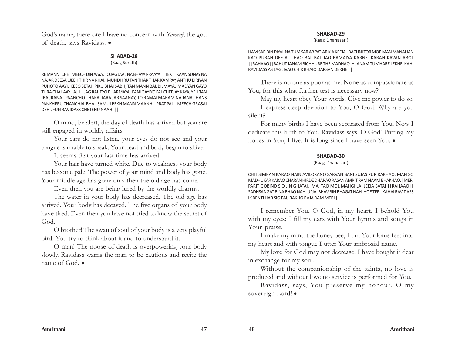God's name, therefore I have no concern with *Yamraj*, the god of death, says Ravidass. .

#### **SHABAD-28**

#### (Raag Sorath)

RE MANN! CHET MEECH DIN AAYA, TO JAG JAAL NA BHAYA PRAAYA ||TEK|| KAAN SUNAY NA NAJAR DEESAI, JEEH THIR NA RHAI. MUNDH RU TAN THAR THAR KAMPAY, ANTHU BIRIYAN PUHOTO AAYI. KESO SETAH PIKU BHAI SABH, TAN MANN BAL BILMAYA. MADYAN GAYO TURA CHAL AAYI, AJHU JAG RAHEYO BHARMAYA. PANI GAYIYO PAL CHEEJAY KAYA, YEH TAN JRA JRANA. PAANCHO THAKAI JARA JAR SAANAY, TO RAMAI MARAM NA JANA. HANS PANKHERU CHANCHAL BHAI, SAMUJ PEKH MANN MAANHI. PRAT PALU MEECH GRASAI DEHI, FUN RAVIDASS CHETEHU NAAHI ||

O mind, be alert, the day of death has arrived but you are still engaged in worldly affairs.

Your ears do not listen, your eyes do not see and your tongue is unable to speak. Your head and body began to shiver.

It seems that your last time has arrived.

Your hair have turned white. Due to weakness your body has become pale. The power of your mind and body has gone. Your middle age has gone only then the old age has come.

Even then you are being lured by the worldly charms.

The water in your body has decreased. The old age has arrived. Your body has decayed. The five organs of your body have tired. Even then you have not tried to know the secret of God.

O brother! The swan of soul of your body is a very playful bird. You try to think about it and to understand it.

O man! The noose of death is overpowering your body slowly. Ravidass warns the man to be cautious and recite the name of God.  $\bullet$ 

#### **SHABAD-29**

(Raag Dhanasari)

HAM SAR DIN DIYAL NA TUM SAR AB PATIAR KIA KEEJAI. BACHNI TOR MOR MAN MANAI JAN KAO PURAN DEEJAI. HAO BAL BAL JAO RAMAIYA KARNE. KARAN KAVAN ABOL ||RAHAAO||BAHUT JANAM BICHHURE THE MADHAO IH JANAM TUMHARE LEKHE. KAHI RAVIDASS AS LAG JIVAO CHIR BHAIO DARSAN DEKHE ||

There is no one as poor as me. None as compassionate as You, for this what further test is necessary now?

May my heart obey Your words! Give me power to do so.

I express deep devotion to You, O God. Why are you silent?

For many births I have been separated from You. Now I dedicate this birth to You. Ravidass says, O God! Putting my hopes in You, I live. It is long since I have seen You.  $\bullet$ 

#### **SHABAD-30**

#### (Raag Dhanasari)

CHIT SIMRAN KARAO NAIN AVILOKANO SARVAN BANI SUJAS PUR RAKHAO. MAN SO MADHUKAR KARAO CHARAN HIRDE DHARAO RASAN AMRIT RAM NAAM BHAKHAO.| MERI PARIT GOBIND SIO JIN GHATAI. MAI TAO MOL MAHGI LAI JEEIA SATAI ||RAHAAO|| SADHSANGAT BINA BHAO NAHI UPJAI BHAV BIN BHAGAT NAHI HOE TERI. KAHAI RAVIDASS IK BENTI HAR SIO PAIJ RAKHO RAJA RAM MERI ||

I remember You, O God, in my heart, I behold You with my eyes; I fill my ears with Your hymns and songs in Your praise.

I make my mind the honey bee, I put Your lotus feet into my heart and with tongue I utter Your ambrosial name.

My love for God may not decrease! I have bought it dear in exchange for my soul.

Without the companionship of the saints, no love is produced and without love no service is performed for You.

Ravidass, says, You preserve my honour, O my sovereign Lord! .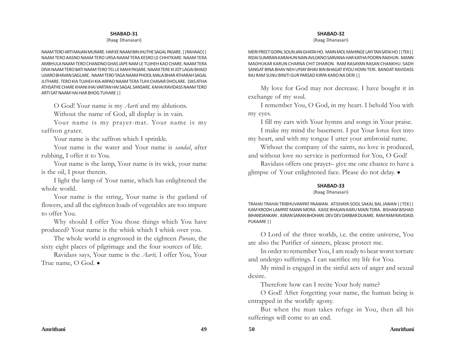#### (Raag Dhanasari)

NAAM TERO ARTI MAJAN MURARE. HAR KE NAAM BIN JHUTHE SAGAL PASARE. ||RAHAAO|| NAAM TERO AASNO NAAM TERO URSA NAAM TERA KESRO LE CHHITKARE. NAAM TERA AMBHULA NAAM TERO CHANDNO GHAS JAPE NAM LE TUJHEH KAO CHARE. NAAM TERA DIVA NAAM TERO BATI NAAM TERO TEL LE MAHI PASARE. NAAM TERE KI JOT LAGAI BHAIO UJIARO BHAVAN SAGLARE. NAAM TERO TAGA NAAM PHOOL MALA BHAR ATHARAH SAGAL JUTHARE. TERO KIA TUJHEH KIA ARPAO NAAM TERA TUHI CHAVAR DHOLARE. DAS ATHA ATHSATHE CHARE KHANI IHAI VARTAN HAI SAGAL SANSARE. KAHAI RAVIDASS NAAM TERO ARTI SAT NAAM HAI HAR BHOG TUHARE ||

O God! Your name is my *Aarti* and my ablutions.

Without the name of God, all display is in vain.

Your name is my prayer-mat. Your name is my saffron grater.

Your name is the saffron which I sprinkle.

Your name is the water and Your name is *sandal*, after rubbing, I offer it to You.

Your name is the lamp, Your name is its wick, your name is the oil, I pour therein.

I light the lamp of Your name, which has enlightened the whole world.

Your name is the string, Your name is the garland of flowers, and all the eighteen loads of vegetables are too impure to offer You.

Why should I offer You those things which You have produced? Your name is the whisk which I whisk over you.

The whole world is engrossed in the eighteen *Purans*, the sixty eight places of pilgrimage and the four sources of life.

Ravidass says, Your name is the *Aarti,* I offer You, Your True name,  $\bigcirc$  God.  $\bullet$ 

#### **SHABAD-32**

(Raag Dhanasari)

MERI PREET GOPAL SOUN JAN GHATAI HO. MAIN MOL MAHINGE LAYI TAN SATAI HO ||TEK|| RIDAI SUMIRAN KARAHUN NAIN AVLOKNO SARVANA HAR KATHA POORN RAKHUN . MANN MADHUKAR KARUN CHARNA CHIT DHARON. RAM RASAYAN RASAN CHANKHU. SADH SANGAT BINA BHAV NEH UPJAY BHAV BIN BHAGAT KYOU HOYAI TERI. BANDAT RAVIDASS RAJ RAM SUNU BINITI GUR PARSAD KIRPA KARO NA DERI ||

My love for God may not decrease. I have bought it in exchange of my soul.

I remember You, O God, in my heart. I behold You with my eyes.

I fill my ears with Your hymns and songs in Your praise. I make my mind the basement. I put Your lotus feet into

my heart, and with my tongue I utter your ambrosial name.

Without the company of the saints, no love is produced, and without love no service is performed for You, O God!

Ravidass offers one prayer– give me one chance to have a glimpse of Your enlightened face. Please do not delay.  $\bullet$ 

#### **SHABAD-33**

#### (Raag Dhanasari)

TRAHAI TRAHAI TRIBHUVANPAT PAAWAN. ATISHAYA SOOL SAKAL BAL JAWAN ||TEK|| KAM KRODH LAMPAT MANN MORA. KAISE BHAJAN KARU MAIN TORA. BISHAM BISHAD BIHANDANKARI . ASRAN SARAN BHOHARI. DEV DEV DARBAR DUAARE. RAM RAM RAVIDASS PUKAARE ||

O Lord of the three worlds, i.e. the entire universe, You are also the Purifier of sinners, please protect me.

In order to remember You, I am ready to bear worst torture and undergo sufferings. I can sacrifice my life for You.

My mind is engaged in the sinful acts of anger and sexual desire.

Therefore how can I recite Your holy name?

O God! After forgetting your name, the human being is entrapped in the worldly agony.

But when the man takes refuge in You, then all his sufferings will come to an end.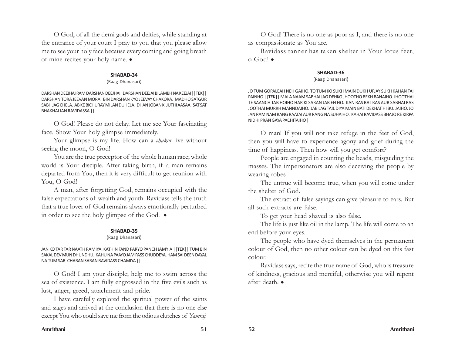O God, of all the demi gods and deities, while standing at the entrance of your court I pray to you that you please allow me to see your holy face because every coming and going breath of mine recites your holy name.  $\bullet$ 

#### **SHABAD-34**

#### (Raag Dhanasari)

DARSHAN DEEJHAI RAM DARSHAN DEEJHAI. DARSHAN DEEJAI BILAMBH NA KEEJAI ||TEK|| DARSHAN TORA JEEVAN MORA. BIN DARSHAN KYO JEEVAY CHAKORA. MADHO SATGUR SABH JAG CHELA. AB KE BICHURAY MILAN DUHELA. DHAN JOBAN KI JUTHI AASAA. SAT SAT BHAKHAI JAN RAVIDASSA ||

O God! Please do not delay. Let me see Your fascinating face. Show Your holy glimpse immediately.

Your glimpse is my life. How can a *chakor* live without seeing the moon, O God!

You are the true preceptor of the whole human race; whole world is Your disciple. After taking birth, if a man remains departed from You, then it is very difficult to get reunion with You, O God!

A man, after forgetting God, remains occupied with the false expectations of wealth and youth. Ravidass tells the truth that a true lover of God remains always emotionally perturbed in order to see the holy glimpse of the God.  $\bullet$ 

#### **SHABAD-35**

#### (Raag Dhanasari)

JAN KO TAR TAR NAATH RAMIYA. KATHIN FAND PARYO PANCH JAMYIA ||TEK|| TUM BIN SAKAL DEV MUN DHUNDHU. KAHU NA PAAYO JAM PASS CHUDDEYA. HAM SAI DEEN DAYAL NA TUM SAR. CHARAN SARAN RAVIDASS CHAMIYA ||

O God! I am your disciple; help me to swim across the sea of existence. I am fully engrossed in the five evils such as lust, anger, greed, attachment and pride.

I have carefully explored the spiritual power of the saints and sages and arrived at the conclusion that there is no one else except You who could save me from the odious clutches of *Yamraj.*

O God! There is no one as poor as I, and there is no one as compassionate as You are.

Ravidass tanner has taken shelter in Your lotus feet,  $o$  God!  $\bullet$ 

#### **SHABAD-36**

#### (Raag Dhanasari)

JO TUM GOPALEAH NEH GAIHO. TO TUM KO SUKH MAIN DUKH UPJAY SUKH KAHAN TAI PAINHO ||TEK|| MALA NAAM SABHAI JAG DEHKO JHOOTHO BEKH BANAIHO. JHOOTHAI TE SAANCH TAB HOIHO HAR KI SARAN JAB EH HO. KAN RAS BAT RAS AUR SABHAI RAS JOOTHAI MURRH MANNDAIHO. JAB LAG TAIL DIYA MAIN BATI DEKHAT HI BUJ JAIHO. JO JAN RAM NAM RANG RAATAI AUR RANG NA SUHAIHO. KAHAI RAVIDASS BHAJO RE KIRPA NIDHI PRAN GAYA PACHITAIHO ||

O man! If you will not take refuge in the feet of God, then you will have to experience agony and grief during the time of happiness. Then how will you get comfort?

People are engaged in counting the beads, misguiding the masses. The impersonators are also deceiving the people by wearing robes.

The untrue will become true, when you will come under the shelter of God.

The extract of false sayings can give pleasure to ears. But all such extracts are false.

To get your head shaved is also false.

The life is just like oil in the lamp. The life will come to an end before your eyes.

The people who have dyed themselves in the permanent colour of God, then no other colour can be dyed on this fast colour.

Ravidass says, recite the true name of God, who is treasure of kindness, gracious and merciful, otherwise you will repent after death.  $\bullet$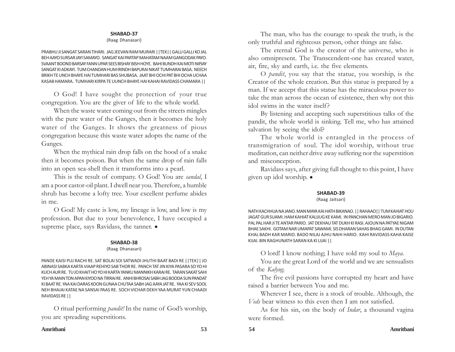#### (Raag Dhanasari)

PRABHU JI SANGAT SARAN TIHARI. JAG JEEVAN RAM MURARI ||TEK|| GALLI GALLI KO JAL BEH AAYO SURSAR JAYI SAMAYO. SANGAT KAI PARTAP MAHATAM NAAM GANGODAK PAYO. SVAANT BOOND BARSAY FANN UPAR SEES BISHAY BISH HOYE. BAHI BUNDH KAI MOTI NIPJAY SANGAT KI ADKAYI. TUM CHANDAN HUM IRINDH BAPURAI NIKAT TUMHARAI BASA. NEECH BRIKH TE UNCH BHAYE HAI TUMHARI BAS SHUBASA. JAAT BHI OCHI PAT BHI OCHA UCHAA KASAB HAMARA. TUMHARI KIRPA TE UUNCH BHAYE HAI KAHAI RAVIDASS CHAMARA ||

O God! I have sought the protection of your true congregation. You are the giver of life to the whole world.

When the waste water coming out from the streets mingles with the pure water of the Ganges, then it becomes the holy water of the Ganges. It shows the greatness of pious congregation because this waste water adopts the name of the Ganges.

When the mythical rain drop falls on the hood of a snake then it becomes poison. But when the same drop of rain falls into an open sea-shell then it transforms into a pearl.

This is the result of company. O God! You are *sandal*, I am a poor castor-oil plant. I dwell near you. Therefore, a humble shrub has become a lofty tree. Your excellent perfume abides in me.

O God! My caste is low, my lineage is low, and low is my profession. But due to your benevolence, I have occupied a supreme place, says Ravidass, the tanner.  $\bullet$ 

#### **SHABAD-38**

(Raag Dhanasari)

PANDE KAISI PUJ RACHI RE. SAT BOLAI SOI SATWADI JHUTHI BAAT BADI RE ||TEK|| JO ABINASI SABKA KARTA VIAAP REHIYO SAB THOR RE. PANCH TAT JIN KIYA PASARA SO YO HI KUCH AUR RE. TU JO KHAIT HO YO HI KARTA YANKU MANNIKH KARAI RE. TARAN SAKAT SAHI YEH YA MAIN TON APAN KIYOO NA TIRRAI RE. ANHI BHROSAI SABH JAG BOODA SUN PANDAT KI BAAT RE. YAA KAI DARAS KOON GUNAA CHUTAA SABH JAG AAYA JAT RE. YAA KI SEV SOOL NEH BHAJAI KATAE NA SANSAI PAAS RE. SOCH VICHAR DEKH YAA MURAT YUN CHAADI RAVIDASS RE ||

O ritual performing *pandit!* In the name of God's worship, you are spreading superstitions.

The man, who has the courage to speak the truth, is the only truthful and righteous person, other things are false.

The eternal God is the creator of the universe, who is also omnipresent. The Transcendent-one has created water, air, fire, sky and earth, i.e. the five elements.

O *pandit*, you say that the statue, you worship, is the Creator of the whole creation. But this statue is prepared by a man. If we accept that this statue has the miraculous power to take the man across the ocean of existence, then why not this idol swims in the water itself?

By listening and accepting such superstitious talks of the pandit, the whole world is sinking. Tell me, who has attained salvation by seeing the idol?

The whole world is entangled in the process of transmigration of soul. The idol worship, without true meditation, can neither drive away suffering nor the superstition and misconception.

Ravidass says, after giving full thought to this point, I have given up idol worship.  $\bullet$ 

#### **SHABAD-39**

#### (Raag Jaitsari)

NATH KACHHUA NA JANO. MAN MAYA KAI HATH BIKANAO. || RAHAAO|| TUM KAHIAT HOU JAGAT GUR SUAMI. HAM KAHIAT KALIJUG KE KAMI. IN PANCHAN MERO MAN JO BIGARIO. PAL PAL HAR JI TE ANTAR PARIO. JAT DEKHAU TAT DUKH KI RASI. AJOUN NA PATYAE NIGAM BHAE SAKHI. GOTAM NAR UMAPAT SAWAMI. SIS DHARAN SAHAS BHAG GAMI. IN DUTAN KHAL BADH KAR MARIO. BADO NILAJ AJHU NAHI HARIO. KAHI RAVIDASS KAHA KAISE KIJAI. BIN RAGHUNATH SARAN KA KI LIJAI ||

O lord! I know nothing; I have sold my soul to *Maya.*

You are the great Lord of the world and we are sensualists of the *Kalyug.*

The five evil passions have corrupted my heart and have raised a barrier between You and me.

Wherever I see, there is a stock of trouble. Although, the *Veds* bear witness to this even then I am not satisfied.

As for his sin, on the body of *Indar*, a thousand vagina were formed.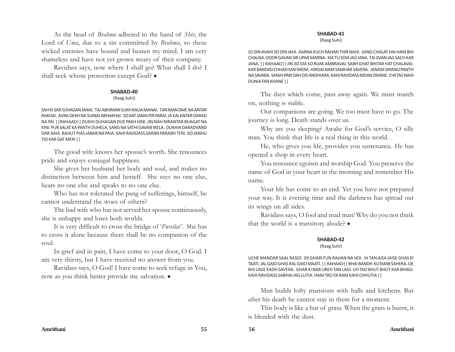As the head of *Brahma* adhered to the hand of *Shiv*, the Lord of *Uma*, due to a sin committed by *Brahma*, so these wicked enemies have bound and beaten my mind. I am very shameless and have not yet grown weary of their company.

Ravidass says, now where I shall go? What shall I do? I shall seek whose protection except God?  $\bullet$ 

#### **SHABAD-40**

(Raag Suhi)

SAH KI SAR SUHAGAN JANAI. TAJ ABHIMAN SUKH RALIA MANAI. TAN MAN DAIE NA ANTAR RAKHAI. AVRA DEKH NA SUINAI ABHAKHAI. SO KAT JANAI PIR PARAI. JA KAI ANTAR DARAD NA PAI ||RAHAAO|| DUKHI DUHAGAN DUE PAKH HINI. JIN NAH NIRANTAR BHAGAT NA KINI. PUR SALAT KA PANTH DUHELA. SANG NA SATHI GAVAN IKELA. DUKHIA DARADVAND DAR AAIA. BAHUT PIAS JABAB NA PAIA. KAHI RAVIDASS SARAN PARABH TERI. JIO JANHU TIO KAR GAT MERI ||

The good wife knows her spouse's worth. She renounces pride and enjoys conjugal happiness.

She gives her husband her body and soul, and makes no distinction between him and herself. She sees no one else, hears no one else and speaks to no one else.

Who has not tolerated the pang of sufferings, himself, he cannot understand the woes of others?

The bad wife who has not served her spouse continuously, she is unhappy and loses both worlds.

It is very difficult to cross the bridge of '*Pursilat'*. She has to cross it alone because there shall be no companion of the soul.

In grief and in pain, I have come to your door, O God. I am very thirsty, but I have received no answer from you.

Ravidass says, O God! I have come to seek refuge in You, now as you think better provide me salvation.  $\bullet$ 

#### **SHABAD-41**

(Raag Suhi)

JO DIN AVAHI SO DIN JAHI. KARNA KUCH RAHAN THIR NAHI. SANG CHALAT HAI HAM BHI CHALNA. DOOR GAVAN SIR UPAR MARNA. KIA TU SOIA JAG IANA. TAI JIVAN JAG SACH KAR JANA. || RAHAAO|| JIN JIO DIA SO RIJAK AMBRAVAI. SABH GHAT BHITAR HAT CHALAVAI. KAR BANDIGI CHHAD MAI MERA. HIRDAI NAM SAMHAR SAVERA. JANAM SIRANO PANTH NA SAVARA. SANJH PARI DAH DIS ANDHIARA. KAHI RAVIDASS NIDAN DIVANE. CHETAS NAHI DUNIA FAN KHANE ||

The days which come, pass away again. We must march on, nothing is stable.

Our companions are going. We too must have to go. The journey is long. Death stands over us.

Why are you sleeping? Awake for God's service, O silly man. You think that life is a real thing in this world.

He, who gives you life, provides you sustenance. He has opened a shop in every heart.

You renounce egoism and worship God. You preserve the name of God in your heart in the morning and remember His name.

Your life has come to an end. Yet you have not prepared your way. It is evening time and the darkness has spread out its wings on all sides.

Ravidass says, O fool and mad man! Why do you not think that the world is a transitory abode?  $\bullet$ 

#### **SHABAD-42**

#### (Raag Suhi)

UCHE MANDAR SAAL RASOI. EK GHARI FUN RAHAN NA HOI. IH TAN AISA JAISE GHAS KI TAATI. JAL GAIO GHAS RAL GAIO MAATI. || RAHAAO|| BHAI BANDH KUTAMB SAHERA. OE BHI LAGE KADH SAVERA. GHAR KI NAR UREH TAN LAGI. UH TAO BHUT BHUT KAR BHAGI. KAHI RAVIDASS SABHAI JAG LUTIA. HAM TAO EK RAM KAHI CHHUTIA ||

Man builds lofty mansions with halls and kitchens. But after his death he cannot stay in them for a moment.

This body is like a hut of grass. When the grass is burnt, it is blended with the dust.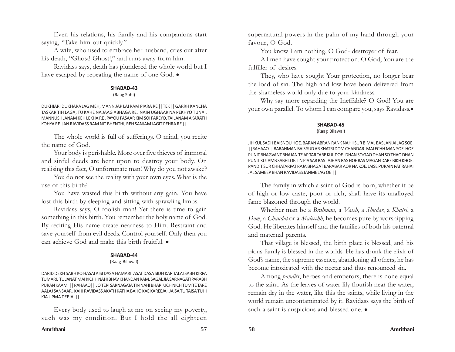Even his relations, his family and his companions start saying, "Take him out quickly."

A wife, who used to embrace her husband, cries out after his death, "Ghost! Ghost!," and runs away from him.

Ravidass says, death has plundered the whole world but I have escaped by repeating the name of one God.  $\bullet$ 

#### **SHABAD-43**

(Raag Suhi)

DUKHIARI DUKHARA JAG MEH, MANN JAP LAI RAM PIARA RE ||TEK|| GARRH KANCHA TASKAR TIH LAGA, TU KAHE NA JAAG ABHAGA RE. NAIN UGHAAR NA PEKHYO TUNAI, MANNUSH JANAM KEH LEKHA RE . PAYOU PASAAR KIM SOI PAREYO, TAI JANAM AKARATH KOHYA RE. JAN RAVIDASS RAM NIT BHENTHI, REH SANJAM JAGIT PEHRA RE ||

The whole world is full of sufferings. O mind, you recite the name of God.

Your body is perishable. More over five thieves of immoral and sinful deeds are bent upon to destroy your body. On realising this fact, O unfortunate man! Why do you not awake?

You do not see the reality with your own eyes. What is the use of this birth?

You have wasted this birth without any gain. You have lost this birth by sleeping and sitting with sprawling limbs.

Ravidass says, O foolish man! Yet there is time to gain something in this birth. You remember the holy name of God. By reciting His name create nearness to Him. Restraint and save yourself from evil deeds. Control yourself. Only then you can achieve God and make this birth fruitful.  $\bullet$ 

#### **SHABAD-44**

#### (Raag Bilawal)

DARID DEKH SABH KO HASAI AISI DASA HAMARI. ASAT DASA SIDH KAR TALAI SABH KIRPA TUMARI. TU JANAT MAI KICHH NAHI BHAV KHANDAN RAM. SAGAL JIA SARNAGATI PARABH PURAN KAAM. || RAHAAO|| JO TERI SARNAGATA TIN NAHI BHAR. UCH NICH TUM TE TARE AALAJ SANSAAR. KAHI RAVIDASS AKATH KATHA BAHO KAE KAREEJAI. JAISA TU TAISA TUHI KIA UPMA DEEJAI ||

Every body used to laugh at me on seeing my poverty, such was my condition. But I hold the all eighteen

supernatural powers in the palm of my hand through your favour, O God.

You know I am nothing, O God- destroyer of fear.

All men have sought your protection. O God, You are the fulfiller of desires.

They, who have sought Your protection, no longer bear the load of sin. The high and low have been delivered from the shameless world only due to your kindness.

Why say more regarding the Ineffable? O God! You are your own parallel. To whom I can compare you, says Ravidass.

#### **SHABAD-45**

#### (Raag Bilawal)

JIH KUL SADH BAISNOU HOE. BARAN ABRAN RANK NAHI ISUR BIMAL BAS JANIAI JAG SOE. ||RAHAAO|| BARAHMAN BAIS SUD AR KHATRI DOM CHANDAR MALECHH MAN SOE. HOE PUNIT BHAGVANT BHAJAN TE AP TAR TARE KUL DOE. DHAN SO GAO DHAN SO THAO DHAN PUNIT KUTAMB SABH LOE. JIN PIA SAR RAS TAJE AN RAS HOE RAS MAGAN DARE BIKH KHOE. PANDIT SUR CHHATARPAT RAJA BHAGAT BARABAR AOR NA KOE. JAISE PURAIN PAT RAHAI JAL SAMEEP BHAN RAVIDASS JANME JAG OE ||

The family in which a saint of God is born, whether it be of high or low caste, poor or rich, shall have its unalloyed fame blazoned through the world.

Whether man be a *Brahman*, a *Vaish*, a *Shudar*, a *Khatri*, a *Dom*, a *Chandal* or a *Maleechh*, he becomes pure by worshipping God. He liberates himself and the families of both his paternal and maternal parents.

That village is blessed, the birth place is blessed, and his pious family is blessed in the worlds. He has drunk the elixir of God's name, the supreme essence, abandoning all others; he has become intoxicated with the nectar and thus renounced sin.

Among *pandits*, heroes and emperors, there is none equal to the saint. As the leaves of water-lily flourish near the water, remain dry in the water, like this the saints, while living in the world remain uncontaminated by it. Ravidass says the birth of such a saint is auspicious and blessed one.  $\bullet$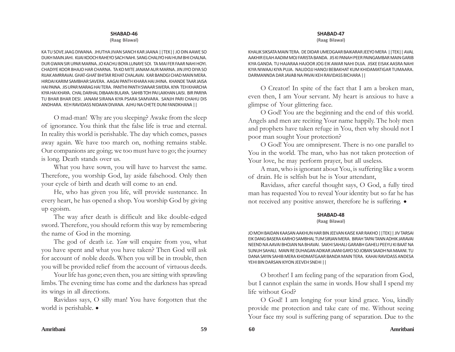(Raag Bilawal)

KA TU SOVE JAAG DIWANA. JHUTHA JIVAN SANCH KAR JAANA ||TEK|| JO DIN AAWE SO DUKH MAIN JAHI. KIJAI KOOCH RAHEYO SACH NAHI. SANG CHALIYO HAI HUM BHI CHALNA. DUR GWAN SIR UPAR MARNA. JO KACHU BOYA LUNAYE SOI. TA MAI FER FAAR NAHI HOYI. CHADIYE KOOR BHAJO HAR CHARNA. TA KO MITE JANAM AUR MARNA. JIN JIYO DIYA SO RIJAK AMRRAVAI. GHAT-GHAT BHITAR REHAT CHALAVAI. KAR BANDGI CHAD MAIN MERA. HIRDAI KARIM SAMBHAR SAVERA. AAGAI PANTH KHARA HAI JHINA. KHANDE TAAR JAISA HAI PAINA. JIS UPAR MARAG HAI TERA. PANTHI PANTH SWAAR SWERA. KIYA TEH KHARCHA KIYA HAI KHAYA. CHAL DARHAL DIBAAN BULAYA. SAHIB TOH PAI LAIKHAN LAISI. BIR PARIYA TU BHAR BHAR DESI. JANAM SIRANA KIYA PSARA SAMVARA. SANJH PARI CHAHU DIS ANDHARA. KEH RAVIDASS NIDAAN DIVANA. AJHU NA CHETE DUNI FANDKHANA ||

O mad-man! Why are you sleeping? Awake from the sleep of ignorance. You think that the false life is true and eternal. In reality this world is perishable. The day which comes, passes away again. We have too march on, nothing remains stable. Our companions are going; we too must have to go; the journey is long. Death stands over us.

What you have sown, you will have to harvest the same. Therefore, you worship God, lay aside falsehood. Only then your cycle of birth and death will come to an end.

He, who has given you life, will provide sustenance. In every heart, he has opened a shop. You worship God by giving up egoism.

The way after death is difficult and like double-edged sword. Therefore, you should reform this way by remembering the name of God in the morning.

The god of death i.e. *Yam* will enquire from you, what you have spent and what you have taken? Then God will ask for account of noble deeds. When you will be in trouble, then you will be provided relief from the account of virtuous deeds.

Your life has gone; even then, you are sitting with sprawling limbs. The evening time has come and the darkness has spread its wings in all directions.

Ravidass says, O silly man! You have forgotten that the world is perishable.  $\bullet$ 

#### **SHABAD-47**

(Raag Bilawal)

KHALIK SIKSATA MAIN TERA. DE DIDAR UMEDGAAR BAIKARAR JEEYO MERA ||TEK|| AVAL AAKHIR EILAH AADIM MOJ FARISTA BANDA. JIS KI PANAH PEER PAINGAMBAR MAIN GARIB KIYA GANDA. TU HAJARAA HAJOOR JOG EIK AWAR NAHI DUJA. JISKE EISAK AASRA NAHI KIYA NIWAAJ KIYA PUJA. NALIDOJJ HANOJ BEBAKHAT KUM KHIDAMATIGAR TUMAARA. DARMANNDA DAR JAVAB NA PAVAI KEH RAVIDASS BICHARA ||

O Creator! In spite of the fact that I am a broken man, even then, I am Your servant. My heart is anxious to have a glimpse of Your glittering face.

O God! You are the beginning and the end of this world. Angels and men are reciting Your name happily. The holy men and prophets have taken refuge in You, then why should not I poor man sought Your protection?

O God! You are omnipresent. There is no one parallel to You in the world. The man, who has not taken protection of Your love, he may perform prayer, but all useless.

A man, who is ignorant about You, is suffering like a worm of drain. He is selfish but he is Your attendant,

Ravidass, after careful thought says, O God, a fully tired man has requested You to reveal Your identity but so far he has not received any positive answer, therefore he is suffering.  $\bullet$ 

#### **SHABAD-48**

#### (Raag Bilawal)

JO MOH BAIDAN KAASAN AAKHUN HAR BIN JEEVAN KAISE KAR RAKHO ||TEK|| JIV TARSAI EIK DANG BASERA KARHO SAMBHAL TUM SIRJAN MERA. BIRAH TAPAI TANN ADHIK JARAVAI NEEND NA AAVAI BHOJAN NA BHAVAI. SAKHI SAHALI GARABH GAHELI PEEYU KI BAAT NA SUNUH SAHALI. MAIN RE DUHAGAN ADIKAR JAANI GAYO SO JOBAN SAADH NA MAANI. TU DANA SAYIN SAHIB MERA KHIDMATGAAR BANDA MAIN TERA. KAHAI RAVIDASS ANDESA YEHI BIN DARSAN KIYON JEEVEH SNEHI | |

O brother! I am feeling pang of the separation from God, but I cannot explain the same in words. How shall I spend my life without God?

O God! I am longing for your kind grace. You, kindly provide me protection and take care of me. Without seeing Your face my soul is suffering pang of separation. Due to the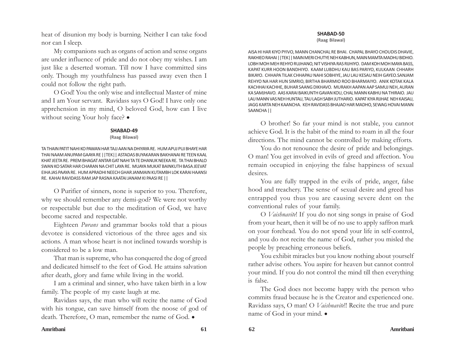heat of disunion my body is burning. Neither I can take food nor can I sleep.

My companions such as organs of action and sense organs are under influence of pride and do not obey my wishes. I am just like a deserted woman. Till now I have committed sins only. Though my youthfulness has passed away even then I could not follow the right path.

O God! You the only wise and intellectual Master of mine and I am Your servant. Ravidass says O God! I have only one apprehension in my mind, O beloved God, how can I live without seeing Your holy face? •

#### **SHABAD-49**

#### (Raag Bilawal)

TA THAIN PATIT NAHI KO PAWAN HAR TAJJ AAN NA DHIYAYA RE. HUM APUJ PUJ BHAYE HAR THAI NAAM ANUPAM GAAYA RE ||TEK|| ASTADAS BUYAKARAN BAKHANAI RE TEEN KAAL KHAT JEETA RE. PREM BHAGAT ANTAR GAT NAHI TA TE DHANUK NEEKA RE. TA THAI BHALO SWAN KO SATAR HAR CHARAN NA CHIT LAYA RE. MUAYA MUKAT BAINKUTH BASA JEEVAT EIHA JAS PAAYA RE. HUM APRADHI NEECH GHAR JANMAIN KUTAMBH LOK KARAI HAANSI RE. KAHAI RAVIDASS RAM JAP RASNA KAATAI JANAM KI PAASI RE ||

O Purifier of sinners, none is superior to you. Therefore, why we should remember any demi-god? We were not worthy or respectable but due to the meditation of God, we have become sacred and respectable.

Eighteen *Purans* and grammar books told that a pious devotee is considered victorious of the three ages and six actions. A man whose heart is not inclined towards worship is considered to be a low man.

That man is supreme, who has conquered the dog of greed and dedicated himself to the feet of God. He attains salvation after death, glory and fame while living in the world.

I am a criminal and sinner, who have taken birth in a low family. The people of my caste laugh at me.

Ravidass says, the man who will recite the name of God with his tongue, can save himself from the noose of god of death. Therefore, O man, remember the name of God.  $\bullet$ 

#### **SHABAD-50**

(Raag Bilawal)

AISA HI HAR KIYO PYIVO, MANN CHANCHAL RE BHAI. CHAPAL BHAYO CHOUDIS DHAVIE, RAKHIEO RAHAI ||TEK|| MAIN MERI CHUTYE NEH KABHUN, MAIN MAMTA MADHU BIDHIO. LOBH MOH MEH REHYO RUJHANO, NIT VISHIYA RAS RIJHIYO. DAM KOH MOH MAYA BASS, KAPAT KURR HOON BANDHIYO. KAAM LUBDHU KAU BAS PARIYO, KULKAAN CHHARH BIKAYO. CHHAPA TILAK CHHAPAU NAHI SOBHIYE, JAU LAU KESAU NEIH GAYEO.SANJAM REHYO NA HAR HUN SIMRIO, BIRTHA BHARMIO ROO BHARMAIYO. ANIK KOTAK KALA KACHHAI KACHHE, BUHAR SAANG DIKHAVO. MURAKH AAPAN AAP SAMUJ NEH, AURAN KA SAMJHAVO. AAS KARAI BAIKUNTH GAVAN KOU, CHAL MANN KABHU NA THIRAIO. JAU LAU MANN VAS NEH HUNTAU, TAU LAGH SABH JUTHARIO. KAPAT KIYA RIJHAE NEH KAISAU, JAGG KARTA NEH KAANCHA. KEH RAVIDASS BHAJAO HAR MADHO, SEWAG HOVAI MANN SAANCHA ||

O brother! So far your mind is not stable, you cannot achieve God. It is the habit of the mind to roam in all the four directions. The mind cannot be controlled by making efforts.

You do not renounce the desire of pride and belongings. O man! You get involved in evils of greed and affection. You remain occupied in enjoying the false happiness of sexual desires.

You are fully trapped in the evils of pride, anger, false hood and treachery. The sense of sexual desire and greed has entrapped you thus you are causing severe dent on the conventional rules of your family.

O *Vaishnavite*! If you do not sing songs in praise of God from your heart, then it will be of no use to apply saffron mark on your forehead. You do not spend your life in self-control, and you do not recite the name of God, rather you misled the people by preaching erroneous beliefs.

You exhibit miracles but you know nothing about yourself rather advise others. You aspire for heaven but cannot control your mind. If you do not control the mind till then everything is false.

The God does not become happy with the person who commits fraud because he is the Creator and experienced one. Ravidass says, O man! O *Vaishnavite*!! Recite the true and pure name of God in your mind.  $\bullet$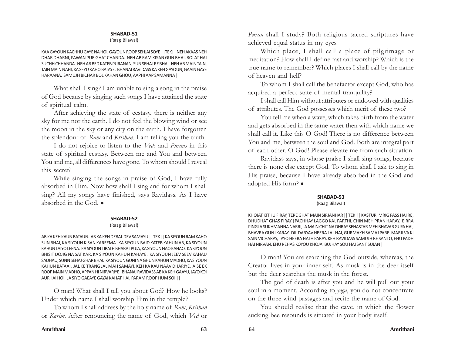#### (Raag Bilawal)

KAA GAYOUN KACHHU GAYE NA HOI, GAYOUN ROOP SEHJAI SOYE ||TEK|| NEH AKAAS NEH DHAR DHARNI, PAWAN PUR GHAT CHANDA. NEH AB RAM KISAN GUN BHAI, BOLAT HAI SUCHH CHHANDA. NEH AB BED KATEB PURANAN, SUN SEHAJ RE BHAI. NEH AB MAIN TAIN, TAIN MAIN NAHI, KA SEYU KAHO BATAYE. BHANAI RAVIDASS KA KEH GAYOUN, GAAIN GAYE HARAANA. SAMUJH BICHAR BOL KAHAN GHOU, AAPHI AAP SAMANNA ||

What shall I sing? I am unable to sing a song in the praise of God because by singing such songs I have attained the state of spiritual calm.

After achieving the state of ecstasy, there is neither any sky for me nor the earth. I do not feel the blowing wind or see the moon in the sky or any city on the earth. I have forgotten the splendour of *Ram* and *Krishan*. I am telling you the truth.

I do not rejoice to listen to the *Veds* and *Purans* in this state of spiritual ecstasy. Between me and You and between You and me, all differences have gone. To whom should I reveal this secret?

While singing the songs in praise of God, I have fully absorbed in Him. Now how shall I sing and for whom I shall sing? All my songs have finished, says Ravidass. As I have absorbed in the God.  $\bullet$ 

#### **SHABAD-52**

#### (Raag Bilawal)

AB KA KEH KAUN BATAUN. AB KA KEH DEBAL DEV SAMAYU ||TEK|| KA SIYOUN RAM KAHO SUN BHAI, KA SIYOUN KISAN KAREEMA. KA SIYOUN BAID KATEB KAHUN AB, KA SIYOUN KAHUN LAIYO LEENA. KA SIYOUN TIRATH BHARAT PUJA, KA SIYOUN NAO KAHAO. KA SIYOUN BHISIT DOJIG NA SAT KAR, KA SIYOUN KAHUN KAHAYE. KA SIYOUN JEEV SEEV KAHAU SADHAU, SUNN SEHAJ GHAR BHAI. KA SIYOUN GUNI NA GHUN KAHUN MADHO, KA SIYOUN KAHUN BATAAI. JAL KE TRANG JAL MAH SAMAYI, KEH KA KAU NAAV DHARIYE. AISE EK ROOP MAIN MADHO, APPAN HI NIRVARIYE. BHANAI RAVIDASS AB KA KEH GAAYU, JAYO KOI AURHAI HOI. JA SIYO GAEAYE GAYAI KAHAT HAI, PARAM ROOP HUM SOI ||

O man! What shall I tell you about God? How he looks? Under which name I shall worship Him in the temple?

To whom I shall address by the holy name of *Ram*, *Krishan* or *Karim*. After renouncing the name of God, which *Ved* or

*Puran* shall I study? Both religious sacred scriptures have achieved equal status in my eyes.

Which place, I shall call a place of pilgrimage or meditation? How shall I define fast and worship? Which is the true name to remember? Which places I shall call by the name of heaven and hell?

To whom I shall call the benefactor except God, who has acquired a perfect state of mental tranquility?

I shall call Him without attributes or endowed with qualities of attributes. The God possesses which merit of these two?

You tell me when a wave, which takes birth from the water and gets absorbed in the same water then with which name we shall call it. Like this O God! There is no difference between You and me, between the soul and God. Both are integral part of each other. O God! Please elevate me from such situation.

Ravidass says, in whose praise I shall sing songs, because there is none else except God. To whom shall I ask to sing in His praise, because I have already absorbed in the God and adopted His form? •

#### **SHABAD-53**

#### (Raag Bilawal)

KHOJAT KITHU FIRAY, TERE GHAT MAIN SIRJANHAR|| TEK || KASTURI MRIG PASS HAI RE, DHUDHAT GHAS FIRAY.|PACHHAY LAGGO KAL PARTHI, CHIN MEH PRAN HARAY. EIRRA PINGLA SUKHMANNA NARRI, JA MAIN CHIT NA DHRAY SEHASTAR MEH BHAVAR GUFA HAI, BHAVRA GUNJ KARAY. DIL DARYAV HEERA LAL HAI, GURMAKH SAMAJ PARE. MARJI VA KI SAIN VICHARAY, TAYO HEERA HATH PARAY. KEH RAVIDASS SAMUJH RE SANTO, EHU PADH HAI NIRVAN. EHU REHAS KOYOU KHOJAI BUJHAY SOU HAI SANT SUJAN ||

O man! You are searching the God outside, whereas, the Creator lives in your inner-self. As musk is in the deer itself but the deer searches the musk in the forest.

The god of death is after you and he will pull out your soul in a moment. According to *yoga*, you do not concentrate on the three wind passages and recite the name of God.

You should realise that the cave, in which the flower sucking bee resounds is situated in your body itself.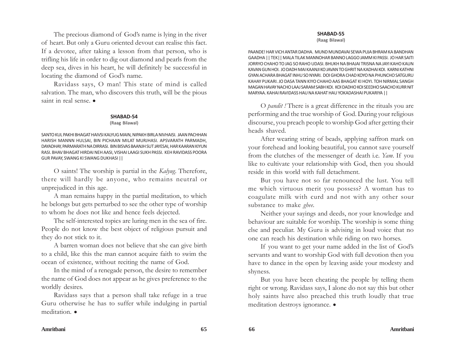The precious diamond of God's name is lying in the river of heart. But only a Guru oriented devout can realise this fact. If a devotee, after taking a lesson from that person, who is trifling his life in order to dig out diamond and pearls from the deep sea, dives in his heart, he will definitely be successful in locating the diamond of God's name.

Ravidass says, O man! This state of mind is called salvation. The man, who discovers this truth, will be the pious saint in real sense.  $\bullet$ 

#### **SHABAD-54**

#### (Raag Bilawal)

SANTO KUL PAKHI BHAGAT HAIVSI KALYUG MAIN, NIPAKH BIRLA NIVHAISI. JAAN PACHHAN HARISH MANNN HULSAI, BIN PICHAAN MILAT MURJHASI. APSVARATH PARMADH, DAYADHAY, PARMARATH NA DIRRASI. BIN BISVAS BAANJH SUT JAYESAI, HAR KAARAN KIYUN RASI. BHAV BHAGAT HIRDAI NEH AASI, VISHAI LAAGI SUKH PASSI. KEH RAVIDASS POORA GUR PAVAY, SWANG KI SWANG DUKHASI ||

O saints! The worship is partial in the *Kalyug*. Therefore, there will hardly be anyone, who remains neutral or unprejudiced in this age.

A man remains happy in the partial meditation, to which he belongs but gets perturbed to see the other type of worship to whom he does not like and hence feels dejected.

The self-interested topics are luring men in the sea of fire. People do not know the best object of religious pursuit and they do not stick to it.

A barren woman does not believe that she can give birth to a child, like this the man cannot acquire faith to swim the ocean of existence, without reciting the name of God.

In the mind of a renegade person, the desire to remember the name of God does not appear as he gives preference to the worldly desires.

Ravidass says that a person shall take refuge in a true Guru otherwise he has to suffer while indulging in partial meditation.  $\bullet$ 

#### **SHABAD-55**

(Raag Bilawal)

PAANDE! HAR VICH ANTAR DADHA. MUND MUNDAVAI SEWA PUJA BHRAM KA BANDHAN GAADHA || TEK|| MALA TILAK MANNOHAR BANNO LAGGO JAMM KI PASSI. JO HAR SAITI JORRYO CHAHO TO JAG SO RAHO UDASI. BHUKH NA BHAJAI TRISNA NA JAYI KAHO KAUN KAVAN GUN HOI. JO DADH MAI KAANJI KO JAVAN TO GHRIT NA KADHAI KOI. KARNI KATHNI GYAN ACHARA BHAGAT INHU SO NYARI. DOI GHORA CHAD KOYO NA PHUNCHO SATGURU KAHAY PUKARI. JO DASA TANN KIYO CHAHO AAS BHAGAT KI HOYI. TOH NIRMAL SANGH MAGAN HAVAY NACHO LAAJ SARAM SABH KOI. KOI DADHO KOI SEEDHO SAACHO KURR NIT MARYAA. KAHAI RAVIDASS HAU NA KAHAT HAU YOKADASHAI PUKARIYA ||

O *pandit !* There is a great difference in the rituals you are performing and the true worship of God. During your religious discourse, you preach people to worship God after getting their heads shaved.

After wearing string of beads, applying saffron mark on your forehead and looking beautiful, you cannot save yourself from the clutches of the messenger of death i.e. *Yam*. If you like to cultivate your relationship with God, then you should reside in this world with full detachment.

But you have not so far renounced the lust. You tell me which virtuous merit you possess? A woman has to coagulate milk with curd and not with any other sour substance to make *ghee.*

Neither your sayings and deeds, nor your knowledge and behaviour are suitable for worship. The worship is some thing else and peculiar. My Guru is advising in loud voice that no one can reach his destination while riding on two horses.

If you want to get your name added in the list of God's servants and want to worship God with full devotion then you have to dance in the open by leaving aside your modesty and shyness.

But you have been cheating the people by telling them right or wrong. Ravidass says, I alone do not say this but other holy saints have also preached this truth loudly that true meditation destroys ignorance.  $\bullet$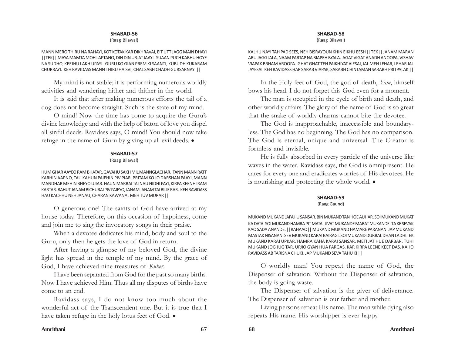(Raag Bilawal)

MANN MERO THIRU NA RAHAYI, KOT KOTAK KAR DIKHRAVAI, EIT UTT JAGG MAIN DHAYI ||TEK|| MAYA MAMTA MOH LAPTANO, DIN DIN URJAT JAAYI. SUAAN PUCH KABHU HOYE NA SUDHO, KEEJHU LAKH UPAYI. GURU KO GIAN PREM KI SAANTI, KUBUDH KUKARAM CHURRAYI. KEH RAVIDASS MANN THIRU HAISVI, CHAL SABH CHADH GURSARNAYI ||

My mind is not stable; it is performing numerous worldly activities and wandering hither and thither in the world.

It is said that after making numerous efforts the tail of a dog does not become straight. Such is the state of my mind.

O mind! Now the time has come to acquire the Guru's divine knowledge and with the help of baton of love you dispel all sinful deeds. Ravidass says, O mind! You should now take refuge in the name of Guru by giving up all evil deeds.  $\bullet$ 

#### **SHABAD-57**

#### (Raag Bilawal)

HUM GHAR AAYEO RAM BHATAR, GAVAHU SAKH MIL MANNGLACHAR. TANN MANN RATT KARHIN AAPNO, TAU KAHUN PAIEHIN PIV PIAR. PRITAM KO JO DARSHAN PAAYI, MANN MANDHAR MEHIN BHEYO UJIAR. HAUN MARRAI TAI NAU NIDHI PAYI, KIRPA KEENHI RAM KARTAR. BAHUT JANAM BICHURAI PIV PAIEYO, JANAM JANAM TAI BILIE RAR. KEH RAVIDASS HAU KACHHU NEH JANAU, CHARAN KAWANAL MEH TUV MURAR ||

O generous one! The saints of God have arrived at my house today. Therefore, on this occasion of happiness, come and join me to sing the invocatory songs in their praise.

When a devotee dedicates his mind, body and soul to the Guru, only then he gets the love of God in return.

After having a glimpse of my beloved God, the divine light has spread in the temple of my mind. By the grace of God, I have achieved nine treasures of *Kuber*.

I have been separated from God for the past so many births. Now I have achieved Him. Thus all my disputes of births have come to an end.

Ravidass says, I do not know too much about the wonderful act of the Transcendent one. But it is true that I have taken refuge in the holy lotus feet of God.  $\bullet$ 

#### **SHABAD-58**

(Raag Bilawal)

KALHU NAYI TAH PAD SEES, NEH BISRAYOUN KHIN EIKHU EESH ||TEK|| JANAM MARAN ARU JAGG JALA, NAAM PARTAP NA BIAPEH BYALA. AGAT VIGAT ANADH ANOOPA, VISHAV VIAPAK BRHAM AROOPA. GHAT GHAT TEH PAIKHIYAT AIESAI, JAL MEH LEHAR, LEHAR JAL JAYESAI. KEH RAVIDASS HAR SARAB VIAPAK, SARABH CHINTAMAN SARABH PRITPALAK ||

In the Holy feet of God, the god of death, *Yam*, himself bows his head. I do not forget this God even for a moment.

The man is occupied in the cycle of birth and death, and other worldly affairs. The glory of the name of God is so great that the snake of worldly charms cannot bite the devotee.

The God is inapproachable, inaccessible and boundaryless. The God has no beginning. The God has no comparison. The God is eternal, unique and universal. The Creator is formless and invisible.

He is fully absorbed in every particle of the universe like waves in the water. Ravidass says, the God is omnipresent. He cares for every one and eradicates worries of His devotees. He is nourishing and protecting the whole world.  $\bullet$ 

#### **SHABAD-59**

#### (Raag Gaund)

MUKAND MUKAND JAPAHU SANSAR. BIN MUKAND TAN HOE AUHAR. SOI MUKAND MUKAT KA DATA. SOI MUKAND HAMRA PIT MATA. JIVAT MUKANDE MARAT MUKANDE. TA KE SEVAK KAO SADA ANANDE. ||RAHAAO|| MUKAND MUKAND HAMARE PARANAN. JAP MUKAND MASTAK NISANAN. SEV MUKAND KARAI BAIRAGI. SOI MUKAND DURBAL DHAN LADHI. EK MUKAND KARAI UPKAR. HAMRA KAHA KARAI SANSAR. METI JAT HUE DARBAR. TUHI MUKAND JOG JUG TAR. UPJIO GYAN HUA PARGAS. KAR KIRPA LEENE KEET DAS. KAHO RAVIDASS AB TARISNA CHUKI. JAP MUKAND SEVA TAHU KI ||

O worldly man! You repeat the name of God, the Dispenser of salvation. Without the Dispenser of salvation, the body is going waste.

The Dispenser of salvation is the giver of deliverance. The Dispenser of salvation is our father and mother.

Living persons repeat His name. The man while dying also repeats His name. His worshipper is ever happy.

#### **Amritbani 67 68 Amritbani**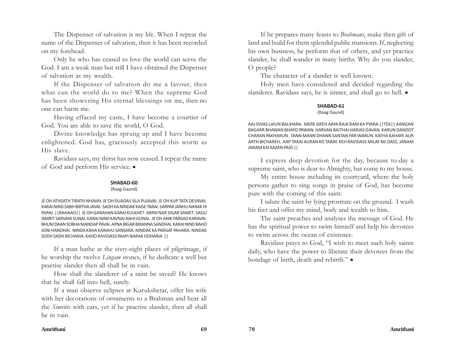The Dispenser of salvation is my life. When I repeat the name of the Dispenser of salvation, then it has been recorded on my forehead.

Only he who has ceased to love the world can serve the God. I am a weak man but still I have obtained the Dispenser of salvation as my wealth.

If the Dispenser of salvation do me a favour, then what can the world do to me? When the supreme God has been showering His eternal blessings on me, then no one can harm me.

Having effaced my caste, I have become a courtier of God. You are able to save the world, O God.

Divine knowledge has sprung up and I have become enlightened. God has, graciously accepted this worm as His slave.

Ravidass says, my thirst has now ceased. I repeat the name of God and perform His service.  $\bullet$ 

#### **SHABAD-60**

#### (Raag Gaund)

JE OH ATHSATH TIRATH NHAVAI. JE OH DUADAS SILA PUJAVAI. JE OH KUP TATA DEVAVAI. KARAI NIND SABH BIRTHA JAVAI. SADH KA NINDAK KAISE TARAI. SARPAR JANHU NARAK HI PARAI. ||RAHAAO|| JE OH GARAHAN KARAI KULKHET. ARPAI NAR SIGAR SAMET. SAGLI SIMRIT SARVANI SUNAI. KARAI NIND KAVNAI NAHI GUNAI. JE OH ANIK PARSAD KARAVAI. BHUM DAAN SOBHA MANDAP PAVAI. APNA BIGAR BIRANNA SANDHAI. KARAI NIND BAHO JONI HANDHAI. NINDA KAHA KARAHU SANSARA. NINDAK KA PARGAT PAHARA. NINDAK SODH SADH BICHARIA. KAHO RAVIDASS PAAPI NARAK SIDHARIA ||

If a man bathe at the sixty-eight places of pilgrimage, if he worship the twelve *Lingam* stones, if he dedicate a well but practise slander then all shall be in vain.

How shall the slanderer of a saint be saved? He knows that he shall fall into hell, surely.

If a man observe eclipses at Kurukshetar, offer his wife with her decorations of ornaments to a Brahman and hear all the *Simritis* with ears, yet if he practise slander, then all shall be in vain.

If he prepares many feasts to *Brahmans*, make then gift of land and build for them splendid public mansions. If, neglecting his own business, he perform that of others, and yet practice slander, he shall wander in many births. Why do you slander, O people?

The character of a slander is well known.

Holy men have considered and decided regarding the slanderer. Ravidass says, he is sinner, and shall go to hell.  $\bullet$ 

#### **SHABAD-61**

#### (Raag Gaund)

AAJ DIVAS LAIUN BALIHARA. MERE GREH AAYA RAJA RAM KA PYARA ||TEK|| AANGAN BAGARR BHAWAN BHAYO PAWAN. HARIJAN BAITHAI HARJAS GAVAN. KARUN DANDOT CHARAN PAKHARUN. TANN MANN DHANN SANTAN PAR WARUN. KATHA KAHAYE AUR ARTH BICHAREH. AAP TARAI AURAN KO TARAY. KEH RAVIDASS MILAY NIJ DASS. JANAM JANAM KAI KAATAI PASS ||

I express deep devotion for the day, because to-day a supreme saint, who is dear to Almighty, has come to my house.

My entire house including its courtyard, where the holy persons gather to sing songs in praise of God, has become pure with the coming of this saint.

I salute the saint by lying prostrate on the ground. I wash his feet and offer my mind, body and wealth to him.

The saint preaches and analyses the message of God. He has the spiritual power to swim himself and help his devotees to swim across the ocean of existence.

Ravidass prays to God, "I wish to meet such holy saints daily, who have the power to liberate their devotees from the bondage of birth, death and rebirth."  $\bullet$ 

#### **Amritbani 69 70 Amritbani**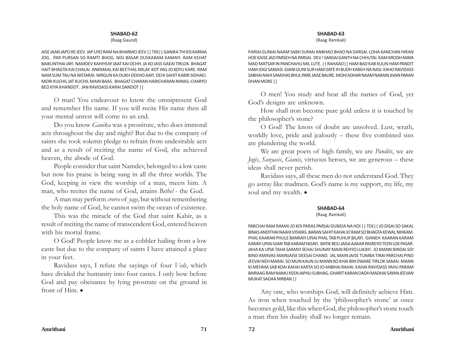#### (Raag Gaund)

AISE JAAN JAPO RE JEEV. JAP LIYO RAM NA BHARMO JEEV || TEK|| GANIKA THI KIS KARMA JOG. PAR PURSAN SO RAMTI BHOG. NISI BASAR DUSKARAM KAMAYI. RAM KEHAT BAIKUNTHAI JAYI. NAMDEV KAHIYEAY JAAT KAI OCHH. JA KO JASS GAEAI TIRLOK. BHAGAT HAIT BHAGTA KAI CHALAI. ANKMAAL KAI BEETHAL MILAY. KOT YAG JO KOYU KARE. RAM NAM SUM TAU NA NISTARAI. NIRGUN KA DUKH DEKHO AAYI. DEHI SAHIT KABIR SIDHAEI. MORI KUCHIL JAT KUCHIL MAIN BAAS. BHAGAT CHARAN HARICHARAN NIWAS. CHARYO BED KIYA KHANDOT. JAN RAVIDASS KARAI DANDOT ||

O man! You endeavour to know the omnipresent God and remember His name. If you will recite His name then all your mental unrest will come to an end.

Do you know *Ganika* was a prostitute, who does immoral acts throughout the day and night? But due to the company of saints she took solemn pledge to refrain from undesirable acts and as a result of reciting the name of God, she achieved heaven, the abode of God.

People consider that saint Namdev, belonged to a low caste but now his praise is being sung in all the three worlds. The God, keeping in view the worship of a man, meets him. A man, who recites the name of God, attains *Bethel* - the God.

A man may perform *crores* of *yags*, but without remembering the holy name of God, he cannot swim the ocean of existence.

This was the miracle of the God that saint Kabir, as a result of reciting the name of transcendent God, entered heaven with his mortal frame.

O God! People know me as a cobbler hailing from a low caste but due to the company of saints I have attained a place in your feet.

Ravidass says, I refute the sayings of four *Veds*, which have divided the humanity into four castes. I only bow before God and pay obeisance by lying prostrate on the ground in front of  $Him$ .

## **SHABAD-63**

(Raag Ramkali)

PARIAI GUNIAI NAAM SABH SUNIAI ANBHAO BHAO NA DARSAI. LOHA KANCHAN HIRAN HOE KAISE JAO PARSEH NA PARSAI. DEV ! SANSAI GANTH NA CHHUTAI. KAM KRODH MAYA MAD MATSAR IN PANCHAHU MIL LUTE. || RAHAAO|| HAM BAD KAB KULIN HAM PANDIT HAM JOGI SANIASI. GIANI GUNI SUR HAM DATE IH BUDH KABEH NA NASI. KAHO RAVIDASS SABHAI NAHI SAMJHAS BHUL PARE JAISE BAURE. MOHI ADHAR NAAM NARAIN JIVAN PARAN DHAN MORE ||

O men! You study and hear all the names of God, yet God's designs are unknown.

How shall iron become pure gold unless it is touched by the philosopher's stone?

O God! The knots of doubt are unsolved. Lust, wrath, worldly love, pride and jealously – these five combined sins are plundering the world.

We are great poets of high family, we are *Pandits*, we are *Jogis*, *Sanyasis*, *Gianis*, virtuous heroes, we are generous – these ideas shall never perish.

Ravidass says, all these men do not understand God. They go astray like madmen. God's name is my support, my life, my soul and my wealth.  $\bullet$ 

## **SHABAD-64**

#### (Raag Ramkali)

PARCHAI RAM RAMAI JO KOI PARAS PARSAI DUBIDA NA HOI || TEK|| JO DISAI SO SAKAL BINAS ANDITHAI NAAHI VISWAS. BARAN SAHIT KAHAI JO RAM SO BHAGTA KEWAL NIHKAM. PHAL KAARAN PHULE BANRAYI UPJAI PHAL TAB PUHUP BILAYI. GIANEH KAARAN KARAM KARAYI UPJAI GIAN TAB KARAM NISAYI. BATIK BEEJ JAISA AAKAR PASREYO TEEN LOK PASAR. JAHA KA UPJA TAHA SAMAYI SEHAJ SHUNAY MAIN REHYO LUKAYI. JO MANN BINDAI SOI BIND AMAVAS MAINJAISE DEESAI CHAND. JAL MAIN JAISE TUMBA TIRAI PARCHAI PIND JEEVAI NEH MARAI. SO MUN KAUN JU MANN KO KHAI BIN DWARE TIRLOK SAMAI. MANN KI MEHMA SAB KOAI KAHAI KARTA SO JO ANBHAI RAHAI. KAHAI RAVIDASS YAHU PARAM BAIRAAG RAM NAMU KEEN JAPHU SUBHAG. GHARIT KARAN DADH MADHAI SAYAN JEEVAN MUKAT SADAA NIRBAN ||

Any one, who worships God, will definitely achieve Him. As iron when touched by the 'philosopher's stone' at once becomes gold, like this when God, the philosopher's stone touch a man then his duality shall no longer remain.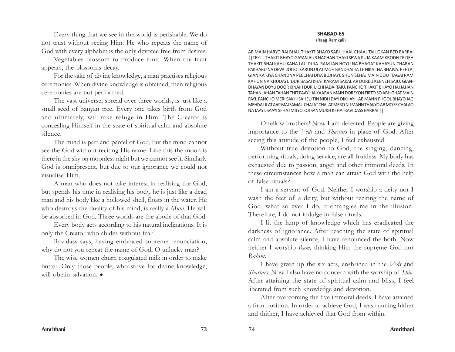Every thing that we see in the world is perishable. We do not trust without seeing Him. He who repeats the name of God with every alphabet is the only devotee free from desires.

Vegetables blossom to produce fruit. When the fruit appears, the blossoms decay.

For the sake of divine knowledge, a man practises religious ceremonies. When divine knowledge is obtained, then religious ceremonies are not performed.

The vast universe, spread over three worlds, is just like a small seed of banyan tree. Every one takes birth from God and ultimately, will take refuge in Him. The Creator is concealing Himself in the state of spiritual calm and absolute silence.

The mind is part and parcel of God, but the mind cannot see the God without reciting His name. Like this the moon is there in the sky on moonless night but we cannot see it. Similarly God is omnipresent, but due to our ignorance we could not visualise Him.

A man who does not take interest in realising the God, but spends his time in realising his body, he is just like a dead man and his body like a hollowed shell, floats in the water. He who destroys the duality of his mind, is really a *Muni*. He will be absorbed in God. Three worlds are the abode of that God.

Every body acts according to his natural inclinations. It is only the Creator who abides without fear.

Ravidass says, having embraced supreme renunciation, why do not you repeat the name of God, O unlucky man?

The wise women churn coagulated milk in order to make butter. Only those people, who strive for divine knowledge, will obtain salvation.  $\bullet$ 

(Raag Ramkali)

AB MAIN HARYO RAI BHAI. THAKIT BHAYO SABH HAAL CHAAL TAI LOKAN BED BARRAI ||TEK|| THAKIT BHAYO GAYAN AUR NACHAN THAKI SEWA PUJA KAAM KRODH TE DEH THAKIT BHAI KAHU KAHA LAU DUJA. RAM JAN HOYU NA BHAGAT KAHAYUN CHARAN PAKHARU NA DEVA. JOI JOI KARUN ULAT MOH BANDHAI TA TE NIKAT NA BHAIVA. PEHLAI GIAN KA KIYA CHANDNA PEECHAI DIYA BUJHAYI. SHUN SEHAJ MAIN DOU TIAGAI RAM KAHUN NA KHUDAYI. DUR BASAI KHAT KARAM SAKAL AR DUREU KEENEH SAIU. GIAN-DHAYAN DOYU DOOR KINAIH DURIU CHHADAI TAIU. PANCHO THAKIT BHAYO HAI JAHAN TAHAN JAHAN TAHAN THIT PAAYI. JA KAARAN MAIN DOREYON FIRTO SO ABH GHAT MAIN PAYI. PANCHO MERI SAKHI SAHELI TIN NIDH DAYI DIKHAYI. AB MANN PHOOL BHAYO JAG MEHIYA ULAT AAP MAI SAMAI. CHALAT CHALAT MERO NIJ MANN THAKYO AB MO SE CHALAO NA JAAYI. SAAYI SEHAJ MILYO SOI SANMUKH KEHAI RAVIDASS BARRAI ||

O fellow brothers! Now I am defeated. People are giving importance to the *Veds* and *Shastars* in place of God. After seeing this attitude of the people, I feel exhausted.

Without true devotion to God, the singing, dancing, performing rituals, doing service, are all fruitless. My body has exhausted due to passion, anger and other immoral deeds. In these circumstances how a man can attain God with the help of false rituals?

I am a servant of God. Neither I worship a deity nor I wash the feet of a deity, but without reciting the name of God, what so ever I do, it entangles me in the illusion. Therefore, I do not indulge in false rituals.

I lit the lamp of knowledge which has eradicated the darkness of ignorance. After reaching the state of spiritual calm and absolute silence, I have renounced the both. Now neither I worship *Ram,* thinking Him the supreme God nor *Rahim.*

I have given up the six acts, enshrined in the *Veds* and *Shastars*. Now I also have no concern with the worship of *Shiv*. After attaining the state of spiritual calm and bliss, I feel liberated from such knowledge and devotion.

After overcoming the five immoral deeds, I have attained a firm position. In order to achieve God, I was running hither and thither, I have achieved that God from within.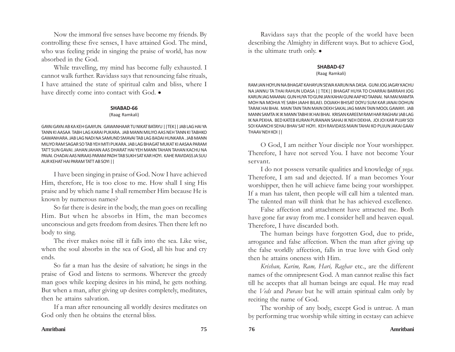Now the immoral five senses have become my friends. By controlling these five senses, I have attained God. The mind, who was feeling pride in singing the praise of world, has now absorbed in the God.

While travelling, my mind has become fully exhausted. I cannot walk further. Ravidass says that renouncing false rituals, I have attained the state of spiritual calm and bliss, where I have directly come into contact with God.  $\bullet$ 

## **SHABAD-66**

## (Raag Ramkali)

GAYAI GAYAI AB KA KEH GAAYUN. GAWANHAAR TU NIKAT BATAYU ||TEK|| JAB LAG HAI YA TANN KI AASAA TABH LAG KARAI PUKARA. JAB MANN MILIYO AAS NEH TANN KI TABHKO GAWANHARA. JAB LAG NADI NA SAMUND SMAVAI TAB LAG BADAI HUNKARA . JAB MANN MILIYO RAM SAGAR SO TAB YEH MITI PUKARA. JAB LAG BHAGAT MUKAT KI AASAA PARAM TATT SUN GAVAI. JAHAN JAHAN AAS DHARAT HAI YEH MANN TAHAN TAHAN KACHU NA PAVAI. CHADAI AAS NIRAAS PARAM PADH TAB SUKH SAT KAR HOYI. KAHE RAVIDASS JA SUU AUR KEHAT HAI PARAM TATT AB SOYI ||

I have been singing in praise of God. Now I have achieved Him, therefore, He is too close to me. How shall I sing His praise and by which name I shall remember Him because He is known by numerous names?

So far there is desire in the body, the man goes on recalling Him. But when he absorbs in Him, the man becomes unconscious and gets freedom from desires. Then there left no body to sing.

The river makes noise till it falls into the sea. Like wise, when the soul absorbs in the sea of God, all his hue and cry ends.

So far a man has the desire of salvation; he sings in the praise of God and listens to sermons. Wherever the greedy man goes while keeping desires in his mind, he gets nothing. But when a man, after giving up desires completely, meditates, then he attains salvation.

If a man after renouncing all worldly desires meditates on God only then he obtains the eternal bliss.

Ravidass says that the people of the world have been describing the Almighty in different ways. But to achieve God, is the ultimate truth only.  $\bullet$ 

## **SHABAD-67**

## (Raag Ramkali)

RAM JAN HOYUN NA BHAGAT KAHAYUN SEWA KARUN NA DASA. GUNI JOG JAGAY KACHU NA JANNU TA THAI RAHUN UDASA || TEK|| BHAGAT HUYA TO CHARRAI BARRAHI JOG KARUN JAG MAANAI. GUN HUYA TO GUNI JAN KAHAI GUNI AAP KO TAANAI. NA MAI MAMTA MOH NA MOHIA YE SABH JAAHI BILAEI. DOJAKH BHISAT DOYU SUM KAR JANAI DOHUN TARAK HAI BHAI. MAIN TAIN TAIN MAIN DEKH SAKAL JAG MAIN TAIN MOOL GAWAYI. JAB MANN SAMTA IK IK MANN TABHI IK HAI BHAI. KRISAN KAREEM RAM HAR RAGHAV JAB LAG IK NA PEKHA. BED KATEB KURAN PURANAN SAHAJ IK NEH DEKHA. JOI JOI KAR PUJAY SOI SOI KAANCHI SEHAJ BHAV SAT HOYI. KEH RAVIDASS MAIN TAHAI KO PUJUN JAKAI GAAV THAAV NEH KOI ||

O God, I am neither Your disciple nor Your worshipper. Therefore, I have not served You. I have not become Your servant.

I do not possess versatile qualities and knowledge of *yoga*. Therefore, I am sad and dejected. If a man becomes Your worshipper, then he will achieve fame being your worshipper. If a man has talent, then people will call him a talented man. The talented man will think that he has achieved excellence.

False affection and attachment have attracted me. Both have gone far away from me. I consider hell and heaven equal. Therefore, I have discarded both.

The human beings have forgotten God, due to pride, arrogance and false affection. When the man after giving up the false worldly affection, falls in true love with God only then he attains oneness with Him.

*Krishan, Karim, Ram, Hari, Raghav* etc., are the different names of the omnipresent God. A man cannot realise this fact till he accepts that all human beings are equal. He may read the *Veds* and *Purans* but he will attain spiritual calm only by reciting the name of God.

The worship of any body, except God is untrue. A man by performing true worship while sitting in ecstasy can achieve

## **Amritbani 75 76 Amritbani**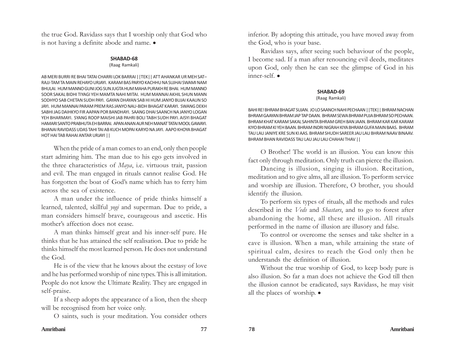the true God. Ravidass says that I worship only that God who is not having a definite abode and name.  $\bullet$ 

#### **SHABAD-68**

(Raag Ramkali)

AB MERI BURRI RE BHAI TATAI CHARRI LOK BARRAI ||TEK|| ATT AHANKAR UR MEH SAT– RAJJ-TAM TA MAIN REHAYO URJAYI. KARAM BAS PARYO KACHHU NA SUJHAI SWAMI NAM BHULAI. HUM MANNO GUNI JOG SUN JUGTA HUM MAHA PURAKH RE BHAI. HUM MANNO SOOR SAKAL BIDHI TIYAGI YEH MAMTA NAHI MITAI. HUM MANNAI AKHIL SHUN MANN SODHYO SAB CHETAN SUDH PAYI. GAYAN DHAYAN SAB HI HUM JANYO BUJAI KAAUN SO JAYI. HUM MANNAI PARAM PREM RAS JANYO NAU-BIDH BHAGAT KARAYI. SWANG DEKH SABHI JAG DAIHKYO FIR AAPAN POR BANDHAYI. SAANG DHAI SAANCH NA JANYO LOGAN YEH BHARMAYI. SYANG ROOP MAISHI JAB PAHRI BOLI TABH SUDH PAYI. AISYI BHAGAT HAMARI SANTO PRABHUTA EH BARRAI. APAN ANAN AUR NEH MANAT TATAI MOOL GAWAYI. BHANAI RAVIDASS UDAS TAHI TAI AB KUCH MOPAI KARYO NA JAYI. AAPO KHOYA BHAGAT HOT HAI TAB RAHAI ANTAR URJAYI ||

When the pride of a man comes to an end, only then people start admiring him. The man due to his ego gets involved in the three characteristics of *Maya*, i.e. virtuous trait, passion and evil. The man engaged in rituals cannot realise God. He has forgotten the boat of God's name which has to ferry him across the sea of existence.

A man under the influence of pride thinks himself a learned, talented, skillful *yogi* and superman. Due to pride, a man considers himself brave, courageous and ascetic. His mother's affection does not cease.

A man thinks himself great and his inner-self pure. He thinks that he has attained the self realisation. Due to pride he thinks himself the most learned person. He does not understand the God.

He is of the view that he knows about the ecstasy of love and he has performed worship of nine types. This is all imitation. People do not know the Ultimate Reality. They are engaged in self-praise.

If a sheep adopts the appearance of a lion, then the sheep will be recognised from her voice only.

O saints, such is your meditation. You consider others

inferior. By adopting this attitude, you have moved away from the God, who is your base.

Ravidass says, after seeing such behaviour of the people, I become sad. If a man after renouncing evil deeds, meditates upon God, only then he can see the glimpse of God in his  $inner$ -self.  $\bullet$ 

## **SHABAD-69**

## (Raag Ramkali)

BAHI RE! BHRAM BHAGAT SUJAN. JO LO SAANCH NAHI PECHAAN ||TEK|| BHRAM NACHAN BHRAM GAAYAN BHRAM JAP TAP DAAN. BHRAM SEWA BHRAM PUJA BHRAM SO PECHAAN. BHRAM KHAT KARAM SAKAL SAHINTA BHRAM GREH BAN JAAN. BHRAM KAR KAR KARAM KIYO BHRAM KI YEH BAAN. BHRAM INDRI NIGRAH KIYA BHRAM GUFA MAIN BAAS. BHRAM TAU LAU JANIYE KRE SUN KI AAS. BHRAM SHUDH SAREER JAU LAU BHRAM NAAV BINAAV. BHRAM BHAN RAVIDASS TAU LAU JAU LAU CHAHAI THAV ||

O Brother! The world is an illusion. You can know this fact only through meditation. Only truth can pierce the illusion.

Dancing is illusion, singing is illusion. Recitation, meditation and to give alms, all are illusion. To perform service and worship are illusion. Therefore, O brother, you should identify the illusion.

To perform six types of rituals, all the methods and rules described in the *Veds* and *Shastars*, and to go to forest after abandoning the home, all these are illusion. All rituals performed in the name of illusion are illusory and false.

To control or overcome the senses and take shelter in a cave is illusion. When a man, while attaining the state of spiritual calm, desires to reach the God only then he understands the definition of illusion.

Without the true worship of God, to keep body pure is also illusion. So far a man does not achieve the God till then the illusion cannot be eradicated, says Ravidass, he may visit all the places of worship.  $\bullet$ 

## **Amritbani 77 78 Amritbani**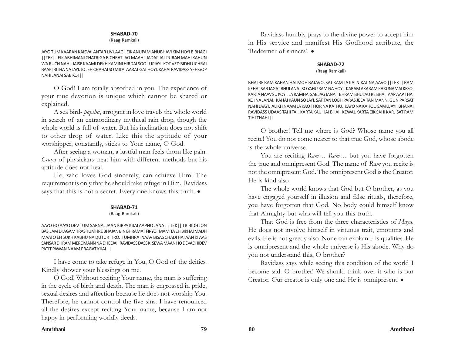#### (Raag Ramkali)

JAYO TUM KAARAN KAISVAI ANTAR LIV LAAGI. EIK ANUPAM ANUBHAVI KIM HOYI BIBHAGI ||TEK|| EIK ABHIMANI CHATRIGA BICHRAT JAG MAAHI. JADAP JAL PURAN MAHI KAHUN WA RUCH NAHI. JAISE KAAMI DEKH KAMINI HIRDAI SOOL UPJAYI. KOT VED BIDHI UCHRAI BAAKI BITHA NA JAYI. JO JEH CHAHAI SO MILAI AARAT GAT HOYI. KAHAI RAVIDASS YEH GOP NAHI JANAI SAB KOI ||

O God! I am totally absorbed in you. The experience of your true devotion is unique which cannot be shared or explained.

A sea bird- *papiha*, arrogant in love travels the whole world in search of an extraordinary mythical rain drop, though the whole world is full of water. But his inclination does not shift to other drop of water. Like this the aptitude of your worshipper, constantly, sticks to Your name, O God.

After seeing a woman, a lustful man feels thorn like pain. *Crores* of physicians treat him with different methods but his aptitude does not heal.

He, who loves God sincerely, can achieve Him. The requirement is only that he should take refuge in Him. Ravidass says that this is not a secret. Every one knows this truth.  $\bullet$ 

#### **SHABAD-71**

#### (Raag Ramkali)

AAYO HO AAYO DEV TUM SARNA. JAAN KIRPA KIJAI AAPNO JANA || TEK|| TRIBIDH JON BAS, JAM DI AGAM TRAS TUMHRE BHAJAN BIN BHRAMAT FIRYO. MAMITA EH BIKHAI MADH MAATO EH SUKH KABHU NA DUTUR TIRO. TUMHRAI NAAV BISAS CHADI HAI AAN KI AAS SANSAR DHRAM MERE MANN NA DHEEJAI. RAVIDASS DASS KI SEWA MAAN HO DEVADHIDEV PATIT PAWAN NAAM PRAGAT KIJAI ||

I have come to take refuge in You, O God of the deities. Kindly shower your blessings on me.

O God! Without reciting Your name, the man is suffering in the cycle of birth and death. The man is engrossed in pride, sexual desires and affection because he does not worship You. Therefore, he cannot control the five sins. I have renounced all the desires except reciting Your name, because I am not happy in performing worldly deeds.

Ravidass humbly prays to the divine power to accept him in His service and manifest His Godhood attribute, the 'Redeemer of sinners'.  $\bullet$ 

## **SHABAD-72** (Raag Ramkali)

BHAI RE RAM KAHAN HAI MOH BATAVO. SAT RAM TA KAI NIKAT NA AAVO ||TEK|| RAM KEHAT SAB JAGAT BHULANA. SO YAHU RAM NA HOYI. KARAM AKARAM KARUNAMAI KESO. KARTA NAAV SU KOYI. JA RAMHAI SAB JAG JANAI. BHRAM BHULAU RE BHAI. AAP AAP THAI KOI NA JANAI. KAHAI KAUN SO JAYI. SAT TAN LOBH PARAS JEEA TAN MANN. GUN PARSAT NAHI JAAYI. ALIKH NAAM JA KAO THOR NA KATHU. KAYO NA KAHOU SAMUJAYI. BHANAI RAVIDASS UDAAS TAHI TAI. KARTA KAU HAI BHAI. KEWAL KARTA EIK SAHI KAR. SAT RAM TIHI THAHI ||

O brother! Tell me where is God? Whose name you all recite! You do not come nearer to that true God, whose abode is the whole universe.

You are reciting *Ram*... *Ram*... but you have forgotten the true and omnipresent God. The name of *Ram* you recite is not the omnipresent God. The omnipresent God is the Creator. He is kind also.

The whole world knows that God but O brother, as you have engaged yourself in illusion and false rituals, therefore, you have forgotten that God. No body could himself know that Almighty but who will tell you this truth.

That God is free from the three characteristics of *Maya*. He does not involve himself in virtuous trait, emotions and evils. He is not greedy also. None can explain His qualities. He is omnipresent and the whole universe is His abode. Why do you not understand this, O brother?

Ravidass says while seeing this condition of the world I become sad. O brother! We should think over it who is our Creator. Our creator is only one and He is omnipresent.  $\bullet$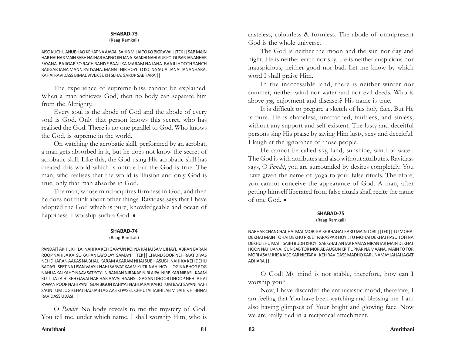#### (Raag Ramkali)

AISO KUCHU ANUBHAO KEHAT NA AAVAI. SAHIB MILAI TO KO BIGRAVAI ||TEK|| SAB MAIN HAR HAI HAR MAIN SABH HAI HAR AAPNO JIN JANA. SAAKHI NAHI AUR KOI DUSAR JANANHAR SAYANA. BAJIGAR SO RACH RAHIYE BAAJI KA MARAM NA JANA. BAAJI JHOOTH SANCH BAJIGAR JANA MANN PATIYANA. MANN THIR HOYI TO KOI NA SUJAI JANAI JANANHARA. KAHAI RAVIDASS BIMAL VIVEK SUKH SEHAJ SARUP SABHARA ||

The experience of supreme-bliss cannot be explained. When a man achieves God, then no body can separate him from the Almighty.

Every soul is the abode of God and the abode of every soul is God. Only that person knows this secret, who has realised the God. There is no one parallel to God. Who knows the God, is supreme in the world.

On watching the acrobatic skill, performed by an acrobat, a man gets absorbed in it, but he does not know the secret of acrobatic skill. Like this, the God using His acrobatic skill has created this world which is untrue but the God is true. The man, who realises that the world is illusion and only God is true, only that man absorbs in God.

The man, whose mind acquires firmness in God, and then he does not think about other things. Ravidass says that I have adopted the God which is pure, knowledgeable and ocean of happiness. I worship such a God.  $\bullet$ 

#### **SHABAD-74**

#### (Raag Ramkali)

PANDAT! AKHIL KHILAI NAHI KA KEH GAAYUN KOI NA KAHAI SAMUJHAYI. ABRAN BARAN ROOP NAHI JA KAI SO KAHAN LAYO LAYI SAMAYI ||TEK|| CHAND SOOR NEH RAAT DIVAS NEH DHARAN AAKAS NA BHAI. KARAM AKARAM NHAI SUBH ASUBH NAHI KA KEH DEHU BADAYI. SEET NA USAN VAAYU NAHI SARVAT KAAM KUTIL NAHI HOYI. JOG NA BHOG ROG NAHI JA KAI KAHO NAAV SAT SOYI. NIRANJAN NIRAKAR NIRLAIPAI NIRBIKAR NIRASI. KAAM KUTILTA TA HI KEH GAVAI HAR HAR AAVAI HAANSI. GAGAN DHOOR DHOOP NEH JA KAI PAWAN POOR NAHI PANI. GUN BIGUN KAHIYAT NAHI JA KAI KAHO TUM BAAT SAYANI. YAHI SAUN TUM JOG KEHAT HAU JAB LAG AAS KI PASSI. CHHUTAI TABHI JAB MILAI EIK HI BHNAI RAVIDASS UDASI ||

O *Pandit*! No body reveals to me the mystery of God. You tell me, under which name, I shall worship Him, who is casteless, colourless & formless. The abode of omnipresent God is the whole universe.

The God is neither the moon and the sun nor day and night. He is neither earth nor sky. He is neither auspicious nor inauspicious, neither good nor bad. Let me know by which word I shall praise Him.

In the inaccessible land, there is neither winter nor summer, neither wind nor water and nor evil deeds. Who is above *yog*, enjoyment and diseases? His name is true.

It is difficult to prepare a sketch of his holy face. But He is pure. He is shapeless, unattached, faultless, and sinless, without any support and self existent. The lusty and deceitful persons sing His praise by saying Him lusty, sexy and deceitful. I laugh at the ignorance of those people.

He cannot be called sky, land, sunshine, wind or water. The God is with attributes and also without attributes. Ravidass says, O *Pandit*, you are surrounded by desires completely. You have given the name of yoga to your false rituals. Therefore, you cannot conceive the appearance of God. A man, after getting himself liberated from false rituals shall recite the name of one God.  $\bullet$ 

# **SHABAD-75**

## (Raag Ramkali)

NARHAR CHANCHAL HAI MAT MORI KAISE BHAGAT KARU MAIN TORI ||TEK|| TU MOHAI DEKHAI MAIN TOHAI DEKHU PREET PARASPAR HOYI. TU MOHAI DEKHAI HAYO TOH NA DEKHU EHU MATT SABH BUDH KHOYI. SAB GHAT ANTAR RAMAS NIRANTAR MAIN DEKHAT HOON NAHI JANA. GUN SAB TOR MOR AB AUGUN KRIT UPKAR NA MAANA. MAIN TO TOR MORI ASAMJHIS KAISE KAR NISTARA. KEH RAVIDASS MADHO KARUNAMAY JAI JAI JAGAT ADHARA ||

O God! My mind is not stable, therefore, how can I worship you?

Now, I have discarded the enthusiastic mood, therefore, I am feeling that You have been watching and blessing me. I am also having glimpses of Your bright and glowing face. Now we are really tied in a reciprocal attachment.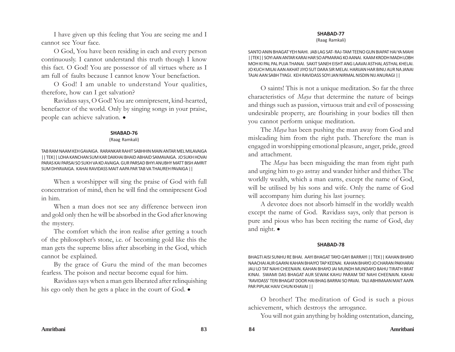I have given up this feeling that You are seeing me and I cannot see Your face.

O God, You have been residing in each and every person continuously. I cannot understand this truth though I know this fact. O God! You are possessor of all virtues where as I am full of faults because I cannot know Your benefaction.

O God! I am unable to understand Your qualities, therefore, how can I get salvation?

Ravidass says, O God! You are omnipresent, kind-hearted, benefactor of the world. Only by singing songs in your praise, people can achieve salvation.  $\bullet$ 

## **SHABAD-76**

(Raag Ramkali)

TAB RAM NAAM KEH GAVAIGA. RARANKAR RAHIT SABHHIN MAIN ANTAR MEL MILAVAIGA || TEK|| LOHA KANCHAN SUM KAR DAIKHAI BHAID ABHAID SAMAVAIGA. JO SUKH HOVAI PARAS KAI PARSAI SO SUKH VA KO AVAIGA. GUR PARSAD BHYI ANUBHY MATT BISH AMRIT SUM DHYAVAIGA. KAHAI RAVIDASS MAIT AAPA PAR TAB VA THAUREH PAVAIGA ||

When a worshipper will sing the praise of God with full concentration of mind, then he will find the omnipresent God in him.

When a man does not see any difference between iron and gold only then he will be absorbed in the God after knowing the mystery.

The comfort which the iron realise after getting a touch of the philosopher's stone, i.e. of becoming gold like this the man gets the supreme bliss after absorbing in the God, which cannot be explained.

By the grace of Guru the mind of the man becomes fearless. The poison and nectar become equal for him.

Ravidass says when a man gets liberated after relinquishing his ego only then he gets a place in the court of God.  $\bullet$ 

## **SHABAD-77**

(Raag Ramkali)

SANTO ANIN BHAGAT YEH NAHI. JAB LAG SAT- RAJ-TAM TEENO GUN BIAPAT HAI YA MAHI ||TEK|| SOYI AAN ANTAR KARAI HAR SO APMARAG KO AANAI. KAAM KRODH MADH LOBH MOH KI PAL PAL PUJA THANAI. SAKIT SANEH EISHT ANG LAAVAI ASTHAL ASTHAL KHELAI. JO KUCH MILAI AAN AKHAT JIYO SUT DARA SIR MELAI. HARIJAN HAR BINU AUR NA JANAI TAJAI AAN SABH TYAGI. KEH RAVIDASS SOYI JAN NIRMAL NISDIN NIJ ANURAGI ||

O saints! This is not a unique meditation. So far the three characteristics of *Maya* that determine the nature of beings and things such as passion, virtuous trait and evil of possessing undesirable property, are flourishing in your bodies till then you cannot perform unique meditation.

The *Maya* has been pushing the man away from God and misleading him from the right path. Therefore the man is engaged in worshipping emotional pleasure, anger, pride, greed and attachment.

The *Maya* has been misguiding the man from right path and urging him to go astray and wander hither and thither. The worldly wealth, which a man earns, except the name of God, will be utilised by his sons and wife. Only the name of God will accompany him during his last journey.

A devotee does not absorb himself in the worldly wealth except the name of God. Ravidass says, only that person is pure and pious who has been reciting the name of God, day and night.  $\bullet$ 

## **SHABAD-78**

BHAGTI AISI SUNHU RE BHAI. AAYI BHAGAT TAYO GAYI BARRAYI || TEK|| KAHAN BHAYO NAACHAI AUR GAAYAI KAHAN BHAIYO TAP KEENAI. KAHAN BHAYO JO CHARAN PAKHARAI JAU LO TAT NAHI CHEENAIN. KAHAN BHAYO JAI MUNDH MUNDAYO BAHU TIRATH BRAT KINAI. SWAMI DAS BHAGAT AUR SEWAK KAHU PARAM TAT NAHI CHEENAIN. KAHAI 'RAVIDASS' TERI BHAGAT DOOR HAI BHAG BARRAI SO PAVAI. TAJJ ABHIMAAN MAIT AAPA PAR PIPLAK HAIV CHUN KHAVAI ||

O brother! The meditation of God is such a pious achievement, which destroys the arrogance.

You will not gain anything by holding ostentation, dancing,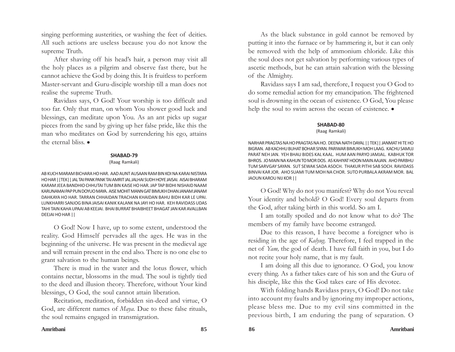singing performing austerities, or washing the feet of deities. All such actions are useless because you do not know the supreme Truth.

After shaving off his head's hair, a person may visit all the holy places as a pilgrim and observe fast there, but he cannot achieve the God by doing this. It is fruitless to perform Master-servant and Guru-disciple worship till a man does not realise the supreme Truth.

Ravidass says, O God! Your worship is too difficult and too far. Only that man, on whom You shower good luck and blessings, can meditate upon You. As an ant picks up sugar pieces from the sand by giving up her false pride, like this the man who meditates on God by surrendering his ego, attains the eternal bliss  $\bullet$ 

## **SHABAD-79**

#### (Raag Ramkali)

AB KUCH MARAM BICHARA HO HAR. AAD AUNT AUSAAN RAM BIN KOI NA KARAI NISTARA HO HAR ||TEK|| JAL TAI PANK PANK TAI AMRIT JAL JALHAI SUDH HOYE JAISAI. AISAI BHARAM KARAM JEEA BANDHIO CHHUTAI TUM BIN KAISE HO HAR. JAP TAP BIDHI NISHAID NAAM KARUNAMAI PAP PUN DOYUO MAYA. AISE MOHIT MANN GAT BIMUKH DHAN JANAM JANAM DAHKAYA HO HAR. TARRAN CHHAIDAN TRACHAN KHAIDAN BAHU BIDH KAR LE UPAI. LUNKHARRI SANJOG BINA JAISAI KANIK KALANK NA JAYI HO HAR. KEH RAVIDASS UDAS TAHI TAIN KAHA UPAAI AB KEEJAI. BHAI BURRAT BHAIBHEET BHAGAT JAN KAR AVALLBAN DEEJAI HO HAR ||

O God! Now I have, up to some extent, understood the reality. God Himself pervades all the ages. He was in the beginning of the universe. He was present in the medieval age and will remain present in the end also. There is no one else to grant salvation to the human beings.

There is mud in the water and the lotus flower, which contains nectar, blossoms in the mud. The soul is tightly tied to the deed and illusion theory. Therefore, without Your kind blessings, O God, the soul cannot attain liberation.

Recitation, meditation, forbidden sin-deed and virtue, O God, are different names of *Maya.* Due to these false rituals, the soul remains engaged in transmigration.

As the black substance in gold cannot be removed by putting it into the furnace or by hammering it, but it can only be removed with the help of ammonium chloride. Like this the soul does not get salvation by performing various types of ascetic methods, but he can attain salvation with the blessing of the Almighty.

Ravidass says I am sad, therefore, I request you O God to do some remedial action for my emancipation. The frightened soul is drowning in the ocean of existence. O God, You please help the soul to swim across the ocean of existence.  $\bullet$ 

## **SHABAD-80**

#### (Raag Ramkali)

NARHAR PRAGTAS NA HO PRAGTAS NA HO. DEENA NATH DAYAL || TEK|| JANMAT HI TE HO BIGRAN. AB KACHHU BUHAT BOHAR SIYAN. PARIWAR BIMUKH MOH LAAG. KACHU SAMUJ PARAT NEH JAN. YEH BHAU BIDES KAL KAAL. HUM AAN PARYO JAMJAL. KABHUK TOR BHROS. JO MAIN NA KAHUN TO MOR DOS. AS KAHIYAT HOON MAIN AAJAN. AHO PARBHU TUM SARVGAY SAYAN. SUT SEWAK SADA ASOCH. THAKUR PITHI SAB SOCH. RAVIDASS BINVAI KAR JOR. AHO SUAMI TUM MOH NA CHOR. SUTO PURBALA AKRAM MOR. BAL JAOUN KAROU NIJ KOR ||

O God! Why do not you manifest? Why do not You reveal Your identity and behold? O God! Every soul departs from the God, after taking birth in this world. So am I.

I am totally spoiled and do not know what to do? The members of my family have become estranged.

Due to this reason, I have become a foreigner who is residing in the age of *Kalyug.* Therefore, I feel trapped in the net of *Yam,* the god of death. I have full faith in you, but I do not recite your holy name, that is my fault.

I am doing all this due to ignorance. O God, you know every thing. As a father takes care of his son and the Guru of his disciple, like this the God takes care of His devotee.

With folding hands Ravidass prays, O God! Do not take into account my faults and by ignoring my improper actions, please bless me. Due to my evil sins committed in the previous birth, I am enduring the pang of separation. O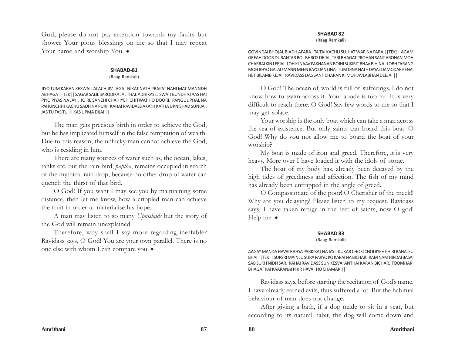God, please do not pay attention towards my faults but shower Your pious blessings on me so that I may repeat Your name and worship You.  $\bullet$ 

#### **SHABAD-81**

#### (Raag Ramkali)

JIYO TUM KARAN KESWAI LALACH JIV LAGA. NIKAT NATH PRAPAT NAHI MAT MANNDH ABHAGA ||TEK|| SAGAR SALIL SARODIKA JAL THAL ADHIKAYE. SWATI BUNDH KI AAS HAI PIYO PIYAS NA JAYI. JO RE SANEHI CHAHIYEH CHITWAT HO DOORI. PANGUL PHAL NA PAHUNCHHI KACHU SADH NA PURI. KAHAI RAVIDASS AKATH KATHA UPNISHAD SUNIJAI. JAS TU TAS TU HI KAS UPMA DIJAI ||

The man gets precious birth in order to achieve the God, but he has implicated himself in the false temptation of wealth. Due to this reason, the unlucky man cannot achieve the God, who is residing in him.

There are many sources of water such as, the ocean, lakes, tanks etc. but the rain-bird, *papiha*, remains occupied in search of the mythical rain drop; because no other drop of water can quench the thirst of that bird.

O God! If you want I may see you by maintaining some distance, then let me know, how a crippled man can achieve the fruit in order to materialise his hope.

A man may listen to so many *Upnishads* but the story of the God will remain unexplained.

Therefore, why shall I say more regarding ineffable? Ravidass says, O God! You are your own parallel. There is no one else with whom I can compare you.  $\bullet$ 

## **SHABAD 82**

(Raag Ramkali)

GOVINDAI BHOJAL BIADH APARA. TA TAI KACHU SUJHAT WAR NA PARA ||TEK|| AGAM GREAH DOOR DURANTAR BOL BHROS DEJAI. TERI BHAGAT PROHAN SANT AROHAN MOH CHARRAI KIN LEEJAI. LOH KI NAAV PAKHANAN BOJHI SUKIRIT BHAV BIHINA. LOBH TARANG MOH BHYO GALAU MANN MEEN BAYO JAN LINA. TUM DINA NATH DAYAL DAMODAR KENAI HET BILAMB KEJAI. RAVIDASS DAS SANT CHARAN KI MOH AVLABHAN DEEJAI ||

O God! The ocean of world is full of sufferings. I do not know how to swim across it. Your abode is too far. It is very difficult to reach there. O God! Say few words to me so that I may get solace.

Your worship is the only boat which can take a man across the sea of existence. But only saints can board this boat. O God! Why do you not allow me to board the boat of your worship?

My boat is made of iron and greed. Therefore, it is very heavy. More over I have loaded it with the idols of stone.

The boat of my body has, already been decayed by the high tides of greediness and affection. The fish of my mind has already been entrapped in the angle of greed.

O Compassionate of the poor! O Cherisher of the meek!! Why are you delaying? Please listen to my request. Ravidass says, I have taken refuge in the feet of saints, now O god! Help me.  $\bullet$ 

# **SHABAD 83**

## (Raag Ramkali)

AAGAY MANDA HAVAI RAHYA PARKIRAT NA JAYI. KUKAR CHOKI CHODIYEH PHIRI BAHAI SU BHAI ||TEK|| SURSRI MAIN JU SURA PARYO KO KARAI NA BICHAR. RAM NAM HIRDAI BASAI SAB SUKH NIDH SAR. KAHAI RAVIDASS SUN KESVAI ANTHAI KARAN BICHAR. TOOMHARI BHAGAT KAI KAARANAI PHIR HAVAI HO CHAMAR ||

Ravidass says, before starting the recitation of God's name, I have already earned evils, thus suffered a lot. But the habitual behaviour of man does not change.

After giving a bath, if a dog made to sit in a seat, but according to its natural habit, the dog will come down and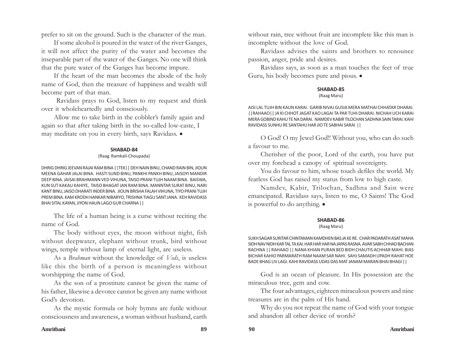prefer to sit on the ground. Such is the character of the man.

If some alcohol is poured in the water of the river Ganges, it will not affect the purity of the water and becomes the inseparable part of the water of the Ganges. No one will think that the pure water of the Ganges has become impure.

If the heart of the man becomes the abode of the holy name of God, then the treasure of happiness and wealth will become part of that man.

 Ravidass prays to God, listen to my request and think over it wholeheartedly and consciously.

Allow me to take birth in the cobbler's family again and again so that after taking birth in the so-called low-caste, I may meditate on you in every birth, says Ravidass.  $\bullet$ 

## **SHABAD-84**

#### (Raag Ramkali-Choupada)

DHRIG DHRIG JEEVAN RAJAI RAM BINA ||TEK|| DEH NAIN BINU, CHAND RAIN BIN, JIOUN MEENA GAHAR JALAI BINA. HASTI SUND BINU, PANKHI PANKH BINU, JAISOYI MANDIR DEEP BINA. JAISAI BRAHMANN VED VIHUNA, TAISO PRANI TUJH NAAM BINA. BAISWA, KUN SUT KAKAU KAHIYE, TAISO BHAGAT JAN RAM BINA. MANNTAR SURAT BINU, NARI KANT BINU, JAISO DHARATI INDER BINA. JIOUN BRISHA FALAH VIHUNA, TIYO PRANI TUJH PREM BINA. KAM KRODH HANKAR NIBARYO, TRISHNA TIAGU SANT JANA. KEH RAVIDASS BHAI SITAL KAYAN, JIYON HAUN LAGO GUR CHARNA ||

The life of a human being is a curse without reciting the name of God.

The body without eyes, the moon without night, fish without deepwater, elephant without trunk, bird without wings, temple without lamp of eternal light, are useless.

As a *Brahman* without the knowledge of *Veds*, is useless like this the birth of a person is meaningless without worshipping the name of God.

As the son of a prostitute cannot be given the name of his father, likewise a devotee cannot be given any name without God's devotion.

As the mystic formula or holy hymns are futile without consciousness and awareness, a woman without husband, earth

without rain, tree without fruit are incomplete like this man is incomplete without the love of God.

Ravidass advises the saints and brothers to renounce passion, anger, pride and desires.

Ravidass says, as soon as a man touches the feet of true Guru, his body becomes pure and pious.  $\bullet$ 

## **SHABAD-85**

(Raag Maru)

AISI LAL TUJH BIN KAUN KARAI. GARIB NIVAJ GUSIA MERA MATHAI CHHATAR DHARAI. ||RAHAAO|| JA KI CHHOT JAGAT KAO LAGAI TA PAR TUHI DHARAI. NICHAH UCH KARAI MERA GOBIND KAHU TE NA DARAI. NAMDEV KABIR TILOCHAN SADHNA SAIN TARAI. KAHI RAVIDASS SUNHU RE SANTAHU HAR JIO TE SABHAI SARAI ||

O God! O my Jewel God!! Without you, who can do such a favour to me.

Cherisher of the poor, Lord of the earth, you have put over my forehead a canopy of spiritual sovereignty.

You do favour to him, whose touch defiles the world. My fearless God has raised my status from low to high caste.

Namdev, Kabir, Trilochan, Sadhna and Sain were emancipated. Ravidass says, listen to me, O Saints! The God is powerful to do anything.  $\bullet$ 

## **SHABAD-86**

#### (Raag Maru)

SUKH SAGAR SURITAR CHINTAMAN KAMDHEN BAS JA KE RE. CHAR PADARATH ASAT MAHA SIDH NAV NIDH KAR TAL TA KAI. HAR HAR HAR NA JAPAS RASNA. AVAR SABH CHHAD BACHAN RACHNA || RAHAAO || NANA KHIAN PURAN BED BIDH CHAUTIS ACHHAR MAHI. BIAS BICHAR KAHIO PARMARATH RAM NAAM SAR NAHI. SAHJ SAMADH UPADH RAHAT HOE BADE BHAG LIV LAGI. KAHI RAVIDASS UDAS DAS MAT JANAM MARAN BHAI BHAGI ||

God is an ocean of pleasure. In His possession are the miraculous tree, gem and cow.

The four advantages, eighteen miraculous powers and nine treasures are in the palm of His hand.

Why do you not repeat the name of God with your tongue and abandon all other device of words?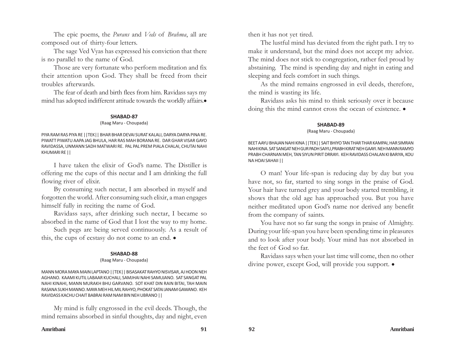The epic poems, the *Purans* and *Veds* of *Brahma*, all are composed out of thirty-four letters.

The sage Ved Vyas has expressed his conviction that there is no parallel to the name of God.

Those are very fortunate who perform meditation and fix their attention upon God. They shall be freed from their troubles afterwards.

The fear of death and birth flees from him. Ravidass says my mind has adopted indifferent attitude towards the worldly affairs.

#### **SHABAD-87**

#### (Raag Maru - Choupada)

PIYA RAM RAS PIYA RE ||TEK|| BHAR BHAR DEVAI SURAT KALALI, DARYA DARYA PINA RE. PIWATT PIWATU AAPA JAG BHULA, HAR RAS MAH BORANA RE. DAR GHAR VISAR GAYO RAVIDASSA, UNMANN SADH MATWARI RE. PAL PAL PREM PIALA CHALAI, CHUTAI NAHI KHUMARI RE ||

I have taken the elixir of God's name. The Distiller is offering me the cups of this nectar and I am drinking the full flowing river of elixir.

By consuming such nectar, I am absorbed in myself and forgotten the world. After consuming such elixir, a man engages himself fully in reciting the name of God.

Ravidass says, after drinking such nectar, I became so absorbed in the name of God that I lost the way to my home.

Such pegs are being served continuously. As a result of this, the cups of ecstasy do not come to an end.  $\bullet$ 

## **SHABAD-88**

(Raag Maru - Choupada)

MANN MORA MAYA MAIN LAPTANO ||TEK|| BISASAKAT RAHYO NISVISAR, AJ HOON NEH AGHANO. KAAMI KUTIL LABAAR KUCHALI, SAMJHAI NAHI SAMUJANO. SAT SANGAT PAL NAHI KINAHI, MANN MURAKH BHU GARVANO. SOT KHAT DIN RAIN BITAI, TAH MAIN RASANA SUKH MANNO. MAYA MEH HIL MIL RAHYO, PHOKAT SATAI JANAM GAWANO. KEH RAVIDASS KACHU CHAIT BABRAI RAM NAM BIN NEH UBRANO ||

My mind is fully engrossed in the evil deeds. Though, the mind remains absorbed in sinful thoughts, day and night, even

then it has not yet tired.

The lustful mind has deviated from the right path. I try to make it understand, but the mind does not accept my advice. The mind does not stick to congregation, rather feel proud by abstaining. The mind is spending day and night in eating and sleeping and feels comfort in such things.

As the mind remains engrossed in evil deeds, therefore, the mind is wasting its life.

Ravidass asks his mind to think seriously over it because doing this the mind cannot cross the ocean of existence.  $\bullet$ 

## **SHABAD-89**

## (Raag Maru - Choupada)

BEET AAYU BHAJAN NAHI KINA ||TEK|| SAIT BHIYO TAN THAR THAR KAMPAI, HAR SIMRAN NAHI KINA. SAT SANGAT NEH GUR PADH SAIYU,PRABH KIRAT NEH GAAYI. NEH MANN RAMYO PRABH CHARNAN MEH, TAN SIYUN PIRIT DRRAYI. KEH RAVIDASS CHALAN KI BARIYA, KOU NA HOAI SAHAII ||

O man! Your life-span is reducing day by day but you have not, so far, started to sing songs in the praise of God. Your hair have turned grey and your body started trembling, it shows that the old age has approached you. But you have neither meditated upon God's name nor derived any benefit from the company of saints.

You have not so far sung the songs in praise of Almighty. During your life-span you have been spending time in pleasures and to look after your body. Your mind has not absorbed in the feet of God so far.

Ravidass says when your last time will come, then no other divine power, except God, will provide you support.  $\bullet$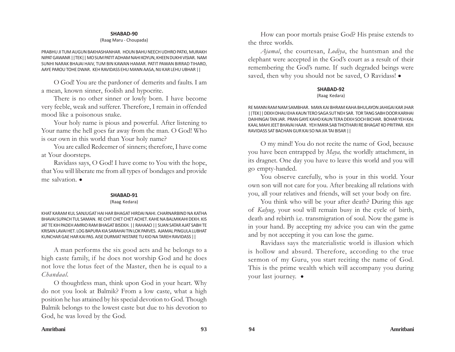#### (Raag Maru - Choupada)

PRABHU JI TUM AUGUN BAKHASHANHAR. HOUN BAHU NEECH UDHRO PATKI, MURAKH NIPAT GAWANR ||TEK|| MO SUM PATIT ADHAM NAHI KOYUN, KHEEN DUKHI VISIAR. NAM SUNHI NARAK BHAJAI HAIV, TUM BIN KAWAN HAMAR. PATIT PAWAN BIRRAD TIHARO, AAYE PAROU TOHE DWAR. KEH RAVIDASS EHU MANN AASA, NIJ KAR LEHU UBHAR ||

O God! You are the pardoner of demerits and faults. I am a mean, known sinner, foolish and hypocrite.

There is no other sinner or lowly born. I have become very feeble, weak and sufferer. Therefore, I remain in offended mood like a poisonous snake.

Your holy name is pious and powerful. After listening to Your name the hell goes far away from the man. O God! Who is our own in this world than Your holy name?

You are called Redeemer of sinners; therefore, I have come at Your doorsteps.

Ravidass says, O God! I have come to You with the hope, that You will liberate me from all types of bondages and provide me salvation.  $\bullet$ 

#### **SHABAD-91**

(Raag Kedara)

KHAT KARAM KUL SANJUGAT HAI HAR BHAGAT HIRDAI NAHI. CHARNARBIND NA KATHA BHAVAI SUPACH TUL SAMAN. RE CHIT CHET CHET ACHET. KAHE NA BALMIKAHI DEKH. KIS JAT TE KIH PADEH AMRIO RAM BHAGAT BISEKH. || RAHAAO || SUAN SATAR AJAT SABH TE KRISAN LAVAI HET. LOG BAPURA KIA SARAHAI TIN LOK PARVES. AJAMAL PINGULA LUBHAT KUNCHAR GAE HAR KAI PAS. AISE DURMAT NISTARE TU KIO NA TAREH RAVIDASS ||

A man performs the six good acts and he belongs to a high caste family, if he does not worship God and he does not love the lotus feet of the Master, then he is equal to a *Chandaal.*

O thoughtless man, think upon God in your heart. Why do not you look at Balmik? From a low caste, what a high position he has attained by his special devotion to God. Though Balmik belongs to the lowest caste but due to his devotion to God, he was loved by the God.

How can poor mortals praise God? His praise extends to the three worlds.

*Ajamal*, the courtesan, *Lodiya*, the huntsman and the elephant were accepted in the God's court as a result of their remembering the God's name. If such degraded beings were saved, then why you should not be saved, O Ravidass!  $\bullet$ 

## **SHABAD-92**

#### (Raag Kedara)

RE MANN RAM NAM SAMBHAR. MAYA KAI BHRAM KAHA BHULAYON JAHIGAI KAR JHAR ||TEK|| DEKH DHAU EHA KAUN TERO SAGA SUT NEH SAR. TOR TANG SABH DOOR KARIHAI DAIHINGAI TAN JAR. PRAN GAYE KAHO KAUN TERA DEKH SOCH BICHAR. BOHAR YEH KAL KAAL MAHI JEET BHAVAI HAAR. YEH MAYA SAB THOTHARI RE BHAGAT KO PRITPAR. KEH RAVIDASS SAT BACHAN GUR KAI SO NA JIA TAI BISAR ||

O my mind! You do not recite the name of God, because you have been entrapped by *Maya,* the worldly attachment, in its dragnet. One day you have to leave this world and you will go empty-handed.

You observe carefully, who is your in this world. Your own son will not care for you. After breaking all relations with you, all your relatives and friends, will set your body on fire.

You think who will be your after death? During this age of *Kalyug,* your soul will remain busy in the cycle of birth, death and rebirth i.e. transmigration of soul. Now the game is in your hand. By accepting my advice you can win the game and by not accepting it you can lose the game.

Ravidass says the materialistic world is illusion which is hollow and absurd. Therefore, according to the true sermon of my Guru, you start reciting the name of God. This is the prime wealth which will accompany you during your last journey.  $\bullet$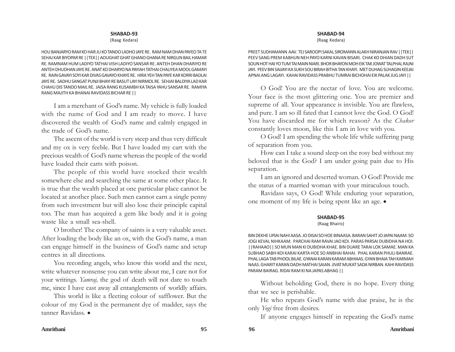#### (Raag Kedara)

HOU BANJARYO RAM KO HAR JU KO TANDO LADHO JAYE RE. RAM NAM DHAN PAYEO TA TE SEHAJ KAR BIYOPAR RE ||TEK|| AOUGHAT GHAT GHANO GHANA RE NIRGUN BAIL HAMAR RE. RAMNAM HUM LADIYO TATHAI VISH LADIYO SANSAR RE. ANTEH DHAN DHARIYO RE ANTEH DHUDHAN JAYE RE. ANAT KO DHARYO NA PAYIAH TATHAI CHALIYEA MOOL GAMAYI RE. RAIN GAVAYI SOYI KAR DIVAS GAVAYO KHAYE RE. HIRA YEH TAN PAYE KAR KORRI BADLAI JAYE RE. SADHU SANGAT PUNJI BHAYI RE BASUT LAYI NIRMOL RE. SEHJAI BALDIYA LAD KAR CHAHU DIS TANDO MAIL RE. JAISA RANG KUSAMBH KA TAISA YAHU SANSAR RE. RAMIYA RANG MAJITH KA BHANAI RAVIDASS BICHAR RE ||

I am a merchant of God's name. My vehicle is fully loaded with the name of God and I am ready to move. I have discovered the wealth of God's name and calmly engaged in the trade of God's name.

The ascent of the world is very steep and thus very difficult and my ox is very feeble. But I have loaded my cart with the precious wealth of God's name whereas the people of the world have loaded their carts with poison.

The people of this world have stocked their wealth somewhere else and searching the same at some other place. It is true that the wealth placed at one particular place cannot be located at another place. Such men cannot earn a single penny from such investment but will also lose their principle capital too. The man has acquired a gem like body and it is going waste like a small sea-shell.

O brother! The company of saints is a very valuable asset. After loading the body like an ox, with the God's name, a man can engage himself in the business of God's name and setup centres in all directions.

You recording angels, who know this world and the next, write whatever nonsense you can write about me, I care not for your writings. *Yamraj,* the god of death will not dare to touch me, since I have cast away all entanglements of worldly affairs.

This world is like a fleeting colour of safflower. But the colour of my God is the permanent dye of madder, says the tanner Ravidass. •

#### **SHABAD-94**

(Raag Kedara)

PREET SUDHAMANN AAV. TEJ SAROOPI SAKAL SIROMANN ALAKH NIRANJAN RAV ||TEK|| PEEV SANG PREM KABHUN NEH PAYO KARNI KAVAN BISARI. CHAK KO DHIAN DADH SUT SOUN HOT HAI YO TUM TAI MAIN NIARI. BHOR BHAYON MOH EIK TAK JOWAT TALPHAL RAJNI JAYI. PEEV BIN SAIJAYI KA SUKH SOU BIRAH BITHA TAN KHAYI. MET DUHAG SUHAGIN KEEJAI APNAI ANG LAGAYI. KAHAI RAVIDASS PRABHU TUMRAI BICHOHAI EIK PALAK JUG JAYI ||

O God! You are the nectar of love. You are welcome. Your face is the most glittering one. You are premier and supreme of all. Your appearance is invisible. You are flawless, and pure. I am so ill fated that I cannot love the God. O God! You have discarded me for which reason? As the *Chakor* constantly loves moon, like this I am in love with you.

O God! I am spending the whole life while suffering pang of separation from you.

How can I take a sound sleep on the rosy bed without my beloved that is the God? I am under going pain due to His separation.

I am an ignored and deserted woman. O God! Provide me the status of a married woman with your miraculous touch.

Ravidass says, O God! While enduring your separation, one moment of my life is being spent like an age.  $\bullet$ 

## **SHABAD-95**

#### (Raag Bhairo)

BIN DEKHE UPJAI NAHI AASA. JO DISAI SO HOE BINAASA. BARAN SAHIT JO JAPAI NAAM. SO JOGI KEVAL NIHKAAM. PARCHAI RAM RAVAI JAO KOI. PARAS PARSAI DUBIDHA NA HOI. ||RAHAAO|| SO MUN MAN KI DUBIDHA KHAE. BIN DUARE TARAI LOK SAMAE. MAN KA SUBHAO SABH KOI KARAI KARTA HOE SO ANBHAI RAHAI. PHAL KARAN PHULI BANRAE. PHAL LAGA TAB PHOOL BILAE. GYANAI KARAN KARAM ABHIAAS. GYAN BHAIA TAH KARMAH NAAS. GHARIT KARAN DADH MATHAI SAIAN. JIVAT MUKAT SADA NIRBAN. KAHI RAVIDASS PARAM BAIRAG. RIDAI RAM KI NA JAPAS ABHAG ||

Without beholding God, there is no hope. Every thing that we see is perishable.

He who repeats God's name with due praise, he is the only *Yogi* free from desires.

If anyone engages himself in repeating the God's name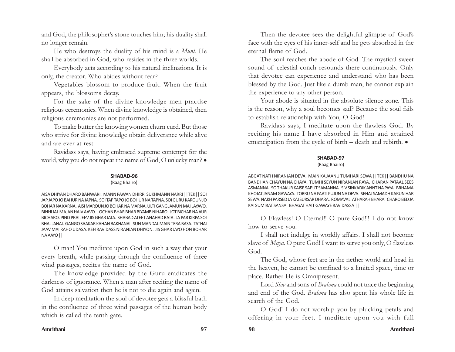and God, the philosopher's stone touches him; his duality shall no longer remain.

He who destroys the duality of his mind is a *Muni.* He shall be absorbed in God, who resides in the three worlds.

Everybody acts according to his natural inclinations. It is only, the creator. Who abides without fear?

Vegetables blossom to produce fruit. When the fruit appears, the blossoms decay.

For the sake of the divine knowledge men practise religious ceremonies. When divine knowledge is obtained, then religious ceremonies are not performed.

To make butter the knowing women churn curd. But those who strive for divine knowledge obtain deliverance while alive and are ever at rest.

Ravidass says, having embraced supreme contempt for the world, why you do not repeat the name of God, O unlucky man?  $\bullet$ 

## **SHABAD-96**

(Raag Bhairo)

AISA DHIYAN DHARO BANWARI. MANN PAWAN DHIRRI SUKHMANN NARRI ||TEK|| SOI JAP JAPO JO BAHUR NA JAPNA. SOI TAP TAPO JO BOHUR NA TAPNA. SOI GURU KAROUN JO BOHAR NA KARNA. AISI MAROUN JO BOHAR NA MARNA. ULTI GANG JAMUN MAI LAYAVO. BINHI JAL MAJAN HAIV AAVO. LOCHAN BHAR BHAR BIYAMB NIHARO. JOT BICHAR NA AUR BICHARO. PIND PRAI JEEV JIS GHAR JATA. SHABAD ATEET ANAHAD RATA. JA PAR KIRPA SOI BHAL JANAI. GANGO SAAKAR KAHAN BAKHANAI. SUN MANDAL MAIN TERA BASA. TATHAI JAAV MAI RAHO UDASA. KEH RAVIDASS NIRANJAN DHIYON. JIS GHAR JAYO HON BOHAR NA AAYO ||

O man! You meditate upon God in such a way that your every breath, while passing through the confluence of three wind passages, recites the name of God.

The knowledge provided by the Guru eradicates the darkness of ignorance. When a man after reciting the name of God attains salvation then he is not to die again and again.

In deep meditation the soul of devotee gets a blissful bath in the confluence of three wind passages of the human body which is called the tenth gate.

Then the devotee sees the delightful glimpse of God's face with the eyes of his inner-self and he gets absorbed in the eternal flame of God.

The soul reaches the abode of God. The mystical sweet sound of celestial conch resounds there continuously. Only that devotee can experience and understand who has been blessed by the God. Just like a dumb man, he cannot explain the experience to any other person.

Your abode is situated in the absolute silence zone. This is the reason, why a soul becomes sad? Because the soul fails to establish relationship with You, O God!

Ravidass says, I meditate upon the flawless God. By reciting his name I have absorbed in Him and attained emancipation from the cycle of birth – death and rebirth.  $\bullet$ 

## **SHABAD-97**

## (Raag Bhairo)

ABGAT NATH NIRANJAN DEVA. MAIN KA JAANU TUMHARI SEWA ||TEK|| BANDHU NA BANDHAN CHAYUN NA CHAYA. TUMHI SEYUN NIRANJAN RAYA. CHARAN PATAAL SEES ASMANNA. SO THAKUR KAISE SAPUT SAMANNA. SIV SINKADIK ANNT NA PAYA. BRHAMA KHOJAT JANAM GAWAYA. TORRU NA PAATI PUJUN NA DEVA. SEHAJ SAMADH KARUN HAR SEWA. NAKH PARSED JA KAI SURSAR DHARA. ROMAVALI ATHARAH BHARA. CHARO BED JA KAI SUMIRAT SANSA. BHAGAT HAIT GAWAYE RAVIDASSA ||

O Flawless! O Eternal!! O pure God!!! I do not know how to serve you.

I shall not indulge in worldly affairs. I shall not become slave of *Maya.* O pure God! I want to serve you only, O flawless God.

The God, whose feet are in the nether world and head in the heaven, he cannot be confined to a limited space, time or place. Rather He is Omnipresent.

Lord *Shiv* and sons of *Brahma* could not trace the beginning and end of the God. *Brahma* has also spent his whole life in search of the God.

O God! I do not worship you by plucking petals and offering in your feet. I meditate upon you with full

## **Amritbani 97 98 Amritbani**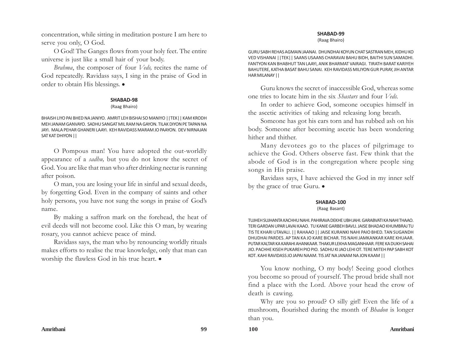concentration, while sitting in meditation posture I am here to serve you only, O God.

O God! The Ganges flows from your holy feet. The entire universe is just like a small hair of your body.

*Brahma*, the composer of four *Veds,* recites the name of God repeatedly. Ravidass says, I sing in the praise of God in order to obtain His blessings.  $\bullet$ 

## **SHABAD-98**

## (Raag Bhairo)

BHAISH LIYO PAI BHED NA JANIYO. AMRIT LEH BISHAI SO MANIYO ||TEK|| KAM KRODH MEH JANAM GANVAYO. SADHU SANGAT MIL RAM NA GAYON. TILAK DIYON PE TAPAN NA JAYI. MALA PEHAR GHANERI LAAYI. KEH RAVIDASS MARAM JO PAAYON. DEV NIRNAJAN SAT KAT DHIYON ||

O Pompous man! You have adopted the out-worldly appearance of a *sadhu,* but you do not know the secret of God. You are like that man who after drinking nectar is running after poison.

O man, you are losing your life in sinful and sexual deeds, by forgetting God. Even in the company of saints and other holy persons, you have not sung the songs in praise of God's name.

By making a saffron mark on the forehead, the heat of evil deeds will not become cool. Like this O man, by wearing rosary, you cannot achieve peace of mind.

Ravidass says, the man who by renouncing worldly rituals makes efforts to realise the true knowledge, only that man can worship the flawless God in his true heart.  $\bullet$ 

## **SHABAD-99**

(Raag Bhairo)

GURU SABH REHAS AGMAIN JAANAI. DHUNDHAI KOYUN CHAT SASTRAN MEH, KIDHU KO VED VISHANAI ||TEK|| SAANS USAANS CHARAVAI BAHU BIDH, BAITHI SUN SAMADHI. FANTYON KAN BHABHUT TAN LAAYI, ANIK BHARMAT VAIRAGI. TIRATH BARAT KARIYEH BAHUTERE, KATHA BASAT BAHU SANAI. KEH RAVIDASS MILIYON GUR PURAY, JIH ANTAR HAR MILANAY ||

Guru knows the secret of inaccessible God, whereas some one tries to locate him in the six *Shastars* and four *Veds.*

In order to achieve God, someone occupies himself in the ascetic activities of taking and releasing long breath.

Someone has got his ears torn and has rubbed ash on his body. Someone after becoming ascetic has been wondering hither and thither.

Many devotees go to the places of pilgrimage to achieve the God. Others observe fast. Few think that the abode of God is in the congregation where people sing songs in His praise.

Ravidass says, I have achieved the God in my inner self by the grace of true Guru.  $\bullet$ 

## **SHABAD-100**

## (Raag Basant)

TUJHEH SUJHANTA KACHHU NAHI. PAHIRAVA DEKHE UBH JAHI. GARABVATI KA NAHI THAAO. TERI GARDAN UPAR LAVAI KAAO. TU KANIE GARBEH BAVLI. JAISE BHADAO KHUMBRAJ TU TIS TE KHARI UTAVALI. || RAHAAO || JAISE KURANKI NAHI PAIO BHED. TAN SUGANDH DHUDHAI PARDES. AP TAN KA JO KARE BICHAR. TIS NAHI JAMKANKAR KARE KHUAAR. PUTAR KALTAR KA KARAHI AHANKAAR. THAKUR LEKHA MAGANHAAR. FERE KA DUKH SAHAI JIO. PACHHE KISEH PUKAREH PIO PIO. SADHU KI JAO LEHI OT. TERE MITEH PAP SABH KOT KOT. KAHI RAVIDASS JO JAPAI NAAM. TIS JAT NA JANAM NA JON KAAM ||

You know nothing, O my body! Seeing good clothes you become so proud of yourself. The proud bride shall not find a place with the Lord. Above your head the crow of death is cawing.

Why are you so proud? O silly girl! Even the life of a mushroom, flourished during the month of *Bhadon* is longer than you.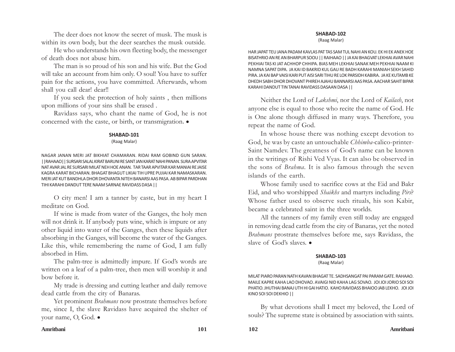The deer does not know the secret of musk. The musk is within its own body, but the deer searches the musk outside.

He who understands his own fleeting body, the messenger of death does not abuse him.

The man is so proud of his son and his wife. But the God will take an account from him only. O soul! You have to suffer pain for the actions, you have committed. Afterwards, whom shall you call dear! dear!!

If you seek the protection of holy saints , then millions upon millions of your sins shall be erased .

Ravidass says, who chant the name of God, he is not concerned with the caste, or birth, or transmigration.  $\bullet$ 

## **SHABAD-101**

(Raag Malar)

NAGAR JANAN MERI JAT BIKHIAT CHAMARAN. RIDAI RAM GOBIND GUN SARAN. ||RAHAAO|| SURSARI SALAL KIRAT BARUNI RE SANT JAN KARAT NAHI PANAN. SURA APVITAR NAT AVAR JAL RE SURSARI MILAT NEH HOE ANAN. TAR TAAR APVITAR KAR MANIAI RE JAISE KAGRA KARAT BICHARAN. BHAGAT BHAGUT LIKIAI TIH UPRE PUJIAI KAR NAMASKARAN. MERI JAT KUT BANDHLA DHOR DHOVANTA NITEH BANARSI AAS PASA. AB BIPAR PARDHAN TIHI KARAHI DANDUT TERE NAAM SARNAE RAVIDASS DASA ||

O city men! I am a tanner by caste, but in my heart I meditate on God.

If wine is made from water of the Ganges, the holy men will not drink it. If anybody puts wine, which is impure or any other liquid into water of the Ganges, then these liquids after absorbing in the Ganges, will become the water of the Ganges. Like this, while remembering the name of God, I am fully absorbed in Him.

The palm-tree is admittedly impure. If God's words are written on a leaf of a palm-tree, then men will worship it and bow before it.

My trade is dressing and cutting leather and daily remove dead cattle from the city of Banaras.

Yet prominent *Brahmans* now prostrate themselves before me, since I, the slave Ravidass have acquired the shelter of your name, O, God.  $\bullet$ 

## **SHABAD-102**

(Raag Malar)

HAR JAPAT TEU JANA PADAM KAVLAS PAT TAS SAM TUL NAHI AN KOU. EK HI EK ANEK HOE BISATHRIO AN RE AN BHARPUR SOOU || RAIHAAO || JA KAI BHAGVAT LEKHIAI AVAR NAHI PEKHIAI TAS KI JAT ACHHOP CHHIPA. BIAS MEH LEKHIAI SANAK MEH PEKHIAI NAAM KI NAMNA SAPAT DIPA. JA KAI ID BAKRID KUL GAU RE BADH KARAHI MANIAH SEKH SAHID PIRA. JA KAI BAP VAISI KARI PUT AISI SARI TIHU RE LOK PARSIDH KABIRA. JA KE KUTAMB KE DHEDH SABH DHOR DHOVANT PHIREH AJAHU BANNARSI AAS PASA. AACHAR SAHIT BIPAR KARAHI DANDUT TIN TANAI RAVIDASS DASAAN DASA ||

Neither the Lord of *Lakshmi*, nor the Lord of *Kailash*, not anyone else is equal to those who recite the name of God. He is One alone though diffused in many ways. Therefore, you repeat the name of God.

In whose house there was nothing except devotion to God, he was by caste an untouchable *Chhimba-*calico-printer-Saint Namdev. The greatness of God's name can be known in the writings of Rishi Ved Vyas. It can also be observed in the sons of *Brahma*. It is also famous through the seven islands of the earth.

Whose family used to sacrifice cows at the Eid and Bakr Eid, and who worshipped *Shaikhs* and martyrs including *Pirs*? Whose father used to observe such rituals, his son Kabir, became a celebrated saint in the three worlds.

All the tanners of my family even still today are engaged in removing dead cattle from the city of Banaras, yet the noted *Brahmans* prostrate themselves before me, says Ravidass, the slave of God's slaves.  $\bullet$ 

## **SHABAD-103**

## (Raag Malar)

MILAT PIARO PARAN NATH KAVAN BHAGAT TE. SADHSANGAT PAI PARAM GATE. RAHAAO. MAILE KAPRE KAHA LAO DHOVAO. AVAIGI NID KAHA LAG SOVAO. JOI JOI JORIO SOI SOI PHATIO. JHUTHAI BANAJ UTH HI GAI HATIO. KAHO RAVIDASS BHAIOO JAB LEKHO. JOI JOI KINO SOI SOI DEKHIO ||

By what devotions shall I meet my beloved, the Lord of souls? The supreme state is obtained by association with saints.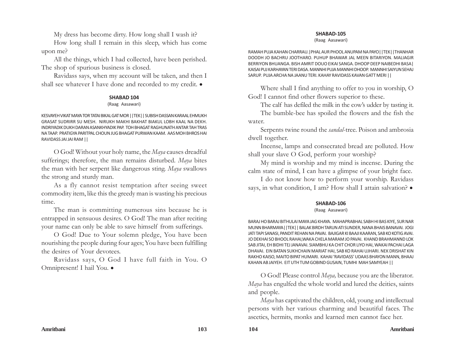My dress has become dirty. How long shall I wash it?

How long shall I remain in this sleep, which has come upon me?

All the things, which I had collected, have been perished. The shop of spurious business is closed.

Ravidass says, when my account will be taken, and then I shall see whatever I have done and recorded to my credit.  $\bullet$ 

## **SHABAD 104**

## (Raag Aasawari)

KESVAYEH VIKAT MAYA TOR TATAI BIKAL GAT MOR ||TEK|| SUBISH DASSAN KARAAL EHMUKH GRASAT SUDRIRR SU MESH. NIRUKH MAKHI BAKHAT BIAKUL LOBH KAAL NA DEKH. INDRIYADIK DUKH DARAN ASANKHYADIK PAP. TOH BHAGAT RAGHUNATH ANTAR TAH TRAS NA TAAP. PRATIGYA PARITPAL CHOUN JUG BHAGAT PURWAN KAAM. AAS MOH BHROS HAI RAVIDASS JAI JAI RAM ||

O God! Without your holy name, the *Maya* causes dreadful sufferings; therefore, the man remains disturbed. *Maya* bites the man with her serpent like dangerous sting. *Maya* swallows the strong and sturdy man.

As a fly cannot resist temptation after seeing sweet commodity item, like this the greedy man is wasting his precious time.

The man is committing numerous sins because he is entrapped in sensuous desires. O God! The man after reciting your name can only be able to save himself from sufferings.

O God! Due to Your solemn pledge, You have been nourishing the people during four ages; You have been fulfilling the desires of Your devotees.

Ravidass says, O God I have full faith in You. O Omnipresent! I hail You. .

## **SHABAD-105**

(Raag Aasawari)

RAMAH PUJA KAHAN CHARRAU.|PHAL AUR PHOOL ANUPAM NA PAYO||TEK||THANHAR DOODH JO BACHRU JOOTHARO. PUHUP BHAWAR JAL MEEN BITARIYON. MALIAGIR BERRIYON BHUANGA. BISH AMRIT DOUO EIKAI SANGA. DHOOP DEEP NAIBEDHI BASA| KAISAI PUJ KARHAYAN TERI DASA. MANNHI PUJA MANNHI DHOOP. MANNHI SAIYUN SEHAJ SARUP. PUJA ARCHA NA JAANU TERI. KAHAY RAVIDASS KAVAN GATT MERI ||

Where shall I find anything to offer to you in worship, O God! I cannot find other flowers superior to these.

The calf has defiled the milk in the cow's udder by tasting it. The bumble-bee has spoiled the flowers and the fish the

water. Serpents twine round the *sandal*-tree. Poison and ambrosia dwell together.

Incense, lamps and consecrated bread are polluted. How shall your slave O God, perform your worship?

My mind is worship and my mind is incense. During the calm state of mind, I can have a glimpse of your bright face.

I do not know how to perform your worship. Ravidass says, in what condition, I am? How shall I attain salvation?  $\bullet$ 

## **SHABAD-106**

## (Raag Aasawari)

BARAJ HO BARAJ BITHULAI MAYA JAG KHAYA. MAHAPRABHAL SABH HI BAS KIYE, SUR NAR MUNN BHARMAYA||TEK|| BALAK BIRDH TARUN ATI SUNDER, NANA BHAIS BANAVAI. JOGI JATI TAPI SANASI, PANDIT REHAN NA PAVAI. BAJIGAR KI BAAJI KAARAN, SAB KO KOTIG AVAI. JO DEKHAI SO BHOOL RAHAI,WAKA CHELA MARAM JO PAVAI. KHAND BRAHMANND LOK SAB JITAI, EH BIDHI TEJ JANAVAI. SIAMBHU KA CHIT CHOR LIYO HAI, WAKAI PACHAI LAGA DHAVAI. EIN BATAN SUKHCHAIN MARIAT HAI, SAB KO RAHAI UJHARI. NEK DRISHAT KIN RAKHO KAISO, MAITO BIPAT HUMARI. KAHAI 'RAVIDASS' UDAAS BHAYON MANN, BHAAJ KAHAN AB JAIYEH. EIT UTH TUM GOBIND GUSAIN, TUMHI MAH SAMYEAH ||

O God! Please control *Maya,* because you are the liberator. *Maya* has engulfed the whole world and lured the deities, saints and people.

*Maya* has captivated the children, old, young and intellectual persons with her various charming and beautiful faces. The ascetics, hermits, monks and learned men cannot face her.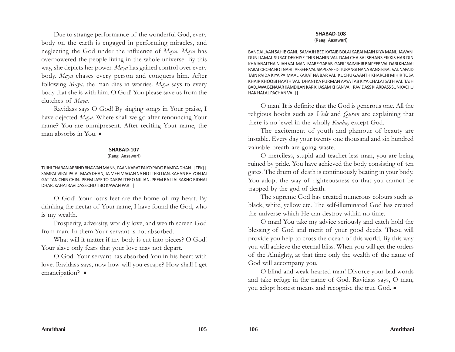Due to strange performance of the wonderful God, every body on the earth is engaged in performing miracles, and neglecting the God under the influence of *Maya. Maya* has overpowered the people living in the whole universe. By this way, she depicts her power. *Maya* has gained control over every body. *Maya* chases every person and conquers him. After following *Maya,* the man dies in worries. *Maya* says to every body that she is with him. O God! You please save us from the clutches of *Maya.*

Ravidass says O God! By singing songs in Your praise, I have dejected *Maya.* Where shall we go after renouncing Your name? You are omnipresent. After reciting Your name, the man absorbs in You.  $\bullet$ 

#### **SHABAD-107**

#### (Raag Aasawari)

TUJHI CHARAN ARBIND BHAWAN MANN, PAAN KARAT PAIYO PAIYO RAMIYA DHAN|| TEK|| SAMPAT VIPAT PATAL MAYA DHAN, TA MEH MAGAN NA HOT TERO JAN. KAHAN BHIYON JAI GAT TAN CHIN CHIN. PREM JAYE TO DARPAI TERO NIJ JAN. PREM RAJ LAI RAKHO RIDHAI DHAR, KAHAI RAVIDASS CHUTIBO KAWAN PAR ||

O God! Your lotus-feet are the home of my heart. By drinking the nectar of Your name, I have found the God, who is my wealth.

Prosperity, adversity, worldly love, and wealth screen God from man. In them Your servant is not absorbed.

What will it matter if my body is cut into pieces? O God! Your slave only fears that your love may not depart.

O God! Your servant has absorbed You in his heart with love. Ravidass says, now how will you escape? How shall I get emancipation? •

#### **SHABAD-108**

(Raag Aasawari)

BANDAI JAAN SAHIB GANI. SAMAJH BED KATAIB BOLAI KABAI MAIN KIYA MANI. JAWANI DUNI JAMAL SURAT DEKHIYE THIR NAHIN VAI. DAM CHA SAI SEHANS EIKKIS HAR DIN KHAJANAI THAIN JAH VAI. MANI MARE GARAB 'GAFIL' BAIMIHIR BAIPEER VAI. DARI KHANAI PARAT CHOBA HOT NAHI TAKSEER VAI. SIAPI SAPEDI TURANGI NANA RANG BISAL VAI. NAPAID TAIN PAIDA KIYA PAIMAAL KARAT NA BAR VAI. KUCHU GAANTH KHARCHI MIHIR TOSA KHAIR KHOOBI HAATH VAI. DHANI KA FURMAN AAYA TAB KIYA CHALAI SATH VAI. TAJH BADJAWA BENAJAR KAMDILAN KAR KHASAM KI KAN VAI. RAVIDASS KI ARDASS SUN KACHU HAK HALAL PACHAN VAI ||

O man! It is definite that the God is generous one. All the religious books such as *Veds* and *Quran* are explaining that there is no jewel in the wholly *Kaaba,* except God.

The excitement of youth and glamour of beauty are instable. Every day your twenty one thousand and six hundred valuable breath are going waste.

O merciless, stupid and teacher-less man, you are being ruined by pride. You have achieved the body consisting of ten gates. The drum of death is continuously beating in your body. You adopt the way of righteousness so that you cannot be trapped by the god of death.

The supreme God has created numerous colours such as black, white, yellow etc. The self-illuminated God has created the universe which He can destroy within no time.

O man! You take my advice seriously and catch hold the blessing of God and merit of your good deeds. These will provide you help to cross the ocean of this world. By this way you will achieve the eternal bliss. When you will get the orders of the Almighty, at that time only the wealth of the name of God will accompany you.

O blind and weak-hearted man! Divorce your bad words and take refuge in the name of God. Ravidass says, O man, you adopt honest means and recognise the true God.  $\bullet$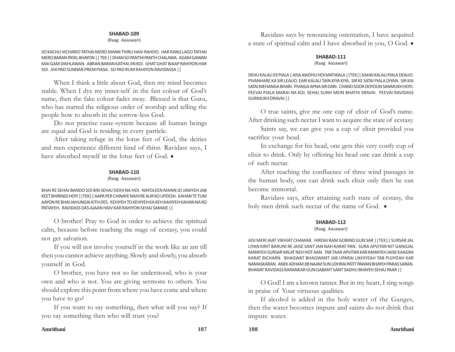(Raag Aasawari)

SO KACHU VICHARIO TATHAI MERO MANN THIRU HAIV RAHIYO. HAR RANG LAGO TATHAI MERO BARAN PATAL BHAYON || TEK || DHAN SO PANTHI PANTH CHALAWA. AGAM GAWAN MAI GAM DIKHLAWAN. ABRAN BARAN KATHAI JIN KOI. GHAT GHAT BIAAP RAHIYON HAR SOI. JIHI PAD SUNNAR PREM PIASA. SO PAD RUM RAHIYON RAVIDASSA ||

When I think a little about God, then my mind becomes stable. When I dye my inner-self in the fast colour of God's name, then the fake colour fades away. Blessed is that Guru, who has started the religious order of worship and telling the people how to absorb in the sorrow-less God.

Do not practise caste-system because all human beings are equal and God is residing in every particle.

After taking refuge in the lotus feet of God, the deities and men experience different kind of thirst. Ravidass says, I have absorbed myself in the lotus feet of God.  $\bullet$ 

## **SHABAD-110**

(Raag Aasawari)

BHAI RE SEHAJ BANDO SOI BIN SEHAJ SIDHI NA HOI. NAYOLEEN MANN JO JANIYEH JAB KEET BHIRINGI HOYI ||TEK|| AAPA PER CHINAYE NAHI RE AUR KO UPDESH. KAHAN TE TUM AAYON RE BHAI JAHUNGAI KITH DES. KEHIYEH TO KEHIYEH KA KEH KAHIYEH KAHAN NA KO PATIAYEH. RAVIDASS DAS AJAAN HAIV KAR RAHIYON SEHAJ SAMAIE ||

O brother! Pray to God in order to achieve the spiritual calm, because before reaching the stage of ecstasy, you could not get salvation.

If you will not involve yourself in the work like an ant till then you cannot achieve anything. Slowly and slowly, you absorb yourself in God.

O brother, you have not so far understood, who is your own and who is not. You are giving sermons to others. You should explore this point from where you have come and where you have to go?

If you want to say something, then what will you say? If you say something then who will trust you?

Ravidass says by renouncing ostentation, I have acquired a state of spiritual calm and I have absorbed in you, O God.  $\bullet$ 

## **SHABAD-111**

(Raag Aasawari)

DEHU KALALI EK PIALA | AISA AWDHU HOI MATWALA ||TEK|| KAHAI KALALI PIALA DEAUO. PIVANHARE KA SIR LEAUO. EARI KALALI TAIN KIYA KIYA. SIR KE SATAI PIALA DIYAN. SIR KAI SATAI MEHANGA BHARI. PIVAIGA APNA SIR DARI. CHAND SOOR DOYOUN SANMUKH HOYI. PEEVAI PIALA MARAI NA KOI. SEHAJ SUNH MEIN BHATHI SRAVAI. PEEVAI RAVIDASS GURMUKH DRAVAI ||

O true saints, give me one cup of elixir of God's name. After drinking such nectar I want to acquire the state of ecstasy.

Saints say, we can give you a cup of elixir provided you sacrifice your head.

In exchange for his head, one gets this very costly cup of elixir to drink. Only by offering his head one can drink a cup of such nectar.

After reaching the confluence of three wind passages in the human body, one can drink such elixir only then he can become immortal.

Ravidass says, after attaining such state of ecstasy, the holy men drink such nectar of the name of God.  $\bullet$ 

## **SHABAD-112**

(Raag Aasawari)

AISI MERI JAAT VIKHIAT CHAMAR. HIRDAI RAM GOBIND GUN SAR ||TEK|| SURSAR JAL LIYAN KIRIT BARUNI RE JAISE SANT JAN NAH KARAT PAN. SURA APVITAR NIT GANGJAL MANIYEH SURSAR MILAT NEH HOT AAN. TAR TAAR APVITAR KAR MANIYEH JAISE KAAGRA KARAT BICHARN. BHAGWAT BHAGWANT JAB UPARAI LIKHIYEAH TAB PUJIYEAH KAR NAMASKARAN. ANEK ADHAM JIB NAAM SUN UDHRAI PATIT PAWAN BHAYEH PARAS SARAN. BHANAT RAVIDASS RARANKAR GUN GABANT SANT SADHU BHAYEH SEHAJ PAAR ||

O God! I am a known tanner. But in my heart, I sing songs in praise of Your virtuous qualities.

If alcohol is added in the holy water of the Ganges, then the water becomes impure and saints do not drink that impure water.

## **Amritbani 107 108 Amritbani**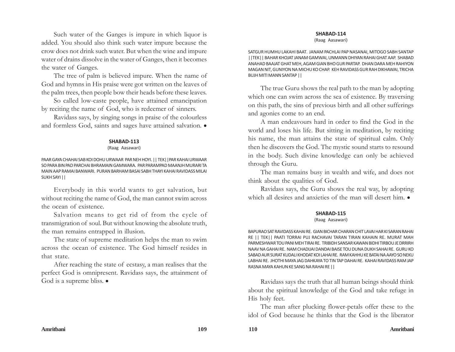Such water of the Ganges is impure in which liquor is added. You should also think such water impure because the crow does not drink such water. But when the wine and impure water of drains dissolve in the water of Ganges, then it becomes the water of Ganges.

The tree of palm is believed impure. When the name of God and hymns in His praise were got written on the leaves of the palm trees, then people bow their heads before these leaves.

So called low-caste people, have attained emancipation by reciting the name of God, who is redeemer of sinners.

Ravidass says, by singing songs in praise of the colourless and formless God, saints and sages have attained salvation.  $\bullet$ 

#### **SHABAD-113**

#### (Raag Aasawari)

PAAR GAYA CHAHAI SAB KOI DOHU URWAAR PAR NEH HOYI. || TEK||PAR KAHAI URWAAR SO PARA BIN PAD PARCHAI BHRAMAIN GAMWARA. PAR PARAMPAD MAANJH MURARI TA MAIN AAP RAMAI BANWARI. PURAN BARHAM BASAI SABH THAYI KAHAI RAVIDASS MILAI SUKH SAYI ||

Everybody in this world wants to get salvation, but without reciting the name of God, the man cannot swim across the ocean of existence.

Salvation means to get rid of from the cycle of transmigration of soul. But without knowing the absolute truth, the man remains entrapped in illusion.

The state of supreme meditation helps the man to swim across the ocean of existence. The God himself resides in that state.

After reaching the state of ecstasy, a man realises that the perfect God is omnipresent. Ravidass says, the attainment of God is a supreme bliss.  $\bullet$ 

(Raag Aasawari)

SATGUR HUMHU LAKAHI BAAT. JANAM PACHLAI PAP NASANAI, MITOGO SABH SANTAP ||TEK|| BAHAR KHOJAT JANAM GAMWAI, UNMANN DHIYAN RAHAI GHAT AAP. SHABAD ANAHAD BAAJAT GHAT MEH, AGAM GIAN BHO GUR PARTAP. DHAN DARA MEH RAHIYON MAGAN NIT, GUNIYON NA MICHU KO CHAP. KEH RAVIDASS GUR RAH DIKHAWAI, TRICHA BUJH MITI MANN SANTAP ||

The true Guru shows the real path to the man by adopting which one can swim across the sea of existence. By traversing on this path, the sins of previous birth and all other sufferings and agonies come to an end.

A man endeavours hard in order to find the God in the world and loses his life. But sitting in meditation, by reciting his name, the man attains the state of spiritual calm. Only then he discovers the God. The mystic sound starts to resound in the body. Such divine knowledge can only be achieved through the Guru.

The man remains busy in wealth and wife, and does not think about the qualities of God.

Ravidass says, the Guru shows the real way, by adopting which all desires and anxieties of the man will desert him.  $\bullet$ 

#### **SHABAD-115**

#### (Raag Aasawari)

BAPURAO SAT RAVIDASS KAHAI RE. GIAN BICHAR CHARAN CHIT LAVAI HAR KI SARAN RAHAI RE || TEK|| PAATI TORRAI PUJ RACHAVAI TARAN TIRAN KAHAIN RE. MURAT MAH PARMESHWAR TOU PANI MEH TIRAI RE. TRIBIDH SANSAR KAWAN BIDHI TIRBOU JE DRRIRH NAAV NA GAHAI RE. NAM CHADIJAI DANDAI BAISE TOU DUNA DUKH SAHAI RE. GURU KO SABAD AUR SURAT KUDALI KHODAT KOI LAHAI RE. RAM KAHHU KE BATAI NA AAYO SO NEKU LABHAI RE. JHOTHI MAYA JAG DAHKAYA TO TIN TAP DAHAI RE. KAHAI RAVIDASS RAM JAP RASNA MAYA KAHUN KE SANG NA RAHAI RE ||

Ravidass says the truth that all human beings should think about the spiritual knowledge of the God and take refuge in His holy feet.

The man after plucking flower-petals offer these to the idol of God because he thinks that the God is the liberator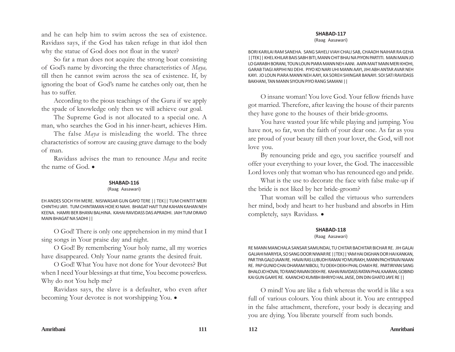and he can help him to swim across the sea of existence. Ravidass says, if the God has taken refuge in that idol then why the statue of God does not float in the water?

So far a man does not acquire the strong boat consisting of God's name by divorcing the three characteristics of *Maya,* till then he cannot swim across the sea of existence. If, by ignoring the boat of God's name he catches only oar, then he has to suffer.

According to the pious teachings of the Guru if we apply the spade of knowledge only then we will achieve our goal.

The Supreme God is not allocated to a special one. A man, who searches the God in his inner-heart, achieves Him.

The false *Maya* is misleading the world. The three characteristics of sorrow are causing grave damage to the body of man.

Ravidass advises the man to renounce *Maya* and recite the name of God.  $\bullet$ 

## **SHABAD-116**

#### (Raag Aasawari)

EH ANDES SOCH YIH MERE. NISIWASAR GUN GAYO TERE || TEK|| TUM CHINTIT MERI CHINTHU JAYI. TUM CHINTAMAN HOIE KI NAHI. BHAGAT HAIT TUM KAHAN KAHAN NEH KEENA. HAMRI BER BHAYAI BALHINA. KAHAI RAVIDASS DAS APRADHI. JAIH TUM DRAVO MAIN BHAGAT NA SADHI ||

O God! There is only one apprehension in my mind that I sing songs in Your praise day and night.

O God! By remembering Your holy name, all my worries have disappeared. Only Your name grants the desired fruit.

O God! What You have not done for Your devotees? But when I need Your blessings at that time, You become powerless. Why do not You help me?

Ravidass says, the slave is a defaulter, who even after becoming Your devotee is not worshipping You.  $\bullet$ 

#### **SHABAD-117**

(Raag Aasawari)

BORI KARILAI RAM SANEHA. SANG SAHELI VIAH CHALI SAB, CHAADH NAIHAR RA GEHA ||TEK|| KHEL KHILAR BAIS SABH BITI, MANN CHIT BHAJ NA PIYON PARTITI. MAIN MAIN JO LO GARABH BORANI, TOUN LOUN PIARA MANN NEH AANI. AAPA MAIT MAIN MERI KHOHI, GARAB TIAGI ARPIHI NIJ DEHI. PIYO KO NARI UHI MANN AAYI, JIHI ABH ANTAR AVAR NEH KAYI. JO LOUN PIARA MANN NEH AAYI, KA SOREH SHINGAR BANAYI. SOI SATI RAVIDASS BAKHANI, TAN MANN SIYOUN PIYO RANG SAMANI ||

O insane woman! You love God. Your fellow friends have got married. Therefore, after leaving the house of their parents they have gone to the houses of their bride-grooms.

You have wasted your life while playing and jumping. You have not, so far, won the faith of your dear one. As far as you are proud of your beauty till then your lover, the God, will not love you.

By renouncing pride and ego, you sacrifice yourself and offer your everything to your lover, the God. The inaccessible Lord loves only that woman who has renounced ego and pride.

What is the use to decorate the face with false make-up if the bride is not liked by her bride-groom?

That woman will be called the virtuous who surrenders her mind, body and heart to her husband and absorbs in Him completely, says Ravidass. •

#### **SHABAD-118**

#### (Raag Aasawari)

RE MANN MANCHALA SANSAR SAMUNDAI, TU CHITAR BACHITAR BICHAR RE. JIH GALAI GALIAHI MARIYEA, SO SANG DOOR NIWAR RE ||TEK|| YAM HAI DIGHAN DOR HAI KANKAN, PAR TIYA GALO JAAN RE. HAVAI RAS LUBUDH RAMAI YO MURAKH, MANN PACHITAVAI NIAAN RE. PAP GUNIO CHAI DHARAM NIBOLI, TU DEKH DEKH PHAL CHAKH RE. PARTIRIYAN SANG BHALO JO HOVAI, TO RANO RAVAN DEKH RE. KAHAI RAVIDASS RATAN PHAL KAARAN, GOBIND KAI GUN GAAYE RE. KAANCHO KUMBH BHRIYO HAL JAISE, DIN DIN GHATO JAYE RE ||

O mind! You are like a fish whereas the world is like a sea full of various colours. You think about it. You are entrapped in the false attachment, therefore, your body is decaying and you are dying. You liberate yourself from such bonds.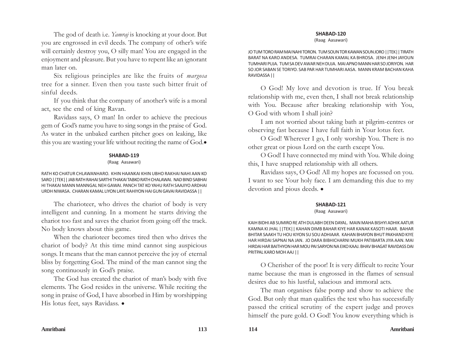The god of death i.e. *Yamraj* is knocking at your door. But you are engrossed in evil deeds. The company of other's wife will certainly destroy you, O silly man! You are engaged in the enjoyment and pleasure. But you have to repent like an ignorant man later on.

Six religious principles are like the fruits of *margosa* tree for a sinner. Even then you taste such bitter fruit of sinful deeds.

If you think that the company of another's wife is a moral act, see the end of king Ravan.

Ravidass says, O man! In order to achieve the precious gem of God's name you have to sing songs in the praise of God. As water in the unbaked earthen pitcher goes on leaking, like this you are wasting your life without reciting the name of God.

## **SHABAD-119**

#### (Raag Aasawari)

RATH KO CHATUR CHLAWANHARO. KHIN HAANKAI KHIN UBHO RAKHAI NAHI AAN KO SARO ||TEK|| JAB RATH RAHAI SARTHI THAKAI TABKO RATH CHALAWAI. NAD BIND SABHAI HI THAKAI MANN MANNGAL NEH GAWAI. PANCH TAT KO YAHU RATH SAAJIYO ARDHAI URDH NIWASA. CHARAN KAMAL LIYON LAYE RAHIYON HAI GUN GAVAI RAVIDASSA ||

The charioteer, who drives the chariot of body is very intelligent and cunning. In a moment he starts driving the chariot too fast and saves the chariot from going off the track. No body knows about this game.

When the charioteer becomes tired then who drives the chariot of body? At this time mind cannot sing auspicious songs. It means that the man cannot perceive the joy of eternal bliss by forgetting God. The mind of the man cannot sing the song continuously in God's praise.

The God has created the chariot of man's body with five elements. The God resides in the universe. While reciting the song in praise of God, I have absorbed in Him by worshipping His lotus feet, says Ravidass.  $\bullet$ 

#### **SHABAD-120**

(Raag Aasawari)

JO TUM TORO RAM MAI NAHI TORON. TUM SOUN TOR KAWAN SOUN JORO ||TEK|| TIRATH BARAT NA KARO ANDESA. TUMRAI CHARAN KAMAL KA BHROSA. JENH JENH JAYOUN TUMHARI PUJA. TUM SA DEV AWAR NEH DUJA. MAI APNO MANN HAR SO JORIYON. HAR SO JOR SABAN SE TORIYO. SAB PAR HAR TUMHARI AASA. MANN KRAM BACHAN KAHA RAVIDASSA ||

O God! My love and devotion is true. If You break relationship with me, even then, I shall not break relationship with You. Because after breaking relationship with You, O God with whom I shall join?

I am not worried about taking bath at pilgrim-centres or observing fast because I have full faith in Your lotus feet.

O God! Wherever I go, I only worship You. There is no other great or pious Lord on the earth except You.

O God! I have connected my mind with You. While doing this, I have snapped relationship with all others.

Ravidass says, O God! All my hopes are focussed on you. I want to see Your holy face. I am demanding this due to my devotion and pious deeds.  $\bullet$ 

## **SHABAD-121**

## (Raag Aasawari)

KAIH BIDHI AB SUMIRO RE ATH DULABH DEEN DAYAL. MAIN MAHA BISHYI ADHIK AATUR KAMNA KI JHAL ||TEK|| KAHAN DIMB BAHAR KIYE HAR KANAK KASOTI HAAR. BAHAR BHITAR SAAKH TU HOU KIYON SU SOU ADHIAAR. KAHAN BHAYON BHUT PAKHAND KIYE HAR HIRDAI SAPNAI NA JAN. JO DARA BIBHICHARNI MUKH PATIBARTA JIYA AAN. MAI HIRDAI HAR BAITHYON HAR MOU PAI SARYON NA EIKO KAAJ. BHAV BHAGAT RAVIDASS DAI PRITPAL KARO MOH AAJ ||

O Cherisher of the poor! It is very difficult to recite Your name because the man is engrossed in the flames of sensual desires due to his lustful, salacious and immoral acts.

The man organises false pomp and show to achieve the God. But only that man qualifies the test who has successfully passed the critical scrutiny of the expert judge and proves himself the pure gold. O God! You know everything which is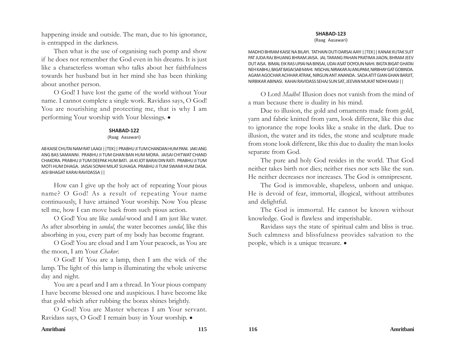happening inside and outside. The man, due to his ignorance, is entrapped in the darkness.

Then what is the use of organising such pomp and show if he does not remember the God even in his dreams. It is just like a characterless woman who talks about her faithfulness towards her husband but in her mind she has been thinking about another person.

O God! I have lost the game of the world without Your name. I cannot complete a single work. Ravidass says, O God! You are nourishing and protecting me, that is why I am performing Your worship with Your blessings.  $\bullet$ 

## **SHABAD-122**

#### (Raag Aasawari)

AB KAISE CHUTAI NAM RAT LAAGI ||TEK|| PRABHU JI TUM CHANDAN HUM PANI. JAKI ANG ANG BAS SAMANNI. PRABHU JI TUM GHAN BAN HUM MORA. JAISAI CHITWAT CHAND CHAKORA. PRABHU JI TUM DEEPAK HUM BATI. JA KI JOT BARAI DIN RATI. PRABHU JI TUM MOTI HUM DHAGA. JAISAI SONHI MILAT SUHAGA. PRABHU JI TUM SWAMI HUM DASA. AISI BHAGAT KARAI RAVIDASSA ||

How can I give up the holy act of repeating Your pious name? O God! As a result of repeating Your name continuously, I have attained Your worship. Now You please tell me, how I can move back from such pious action.

O God! You are like *sandal*-wood and I am just like water. As after absorbing in *sandal*, the water becomes *sandal*, like this absorbing in you, every part of my body has become fragrant.

O God! You are cloud and I am Your peacock, as You are the moon, I am Your *Chakor*.

O God! If You are a lamp, then I am the wick of the lamp. The light of this lamp is illuminating the whole universe day and night.

You are a pearl and I am a thread. In Your pious company I have become blessed one and auspicious. I have become like that gold which after rubbing the borax shines brightly.

O God! You are Master whereas I am Your servant. Ravidass says, O God! I remain busy in Your worship.  $\bullet$ 

## **SHABAD-123**

(Raag Aasawari)

MADHO BHRAM KAISE NA BILAYI. TATHAIN DUTI DARSAI AAYI ||TEK|| KANAK KUTAK SUIT PAT JUDA RAJ BHUANG BHRAM JAISA. JAL TARANG PAHAN PRATIMA JIAON, BHRAM JEEV DUT AISA. BIMAL EIK RAS UPJAI NA BINSAI, UDAI ASAT DOYOUN NAHI. BIGTA BIGAT GHATAI NEH KABHU, BASAT BASAI SAB MAHI. NISCHAL NIRAKAR AJ ANUPAM, NIRBHAY GAT GOBINDA. AGAM AGOCHAR ACHHAR ATRAK, NIRGUN ANT ANANDA. SADA ATIT GIAN GHAN BARJIT, NIRBIKAR ABINASI. KAHAI RAVIDASS SEHAJ SUN SAT, JEEVAN MUKAT NIDHI KAASI ||

O Lord *Madho*! Illusion does not vanish from the mind of a man because there is duality in his mind.

Due to illusion, the gold and ornaments made from gold, yarn and fabric knitted from yarn, look different, like this due to ignorance the rope looks like a snake in the dark. Due to illusion, the water and its tides, the stone and sculpture made from stone look different, like this due to duality the man looks separate from God.

The pure and holy God resides in the world. That God neither takes birth nor dies; neither rises nor sets like the sun. He neither decreases nor increases. The God is omnipresent.

The God is immovable, shapeless, unborn and unique. He is devoid of fear, immortal, illogical, without attributes and delightful.

The God is immortal. He cannot be known without knowledge. God is flawless and imperishable.

Ravidass says the state of spiritual calm and bliss is true. Such calmness and blissfulness provides salvation to the people, which is a unique treasure.  $\bullet$ 

## **Amritbani 115 116 Amritbani**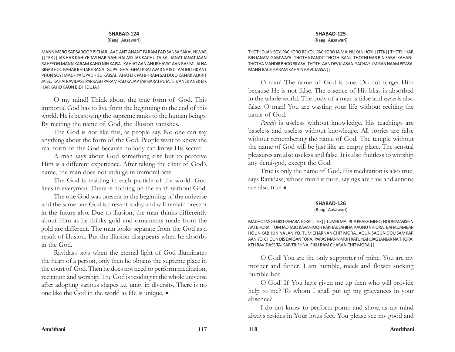#### (Raag Aasawari)

MANN MERO SAT SAROOP BICHAR. AAD ANT ANANT PARAM PAD SANSA SAKAL NIWAR ||TEK|| JAS HAR KAHIYE TAS HAR NAHI HAI ASS JAS KACHU TAISA. JANAT JANAT JAAN RAHEYON MANN KARAM KAHO NIH KAISA. KAHIAT AAN ANUBHAVAT AAN RAS MILAI NA BIGAR HOI. BAHAR BHITAR PRAGAT GUPAT GHAT-GHAT PRAT AVAR NA KOI. AADHU EIK ANT PHUN SOYI MADHYA UPADH SU KAISAI. AHAI EIK PAI BHRAM SAI DUJO KANAK ALKRIT JAISE. KAHAI RAVIDASS PARKASH PARAM PAD KA JAP TAP BARAT PUJA. EIK ANEK ANEK EIK HAR KAHO KAUN BIDHI DUJA ||

O my mind! Think about the true form of God. This immortal God has to live from the beginning to the end of this world. He is bestowing the supreme ranks to the human beings. By reciting the name of God, the illusion vanishes.

The God is not like this, as people say. No one can say anything about the form of the God. People want to know the real form of the God because nobody can know His secret.

A man says about God something else but to perceive Him is a different experience. After taking the elixir of God's name, the man does not indulge in immoral acts.

The God is residing in each particle of the world. God lives in everyman. There is nothing on the earth without God.

The one God was present in the beginning of the universe and the same one God is present today and will remain present in the future also. Due to illusion, the man thinks differently about Him as he thinks gold and ornaments made from the gold are different. The man looks separate from the God as a result of illusion. But the illusion disappears when he absorbs in the God.

Ravidass says when the eternal light of God illuminates the heart of a person, only then he obtains the supreme place in the court of God. Then he does not need to perform meditation, recitation and worship. The God is residing in the whole universe after adopting various shapes i.e. unity in diversity. There is no one like the God in the world as He is unique.  $\bullet$ 

#### **SHABAD-125**

(Raag Aasawari)

THOTHO JAN SOYI PACHORO RE KOI. PACHORO JA MAI NIJ KAN HOYI ||TEK|| THOTHI HAR BIN JANAM GAMWAYA. THOTHA PANDIT THOTHI BANI. THOTHI HAR BIN SABAI KAHANI. THOTHA MANDIR BHOG BILASA. THOTHI AAN DEV KI ASAA. SACHA SUMIRAN NAAM BISASA. MANN BACH KARAM KAHAIN RAVIDASSA ||

O man! The name of God is true. Do not forget Him because He is not false. The essence of His bliss is absorbed in the whole world. The body of a man is false and *maya* is also false. O man! You are wasting your life without reciting the name of God.

*Pandit* is useless without knowledge. His teachings are baseless and useless without knowledge. All stories are false without remembering the name of God. The temple without the name of God will be just like an empty place. The sensual pleasures are also useless and false. It is also fruitless to worship any demi-god, except the God.

True is only the name of God. His meditation is also true, says Ravidass, whose mind is pure, sayings are true and actions are also true  $\bullet$ 

#### **SHABAD-126**

#### (Raag Aasawari)

MADHO! MOH EIKU SAHARA TORA ||TEK|| TUMHI MAT PITA PRABH MERO, HOUN MASKEEN AAT BHORA. TUM JAO TAJO KAVAN MOH RAKHAI, SAHIHAI KAUNU NIHORA. BAHADAMBAR HOUN KABHUN NA JANIYO, TUM CHARNAN CHIT MORA. AGUN SAGUN DOU SAMKAR AANIYO, CHOUN DIS DARSAN TORA. PARAS MANN MUH RATU NAH, JAG JANJAR NA THORA. KEH RAVIDASS TAJ SAB TRISHNA, EIKU RAM CHARAN CHIT MORA ||

O God! You are the only supporter of mine. You are my mother and father, I am humble, meek and flower sucking bumble-bee.

O God! If You have given me up then who will provide help to me? To whom I shall put up my grievances in your absence?

I do not know to perform pomp and show, as my mind always resides in Your lotus feet. You please see my good and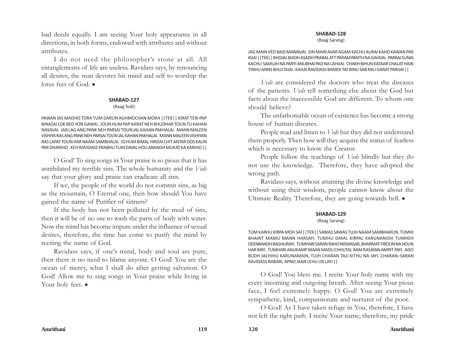bad deeds equally. I am seeing Your holy appearance in all directions, in both forms, endowed with attributes and without attributes.

I do not need the philosopher's stone at all. All entanglements of life are useless. Ravidass says, by renouncing all desires, the man devotes his mind and self to worship the lotus feet of God.  $\bullet$ 

#### **SHABAD-127**

#### (Raag Todi)

PAWAN JAS MADHO TORA TUM DARUN AGHMOCHAN MORA | | TEK | | KIRAT TERI PAP BINASAI LOK BED YON GAWAI. JOUN HUM PAP KARAT NEH BHUDHAR TOUN TU KAHAN NASAVAI. JAB LAG ANG PANK NEH PARSAI TOUN JAL KAHAN PAKHALAI. MANN MALEEN VISHIYA RAS ANG PANK NEH PARSAI TOUN JAL KAHAN PAKHALAI. MANN MALEEN VISHIYAN RAS LAPAT TOUN HAR NAAM SAMBHALAI. JO HUM BIMAL HIRDAI CHIT ANTAR DOS KAUN PAR DHARIHO . KEH RAVIDASS PRABHU TUM DAYAL HOU ABANDH MUKAT KA KARIHO ||

O God! To sing songs in Your praise is so pious that it has annihilated my terrible sins. The whole humanity and the *Veds* say that your glory and praise can eradicate all sins.

If we, the people of the world do not commit sins, as big as the mountain, O Eternal one, then how should You have gained the name of Purifier of sinners?

If the body has not been polluted by the mud of sins, then it will be of no use to wash the parts of body with water. Now the mind has become impure under the influence of sexual desires, therefore, the time has come to purify the mind by reciting the name of God.

Ravidass says, if one's mind, body and soul are pure, then there is no need to blame anyone. O God! You are the ocean of mercy, what I shall do after getting salvation. O God! Allow me to sing songs in Your praise while living in Your holy feet.  $\bullet$ 

## **SHABAD-128**

(Raag Sarang)

JAG MAIN VED BAID MANNIJAI. EIN MAIN AVAR AGAM KACHU AURAI KAHO KAWAN PAR KIJAI ||TEK|| BHOJAL BIADH ASADH PRABAL ATT PARAM PANTH NA GAHIJAI. PARRAI SUNAI KACHU SAMUJH NA PARYI ANUBHAI PAD NA LAHIJAI. CHAKH BIHUN KATAAR CHALAT HAIN TINHU ANNS BHUJ DIJAI. KAHAI RAVIDASS BAMEK TAT BINU SAB MILI GARAT PARIJAI ||

*Veds* are considered the doctors who treat the diseases of the patients. *Veds* tell something else about the God but facts about the inaccessible God are different. To whom one should believe?

The unfathomable ocean of existence has become a strong house of human diseases.

People read and listen to *Veds* but they did not understand them properly. Then how will they acquire the status of fearless which is necessary to know the Creator.

People follow the teachings of *Veds* blindly but they do not use the knowledge. Therefore, they have adopted the wrong path.

Ravidass says, without attaining the divine knowledge and without using their wisdom, people cannot know about the Ultimate Reality. Therefore, they are going towards hell.  $\bullet$ 

## **SHABAD-129**

#### (Raag Sarang)

TUM KARHU KIRPA MOH SAI ||TEK|| SAWAS SAWAS TUJH NAAM SAMBHARUN, TUMHI BHAINT MAMU MANN HARSAYI. TUMHU DAYAL KIRPAL KARUNANIDH TUMHEH DEENBANDH RAGHURAYI. TUMHARI SARAN RAHO NISWASAR, BHARMAT FIROUN NA HOUN HAR RAYI. TUMHARI ANUKAMP MAAN MADU CHHUTAI, RAM RASAYAN AMRIT PAYI. AISO BUDH JACHIHU KARUNAMAIN, TUJH CHARAN TAJJ KITHU NA JAYI. CHARAN–SARAN RAVIDASS RABARI, APNO JAAN LEHU UR LAYI ||

O God! You bless me. I recite Your holy name with my every incoming and outgoing breath. After seeing Your pious face, I feel extremely happy. O God! You are extremely sympathetic, kind, compassionate and nurturer of the poor.

O God! As I have taken refuge in You, therefore, I have not left the right path. I recite Your name; therefore, my pride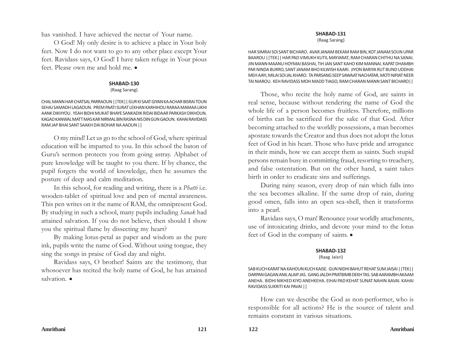has vanished. I have achieved the nectar of Your name.

O God! My only desire is to achieve a place in Your holy feet. Now I do not want to go to any other place except Your feet. Ravidass says, O God! I have taken refuge in Your pious feet. Please own me and hold me.  $\bullet$ 

## **SHABAD-130**

(Raag Sarang)

CHAL MANN HAR CHATSAL PARRAOUN ||TEK|| GUR KI SAAT GIYAN KA ACHAR BISRAI TOUN SEHAJ SAMADH LAGAOUN. PREM PAATI SURAT LEKHAN KARHIHOU RARAA MAMAA LIKHI AANK DIKHYOU. YEAH BIDHI MUKAT BHAYE SANKADIK RIDAI BIDAAR PARKASH DIKHOUN. KAGAD KANWAL MATT MAS KAR NIRMAL BIN RASNA NIS DIN GUN GAOUN. KAHAI RAVIDASS RAM JAP BHAI SANT SAAKH DAI BOHAR NA AAOUN ||

O my mind! Let us go to the school of God, where spiritual education will be imparted to you. In this school the baton of Guru's sermon protects you from going astray. Alphabet of pure knowledge will be taught to you there. If by chance, the pupil forgets the world of knowledge, then he assumes the posture of deep and calm meditation.

In this school, for reading and writing, there is a *Phatti* i.e. wooden-tablet of spiritual love and pen of mental awareness. This pen writes on it the name of RAM, the omnipresent God. By studying in such a school, many pupils including *Sanak* had attained salvation. If you do not believe, then should I show you the spiritual flame by dissecting my heart?

By making lotus-petal as paper and wisdom as the pure ink, pupils write the name of God. Without using tongue, they sing the songs in praise of God day and night.

Ravidass says, O brother! Saints are the testimony, that whosoever has recited the holy name of God, he has attained salvation.  $\bullet$ 

## **SHABAD-131**

(Raag Sarang)

HAR SIMRAI SOI SANT BICHARO. AVAR JANAM BEKAM RAM BIN, KOT JANAM SOUN UPAR BAAROU ||TEK|| HAR PAD VIMUKH KUTIL MAYIARAT, RAM CHARAN CHITHU NA SANAI. JIN MANN MAANU HOYMAI BASHAI, TIH JAN SANT KAHO KIM MANNAI. KAPAT DHAMBH PAR NINDA BURRO, SANT JANAM BHO KILWISH KAARI. JIYON BARIYA RUT BUND UDDHAI MEH AAYI, MILAI SOI JAL KHARO. TA PARSANG SEEP SAWAAT NACHATAR, MOTI NIPJAT NEER TAI NIAROU. KEH RAVIDASS MOH MADD TIAGO, RAM CHARAN MANN SANT BICHARO||

Those, who recite the holy name of God, are saints in real sense, because without rendering the name of God the whole life of a person becomes fruitless. Therefore, millions of births can be sacrificed for the sake of that God. After becoming attached to the worldly possessions, a man becomes apostate towards the Creator and thus does not adopt the lotus feet of God in his heart. Those who have pride and arrogance in their minds, how we can accept them as saints. Such stupid persons remain busy in committing fraud, resorting to treachery, and false ostentation. But on the other hand, a saint takes birth in order to eradicate sins and sufferings.

During rainy season, every drop of rain which falls into the sea becomes alkaline. If the same drop of rain, during good omen, falls into an open sea-shell, then it transforms into a pearl.

Ravidass says, O man! Renounce your worldly attachments, use of intoxicating drinks, and devote your mind to the lotus feet of God in the company of saints.  $\bullet$ 

## **SHABAD-132**

(Raag Jaisri)

SAB KUCH KARAT NA KAHOUN KUCH KAISE. GUN NIDHI BAHUT REHAT SUM JAISAI ||TEK|| DARPAN GAGAN ANIL ALAIP JAS. GANG JALDH PRATBIMB DEKH TAS. SAB AARAMBH AKAAM ANEHA. BIDHI NIKHED KIYO ANEHKEHA. EIHAI PAD KEHAT SUNAT NAHIN AAVAI. KAHAI RAVIDASS SUKRITI KAI PAVAI ||

How can we describe the God as non-performer, who is responsible for all actions? He is the source of talent and remains constant in various situations.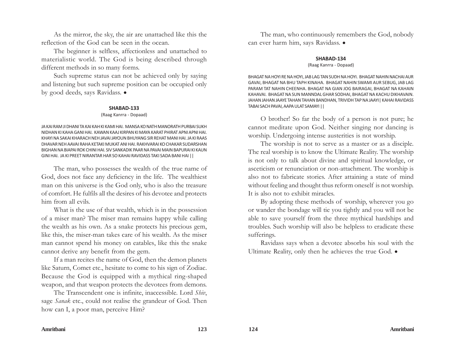As the mirror, the sky, the air are unattached like this the reflection of the God can be seen in the ocean.

The beginner is selfless, affectionless and unattached to materialistic world. The God is being described through different methods in so many forms.

Such supreme status can not be achieved only by saying and listening but such supreme position can be occupied only by good deeds, says Ravidass.  $\bullet$ 

#### **SHABAD-133**

#### (Raag Kanrra - Dopaad)

JA KAI RAM JI DHANI TA KAI KAH KI KAMI HAI. MANSA KO NATH MANORATH PURBAI SUKH NIDHAN KI KAHA GANI HAI. KAWAN KAAJ KIRPAN KI MAYA KARAT PHIRAT APNI APNI HAI. KHAYI NA SAKAI KHARACH NEH JAVAI JAYOUN BHUYANG SIR REHAT MANI HAI. JA KI RAAS DHAVAR NEH AAVAI RAHA KETAKI MUKAT ANI HAI. RAKHVARAI KO CHAKAR SUDARSHAN BIGHAN NA BIAPAI ROK CHINI HAI. SIV SANKADIK PAAR NA PAVAI MAIN BAPURAI KI KAUN GINI HAI. JA KI PREET NIRANTAR HAR SO KAHAI RAVIDASS TAKI SADA BANI HAI ||

The man, who possesses the wealth of the true name of God, does not face any deficiency in the life. The wealthiest man on this universe is the God only, who is also the treasure of comfort. He fulfils all the desires of his devotee and protects him from all evils.

What is the use of that wealth, which is in the possession of a miser man? The miser man remains happy while calling the wealth as his own. As a snake protects his precious gem, like this, the miser-man takes care of his wealth. As the miser man cannot spend his money on eatables, like this the snake cannot derive any benefit from the gem.

If a man recites the name of God, then the demon planets like Saturn, Comet etc., hesitate to come to his sign of Zodiac. Because the God is equipped with a mythical ring-shaped weapon, and that weapon protects the devotees from demons.

The Transcendent one is infinite, inaccessible. Lord *Shiv*, sage *Sanak* etc., could not realise the grandeur of God. Then how can I, a poor man, perceive Him?

The man, who continuously remembers the God, nobody can ever harm him, says Ravidass. .

#### **SHABAD-134**

#### (Raag Kanrra - Dopaad)

BHAGAT NA HOYI RE NA HOYI, JAB LAG TAN SUDH NA HOYI. BHAGAT NAHIN NACHAI AUR GAVAI, BHAGAT NA BHU TAPH KINAHA. BHAGAT NAHIN SWAMI AUR SEBUG, JAB LAG PARAM TAT NAHIN CHEENHA. BHAGAT NA GIAN JOG BAIRAGAI, BHAGAT NA KAHAIN KAHAVAI. BHAGAT NA SUN MANNDAL GHAR SODHAI, BHAGAT NA KACHU DIKHAVAIN. JAHAN JAHAN JAAYE TAHAN TAHAN BANDHAN, TRIVIDH TAP NA JAAYI| KAHAI RAVIDASS TABAI SACH PAVAI, AAPA ULAT SAMAYI ||

O brother! So far the body of a person is not pure; he cannot meditate upon God. Neither singing nor dancing is worship. Undergoing intense austerities is not worship.

The worship is not to serve as a master or as a disciple. The real worship is to know the Ultimate Reality. The worship is not only to talk about divine and spiritual knowledge, or asceticism or renunciation or non-attachment. The worship is also not to fabricate stories. After attaining a state of mind without feeling and thought thus reform oneself is not worship. It is also not to exhibit miracles.

By adopting these methods of worship, wherever you go or wander the bondage will tie you tightly and you will not be able to save yourself from the three mythical hardships and troubles. Such worship will also be helpless to eradicate these sufferings.

Ravidass says when a devotee absorbs his soul with the Ultimate Reality, only then he achieves the true God.  $\bullet$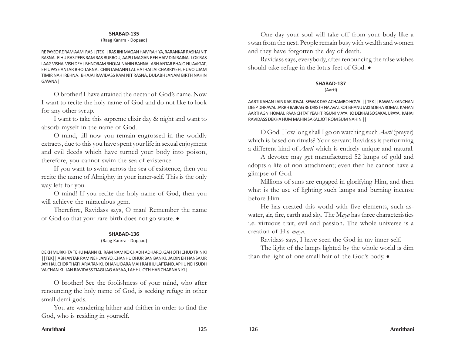#### (Raag Kanrra - Dopaad)

RE PAYEO RE RAM AAMI RAS ||TEK|| RAS JINI MAGAN HAIV RAHIYA, RARANKAR RASHAI NIT RASNA. EIHU RAS PEEB RAM RAS BURROU, AAPU MAGAN REH HAIV DIN RAINA. LOK RAS LAAG VISHAI VISH DEHI, BHNORAM BHOJAL NAHIN BAHNA. ABH ANTAR BHAJO NIJ AVIGAT, EH UPAYE ANTAR BHO TARNA. CHINTAMANN LAL HATHAI JAI CHARRIYEH, HUVO UJAM TIMIR NAHI REHNA. BHAJAI RAVIDASS RAM NIT RASNA, DULABH JANAM BIRTH NAHIN GAWNA ||

O brother! I have attained the nectar of God's name. Now I want to recite the holy name of God and do not like to look for any other syrup.

I want to take this supreme elixir day & night and want to absorb myself in the name of God.

O mind, till now you remain engrossed in the worldly extracts, due to this you have spent your life in sexual enjoyment and evil deeds which have turned your body into poison, therefore, you cannot swim the sea of existence.

If you want to swim across the sea of existence, then you recite the name of Almighty in your inner-self. This is the only way left for you.

O mind! If you recite the holy name of God, then you will achieve the miraculous gem.

Therefore, Ravidass says, O man! Remember the name of God so that your rare birth does not go waste.  $\bullet$ 

#### **SHABAD-136**

#### (Raag Kanrra - Dopaad)

DEKH MURKHTA TEHU MANN KI. RAM NAM KO CHADH ADHARO, GAH OTH CHUD TRIN KI ||TEK|| ABH ANTAR RAM NEH JANIYO, CHANHU DHUR BAN BAN KI. JA DIN EH HANSA UR JAYI HAI, CHOR THATHARIA TAN KI. DHANU DARA MAH RAHHU LAPTANO, APHU NEH SUDH VA CHAN KI. JAN RAVIDASS TIAGI JAG AASAA, LAHHU OTH HAR CHARNAN KI ||

O brother! See the foolishness of your mind, who after renouncing the holy name of God, is seeking refuge in other small demi-gods.

You are wandering hither and thither in order to find the God, who is residing in yourself.

One day your soul will take off from your body like a swan from the nest. People remain busy with wealth and women and they have forgotten the day of death.

Ravidass says, everybody, after renouncing the false wishes should take refuge in the lotus feet of God.  $\bullet$ 

## **SHABAD-137**

#### (Aarti)

AARTI KAHAN LAIN KAR JOVAI. SEWAK DAS ACHAMBO HOVAI || TEK|| BAWAN KANCHAN DEEP DHRAVAI. JARRH BAIRAG RE DRISTH NA AVAI. KOT BHANU JAKI SOBHA ROMAI. KAHAN AARTI AGNI HOMAI. PAANCH TAT YEAH TIRGUNI MAYA. JO DEKHAI SO SAKAL UPAYA. KAHAI RAVIDASS DEKHA HUM MAHIN SAKAL JOT ROM SUM NAHIN ||

O God! How long shall I go on watching such *Aarti* (prayer) which is based on rituals? Your servant Ravidass is performing a different kind of *Aarti* which is entirely unique and natural.

A devotee may get manufactured 52 lamps of gold and adopts a life of non-attachment; even then he cannot have a glimpse of God.

Millions of suns are engaged in glorifying Him, and then what is the use of lighting such lamps and burning incense before Him.

He has created this world with five elements, such aswater, air, fire, earth and sky. The M*aya* has three characteristics i.e. virtuous trait, evil and passion. The whole universe is a creation of His *maya.*

Ravidass says, I have seen the God in my inner-self.

The light of the lamps lighted by the whole world is dim than the light of one small hair of the God's body.  $\bullet$ 

#### **Amritbani 125 126 Amritbani**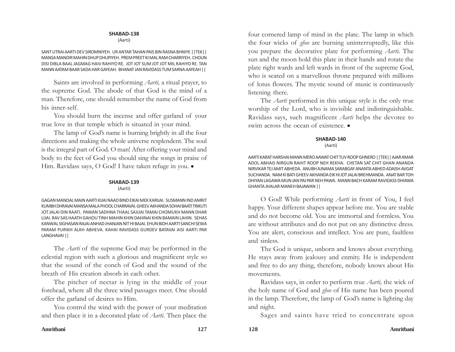(Aarti)

SANT UTRAI AARTI DEV SIROMNIYEH. UR ANTAR TAHAN PAIS BIN RASNA BHNIYE ||TEK|| MANSA MANDIR MAHIN DHUP DHUPIYEH. PREM PREET KI MAL RAM CHARRIYEH. CHOUN DISI DIBLA BAAL JAGMAG HAIV RAHIYO RE. JOT JOT SUM JOT JOT MIL RAHIYO RE. TAN MANN AATAM BAAR SADA HAR GAYEAH. BHANAT JAN RAVIDASS TUM SARNA AAYEAH ||

Saints are involved in performing *Aarti,* a ritual prayer, to the supreme God. The abode of that God is the mind of a man. Therefore, one should remember the name of God from his inner-self.

You should burn the incense and offer garland of your true love in that temple which is situated in your mind.

The lamp of God's name is burning brightly in all the four directions and making the whole universe resplendent. The soul is the integral part of God. O man! After offering your mind and body to the feet of God you should sing the songs in praise of Him. Ravidass says, O God! I have taken refuge in you. .

## **SHABAD-139**

(Aarti)

GAGAN MANDAL MAIN AARTI KIJAI NAAD BIND EIKAI MEK KARIJAI. SUSMANN IND AMRIT KUMBH DHRAVAI MANSA MALA PHOOL CHARRAVAI. GHEEV AKHANDA SOHAI BAATI TRIKUTI JOT JALAI DIN RAATI. PAWAN SADHNA THAAL SAJIJAI TAMAI CHOMUKH MANN DHAR LIJAI. RAV SAS HAATH GAHOU TINH MAHIN KHIN DAHINAI KHIN BAMAIN LAHIN. SEHAS KANWAL SIGHASAN RAJAI ANHAD JHANJAN NIT HI BAJAI. EHUN BIDH AARTI SANCHI SEWA PARAM PURIKH ALKH ABHEVA. KAHAI RAVIDASS GURDEV BATAVAI AISI AARTI PAR LANGHAVAI ||

The *Aarti* of the supreme God may be performed in the celestial region with such a glorious and magnificent style so that the sound of the conch of God and the sound of the breath of His creation absorb in each other.

The pitcher of nectar is lying in the middle of your forehead, where all the three wind passages meet. One should offer the garland of desires to Him.

You control the wind with the power of your meditation and then place it in a decorated plate of *Aarti.* Then place the

four cornered lamp of mind in the plate. The lamp in which the four wicks of *ghee* are burning uninterruptedly, like this you prepare the decorative plate for performing *Aarti.* The sun and the moon hold this plate in their hands and rotate the plate right wards and left wards in front of the supreme God, who is seated on a marvellous throne prepared with millions of lotus flowers. The mystic sound of music is continuously listening there.

The *Aarti* performed in this unique style is the only true worship of the Lord, who is invisible and indistinguishable. Ravidass says, such magnificent *Aarti* helps the devotee to swim across the ocean of existence.  $\bullet$ 

# **SHABAD-140**

(Aarti)

AARTI KARAT HARSHAI MANN MERO AAWAT CHIT TUV ROOP GHNERO ||TEK|| AJAR AMAR ADOL ABHAIS NIRGUN RAHIT ROOP NEH REKHA. CHETAN SAT CHIT GHAN ANANDA NIRVIKAR TEJ AMIT ABHEDA. ANUBH AJNAMA SARABGAY ANANTA ABHED ADAISH AVGAT SUCHANDA. NAM KI BATI GHEEV AKHANDA EIK HI JOT JALAI BREHMANDA. ANAT BAR TOH DHIYAN LAGAWA MUN JAN PAI PAR NEH PAWA. MANN BACH KARAM RAVIDASS DHIAWA GHANTA JHALAR MANEH BAJAWAN ||

O God! While performing *Aarti* in front of You, I feel happy. Your different shapes appear before me. You are stable and do not become old. You are immortal and formless. You are without attributes and do not put on any distinctive dress. You are alert, conscious and intellect. You are pure, faultless and sinless.

The God is unique, unborn and knows about everything. He stays away from jealousy and enmity. He is independent and free to do any thing, therefore, nobody knows about His movements.

Ravidass says, in order to perform true *Aarti,* the wick of the holy name of God and *ghee* of His name has been poured in the lamp. Therefore, the lamp of God's name is lighting day and night.

Sages and saints have tried to concentrate upon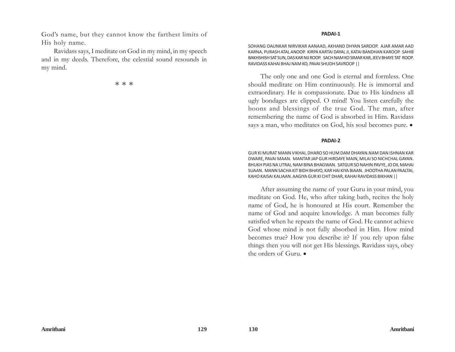God's name, but they cannot know the farthest limits of His holy name.

Ravidass says, I meditate on God in my mind, in my speech and in my deeds. Therefore, the celestial sound resounds in my mind.

本 本 本

#### **PADAI-1**

SOHANG OAUNKAR NIRVIKAR AANAAD, AKHAND DHYAN SAROOP. AJAR AMAR AAD KARNA, PURASH ATAL ANOOP. KIRPA KARTAI DAYAL JI, KATAI BANDHAN KAROOP. SAHIB BAKHSHISH SAT SUN, DAS KAR NIJ ROOP. SACH NAM KO SIMAR KAR, JEEV BHAYE TAT ROOP. RAVIDASS KAHAI BHAJ NAM KO, PAVAI SHUDH SAVROOP ||

The only one and one God is eternal and formless. One should meditate on Him continuously. He is immortal and extraordinary. He is compassionate. Due to His kindness all ugly bondages are clipped. O mind! You listen carefully the boons and blessings of the true God. The man, after remembering the name of God is absorbed in Him. Ravidass says a man, who meditates on God, his soul becomes pure.  $\bullet$ 

## **PADAI-2**

GUR KI MURAT MANN VIKHAI, DHARO SO HUM DAM DHAYAN.NAM DAN ISHNAN KAR DWARE, PAVAI MAAN. MANTAR JAP GUR HIRDAYE MAIN, MILAI SO NICHCHAL GAYAN. BHUKH PIAS NA UTRAI, NAM BINA BHAGWAN. SATGUR SO NAHIN PAVYE, JO DIL MAHAI SUAAN. MANN SACHA KIT BIDH BHAYO, KAR HAI KIYA BIAAN. JHOOTHA PALAN PAALTAI, KAHO KAISAI KALIAAN. AAGIYA GUR KI CHIT DHAR, KAHAI RAVIDASS BIKHAN ||

After assuming the name of your Guru in your mind, you meditate on God. He, who after taking bath, recites the holy name of God, he is honoured at His court. Remember the name of God and acquire knowledge. A man becomes fully satisfied when he repeats the name of God. He cannot achieve God whose mind is not fully absorbed in Him. How mind becomes true? How you describe it? If you rely upon false things then you will not get His blessings. Ravidass says, obey the orders of Guru. $\bullet$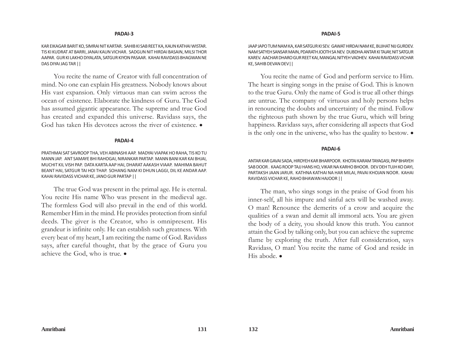#### **PADAI-3**

KAR EIKAGAR BARIT KO, SIMRAI NIT KARTAR. SAHIB KI SAB REET KA, KAUN KATHAI WISTAR. TIS KI KUDRAT AT BARRI, JANAI KAUN VICHAR. SADGUN NIT HIRDAI BASAIN, MILSI THOR AAPAR. GUR KI LAKHO DIYALATA, SATGUR KIYON PASAAR. KAHAI RAVIDASS BHAGWAN NE DAS DIYAI JAG TAR ||

You recite the name of Creator with full concentration of mind. No one can explain His greatness. Nobody knows about His vast expansion. Only virtuous man can swim across the ocean of existence. Elaborate the kindness of Guru. The God has assumed gigantic appearance. The supreme and true God has created and expanded this universe. Ravidass says, the God has taken His devotees across the river of existence.  $\bullet$ 

#### **PADAI-4**

PRATHMAI SAT SAVROOP THA, VEH ABINASHI AAP. MADYAI VIAPAK HO RAHA, TIS KO TU MANN JAP. ANT SAMAYE BHI RAHOGAI, NIRANKAR PARTAP. MANN BANI KAR KAI BHJAI, MUCHIT KIL VISH PAP. DATA KARTA AAP HAI, DHARAT AAKASH VIAAP. MAHIMA BAHUT BEANT HAI, SATGUR TAI HOI THAP. SOHANG NAM KI DHUN LAGGI, DIL KE ANDAR AAP. KAHAI RAVIDASS VICHAR KE, JANO GUR PARTAP ||

The true God was present in the primal age. He is eternal. You recite His name Who was present in the medieval age. The formless God will also prevail in the end of this world. Remember Him in the mind. He provides protection from sinful deeds. The giver is the Creator, who is omnipresent. His grandeur is infinite only. He can establish such greatness. With every beat of my heart, I am reciting the name of God. Ravidass says, after careful thought, that by the grace of Guru you achieve the God, who is true.  $\bullet$ 

JAAP JAPO TUM NAM KA, KAR SATGUR KI SEV. GAWAT HIRDAI NAM KE, BUJHAT NIJ GURDEV. NAM SATYEH SANSAR MAIN, PDARATH JOOTH SA NEV. DUBDHA ANTAR KI TAJAY, NIT SATGUR KAREV. AACHAR DHARO GUR REET KAI, MANGAL NITYEH VADHEV. KAHAI RAVIDASS VICHAR KE, SAHIB DEVAN DEV||

You recite the name of God and perform service to Him. The heart is singing songs in the praise of God. This is known to the true Guru. Only the name of God is true all other things are untrue. The company of virtuous and holy persons helps in renouncing the doubts and uncertainty of the mind. Follow the righteous path shown by the true Guru, which will bring happiness. Ravidass says, after considering all aspects that God is the only one in the universe, who has the quality to bestow.  $\bullet$ 

## **PADAI-6**

ANTAR KAR GAVAI SADA, HIRDYEH KAR BHARPOOR. KHOTAI KARAM TAYAGASI, PAP BHAYEH SAB DOOR . KAAG ROOP TAJJ HANS HO, VIKAR NA KARHO BHOOR. DEV DEH TUJH KO DAYI, PARTAKSH JAAN JARUR. KATHNA KATHAI NA HAR MILAI, PAVAI KHOJAN NOOR. KAHAI RAVIDASS VICHAR KE, RAHO BHAWAN HAJOOR ||

The man, who sings songs in the praise of God from his inner-self, all his impure and sinful acts will be washed away. O man! Renounce the demerits of a crow and acquire the qualities of a swan and demit all immoral acts. You are given the body of a deity, you should know this truth. You cannot attain the God by talking only, but you can achieve the supreme flame by exploring the truth. After full consideration, says Ravidass, O man! You recite the name of God and reside in His abode.  $\bullet$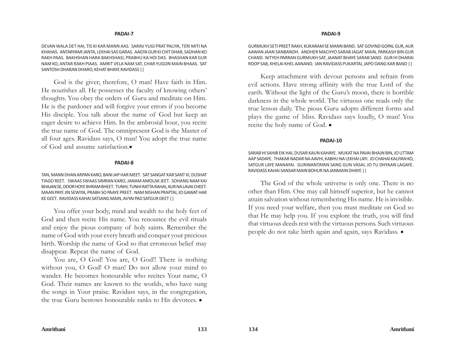DEVAN WALA DET HAI, TIS KI KAR MANN AAS. SARAV YUGI PRAT PALIYA, TERI MITI NA KHAHAS. ANTARYAMI JANTA, LEKHAI SAS GARAS. AAGYA GUR KI CHIT DHAR, SADHAN KO RAKH PAAS. BAKHSHAN HARA BAKHSHASI, PRABHU KA HOI DAS. BHASHAN KAR GUR NAM KO, ANTAR RAKH PIAAS. AMRIT VELA NAM SAT, CHAR YUGON MAIN BHAAS. SAT SANTOSH DHARAN DHARO, KEHAT BHAYE RAVIDASS ||

God is the giver; therefore, O man! Have faith in Him. He nourishes all. He possesses the faculty of knowing others' thoughts. You obey the orders of Guru and meditate on Him. He is the pardoner and will forgive your errors if you become His disciple. You talk about the name of God but keep an eager desire to achieve Him. In the ambrosial hour, you recite the true name of God. The omnipresent God is the Master of all four ages. Ravidass says, O man! You adopt the true name of God and assume satisfaction.•

#### **PADAI-8**

TAN, MANN DHAN ARPAN KARO, BANI JAP HAR MEET. SAT SANGAT KAR SANT KI, DUSHAT TIAGO REET. SWAAS SWAAS SIMRAN KARO, JANAM AMOLAK JEET. SOHANG NAM KAI BHAJAN SE, DOOR HOYE BHRAM BHEET. TUNHI, TUNHI RATTA RAHAI, AUR NA LAVAI CHEET. MAAN PAYE JIN SEWIYA, PRABH SO PAAYE PREET. NAM NISHAN PRAPTAI, JO GAWAT HAR KE GEET. RAVIDASS KAHAI SATSANG MAIN, AVYAI PAD SATGUR DEET ||

You offer your body, mind and wealth to the holy feet of God and then recite His name. You renounce the evil rituals and enjoy the pious company of holy saints. Remember the name of God with your every breath and conquer your precious birth. Worship the name of God so that erroneous belief may disappear. Repeat the name of God.

You are, O God! You are, O God!! There is nothing without you, O God! O man! Do not allow your mind to wander. He becomes honourable who recites Your name, O God. Their names are known to the worlds, who have sung the songs in Your praise. Ravidass says, in the congregation, the true Guru bestows honourable ranks to His devotees.  $\bullet$ 

#### **PADAI-9**

GURMUKH SETI PREET RAKH, KUKARAM SE MANN BAND. SAT GOVIND GOPAL GUR, AUR AAWAN JAAN SANBANDH. ANDHER MACHYO SARAB JAGAT MAIN, PARKASH BIN GUR CHAND. NITYEH PARRAN GURMUKH SAT, JAANAT BHAYE SARAB SAND. GUR HI DHARAI ROOP SAB, KHELAI KHEL AANAND. JAN RAVIDASS PUKARTAI, JAPO OANG KAR BAND ||

Keep attachment with devout persons and refrain from evil actions. Have strong affinity with the true Lord of the earth. Without the light of the Guru's moon, there is horrible darkness in the whole world. The virtuous one reads only the true lesson daily. The pious Guru adopts different forms and plays the game of bliss. Ravidass says loudly, O man! You recite the holy name of God.  $\bullet$ 

#### **PADAI-10**

SARAB HI SAHIB EIK HAI, DUSAR KAUN KAHAYE. MUKAT NA PAVAI BHAJN BIN, JO UTTAM AAP SADAYE. THAKAR NADAR NA AAVHI, KABHU NA LEKHAI LAYI. JO CHAHAI KALIYAN KO, SATGUR LAYE MANAYAI. GUNWANTAYAN SANG GUN VASAI, JO TU DHYAAN LAGAYE. RAVIDASS KAHAI SANSAR MAIN BOHUR NA JANMAIN DHAYE ||

The God of the whole universe is only one. There is no other than Him. One may call himself superior, but he cannot attain salvation without remembering His name. He is invisible. If you need your welfare, then you must meditate on God so that He may help you. If you explore the truth, you will find that virtuous deeds rest with the virtuous persons. Such virtuous people do not take birth again and again, says Ravidass.  $\bullet$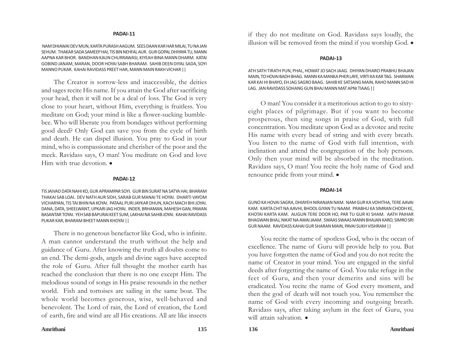NAM DHIAWAI DEV MUN, KARTA PURASH AAGUM. SEES DAAN KAR HAR MILAI, TU NA JAN SEHUM. THAKAR SADA SAMEEP HAI, TIS BIN NEHFAL AUR. GUR GOPAL DHIYAYA TU, MANN AAPNA KAR BHOR. BANDHAN KAUN CHURRAWASI, KIYEAH BINA MANN DHARM. KATAI GOBIND JANAM, MARAN, DOOR HOYAI SABH BHARAM. SAHIB DEEN DIYAL SADA, SOYI MANNO PUKAR. KAHAI RAVIDASS PREET HAR, MANN MAIN RAKH VICHAR ||

The Creator is sorrow-less and inaccessible, the deities and sages recite His name. If you attain the God after sacrificing your head, then it will not be a deal of loss. The God is very close to your heart, without Him, everything is fruitless. You meditate on God; your mind is like a flower-sucking bumblebee. Who will liberate you from bondages without performing good deed? Only God can save you from the cycle of birth and death. He can dispel illusion. You pray to God in your mind, who is compassionate and cherisher of the poor and the meek. Ravidass says, O man! You meditate on God and love Him with true devotion.  $\bullet$ 

#### **PADAI-12**

TIS JAIVAD DATA NAHI KO, GUR APRAMPAR SOYI. GUR BIN SURAT NA SATYA HAI, BHARAM THAKAI SAB LOAI. DEV NATH AUR SIDH, SARAB GUR MANAI TE HOYAI. DHARTI VAYOM VICHARYAN, TIS TAI BHIN NA KOYAI. PATAAL PURI JAYKAR DHUN, KACH MACH BHI JOYAI. DANA, DATA, SHEELWANT, UPKARI JAG HOYAI. INDER, BRHAMAN, MAHESH GAN, PAWAN BASANTAR TOYAI. YEH SAB BAPURAI KEET SUM, LAKHAI NA SAHIB JOYAI. KAHAI RAVIDASS PUKAR KAR, BHARAM BHEET MANN KHOYAI ||

There is no generous benefactor like God, who is infinite. A man cannot understand the truth without the help and guidance of Guru. After knowing the truth all doubts come to an end. The demi-gods, angels and divine sages have accepted the role of Guru. After full thought the mother earth has reached the conclusion that there is no one except Him. The melodious sound of songs in His praise resounds in the nether world. Fish and tortoises are sailing in the same boat. The whole world becomes generous, wise, well-behaved and benevolent. The Lord of rain, the Lord of creation, the Lord of earth, fire and wind are all His creations. All are like insects

if they do not meditate on God. Ravidass says loudly, the illusion will be removed from the mind if you worship God.  $\bullet$ 

#### **PADAI-13**

ATH SATH TIRATH PUN, PHAL, HOWAT JO SACH JAAG. DHIYAN DHARO PRABHU BHAJAN MAIN, TO HOVAI BADH BHAG. MANN KA MANKA PHER LAYE, VIRTI KA KAR TAG. SHARWAN KAR KAI HI BHAYO, EH JAG SAGRO BAAG. SAHIB KE SATSANG MAIN, RAHO MANN SAD HI LAG. JAN RAVIDASS SOHANG GUN BHAJ MANN MAT APNI TIAAG ||

O man! You consider it a meritorious action to go to sixtyeight places of pilgrimage. But if you want to become prosperous, then sing songs in praise of God, with full concentration. You meditate upon God as a devotee and recite His name with every bead of string and with every breath. You listen to the name of God with full intention, with inclination and attend the congregation of the holy persons. Only then your mind will be absorbed in the meditation. Ravidass says, O man! You recite the holy name of God and renounce pride from your mind.  $\bullet$ 

#### **PADAI-14**

GUNO KA HOVAI SAGRA, DHIAYEH NIRANJAN NAM. NAM GUR KA VOHITHA, TERE AAVAI KAM. KARTA CHIT NA AAVHI, BHOOL GIYAN TU NAAM. PRABHU KA SIMRAN CHODH KE, KHOTAI KARTA KAM. AUGUN TERE DOOR HO, PAR TU GUR KI SHAM. AATH PAIHAR BHAGWAN BHAJ, NIKAT NA AWAI JAAM. SWAAS SWAAS MANN BHAJAN KARO, SIMRO SRI GUR NAAM. RAVIDASS KAHAI GUR SHARAN MAIN, PAVAI SUKH VISHRAM ||

You recite the name of spotless God, who is the ocean of excellence. The name of Guru will provide help to you. But you have forgotten the name of God and you do not recite the name of Creator in your mind. You are engaged in the sinful deeds after forgetting the name of God. You take refuge in the feet of Guru, and then your demerits and sins will be eradicated. You recite the name of God every moment, and then the god of death will not touch you. You remember the name of God with every incoming and outgoing breath. Ravidass says, after taking asylum in the feet of Guru, you will attain salvation.  $\bullet$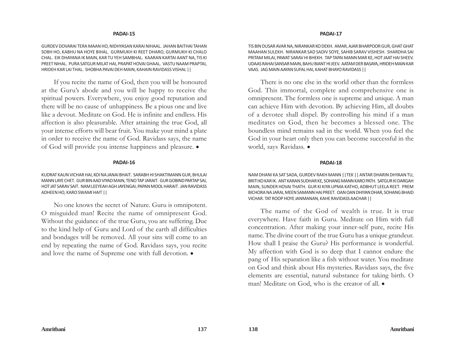GURDEV DOVARAI TERA MAAN HO, NIDHYASAN KARAI NIHAAL. JAHAN BAITHAI TAHAN SOBH HO, KABHU NA HOYE BIHAL. GURMUKH KI REET DHARO, GURMUKH KI CHALO CHAL. EIK DHAYANA IK MAIN, KAR TU YEH SAMBHAL. KAARAN KARTAI AANT NA, TIS KI PREET NIHAL. PURA SATGUR MILAT HAI, PRAPAT HOVAI GHAAL. VASTU NAAM PRAPTAI, HRIDEH KAR LAI THAL. SHOBHA PAVAI DEH MAIN, KAHAIN RAVIDASS VISHAL ||

If you recite the name of God, then you will be honoured at the Guru's abode and you will be happy to receive the spiritual powers. Everywhere, you enjoy good reputation and there will be no cause of unhappiness. Be a pious one and live like a devout. Meditate on God. He is infinite and endless. His affection is also pleasurable. After attaining the true God, all your intense efforts will bear fruit. You make your mind a plate in order to receive the name of God. Ravidass says, the name of God will provide you intense happiness and pleasure.  $\bullet$ 

## **PADAI-16**

KUDRAT KAUN VICHAR HAI, KOI NA JANAI BHAIT. SARABH HI SHAKTIMANN GUR, BHULAI MANN LAYE CHET. GUR BIN AAD VIYAD MAIN, TENO TAP JARAIT. GUR GOBIND PARTAP SAI, HOT JAT SARAV SAIT. NAM LEEYEAH AGH JAYENGAI, PAPAN MOOL HARAIT. JAN RAVIDASS ADHEEN HO, KARO SWAMI HAIT ||

No one knows the secret of Nature. Guru is omnipotent. O misguided man! Recite the name of omnipresent God. Without the guidance of the true Guru, you are suffering. Due to the kind help of Guru and Lord of the earth all difficulties and bondages will be removed. All your sins will come to an end by repeating the name of God. Ravidass says, you recite and love the name of Supreme one with full devotion.  $\bullet$ 

## **PADAI-17**

TIS BIN DUSAR AVAR NA, NIRANKAR KO DEKH. AMAR, AJAR BHARPOOR GUR, GHAT GHAT MAAHAN SULEKH. NIRANKAR SAD SADIV SOYE, SAHIB SARAV VISHESH. SHARDHA SAI PRITAM MILAI, PAWAT SARAV HI BHEKH. TAP TAPAI MANN MAR KE, HOT JAAT HAI SHEEV. UDAAS RAHAI SANSAR MAIN, BAHU BIANT HI JEEV. AATAM DER BASAYA, HRIDEH MAIN KAR VAAS. JAG MAIN AAYAN SUFAL HAI, KAHAT BHAYO RAVIDASS ||

There is no one else in the world other than the formless God. This immortal, complete and comprehensive one is omnipresent. The formless one is supreme and unique. A man can achieve Him with devotion. By achieving Him, all doubts of a devotee shall dispel. By controlling his mind if a man meditates on God, then he becomes a blessed one. The boundless mind remains sad in the world. When you feel the God in your heart only then you can become successful in the world, says Ravidass. .

## **PADAI-18**

NAM DHANI KA SAT SADA, GURDEV RAKH MANN ||TEK || ANTAR DHARIN DHYAAN TU, BRITI KO KAR IK. ANT KARAN SUDHAR KE, SOHANG MANN KARO PATH. SATGUR KI DARGAH MAIN, SUNDER HOVAI THATH. GUR KI KIYA UPMA KATHO, ADBHUT LEELA REET. PREM BICHORA NA JARAI, MEEN SAMANN HAI PREET. OAN OAN DHIYAN DHAR, SOHANG BHAID VICHAR. TAT ROOP HOYE JANMANAN, KAHE RAVIDASS AACHAR ||

The name of the God of wealth is true. It is true everywhere. Have faith in Guru. Meditate on Him with full concentration. After making your inner-self pure, recite His name. The divine court of the true Guru has a unique grandeur. How shall I praise the Guru? His performance is wonderful. My affection with God is so deep that I cannot endure the pang of His separation like a fish without water. You meditate on God and think about His mysteries. Ravidass says, the five elements are essential, natural substance for taking birth. O man! Meditate on God, who is the creator of all.  $\bullet$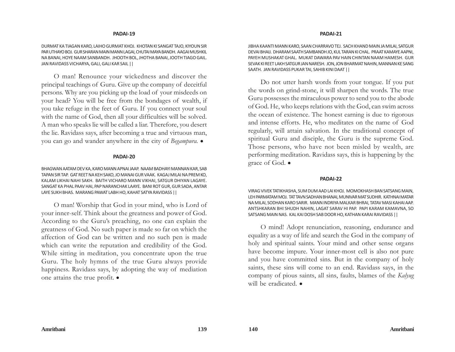DURMAT KA TIAGAN KARO, LAIHO GURMAT KHOJ. KHOTAN KI SANGAT TAJO, KIYOUN SIR PAR UTHAYO BOJ. GUR SHARAN MAIN MANN LAGAI, CHUTAI MAYA BANDH. AAGAI MUSHKIL NA BANAI, HOYE NAAM SANBANDH. JHOOTH BOL, JHOTHA BANAI, JOOTH TIAGO GAIL. JAN RAVIDASS VICHARYA, GALI, GALI KAR SAIL ||

O man! Renounce your wickedness and discover the principal teachings of Guru. Give up the company of deceitful persons. Why are you picking up the load of your misdeeds on your head? You will be free from the bondages of wealth, if you take refuge in the feet of Guru. If you connect your soul with the name of God, then all your difficulties will be solved. A man who speaks lie will be called a liar. Therefore, you desert the lie. Ravidass says, after becoming a true and virtuous man, you can go and wander anywhere in the city of *Begampura*.  $\bullet$ 

#### **PADAI-20**

BHAGWAN AATAM DEV KA, KARO MANN APNAI JAAP. NAAM BADHAYI MANNAN KAR, SAB TAPAN SIR TAP. GAT REET NA KEH SAKO, JO MANAI GUR VAAK. KAGAJ MILAI NA PREM KO, KALAM LIKHAI NAHI SAKH. BAITH VICHARO MANN VIKHAI, SATGUR DHIYAN LAGAYE. SANGAT KA PHAL PAAV HAI, PAP NARANCHAK LAAYE. BANI ROT GUR, GUR SADA, ANTAR LAYE SUKH BHAS. MARANG PAWAT LABH HO, KAHAT SATYA RAVIDASS ||

O man! Worship that God in your mind, who is Lord of your inner-self. Think about the greatness and power of God. According to the Guru's preaching, no one can explain the greatness of God. No such paper is made so far on which the affection of God can be written and no such pen is made which can write the reputation and credibility of the God. While sitting in meditation, you concentrate upon the true Guru. The holy hymns of the true Guru always provide happiness. Ravidass says, by adopting the way of mediation one attains the true profit.  $\bullet$ 

#### **PADAI-21**

JIBHA KAANTI MANN KARO, SAAN CHARRAVO TEJ. SACH KHAND MAIN JA MILAI, SATGUR DEVAI BHAIJ. DHARAM SAATH SAMBANDH JO, KUL TARAN KI CHAL. PRAAT KAMAYE AAPNI, PAYEH MUSHAKAT GHAL. MUKAT DAWARA PAV HAIN CHINTAN NAAM HAMESH. GUR SEVAK KI REET LAKH SATGUR JAN NARESH. JON, JON BHARMAT NAHIN, MANNAN KE SANG SAATH. JAN RAVIDASS PUKAR TAI, SAHIB KINI DAAT ||

Do not utter harsh words from your tongue. If you put the words on grind-stone, it will sharpen the words. The true Guru possesses the miraculous power to send you to the abode of God. He, who keeps relations with the God, can swim across the ocean of existence. The honest earning is due to rigorous and intense efforts. He, who meditates on the name of God regularly, will attain salvation. In the traditional concept of spiritual Guru and disciple, the Guru is the supreme God. Those persons, who have not been misled by wealth, are performing meditation. Ravidass says, this is happening by the grace of God.  $\bullet$ 

#### **PADAI-22**

VIRAG VIVEK TATIKHASHA, SUM DUM AAD LAI KHOJ. MOMOKHASH BAN SATSANG MAIN, LEH PARMATAM MOJ. TAT TAVN SADHAN BHANAI, MUNIVAR MAT SUDHIR. KATHNAI MATAR NA MILAI, SODHAN KARO SARIR. MANN INDRIYA MALKAR BHRAI, TATAV MASI KAHAI AAP. ANTSHKARAN BHI SHUDH NAHIN, LAGAT SARAV HI PAP. PAPI KARAM KAMAVNA, SO SATSANG MAIN NAS. KAL KAI DOSH SAB DOOR HO, KATHAN KARAI RAVIDASS ||

O mind! Adopt renunciation, reasoning, endurance and equality as a way of life and search the God in the company of holy and spiritual saints. Your mind and other sense organs have become impure. Your inner-most cell is also not pure and you have committed sins. But in the company of holy saints, these sins will come to an end. Ravidass says, in the company of pious saints, all sins, faults, blames of the *Kalyug* will be eradicated.  $\bullet$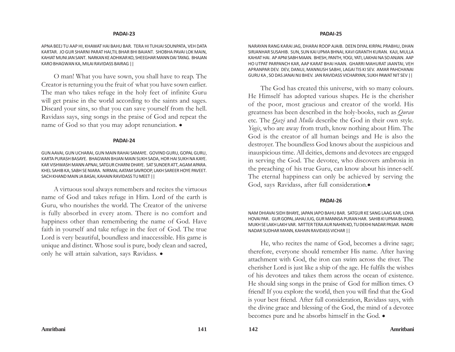APNA BEEJ TU AAP HI, KHAWAT HAI BAHU BAR. TERA HI TUHJAI SOUNPATA, VEH DATA KARTAR. JO GUR SHARNI PARAT HAI,TIL BHAR BHI BAIANT. SHOBHA PAVAI LOK MAIN, KAHIAT MUNI JAN SANT. NARKAN KE ADHIKAR KO, SHEEGHAR MANN DAI TAYAG. BHAJAN KARO BHAGWAN KA, MILAI RAVIDASS BAIRAG ||

O man! What you have sown, you shall have to reap. The Creator is returning you the fruit of what you have sown earlier. The man who takes refuge in the holy feet of infinite Guru will get praise in the world according to the saints and sages. Discard your sins, so that you can save yourself from the hell. Ravidass says, sing songs in the praise of God and repeat the name of God so that you may adopt renunciation.  $\bullet$ 

#### **PADAI-24**

GUN AAVAI, GUN UCHARAI, GUN MAIN RAHAI SAMAYE. GOVIND GURU, GOPAL GURU, KARTA PURASH BASAYE. BHAGWAN BHJAN MAIN SUKH SADA, HOR HAI SUKH NA KAYE. KAR VISHWASH MANN APNAI, SATGUR CHARNI DHAYE. SAT SUNDER ATT, AGAM APARA. KHEL SAHIB KA, SABH SE NIARA. NIRMAL AATAM SAVROOP, LAKH SAREER HOYE PAVEET. SACH KHAND MAIN JA BASAI, KAHAIN RAVIDASS TU MEET ||

A virtuous soul always remembers and recites the virtuous name of God and takes refuge in Him. Lord of the earth is Guru, who nourishes the world. The Creator of the universe is fully absorbed in every atom. There is no comfort and happiness other than remembering the name of God. Have faith in yourself and take refuge in the feet of God. The true Lord is very beautiful, boundless and inaccessible. His game is unique and distinct. Whose soul is pure, body clean and sacred, only he will attain salvation, says Ravidass.  $\bullet$ 

#### **PADAI-25**

NARAYAN RANG KARAI JAG, DHARAI ROOP AJAIB. DEEN DIYAL KIRPAL PRABHU, DHAN SIRJANHAR SUSAHIB. SUN, SUN KAI UPMA BHNAI, KAVI GRANTH KURAN. KAJI, MULLA KAHIAT HAI. AP APNI SABH MAAN. BHESH, PANTH, YOGI, YATI, LAKHAI NA SO ANJAN. AAP HO UTPAT PARPANCH KAR, AAP KARAT BHAI HAAN. GHARRI MAHURAT JAANTAI, VEH APRANPAR DEV. DEV, DANUJ, MANNUSH SABHI, LAGAI TIS KI SEV. AMAR PAHCHANAI GURU KA , SO DAS JANAI NIJ BHEV. JAN RAVIDASS VICHARYAN, SUKH PAWAT NIT SEV ||

The God has created this universe, with so many colours. He Himself has adopted various shapes. He is the cherisher of the poor, most gracious and creator of the world. His greatness has been described in the holy-books, such as *Quran* etc. The *Qazi* and *Mulla* describe the God in their own style. *Yogis*, who are away from truth, know nothing about Him. The God is the creator of all human beings and He is also the destroyer. The boundless God knows about the auspicious and inauspicious time. All deities, demons and devotees are engaged in serving the God. The devotee, who discovers ambrosia in the preaching of his true Guru, can know about his inner-self. The eternal happiness can only be achieved by serving the God, says Ravidass, after full consideration.

#### **PADAI-26**

NAM DHIAVAI SIDH BHAYE, JAPAN JAPO BAHU BAR. SATGUR KE SANG LAAG KAR, LOHA HOVAI PAR. GUR GOPAL JAHAJ JUG, GUR MANNSA PURAN HAR. SAHIB KI UPMA BHANO, MUKH SE LAKH LAKH VAR. MITTER TERA AUR NAHIN KO, TU DEKHI NADAR PASAR. NADRI NADAR SUDHAR MANN, KAHAIN RAVIDASS VICHAR ||

He, who recites the name of God, becomes a divine sage; therefore, everyone should remember His name. After having attachment with God, the iron can swim across the river. The cherisher Lord is just like a ship of the age. He fulfils the wishes of his devotees and takes them across the ocean of existence. He should sing songs in the praise of God for million times. O friend! If you explore the world, then you will find that the God is your best friend. After full consideration, Ravidass says, with the divine grace and blessing of the God, the mind of a devotee becomes pure and he absorbs himself in the God.  $\bullet$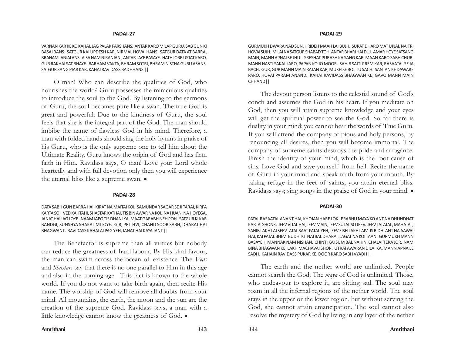VARNAN KAR KE KO KAHAI, JAG PALAK PARSHANS. ANTAR KARO MILAP GURU, SAB GUN KI BASAI BANS. SATGUR KAI UPDESH KAR, NIRMAL HOVAI HANS. SATGUR DATA AT BARRA, BRAHAM JANIAI ANS. AISA NAM NIRANJANI, ANTAR LAYE BASAYE. HATH JORR USTAT KARO, GUR RAKHAI SAT BHAYE. BARHAM VAKTA, BHRAM SOTRI, BHRAM NISTHA GURU ASANS. SATGUR SANG PIAR KAR, KAHAI RAVIDASS BADHHANS ||

O man! Who can describe the qualities of God, who nourishes the world? Guru possesses the miraculous qualities to introduce the soul to the God. By listening to the sermons of Guru, the soul becomes pure like a swan. The true God is great and powerful. Due to the kindness of Guru, the soul feels that she is the integral part of the God. The man should imbibe the name of flawless God in his mind. Therefore, a man with folded hands should sing the holy hymns in praise of his Guru, who is the only supreme one to tell him about the Ultimate Reality. Guru knows the origin of God and has firm faith in Him. Ravidass says, O man! Love your Lord whole heartedly and with full devotion only then you will experience the eternal bliss like a supreme swan.  $\bullet$ 

#### **PADAI-28**

DATA SABH GUN BARRA HAI, KIRAT NA MAITAI KOI. SAMUNDAR SAGAR SE JI TARAI, KIRPA KARTA SOI. VED KAHTAHI, SHASTAR KATHAI, TIS BIN AWAR NA KOI. NA HUAN, NA HOYEGA, JANAT HAI JAG LOYE. NAAM JAPO TIS DHANI KA, MAAT GARABH NEH POH. SATGUR KI KAR BANDGI, SUNSHYA SHAKAL MITOYE. GIR, PRITHVI, CHAND SOOR SABH, DHARAT HAI BHAGWANT. RAVIDASS KAHAI ALPAG YEH, JANAT HAI KAYA JANT ||

The Benefactor is supreme than all virtues but nobody can reduce the greatness of hard labour. By His kind favour, the man can swim across the ocean of existence. The *Veds* and *Shastars* say that there is no one parallel to Him in this age and also in the coming age. This fact is known to the whole world. If you do not want to take birth again, then recite His name. The worship of God will remove all doubts from your mind. All mountains, the earth, the moon and the sun are the creation of the supreme God. Ravidass says, a man with a little knowledge cannot know the greatness of God.  $\bullet$ 

#### **PADAI-29**

GURMUKH DWARA NAD SUN, HRIDEH MAAH LAI BUJH. SURAT DHARO MAT UPJAI, NAITRI HOVAI SUJH. MILAI NA SATGUR SHABAD TOH, ANTAR BHARI HAI DUJ. AMAR HOYE SATSANG MAIN, MANN APNAI SE JHUJ. SRESHAT PURASH KA SANG KAR, MAAN KARO SABH CHUR. MANN HASTI SAKAL JARO, PAPAN KO JO MOOR. SAHIB SAITI PREM KAR, RASAATAL SE JA BACH. GUR, GUR MANN MAIN RATAN KAR, MUKH SE BOL TU SACH. SANTAN KE DAWARE PARO, HOVAI PARAM ANAND. KAHAI RAVIDASS BHAGWAN KE, GAVO MANN MAIN CHHAND||

The devout person listens to the celestial sound of God's conch and assumes the God in his heart. If you meditate on God, then you will attain supreme knowledge and your eyes will get the spiritual power to see the God. So far there is duality in your mind; you cannot hear the words of True Guru. If you will attend the company of pious and holy persons, by renouncing all desires, then you will become immortal. The company of supreme saints destroys the pride and arrogance. Finish the identity of your mind, which is the root cause of sins. Love God and save yourself from hell. Recite the name of Guru in your mind and speak truth from your mouth. By taking refuge in the feet of saints, you attain eternal bliss. Ravidass says; sing songs in the praise of God in your mind.  $\bullet$ 

#### **PADAI-30**

PATAL RASAATAL ANANT HAI, KHOJAN HARE LOK. PRABHU MAYA KO ANT NA DHUNDHAT KARTAI SHONK. JEEV VITAL HAI, JEEV MAIN, JEEV SUTAL SO JEEV. JEEV TALATAL, MAHATAL, SAHIB LAKH LAI SEEV. ATAL SAAT PATAL YEH, JEEV EISH LAKH LAIV. IS BIDHI ANT NA AAWAI HAI, KAI PATAL BHEV. BUDHI KITNAI BAL DHARAI, LAGAT NA KOI TAAN. GURMUKH MANN BASAYEH, MANNAK NAM NISHAN. CHINTI KAI SUM BAL NAHIN, CHALAI TERA JOR. NAM BINA BHAGWAN KE, LAKH MACHAVAI SHOR. UTRAI AWARAN DILAI KA, MANN APNA LE SADH. KAHAIN RAVIDASS PUKAR KE, DOOR KARO SABH VYADH ||

The earth and the nether world are unlimited. People cannot search the God. The *maya* of God is unlimited. Those, who endeavour to explore it, are sitting sad. The soul may roam in all the infernal regions of the nether world. The soul stays in the upper or the lower region, but without serving the God, she cannot attain emancipation. The soul cannot also resolve the mystery of God by living in any layer of the nether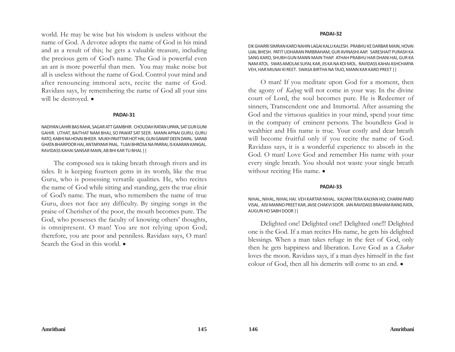world. He may be wise but his wisdom is useless without the name of God. A devotee adopts the name of God in his mind and as a result of this; he gets a valuable treasure, including the precious gem of God's name. The God is powerful even an ant is more powerful than men. You may make noise but all is useless without the name of God. Control your mind and after renouncing immoral acts, recite the name of God. Ravidass says, by remembering the name of God all your sins will be destroyed.  $\bullet$ 

#### **PADAI-31**

NADIYAN LAHIRI BAS RAHA, SAGAR ATT GAMBHIR. CHOUDAH RATAN UPAYA, SAT GUR GUNI GAHIR. UTHAT, BAITHAT NAM BHAJ, SO PAWAT SAT SEER. MANN APNAI GURU, GURU RATO, KABHI NA HOVAI BHEER. MUKH PAVITTAR HOT HAI, GUN GAWAT DEEN DAYAL. SARAB GHATA BHARPOOR HAI, ANTARYAMI PAAL. TUJAI BHROSA NA PARRAI, IS KAARAN KANGAL. RAVIDASS KAHAI SANSAR MAIN, AB BHI KAR TU BHAL ||

The composed sea is taking breath through rivers and its tides. It is keeping fourteen gems in its womb, like the true Guru, who is possessing versatile qualities. He, who recites the name of God while sitting and standing, gets the true elixir of God's name. The man, who remembers the name of true Guru, does not face any difficulty. By singing songs in the praise of Cherisher of the poor, the mouth becomes pure. The God, who possesses the faculty of knowing others' thoughts, is omnipresent. O man! You are not relying upon God; therefore, you are poor and penniless. Ravidass says, O man! Search the God in this world.  $\bullet$ 

#### **PADAI-32**

EIK GHARRI SIMRAN KARO NAHIN LAGAI KALU KALESH. PRABHU KE DARBAR MAIN, HOVAI UJAL BHESH. PATIT UDHARAN PARBRAHAM, GUR AVINASHI AAP. SARESHAIT PURASH KA SANG KARO, SHUBH GUN MANN MAIN THAP. ATHAH PRABHU HAR DHANI HAI, GUR KA NAM ATOL. SWAS AMOLAK SUFAL KAR, JIS KA NA KOI MOL. RAVIDASS KAHAI ASHCHARYA VEH, HAR MILNAI KI REET. SWASA BIRTHA NA TAJO, MANN KAR KARO PREET ||

O man! If you meditate upon God for a moment, then the agony of *Kalyug* will not come in your way. In the divine court of Lord, the soul becomes pure. He is Redeemer of sinners, Transcendent one and Immortal. After assuming the God and the virtuous qualities in your mind, spend your time in the company of eminent persons. The boundless God is wealthier and His name is true. Your costly and dear breath will become fruitful only if you recite the name of God. Ravidass says, it is a wonderful experience to absorb in the God. O man! Love God and remember His name with your every single breath. You should not waste your single breath without reciting His name.  $\bullet$ 

### **PADAI-33**

NIHAL, NIHAL, NIHAL HAI. VEH KARTAR NIHAL. KALYAN TERA KALYAN HO, CHARNI PARO VISAL. AISI MANNO PREET KAR, JAISE CHAKVI SOOR. JAN RAVIDASS BRAHAM RANG RATA, AUGUN HO SABH DOOR ||

Delighted one! Delighted one!! Delighted one!!! Delighted one is the God. If a man recites His name, he gets his delighted blessings. When a man takes refuge in the feet of God, only then he gets happiness and liberation. Love God as a *Chakor* loves the moon. Ravidass says, if a man dyes himself in the fast colour of God, then all his demerits will come to an end.  $\bullet$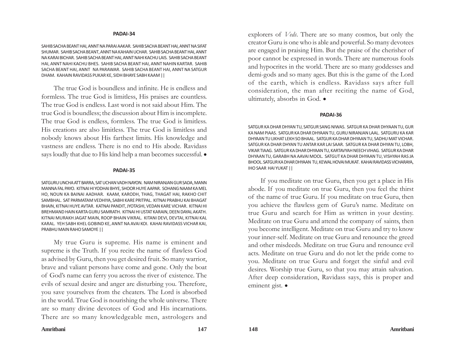SAHIB SACHA BEANT HAI, ANNT NA PARAI AAKAR. SAHIB SACHA BEANT HAI, ANNT NA SIFAT SHUMAR. SAHIB SACHA BEANT, ANNT NA KAHAIN UCHAR. SAHIB SACHA BEANT HAI, ANNT NA KARAI BICHAR. SAHIB SACHA BEANT HAI, ANNT NAHI KACHU LAIS. SAHIB SACHA BEANT HAI, ANNT NAHI KACHU BHES. SAHIB SACHA BEANT HAI, ANNT NAHIN KARTAR. SAHIB SACHA BEANT HAI, ANNT NA PARAWAR. SAHIB SACHA BEANT HAI, ANNT NA SATGUR DHAM. KAHAIN RAVIDASS PUKAR KE, SIDH BHAYE SABH KAAM ||

The true God is boundless and infinite. He is endless and formless. The true God is limitless, His praises are countless. The true God is endless. Last word is not said about Him. The true God is boundless; the discussion about Him is incomplete. The true God is endless, formless. The true God is limitless. His creations are also limitless. The true God is limitless and nobody knows about His farthest limits. His knowledge and vastness are endless. There is no end to His abode. Ravidass says loudly that due to His kind help a man becomes successful.  $\bullet$ 

#### **PADAI-35**

SATGURU UNCHA ATT BARRA, SAT UCHAN VADH NAYON. NAM NIRANJAN GUR SADA, MANN MANNA FAL PAYO. KITNAI HI YODHAI BHYE, SHOOR HUYE AAPAR. SOHANG NAAM KA MEL HO, NOUN KA BAINAI AADHAR. KAAM, KARODH, THAG, THAGAT HAI, RAKHO CHIT SAMBHAL. SAT PARMATAM VEDHIYA, SABHI KARE PRITPAL. KITNAI PRABHU KAI BHAGAT BHAIN, KITNAI HUYE AVTAR. KATNAI PANDIT, JYOTASHI, VEDAN KARE VICHAR. KITNAI HI BREHMAND HAIN KARTA GURU SAMRATH. KITNAI HI USTAT KARAIN, DEEN DAYAL AKATH. KITNAI MURAKH JAGAT MAIN, ROOP BHAIN VIKRAL. KITANI DEVI, DEVTAI, KITNAI KAL KARAL. YEH SABH KHEL GOBIND KE, ANNT NA AVAI KOI. KAHAI RAVIDASS VICHAR KAI, PRABHU MAIN RAHO SAMOYE ||

My true Guru is supreme. His name is eminent and supreme is the Truth. If you recite the name of flawless God as advised by Guru, then you get desired fruit. So many warrior, brave and valiant persons have come and gone. Only the boat of God's name can ferry you across the river of existence. The evils of sexual desire and anger are disturbing you. Therefore, you save yourselves from the cheaters. The Lord is absorbed in the world. True God is nourishing the whole universe. There are so many divine devotees of God and His incarnations. There are so many knowledgeable men, astrologers and

explorers of *Veds*. There are so many cosmos, but only the creator Guru is one who is able and powerful. So many devotees are engaged in praising Him. But the praise of the cherisher of poor cannot be expressed in words. There are numerous fools and hypocrites in the world. There are so many goddesses and demi-gods and so many ages. But this is the game of the Lord of the earth, which is endless. Ravidass says after full consideration, the man after reciting the name of God, ultimately, absorbs in God.  $\bullet$ 

#### **PADAI-36**

SATGUR KA DHAR DHYAN TU, SATGUR SANG NIWAS. SATGUR KA DHAR DHYAAN TU, GUR KA NAM PIAAS. SATGUR KA DHAR DHYAAN TU, GURU NIRANJAN LAAL. SATGURU KA KAR DHYAAN TU LIKHAT LEKH SO BHAAL. SATGUR KA DHAR DHYAAN TU, SADHU MAT VICHAR. SATGUR KA DHAR DHYAN TU ANTAR KAR LAI SAAR. SATGUR KA DHAR DHYAN TU, LOBH, VIKAR TIAAG. SATGUR KA DHAR DHYAAN TU, KARTAVYAH NEECH VIHAG. SATGUR KA DHAR DHYAAN TU, GARABH NA AAVAI MOOL. SATGUT KA DHAR DHYAAN TU, VISHYAH RAS JA BHOOL. SATGUR KA DHAR DHYAAN TU, KEWAL HOVAI MUKAT. KAHAI RAVIDASS VICHARAYA, IHO SAAR HAI YUKAT ||

If you meditate on true Guru, then you get a place in His abode. If you meditate on true Guru, then you feel the thirst of the name of true Guru. If you meditate on true Guru, then you achieve the flawless gem of Guru's name. Meditate on true Guru and search for Him as written in your destiny. Meditate on true Guru and attend the company of saints, then you become intelligent. Meditate on true Guru and try to know your inner-self. Meditate on true Guru and renounce the greed and other misdeeds. Meditate on true Guru and renounce evil acts. Meditate on true Guru and do not let the pride come to you. Meditate on true Guru and forget the sinful and evil desires. Worship true Guru, so that you may attain salvation. After deep consideration, Ravidass says, this is proper and eminent gist.  $\bullet$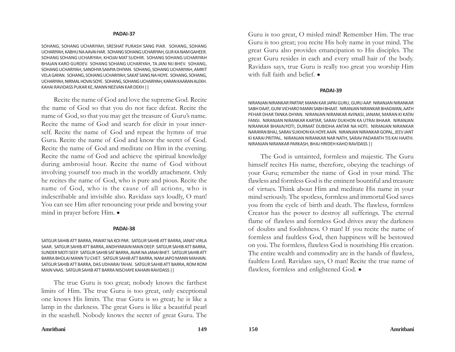SOHANG, SOHANG UCHARIYAH, SRESHAT PURASH SANG PIAR. SOHANG, SOHANG UCHARIYAH, KABHU NA AAVAI HAR. SOHANG SOHANG UCHARIYAH, GUR KA NAM GAHEER. SOHANG SOHANG UCHARIYAH, KHOJAI MAT SUDHIR. SOHANG SOHANG UCHARIYAH BHAJAN KARO GURDEV. SOHANG SOHANG UCHARIYAH, TA JANI NIJ BHEV. SOHANG, SOHANG UCHARIYAH, SANDHYA SAMYA DHIYAN. SOHANG, SOHANG UCHARIYAH, AMRIT VELA GAYAN. SOHANG, SOHANG UCHARIYAH, SAKAT SANG NA HOYE. SOHANG, SOHANG, UCHARIYAH, NIRMAL HOVAI SOYE. SOHANG, SOHANG UCHARIYAH, KARAN KAARAN ALEKH. KAHAI RAVIDASS PUKAR KE, MANN NEEVAN KAR DEKH ||

Recite the name of God and love the supreme God. Recite the name of God so that you do not face defeat. Recite the name of God, so that you may get the treasure of Guru's name. Recite the name of God and search for elixir in your innerself. Recite the name of God and repeat the hymns of true Guru. Recite the name of God and know the secret of God. Recite the name of God and meditate on Him in the evening. Recite the name of God and achieve the spiritual knowledge during ambrosial hour. Recite the name of God without involving yourself too much in the worldly attachment. Only he recites the name of God, who is pure and pious. Recite the name of God, who is the cause of all actions, who is indescribable and invisible also. Ravidass says loudly, O man! You can see Him after renouncing your pride and bowing your mind in prayer before Him.  $\bullet$ 

#### **PADAI-38**

SATGUR SAHIB ATT BARRA, PAWAT NA KOI PAR. SATGUR SAHIB ATT BARRA, JANAT VIRLA SAAR. SATGUR SAHIB ATT BARRA, ANDHYARAIN MAIN DEEP. SATGUR SAHIB ATT BARRA, SUNDER MOTI SEEP. SATGUR SAHIB SAT BARRA, AVAR NA JANAI BHET. SATGUR SAHIB ATT BARRA BHOLAI MANN TU CHET. SATGUR SAHIB ATT BARRA, NAM JAPO MANN MAHAIN. SATGUR SAHIB ATT BARRA, DAS UDHARAI TAHAI. SATGUR SAHIB ATT BARRA, ROM ROM MAIN VAAS. SATGUR SAHIB ATT BARRA NISCHAYE KAHAIN RAVIDASS ||

The true Guru is too great; nobody knows the farthest limits of Him. The true Guru is too great, only exceptional one knows His limits. The true Guru is so great; he is like a lamp in the darkness. The great Guru is like a beautiful pearl in the seashell. Nobody knows the secret of great Guru. The Guru is too great, O misled mind! Remember Him. The true Guru is too great; you recite His holy name in your mind. The great Guru also provides emancipation to His disciples. The great Guru resides in each and every small hair of the body. Ravidass says, true Guru is really too great you worship Him with full faith and belief.  $\bullet$ 

#### **PADAI-39**

NIRANJAN NIRANKAR PARTAP, MANN KAR JAPAI GURU, GURU AAP. NIRANJAN NIRANKAR SABH DAAT, GUNI VICHARO MANN SABH BHAAT. NIRANJAN NIRANKAR BHAGWAN, AATH PEHAR DHAR TANKA DHYAN. NIRANJAN NIRANKAR AVINASI, JANAM, MARAN KI KATAI FANSI. NIRANJAN NIRANKAR KARTAR, SARAV DUKHON KA UTRAI BHAAR. NIRANJAN NIRANKAR BHAVAJYOTI, DURMAT DUBIDHA ANTAR NA HOTI. NIRANJAN NIRANKAR NARAYAN BHAJ, SARAV SUKHON KA HOYE AAIN. NIRANJAN NIRANKAR GOPAL, JEEV JANT KI KARAI PRITPAL. NIRANJAN NIRANKAR NAR NATH, SARAV PADARATH TIS KAI HAATH. NIRANJAN NIRANKAR PARKASH, BHAJ HRIDEH KAHO RAVIDASS ||

The God is untainted, formless and majestic. The Guru himself recites His name, therefore, obeying the teachings of your Guru; remember the name of God in your mind. The flawless and formless God is the eminent bountiful and treasure of virtues. Think about Him and meditate His name in your mind seriously. The spotless, formless and immortal God saves you from the cycle of birth and death. The flawless, formless Creator has the power to destroy all sufferings. The eternal flame of flawless and formless God drives away the darkness of doubts and foolishness. O man! If you recite the name of formless and faultless God, then happiness will be bestowed on you. The formless, flawless God is nourishing His creation. The entire wealth and commodity are in the hands of flawless, faultless Lord. Ravidass says, O man! Recite the true name of flawless, formless and enlightened God.  $\bullet$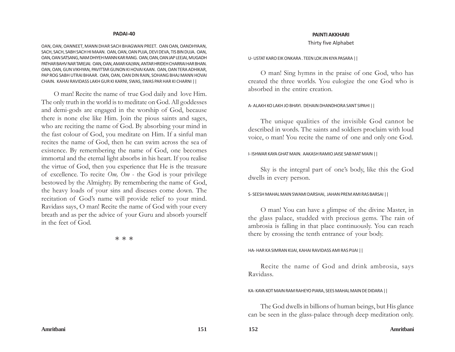OAN, OAN, OANNEET, MANN DHAR SACH BHAGWAN PREET. OAN OAN, OANDHYAAN, SACH, SACH, SABH SACH HI MAAN. OAN, OAN, OAN PUJA, DEVI DEVA, TIS BIN DUJA. OAN, OAN, OAN SATSANG, NAM DHIYEH MANN KAR RANG. OAN, OAN, OAN JAP LEEJAI, MUGADH PATHAR BAHV NAR TAREJAI. OAN, OAN, AMAR KALYAN, ANTAR HRIDEH CHARRAI HAR BHAN. OAN, OAN, GUN VIKHYAN, PAVITTAR GUNON KI HOVAI KAAN. OAN, OAN TERA ADHIKAR, PAP ROG SABH UTRAI BHAAR. OAN, OAN, OAN DIN RAIN, SOHANG BHAJ MANN HOVAI CHAIN. KAHAI RAVIDASS LAKH GUR KI KARNI, SWAS, SWAS PAR HAR KI CHARNI ||

O man! Recite the name of true God daily and love Him. The only truth in the world is to meditate on God. All goddesses and demi-gods are engaged in the worship of God, because there is none else like Him. Join the pious saints and sages, who are reciting the name of God. By absorbing your mind in the fast colour of God, you meditate on Him. If a sinful man recites the name of God, then he can swim across the sea of existence. By remembering the name of God, one becomes immortal and the eternal light absorbs in his heart. If you realise the virtue of God, then you experience that He is the treasure of excellence. To recite *Om, Om* - the God is your privilege bestowed by the Almighty. By remembering the name of God, the heavy loads of your sins and diseases come down. The recitation of God's name will provide relief to your mind. Ravidass says, O man! Recite the name of God with your every breath and as per the advice of your Guru and absorb yourself in the feet of God.

本 本 本

#### **PAINTI AKKHARI**

Thirty five Alphabet

U- USTAT KARO EIK ONKARA . TEEN LOK JIN KIYA PASARA ||

O man! Sing hymns in the praise of one God, who has created the three worlds. You eulogize the one God who is absorbed in the entire creation.

#### A- ALAKH KO LAKH JO BHAYI. DEHAIN DHANDHORA SANT SIPAHI ||

The unique qualities of the invisible God cannot be described in words. The saints and soldiers proclaim with loud voice, o man! You recite the name of one and only one God.

#### I- ISHWAR KAYA GHAT MAIN. AAKASH RAMIO JAISE SAB MAT MAIN ||

Sky is the integral part of one's body, like this the God dwells in every person.

#### S- SEESH MAHAL MAIN SWAMI DARSHAI, JAHAN PREM AMI RAS BARSAI ||

O man! You can have a glimpse of the divine Master, in the glass palace, studded with precious gems. The rain of ambrosia is falling in that place continuously. You can reach there by crossing the tenth entrance of your body.

#### HA- HAR KA SIMRAN KIJAI, KAHAI RAVIDASS AMI RAS PIJAI ||

Recite the name of God and drink ambrosia, says Ravidass.

#### KA- KAYA KOT MAIN RAM RAHEYO PIARA, SEES MAHAL MAIN DE DIDARA ||

The God dwells in billions of human beings, but His glance can be seen in the glass-palace through deep meditation only.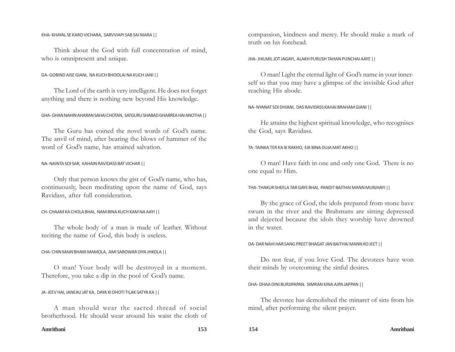#### KHA- KHAYAL SE KARO VICHARA, SARVVIAPI SAB SAI NIARA ||

Think about the God with full concentration of mind, who is omnipresent and unique.

### GA- GOBIND AISE GIANI, NA KUCH BHOOLAI NA KUCH JANI ||

The Lord of the earth is very intelligent. He does not forget anything and there is nothing new beyond His knowledge.

## GHA- GHAN NAHIN AHARAN SAHAI CHOTAN, SATGURU SHABAD GHARREA HAI ANOTHA ||

The Guru has coined the novel words of God's name. The anvil of mind, after bearing the blows of hammer of the word of God's name, has attained salvation.

### NA- NAINTA SOI SAR, KAHAIN RAVIDASS BAT VICHAR ||

Only that person knows the gist of God's name, who has, continuously, been meditating upon the name of God, says Ravidass, after full consideration.

### CH- CHAAM KA CHOLA BHAI, NAM BINA KUCH KAM NA AAYI ||

The whole body of a man is made of leather. Without reciting the name of God, this body is useless.

### CHA- CHIN MAIN BHAYA MAMOLA, AMI SAROWAR DIYA JHKOLA ||

O man! Your body will be destroyed in a moment. Therefore, you take a dip in the pool of God's name.

### JA- JEEV HAI, JANEAU JAT KA, DAYA KI DHOTI TILAK SATYA KA ||

A man should wear the sacred thread of social brotherhood. He should wear around his waist the cloth of compassion, kindness and mercy. He should make a mark of truth on his forehead.

JHA- JHILMIL JOT JAGAYI, ALAKH PURUSH TAHAN PUNCHAI AAYE ||

O man! Light the eternal light of God's name in your innerself so that you may have a glimpse of the invisible God after reaching His abode.

#### NA- NYANAT SOI DHIANI, DAS RAVIDASS KAHAI BRAHAM GIANI ||

He attains the highest spiritual knowledge, who recognises the God, says Ravidass.

### TA- TAINKA TER KA IK RAKHO, EIK BINA DUJA MAT AKHO ||

O man! Have faith in one and only one God. There is no one equal to Him.

THA- THAKUR SHEELA TAR GAYE BHAI, PANDIT BAITHAI MANN MURJHAYI ||

By the grace of God, the idols prepared from stone have swum in the river and the Brahmans are sitting depressed and dejected because the idols they worship have drowned in the water.

#### DA- DAR NAHI HAR SANG PREET BHAGAT JAN BAITHAI MANN KO JEET ||

Do not fear, if you love God. The devotees have won their minds by overcoming the sinful desires.

#### DHA- DHAA DINI BURJIPAPAN. SIMRAN KINA AJPA JAPPAN ||

The devotee has demolished the minaret of sins from his mind, after performing the silent prayer.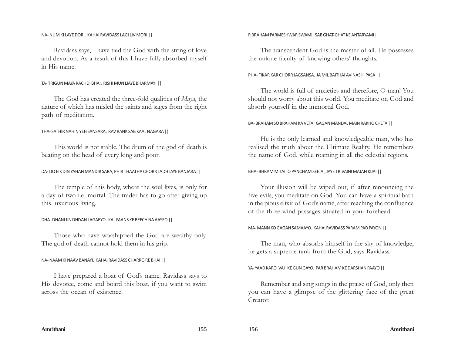#### NA- NUM KI LAYE DORI, KAHAI RAVIDASS LAGI LIV MORI ||

Ravidass says, I have tied the God with the string of love and devotion. As a result of this I have fully absorbed myself in His name.

### TA- TRIGUN MAYA RACHDI BHAI, RISHI MUN LIAYE BHARMAYI ||

The God has created the three-fold qualities of *Maya,* the nature of which has misled the saints and sages from the right path of meditation.

#### THA- SATHIR NAHIN YEH SANSARA. RAV RANK SAB KAAL NAGARA ||

This world is not stable. The drum of the god of death is beating on the head of every king and poor.

#### DA- DO EIK DIN YAHAN MANDIR SARA, PHIR THAATHA CHORR LADH JAYE BANJARA||

The temple of this body, where the soul lives, is only for a day of two i.e. mortal. The trader has to go after giving up this luxurious living.

#### DHA- DHANI JIN DHIYAN LAGAEYO. KAL FAANS KE BEECH NA AAYEO ||

Those who have worshipped the God are wealthy only. The god of death cannot hold them in his grip.

#### NA- NAAM KI NAAV BANAYI. KAHAI RAVIDASS CHARRO RE BHAI ||

I have prepared a boat of God's name. Ravidass says to His devotee, come and board this boat, if you want to swim across the ocean of existence.

#### R BRAHAM PARMESHWAR SWAMI. SAB GHAT-GHAT KE ANTARYAMI ||

The transcendent God is the master of all. He possesses the unique faculty of knowing others' thoughts.

#### PHA- FIKAR KAR CHORR JAGSANSA. JA MIL BAITHAI AVINASHI PASA ||

The world is full of anxieties and therefore, O man! You should not worry about this world. You meditate on God and absorb yourself in the immortal God.

#### BA- BRAHAM SO BRAHAM KA VETA. GAGAN MANDAL MAIN RAKHO CHETA ||

He is the only learned and knowledgeable man, who has realised the truth about the Ultimate Reality. He remembers the name of God, while roaming in all the celestial regions.

#### BHA- BHRAM MITAI JO PANCHAM SEEJAI, JAYE TRIVAINI MAJAN KIJAI ||

Your illusion will be wiped out, if after renouncing the five evils, you meditate on God. You can have a spiritual bath in the pious elixir of God's name, after reaching the confluence of the three wind passages situated in your forehead.

#### MA- MANN KO GAGAN SAMAAYO. KAHAI RAVIDASS PARAM PAD PAYON ||

The man, who absorbs himself in the sky of knowledge, he gets a supreme rank from the God, says Ravidass.

#### YA- YAAD KARO, VAH KE GUN GAYO. PAR BRAHAM KE DARSHAN PAAYO ||

Remember and sing songs in the praise of God, only then you can have a glimpse of the glittering face of the great Creator.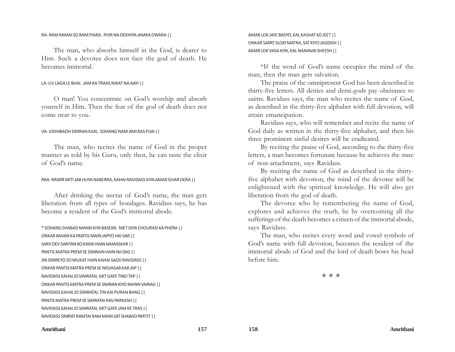#### RA- RAM RAMAI SO RAM PIARA. PHIR NA DEKHIYA JAMKA DWARA ||

The man, who absorbs himself in the God, is dearer to Him. Such a devotee does not face the god of death. He becomes immortal.

#### LA- LIV LAGA LE BHAI. JAM KA TRAAS NIKAT NA AAYI ||

O man! You concentrate on God's worship and absorb yourself in Him. Then the fear of the god of death does not come near to you.

#### VA- VIDHIBADH SIMRAN KIJAI, SOHANG NAM AMI RAS PIJAI ||

The man, who recites the name of God in the proper manner as told by his Guru, only then, he can taste the elixir of God's name.

#### RRA- RRARR MITI JAB HUYA NABERRA, KAHAI RAVIDASS KIYA AMAR GHAR DERA ||

After drinking the nectar of God's name, the man gets liberation from all types of bondages. Ravidass says, he has become a resident of the God's immortal abode.

#### \* SOHANG SHABAD MANN KIYA BASERA. MET DIYA CHOURASI KA PHERA ||

ONKAR BAVAN KA PANTIS MAIN JAPYO HAI SAR || SARV DEV SANTAN KO KARAI HAIN NAMASKAR || PANTIS MATRA PREM SE SIMRAIN HAIN NIJ DAS || JIN SIMREYO SO MUKAT HAIN KAHAI SADD RAVIDASS || ONKAR PANTIS MATRA PREM SE NISVASAR KAR JAP || RAVIDASS KAHAI JO SIMRATAI, MIT GAYE TINO TAP || ONKAR PANTIS MATRA PREM SE SIMRAN KIYO MANN VAIRAG || RAVIDASS KAHAI JO SIMRATAI, TIN KAI PURAN BHAG || PANTIS MATRA PREM SE SIMRATAI RAV PARKASH || RAVIDASS KAHAI JO SIMRATAI, MIT GAYE JAM KE TRAS || RAVIDASS SIMRAT RAMTAI RAM MAIN SAT SHABAD PARTIT ||

AMAR LOK JAYE BASYO, KAL KASHAT KO JEET || ONKAR SAPAT SLOKI MATRA, SAT KIYO JAGDISH || AMAR LOK VASA KIYA, KAL NAMAVAI SHEESH ||

\*If the word of God's name occupies the mind of the man, then the man gets salvation.

The praise of the omnipresent God has been described in thirty-five letters. All deities and demi-gods pay obeisance to saints. Ravidass says, the man who recites the name of God, as described in the thirty-five alphabet with full devotion, will attain emancipation.

Ravidass says, who will remember and recite the name of God daily as written in the thirty-five alphabet, and then his three prominent sinful desires will be eradicated.

By reciting the praise of God, according to the thirty-five letters, a man becomes fortunate because he achieves the state of non-attachment, says Ravidass.

By reciting the name of God as described in the thirtyfive alphabet with devotion, the mind of the devotee will be enlightened with the spiritual knowledge. He will also get liberation from the god of death.

The devotee who by remembering the name of God, explores and achieves the truth, he by overcoming all the sufferings of the death becomes a citizen of the immortal abode, says Ravidass.

The man, who recites every word and vowel symbols of God's name with full devotion, becomes the resident of the immortal abode of God and the lord of death bows his head before him.

本 本 本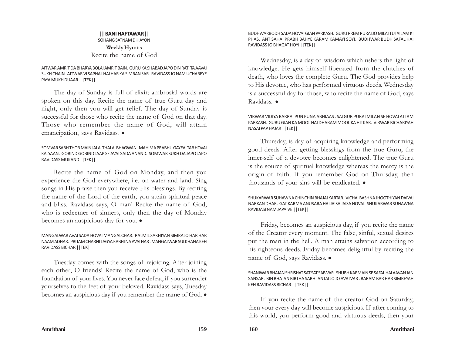# **|| BANI HAFTAWAR||** SOHANG SATNAM DHIAYON **Weekly Hymns** Recite the name of God

## AITWAR AMRIT DA BHARYA BOLAI AMRIT BAIN. GURU KA SHABAD JAPO DIN RATI TA AAVAI SUKH CHAIN. AITWAR VI SAPHAL HAI HAR KA SIMRAN SAR. RAVIDASS JO NAM UCHAREYE PAYA MUKH DUAAR. ||TEK||

The day of Sunday is full of elixir; ambrosial words are spoken on this day. Recite the name of true Guru day and night, only then you will get relief. The day of Sunday is successful for those who recite the name of God on that day. Those who remember the name of God, will attain emancipation, says Ravidass. .

## SOMVAR SABH THOR MAIN JALAI THALAI BHAGWAN. MAHIMA PRABHU GAYEAI TAB HOVAI KALYAAN. GOBIND GOBIND JAAP SE AVAI SADA ANAND. SOMWAR SUKH DA JAPO JAPO RAVIDASS MUKAND ||TEK||

Recite the name of God on Monday, and then you experience the God everywhere, i.e. on water and land. Sing songs in His praise then you receive His blessings. By reciting the name of the Lord of the earth, you attain spiritual peace and bliss. Ravidass says, O man! Recite the name of God, who is redeemer of sinners, only then the day of Monday becomes an auspicious day for you.  $\bullet$ 

## MANGALWAR AVAI SADA HOVAI MANGALCHAR. RALMIL SAKHIYAN SIMRALO HAR HAR NAAM ADHAR. PRITAM CHARNI LAGYA KABHI NA AVAI HAR . MANGALWAR SULKHANA KEH RAVIDASS BICHAR ||TEK||

Tuesday comes with the songs of rejoicing. After joining each other, O friends! Recite the name of God, who is the foundation of your lives. You never face defeat, if you surrender yourselves to the feet of your beloved. Ravidass says, Tuesday becomes an auspicious day if you remember the name of God.  $\bullet$ 

BUDHWARBODH SADA HOVAI GIAN PARKASH. GURU PREM PURAI JO MILAI TUTAI JAM KI PHAS. ANT SAHAI PRABH BAHYE KARAM KAMAYI SOYI. BUDHWAR BUDH SAFAL HAI RAVIDASS JO BHAGAT HOYI ||TEK||

Wednesday, is a day of wisdom which ushers the light of knowledge. He gets himself liberated from the clutches of death, who loves the complete Guru. The God provides help to His devotee, who has performed virtuous deeds. Wednesday is a successful day for those, who recite the name of God, says Ravidass. •

VIRWAR VIDIYA BARRAI PUN PUNA ABHIAAS . SATGUR PURAI MILAN SE HOVAI ATTAM PARKASH. GURU GIAN KA MOOL HAI DHARAM MOOL KA HITKAR. VIRWAR BICHARIYAH NASAI PAP HAJAR ||TEK||

Thursday, is day of acquiring knowledge and performing good deeds. After getting blessings from the true Guru, the inner-self of a devotee becomes enlightened. The true Guru is the source of spiritual knowledge whereas the mercy is the origin of faith. If you remember God on Thursday, then thousands of your sins will be eradicated.  $\bullet$ 

SHUKARWAR SUHAWNA CHINCHIN BHAJAI KARTAR. VICHAI BASHNA JHOOTHIYAN DAIVAI NARKAN DHAR. GAT KARMA ANUSARA HAI JAISA JAISA HOVAI. SHUKARWAR SUHAWNA RAVIDASI NAM JAPAIVE ||TEK||

Friday, becomes an auspicious day, if you recite the name of the Creator every moment. The false, sinful, sexual desires put the man in the hell. A man attains salvation according to his righteous deeds. Friday becomes delightful by reciting the name of God, says Ravidass. •

## SHANIWAR BHAJAN SHRISHAT SAT SAT SAB VAR. SHUBH KARMAIN SE SAFAL HAI AAVAN JAN SANSAR. BIN BHAJAN BIRTHA SABH JANTAI JO JO AVATVAR . BARAM BAR HAR SIMREYAH KEH RAVIDASS BICHAR || TEK||

If you recite the name of the creator God on Saturday, then your every day will become auspicious. If after coming to this world, you perform good and virtuous deeds, then your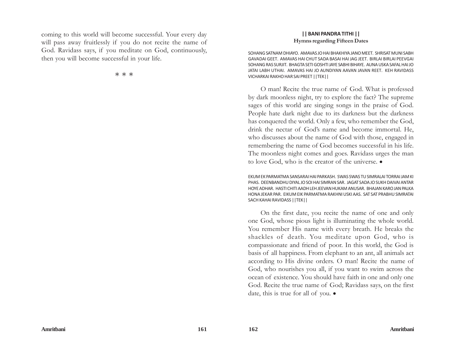coming to this world will become successful. Your every day will pass away fruitlessly if you do not recite the name of God. Ravidass says, if you meditate on God, continuously, then you will become successful in your life.

率率率

## **|| BANI PANDRA TITHI || Hymns regarding Fifteen Dates**

SOHANG SATNAM DHIAYO. AMAVAS JO HAI BHAKHIYA JANO MEET. SHRISAT MUNI SABH GAVADAI GEET. AMAVAS HAI CHUT SADA BASAI HAI JAG JEET. BIRLAI BIRLAI PEEVGAI SOHANG RAS SURJIT. BHAGTA SETI GOSHTI JAYE SABHI BIHAYE. AUNA USKA SAFAL HAI JO JATAI LABH UTHAI. AMAVAS HAI JO AUNDIYAN AAVAN JAVAN REET. KEH RAVIDASS VICHARKAI RAKHO HAR SAI PREET ||TEK||

O man! Recite the true name of God. What is professed by dark moonless night, try to explore the fact? The supreme sages of this world are singing songs in the praise of God. People hate dark night due to its darkness but the darkness has conquered the world. Only a few, who remember the God, drink the nectar of God's name and become immortal. He, who discusses about the name of God with those, engaged in remembering the name of God becomes successful in his life. The moonless night comes and goes. Ravidass urges the man to love God, who is the creator of the universe.  $\bullet$ 

EKUM EK PARMATMA SANSARAI HAI PARKASH. SWAS SWAS TU SIMRALAI TORRAI JAM KI PHAS. DEENBANDHU DIYAL JO SOI HAI SIMRAN SAR. JAGAT SADA JO SUKH DAIVAI ANTAR HOYE ADHAR. HASTI CHITI AADH LEH JEEVAN HUKAM ANUSAR. BHAJAN KARO JAN PALKA HONA JEKAR PAR. EIKUM EIK PARMATMA RAKHNI USKI AAS. SAT SAT PRABHU SIMRATAI SACH KAHAI RAVIDASS ||TEK||

On the first date, you recite the name of one and only one God, whose pious light is illuminating the whole world. You remember His name with every breath. He breaks the shackles of death. You meditate upon God, who is compassionate and friend of poor. In this world, the God is basis of all happiness. From elephant to an ant, all animals act according to His divine orders. O man! Recite the name of God, who nourishes you all, if you want to swim across the ocean of existence. You should have faith in one and only one God. Recite the true name of God; Ravidass says, on the first date, this is true for all of you.  $\bullet$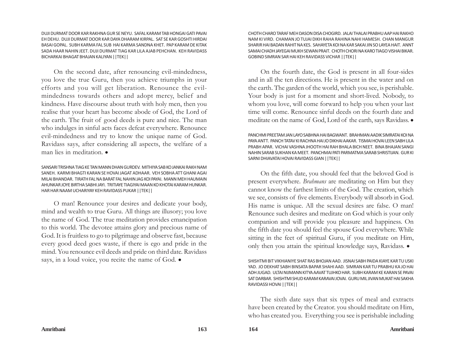DUJI DURMAT DOOR KAR RAKHNA GUR SE NEYU. SAFAL KARAM TAB HONGAI GATI PAVAI EH DEHU. DUJI DURMAT DOOR KAR DAYA DHARAM KIRPAL. SAT SE KAR GOSHTI HIRDAI BASAI GOPAL. SUBH KARMA FAL SUB HAI KARMA SANDNA KHET. PAP KARAM DE KITAK SADA HAAR NAHIN JEET. DUJI DURMAT TIAG KAR LILA AJAB PEHCHAN. KEH RAVIDASS BICHARKAI BHAGAT BHAJAN KALIYAN ||TEK||

On the second date, after renouncing evil-mindedness, you love the true Guru, then you achieve triumphs in your efforts and you will get liberation. Renounce the evilmindedness towards others and adopt mercy, belief and kindness. Have discourse about truth with holy men, then you realise that your heart has become abode of God, the Lord of the earth. The fruit of good deeds is pure and nice. The man who indulges in sinful acts faces defeat everywhere. Renounce evil-mindedness and try to know the unique name of God. Ravidass says, after considering all aspects, the welfare of a man lies in meditation.  $\bullet$ 

SANSARI TRISHNA TIAG KE TAN MANN DHAN GURDEV. MITHIYA SAB KO JANKAI RAKH NAM SANEH. KARMI BHAGTI KARAN SE HOVAI JAGAT ADHAAR. VEH SOBHA ATT GHANI AGAI MILAI BHANDAR. TIRATH FAL NA BARAT FAL NAHIN JAG KOI PAYAI. MANN MEH HAUMAIN AHUNKAR JOYE BIRTHA SABHI JAYI. TRITIAYE TIAGIYAI MAAN KO KHOTAI KARAM HUNKAR. HAR HAR NAAM UCHARIYAY KEH RAVIDASS PUKAR ||TEK||

O man! Renounce your desires and dedicate your body, mind and wealth to true Guru. All things are illusory; you love the name of God. The true meditation provides emancipation to this world. The devotee attains glory and precious name of God. It is fruitless to go to pilgrimage and observe fast, because every good deed goes waste, if there is ego and pride in the mind. You renounce evil deeds and pride on third date. Ravidass says, in a loud voice, you recite the name of God.  $\bullet$ 

CHOTH CHARO TARAF MEH DASON DISA CHOGIRD. JALAI THALAI PRABHU AAP HAI RAKHO NAM KI VIRD. CHAMAN JO TUJAI DIKH RAHA RAHINA NAHI HAMESH. CHAN MANGUR SHARIR HAI BADAN RAHIT NA KES. SAHAYETA KOI NA KAR SAKAI JIN SO LAYEA HAIT. ANNT SAMAI CHADH JAYEGAI MUKH SEWAN PRAIT. CHOTH CHORI NA KARO TIAGO VISHAI BIKAR. GOBIND SIMRAN SAR HAI KEH RAVIDASS VICHAR ||TEK||

On the fourth date, the God is present in all four-sides and in all the ten directions. He is present in the water and on the earth. The garden of the world, which you see, is perishable. Your body is just for a moment and short-lived. Nobody, to whom you love, will come forward to help you when your last time will come. Renounce sinful deeds on the fourth date and meditate on the name of God, Lord of the earth, says Ravidass.  $\bullet$ 

PANCHMI PREETAM JAN LAYO SABHNA HAI BAGWANT. BRAHMAN AADIK SIMRATAI KOI NA PAYA ANTT. PANCH TATAV KI RACHNA HAI JO DIKHAI AAKAR. TISMAI HOVAI LEEN SABH LILA PRABH APAR. VICHAI VASHNA JHOOTH HAI RAH BHALA BICH NEET. BINA BHAJAN SANGI NAHIN SARAB SUKHAN KA MEET. PANCHMAI PATI PARMATMA SARAB SHRISTIJAN. GUR KI SARNI DHIAVATAI HOVAI RAVIDASS GIAN ||TEK||

On the fifth date, you should feel that the beloved God is present everywhere. *Brahmans* are meditating on Him but they cannot know the farthest limits of the God. The creation, which we see, consists of five elements. Everybody will absorb in God. His name is unique. All the sexual desires are false. O man! Renounce such desires and meditate on God which is your only companion and will provide you pleasure and happiness. On the fifth date you should feel the spouse God everywhere. While sitting in the feet of spiritual Guru, if you meditate on Him, only then you attain the spiritual knowledge says, Ravidass.  $\bullet$ 

SHISHTMI BIT VIKHIANIYE SHAT RAS BHOJAN AAD. JISNAI SABH PAIDA KIAYE KAR TU USKI YAD. JO DEKHAT SABH BINSATA BAPAR SHAHI AAD. SIMRAN KAR TU PRABHU KA JO HAI ADH JUGAD. ULTAI NIJMANN KITYA AAVAT TUJHKO HAR. SUBH KARAM KE KARAN SE PAVAI SAT DARBAR. SHISHTMI SHUD KARAM KARAVAI JOVAI. GURU MIL JIVAN MUKAT HAI SAKHA RAVIDASSI HOVAI ||TEK||

The sixth date says that six types of meal and extracts have been created by the Creator. you should meditate on Him, who has created you. Everything you see is perishable including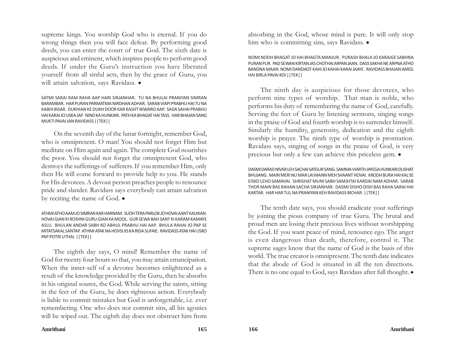supreme kings. You worship God who is eternal. If you do wrong things then you will face defeat. By performing good deeds, you can enter the court of true God. The sixth date is auspicious and eminent, which inspires people to perform good deeds. If under the Guru's instruction you have liberated yourself from all sinful acts, then by the grace of Guru, you will attain salvation, says Ravidass.  $\bullet$ 

SATMI SARAI RAM RAHA AAP HARI SIRJANHAR. TU NA BHULAI PRANIYAN SIMRAN BARAMBAR. HAR PURAN PARMATMA NIRDHAN ADHAR. SARAB VIAPI PRABHU HAI TU NA KABHI BISAR. DUKHIAN KE DUKH DOOR KAR KASHT NIWARO AAP. SADA SAHAI PRABHU HAI KARAI JO USKA JAP NIND KA HUNKARI. PATH KA BHAGAT HAI TASS. HAR BHAJAN SANG MUKTI PAVAI JAN RAVIDASS ||TEK||

On the seventh day of the lunar fortnight, remember God, who is omnipresent. O man! You should not forget Him but meditate on Him again and again. The complete God nourishes the poor. You should not forget the omnipresent God, who destroys the sufferings of sufferers. If you remember Him, only then He will come forward to provide help to you. He stands for His devotees. A devout person preaches people to renounce pride and slander. Ravidass says everybody can attain salvation by reciting the name of God.  $\bullet$ 

ATHMI ATHO AAM JO SIMRAN KAR HARNAM. SUDH TERA PARLOK JO HOVAI AANT KALYAAN. HOVAI GIAN KI ROSHNI GURU GIAN KA MOOL. GUR SEWA BAH SANT KI KARAM KAMAYE ASLU. BHULAN ANDAR SABH KO ABHUL PRABHU HAI AAP. BHULA RAHAI JO PAP SE MITATSAKAL SANTAP. ATHMI ATAK NA HOVSI JIS KA RIDA SUFAIE. RAVIDASS ATAK HAI USKO PAP POTRI UTHAI. ||TEK||

The eighth day says, O mind! Remember the name of God for twenty four hours so that, you may attain emancipation. When the inner-self of a devotee becomes enlightened as a result of the knowledge provided by the Guru, then he absorbs in his original source, the God. While serving the saints, sitting in the feet of the Guru, he does righteous action. Everybody is liable to commit mistakes but God is unforgettable, i.e. ever remembering. One who does not commit sins, all his agonies will be wiped out. The eighth day does not obstruct him from

absorbing in the God, whose mind is pure. It will only stop him who is committing sins, says Ravidass.  $\bullet$ 

NOMI NODH BHAGAT JO HAI BHAGTA MANJUR. PURASH BHALA JO KARAIGE SABHNA PURAN PUR. PAD SEWAN KIRTAN JAS CHOTHAI ARPAN JAAN. DASS SAKHA NE ARPNA ATHO BANDNA MAAN. NOMI DANDAOT KAHI JO KAHAI KARAI JAAYE. RAVIDASS BHAJAN AMOL HAI BIRLA PAVAI KOI ||TEK||

The ninth day is auspicious for those devotees, who perform nine types of worship. That man is noble, who performs his duty of remembering the name of God, carefully. Serving the feet of Guru by listening sermons, singing songs in the praise of God and fourth worship is to surrender himself. Similarly the humility, generosity, dedication and the eighth worship is prayer. The ninth type of worship is prostration. Ravidass says, singing of songs in the praise of God, is very precious but only a few can achieve this priceless gem.  $\bullet$ 

DASMI DARAD NIVAR LEH SACHAI SATGUR SANG. SAMMA VIARTH JAYEGA HUNKARI DUSHAT BHUJANG. MAIN MERI NU MAR LAI MANN MEH SHAANT HOVAI. KRODH BURA HAI KAL SE EISKO LEHO SAMAVAI. SHRISHAT MUNI SABH SAMJHTAI KARDAI NAM ADHAR. SARAB THOR MAIN BAS RAHAN SACHA SIRJANHAR. DASMI DISHO DISH BAS RAHA SARAI HAI KARTAR. HAR HAR TUL NA PRANIYAN KEH RAVIDASS BICHAR. ||TEK||

The tenth date says, you should eradicate your sufferings by joining the pious company of true Guru. The brutal and proud men are losing their precious lives without worshipping the God. If you want peace of mind, renounce ego. The anger is even dangerous than death, therefore, control it. The supreme sages know that the name of God is the basis of this world. The true creator is omnipresent. The tenth date indicates that the abode of God is situated in all the ten directions. There is no one equal to God, says Ravidass after full thought.  $\bullet$ 

**Amritbani 165 166 Amritbani**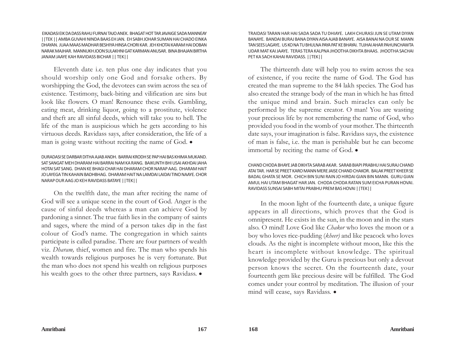EIKADASI EIK DA DASS RAHU FURNAI TAJO ANEK. BHAGAT HOT TAR JAVAIGE SADA MANNEAY ||TEK || AMBA GUVAHI NINDA BAAS EH JAN. EH SABH JOHAR SUMAN HAI CHADO EINKA DHAYAN. JUAA MAAS MADHAR BESHIYA HINSA CHORI KAR. JEH KHOTAI KARAM HAI DOBAN NARAK MAJHAR. MANNUKH JOON SULAKHNI GAT KARMAN ANUSAR. BINA BHAJAN BIRTHA JANAM JAAYE KAH RAVIDASS BICHAR || TEK||

Eleventh date i.e. ten plus one day indicates that you should worship only one God and forsake others. By worshipping the God, the devotees can swim across the sea of existence. Testimony, back-biting and vilification are sins but look like flowers. O man! Renounce these evils. Gambling, eating meat, drinking liquor, going to a prostitute, violence and theft are all sinful deeds, which will take you to hell. The life of the man is auspicious which he gets according to his virtuous deeds. Ravidass says, after consideration, the life of a man is going waste without reciting the name of God.  $\bullet$ 

### DURADASI SE DARBAR DITHA AJAB ANDH. BARRAI KRODH SE PAP HAI BAS KHIMA MUKAND. SAT SANGAT MEH DHARAM HAI BARRAI NAM KA RANG. BAIKUNTH BHI USAI AKHDAI JAHA HOTAI SAT SANG. DHAN KE BHAGI CHAR HAI DHARAM CHOR NARAP AAG. DHARAM HAIT JO LAYEGA TIN KAHAIN BADHBHAG. DHARAM HAIT NA LAMDAI LAIDAI TINO NAAYE. CHOR NARAP OUR AAG JO KEH RAVIDASS BATAYE ||TEK||

On the twelfth date, the man after reciting the name of God will see a unique scene in the court of God. Anger is the cause of sinful deeds whereas a man can achieve God by pardoning a sinner. The true faith lies in the company of saints and sages, where the mind of a person takes dip in the fast colour of God's name. The congregation in which saints participate is called paradise. There are four partners of wealth viz. *Dharam,* thief, women and fire. The man who spends his wealth towards religious purposes he is very fortunate. But the man who does not spend his wealth on religious purposes his wealth goes to the other three partners, says Ravidass.  $\bullet$ 

TRAIDASI TARAN HAR HAI SADA SADA TU DHIAYE. LAKH CHURASI JUN SE UTAM DIYAN BANAYE. BANDAI BURAJ BANA DIYAN AISA AJAB BANAYE. AISA BANAI NA OUR SE MANN TAN SEES LAGAYE. US KO NA TU BHULNA PAYA PAT KE BHAYAI. TUJHAI AHAR PAHUNCHAWTA UDAR MAT KAI JAAYE. TERAS TERA KALPNA JHOOTHA DIKHTA BHAAS. JHOOTHA SACHAI PET KA SACH KAHAI RAVIDASS. ||TEK||

The thirteenth date will help you to swim across the sea of existence, if you recite the name of God. The God has created the man supreme to the 84 lakh species. The God has also created the strange body of the man in which he has fitted the unique mind and brain. Such miracles can only be performed by the supreme creator. O man! You are wasting your precious life by not remembering the name of God, who provided you food in the womb of your mother. The thirteenth date says, your imagination is false. Ravidass says, the existence of man is false, i.e. the man is perishable but he can become immortal by reciting the name of God.  $\bullet$ 

CHAND CHODA BHAYE JAB DIKHTA SARAB AKAR. SARAB BIAPI PRABHU HAI SURAJ CHAND ATAI TAR. HAR SE PREET KARO MANN MERE JAISE CHAND CHAKOR. BALAK PREET KHEER SE BADAL GHATA SE MOR. CHICH BIN SUNI RAIN JO HIRDAI GIAN BIN MANN. GURU GIAN AMUL HAI UTAM BHAGAT HAR JAN. CHODA CHODA RATAN SUM EICHA PURAN HOVAI. RAVIDASS SUNSAI SABH MITAI PRABHU PREM BAS HOVAI ||TEK||

In the moon light of the fourteenth date, a unique figure appears in all directions, which proves that the God is omnipresent. He exists in the sun, in the moon and in the stars also. O mind! Love God like *Chakor* who loves the moon or a boy who loves rice-pudding (*kheer)* and like peacock who loves clouds. As the night is incomplete without moon, like this the heart is incomplete without knowledge. The spiritual knowledge provided by the Guru is precious but only a devout person knows the secret. On the fourteenth date, your fourteenth gem like precious desire will be fulfilled. The God comes under your control by meditation. The illusion of your mind will cease, says Ravidass. •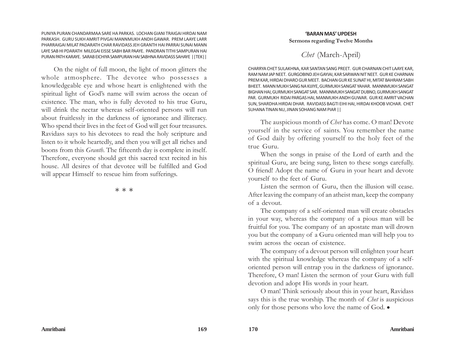PUNIYA PURAN CHANDARMAA SARE HA PARKAS. LOCHAN GIANI TRAIGAI HIRDAI NAM PARKASH. GURU SUKH AMRIT PIVGAI MANNMUKH ANDH GAWAR. PREM LAAYE LARR PHARRAIGAI MILAT PADARATH CHAR RAVIDASS JEH GRANTH HAI PARRAI SUNAI MANN LAYE SAB HI PDARATH MILEGAI EISSE SABH BAR PAAYE. PANDRAN TITHI SAMPURAN HAI PURAN PATH KARAYE. SARAB EICHIYA SAMPURAN HAI SABHNA RAVIDASS SAHAYE ||TEK||

On the night of full moon, the light of moon glitters the whole atmosphere. The devotee who possesses a knowledgeable eye and whose heart is enlightened with the spiritual light of God's name will swim across the ocean of existence. The man, who is fully devoted to his true Guru, will drink the nectar whereas self-oriented persons will run about fruitlessly in the darkness of ignorance and illiteracy. Who spend their lives in the feet of God will get four treasures. Ravidass says to his devotees to read the holy scripture and listen to it whole heartedly, and then you will get all riches and boons from this *Granth*. The fifteenth day is complete in itself. Therefore, everyone should get this sacred text recited in his house. All desires of that devotee will be fulfilled and God will appear Himself to rescue him from sufferings.

本 本 本

## **'BARAN MAS' UPDESH Sermons regarding Twelve Months**

# *Chet* (March-April)

CHARRYA CHET SULAKHNA, KAR SANTAN SANG PREET. GUR CHARNAN CHIT LAAYE KAR, RAM NAM JAP NEET. GURGOBIND JEH GAYIAI, KAR SARWAN NIT NEET. GUR KE CHARNAN PREM KAR, HIRDAI DHARO GUR MEET. BACHAN GUR KE SUNAT HI, MITAT BAHRAM SABH BHEET. MANN MUKH SANG NA KIJIYE, GURMUKH SANGAT YAHAR. MANNMUKH SANGAT BIGHAN HAI, GURMUKH SANGAT SAR. MANNMUKH SANGAT DUBNO, GURMUKH SANGAT PAR. GURMUKH RIDAI PARGAS HAI, MANMUKH ANDH GUWAR. GUR KE AMRIT VACHAN SUN, SHARDHA HIRDAI DHAR. RAVIDASS BAGTI EIHI HAI, HIRDAI KHOOB VICHAR. CHET SUHANA TINAN NU, JINAN SOHANG NAM PIAR ||

The auspicious month of *Chet* has come. O man! Devote yourself in the service of saints. You remember the name of God daily by offering yourself to the holy feet of the true Guru.

When the songs in praise of the Lord of earth and the spiritual Guru, are being sung, listen to these songs carefully. O friend! Adopt the name of Guru in your heart and devote yourself to the feet of Guru.

Listen the sermon of Guru, then the illusion will cease. After leaving the company of an atheist man, keep the company of a devout.

The company of a self-oriented man will create obstacles in your way, whereas the company of a pious man will be fruitful for you. The company of an apostate man will drown you but the company of a Guru oriented man will help you to swim across the ocean of existence.

The company of a devout person will enlighten your heart with the spiritual knowledge whereas the company of a selforiented person will entrap you in the darkness of ignorance. Therefore, O man! Listen the sermon of your Guru with full devotion and adopt His words in your heart.

O man! Think seriously about this in your heart, Ravidass says this is the true worship. The month of *Chet* is auspicious only for those persons who love the name of God.  $\bullet$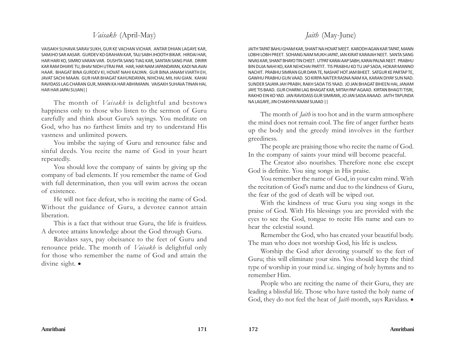# *Vaisakh* (April-May)

VAISAKH SUHAVA SARAV SUKH, GUR KE VACHAN VICHAR. ANTAR DHIAN LAGAYE KAR, SAMJHO SAR AASAR. GURDEV KO GRAHAN KAR, TAJJ SABH JHOOTH BIKAR. HIRDAI HAR, HAR HARI KO, SIMRO VARAN VAR. DUSHTA SANG TIAG KAR, SANTAN SANG PIAR. DRIRR KAR RAM DHIAYE TU, BHAV NIDH UTRAI PAR. HAR, HAR NAM JAPANDAYAN, KADI NA AVAI HAAR. BHAGAT BINA GURDEV KI, HOVAT NAHI KALYAN. GUR BINA JANAM VIARTH EH, JAVAT SACHI MAAN. GUR HAR BHAGAT KAHUNDAYAN, NIHCHAL MIL HAI GIAN. KAHAI RAVIDASS LAG CHARAN GUR, MANN KA HAR ABHIMANN. VAISAKH SUHAVA TINAN HAI, HAR HAR JAPAI SUJAN||

The month of *Vaisakh* is delightful and bestows happiness only to those who listen to the sermon of Guru carefully and think about Guru's sayings. You meditate on God, who has no farthest limits and try to understand His vastness and unlimited powers.

You imbibe the saying of Guru and renounce false and sinful deeds. You recite the name of God in your heart repeatedly.

You should love the company of saints by giving up the company of bad elements. If you remember the name of God with full determination, then you will swim across the ocean of existence.

He will not face defeat, who is reciting the name of God. Without the guidance of Guru, a devotee cannot attain liberation.

This is a fact that without true Guru, the life is fruitless. A devotee attains knowledge about the God through Guru.

Ravidass says, pay obeisance to the feet of Guru and renounce pride. The month of *Vaisakh* is delightful only for those who remember the name of God and attain the divine sight.  $\bullet$ 

# *Jaith* (May-June)

JAITH TAPAT BAHU GHAM KAR, SHANT NA HOVAT MEET. KARODH AGAN KAR TAPAT, MANN LOBHI LOBH PREET. SOHANG NAM MUKH JAPAT, JAN KIRAT KARAIAH NEET. SANTA SANG NIVAS KAR, SHANT BHAYO TIN CHEET. UTPAT KARAI AAP SABH, KARAI PALNA NEET. PRABHU BIN DUJA NAHI KO, KAR NEHCHAI PARTIT. TIS PRABHU KO TU JAP SADA, HOKAR MANNO NACHIT. PRABHU SIMRAN GUR DAYA TE, NASHAT HOT JAM BHEET. SATGUR KE PARTAP TE, GAWHU PRABHU GUN VAAD. SO KIRPA NAITER RASNA NAM KA, KARAN DIYAY SUN NAD. SUNDER SAJAYA JAH PRABH, RAKH SADA TIS YAAD. JO JAN BHAGAT BIHEEN HAI, JANAM JAYE TIS BAAD. GUR CHARNI LAG BHAGAT KAR, MITAH PAP AGAAD. KIRTAN BHAGTI TISRI, RAKHO EIN KO YAD. JAN RAVIDASS GUR SIMRAYA, JO JAN SADA ANAAD. JAITH TAPUNDA NA LAGAYE, JIN CHAKHYA NAAM SUAAD ||

The month of *Jaith* is too hot and in the warm atmosphere the mind does not remain cool. The fire of anger further heats up the body and the greedy mind involves in the further greediness.

The people are praising those who recite the name of God. In the company of saints your mind will become peaceful.

The Creator also nourishes. Therefore none else except God is definite. You sing songs in His praise.

You remember the name of God, in your calm mind. With the recitation of God's name and due to the kindness of Guru, the fear of the god of death will be wiped out.

With the kindness of true Guru you sing songs in the praise of God. With His blessings you are provided with the eyes to see the God, tongue to recite His name and ears to hear the celestial sound.

Remember the God, who has created your beautiful body. The man who does not worship God, his life is useless.

Worship the God after devoting yourself to the feet of Guru; this will eliminate your sins. You should keep the third type of worship in your mind i.e. singing of holy hymns and to remember Him.

People who are reciting the name of their Guru, they are leading a blissful life. Those who have tasted the holy name of God, they do not feel the heat of *Jaith* month, says Ravidass.  $\bullet$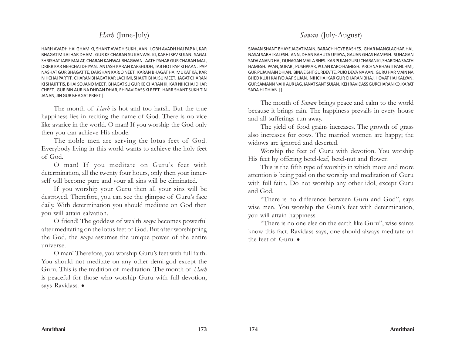# *Harh* (June-July)

HARH AVADH HAI GHAM KI, SHANT AVADH SUKH JAAN. LOBH AVADH HAI PAP KI, KAR BHAGAT MILAI HAR DHAM. GUR KE CHARAN SU KANWAL KI, KARHI SEV SUJAN. SAGAL SHRISHAT JAISE MALAT, CHARAN KANWAL BHAGWAN. AATH PAHAR GUR CHARAN MAL, DRIRR KAR NEHCHAI DHIYAN. ANTASH KARAN KARSHUDH, TAB HOT PAP KI HAAN. PAP NASHAT GUR BHAGAT TE, DARSHAN KARJO NEET. KARAN BHAGAT HAI MUKAT KA, KAR NIHCHAI PARTIT. CHARAN BHAGAT KAR LACHMI, SHAKTI BHAI SU MEET. JAGAT CHARAN KI SHAKT TIS, BHAI SO JANO MEET. BHAGAT SU GUR KE CHARAN KI, KAR NIHCHAI DHAR CHEET. GUR BIN AUR NA DHIYAN DHAR, EH RAVIDASS KI REET. HARR SHANT SUKH TIN JANAN, JIN GUR BHAGAT PREET ||

The month of *Harh* is hot and too harsh. But the true happiness lies in reciting the name of God. There is no vice like avarice in the world. O man! If you worship the God only then you can achieve His abode.

The noble men are serving the lotus feet of God. Everybody living in this world wants to achieve the holy feet of God.

O man! If you meditate on Guru's feet with determination, all the twenty four hours, only then your innerself will become pure and your all sins will be eliminated.

If you worship your Guru then all your sins will be destroyed. Therefore, you can see the glimpse of Guru's face daily. With determination you should meditate on God then you will attain salvation.

O friend! The goddess of wealth *maya* becomes powerful after meditating on the lotus feet of God. But after worshipping the God, the *maya* assumes the unique power of the entire universe.

O man! Therefore, you worship Guru's feet with full faith. You should not meditate on any other demi-god except the Guru. This is the tradition of meditation. The month of *Harh* is peaceful for those who worship Guru with full devotion, says Ravidass.  $\bullet$ 

# *Sawan* (July-August)

SAWAN SHANT BHAYE JAGAT MAIN, BARACH HOYE BASHES. GHAR MANGLACHAR HAI, NASAI SABHI KALESH. ANN, DHAN BAHUTA UPJAYA, GAUAN GHAS HAMESH. SUHAGAN SADA ANAND HAI, DUHAGAN MAILA BHES. KAR PUJAN GURU CHARAN KI, SHARDHA SAATH HAMESH. PAAN, SUPARI, PUSHPKAR, PUJAN KARO HAMESH. ARCHNA BHAGTI PANCHMI, GUR PUJA MAIN DHIAN. BINA EISHT GURDEV TE, PUJO DEVA NA AAN. GURU HAR MAIN NA BHED KUJH KAHYO AAP SUJAN. NIHCHAI KAR GUR CHARAN BHAJ, HOVAT HAI KALYAN. GUR SAMANN NAHI AUR JAG, JANAT SANT SUJAN. KEH RAVIDASS GURCHARAN KO, KARAT SADA HI DHIAN ||

The month of *Sawan* brings peace and calm to the world because it brings rain. The happiness prevails in every house and all sufferings run away.

The yield of food grains increases. The growth of grass also increases for cows. The married women are happy; the widows are ignored and deserted.

Worship the feet of Guru with devotion. You worship His feet by offering betel-leaf, betel-nut and flower.

This is the fifth type of worship in which more and more attention is being paid on the worship and meditation of Guru with full faith. Do not worship any other idol, except Guru and God.

"There is no difference between Guru and God", says wise men. You worship the Guru's feet with determination, you will attain happiness.

"There is no one else on the earth like Guru", wise saints know this fact. Ravidass says, one should always meditate on the feet of Guru.  $\bullet$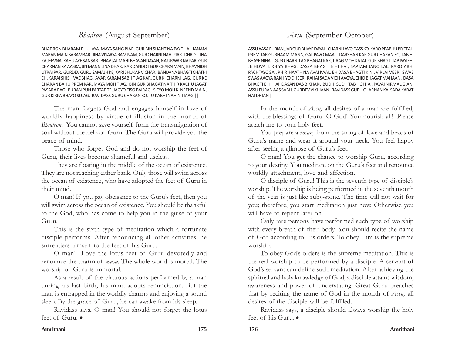# *Bhadron* (August-September)

BHADRON BHARAM BHULAYA, MAYA SANG PIAR. GUR BIN SHANT NA PAYE HAI, JANAM MARAN MAIN BARAMBAR. JINA VISARYA RAM NAM, GUR CHARNI NAHI PIAR. DHRIG TINA KA JEEVNA, KAHU AYE SANSAR. BHAV JAL MAHI BHAVANDAYAN, NA URWAR NA PAR. GUR CHARNAN KA AASRA, JIN MANN LINA DHAR. KAR DANDOT GUR CHARN MAIN, BHAVNIDH UTRAI PAR. GURDEV GURU SAMAJH KE, KARI SHUKAR VICHAR. BANDANA BHAGTI CHATHI EH, KARAI SHISH VADBHAG. AVAR KARAM SABH TIAG KAR, GUR KI CHARNI LAG. GUR KE CHARAN BAHU PREM KAR, MAYA MOH TIAG. BIN GUR BHAGAT NA THIR KACHU JAGAT PASARA BAG. PURAN PUN PARTAP TE, JAGYO EISO BAIRAG. SIEYO MOH KI NEEND MAIN, GUR KIRPA BHAYO SUJAG. RAVIDASS GURU CHARAN KO, TU KABHI NAHIN TIAAG ||

The man forgets God and engages himself in love of worldly happiness by virtue of illusion in the month of *Bhadron*. You cannot save yourself from the transmigration of soul without the help of Guru. The Guru will provide you the peace of mind.

Those who forget God and do not worship the feet of Guru, their lives become shameful and useless.

They are floating in the middle of the ocean of existence. They are not reaching either bank. Only those will swim across the ocean of existence, who have adopted the feet of Guru in their mind.

O man! If you pay obeisance to the Guru's feet, then you will swim across the ocean of existence. You should be thankful to the God, who has come to help you in the guise of your Guru.

This is the sixth type of meditation which a fortunate disciple performs. After renouncing all other activities, he surrenders himself to the feet of his Guru.

O man! Love the lotus feet of Guru devotedly and renounce the charm of *maya.* The whole world is mortal. The worship of Guru is immortal.

As a result of the virtuous actions performed by a man during his last birth, his mind adopts renunciation. But the man is entrapped in the worldly charms and enjoying a sound sleep. By the grace of Guru, he can awake from his sleep.

Ravidass says, O man! You should not forget the lotus feet of  $Guru$ .

# *Assu* (September-October)

ASSU AASA PURIAN, JAB GUR BHAYE DAYAL. CHARNI LAVO DASS KO, KARO PRABHU PRITPAL. PREM TAR GURNAAM MANN, GAL PAVO MAAL. DARSHAN KAR GUR CHARAN KO, TAB HI BHAYE NIHAL. GUR CHARNI LAG BHAGAT KAR, TIAAG MOH KA JAL. GUR BHAGTI TAB PAYIEH, JE HOVAI LIKHIYA BHAG. DASSA BHAGTI EIHI HAI, SAPTAM JANO LAL. KARO ABHI PACHTAYOGAI, PHIR HAATH NA AVAI KAAL. EH DASA BHAGTI KINI, VIRLAI VEER. SWAS SWAS AAGYA RAKHIYO DHEER. RAHAI SADA VICH AAGYA, EHIO BHAGAT MAHAAN. DASA BHAGTI EIHI HAI, DASAN DAS BIKHAN. BUDH, SUDH TAB HOI HAI, PAVAI NIRMAL GIAN. ASSU PURAN AAS SABH, GURDEV VIKHIAAN. RAVIDASS GURU CHARNAN KA, SADA KARAT HAI DHIAN ||

In the month of *Assu,* all desires of a man are fulfilled, with the blessings of Guru. O God! You nourish all!! Please attach me to your holy feet.

You prepare a *rosary* from the string of love and beads of Guru's name and wear it around your neck. You feel happy after seeing a glimpse of Guru's feet.

O man! You get the chance to worship Guru, according to your destiny. You meditate on the Guru's feet and renounce worldly attachment, love and affection.

O disciple of Guru! This is the seventh type of disciple's worship. The worship is being performed in the seventh month of the year is just like ruby-stone. The time will not wait for you; therefore, you start meditation just now. Otherwise you will have to repent later on.

Only rare persons have performed such type of worship with every breath of their body. You should recite the name of God according to His orders. To obey Him is the supreme worship.

To obey God's orders is the supreme meditation. This is the real worship to be performed by a disciple. A servant of God's servant can define such meditation. After achieving the spiritual and holy knowledge of God, a disciple attains wisdom, awareness and power of understating. Great Guru preaches that by reciting the name of God in the month of *Assu,* all desires of the disciple will be fulfilled.

Ravidass says, a disciple should always worship the holy feet of his Guru. $\bullet$ 

### **Amritbani 175 176 Amritbani**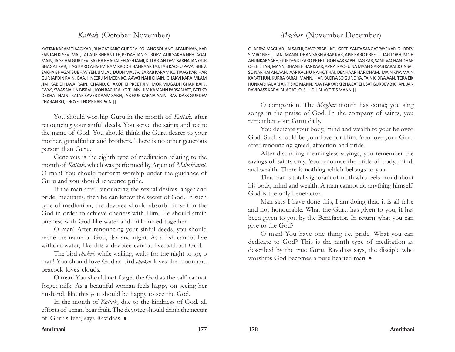# *Kattak* (October-November)

KATTAK KARAM TIAAG KAR , BHAGAT KARO GURDEV. SOHANG SOHANG JAPANDIYAN, KAR SANTAN KI SEV. MAT, TAT AUR BHRANT TE, PRIYAH JAN GURDEV. AUR SAKHA NEH JAGAT MAIN, JAISE HAI GURDEV. SAKHA BHAGAT EH ASHTAMI, KITI ARJAN DEV. SAKHA JAN GUR BHAGAT KAR, TIAG KARO AHMEV. KAM KRODH HANKAAR TAJ, TAB KACHU PAVAI BHEV. SAKHA BHAGAT SUBHAV YEH, JIM JAL, DUDH MALEV. SARAB KARAM KO TIAAG KAR, HAR GUR JAPDIN RAIN. BAAJH NEER JIM MEEN KO, AAVAT NAHI CHAIN. CHAKVI KARAI VILAM JIM, KAB EH JAVAI RAIN. CHAND, CHAKOR KI PREET JIM, MOR MUGADH GHAN BAIN. SWAS, SWAS NAHIN BISRAI, JIYON BACHRAI KO THAIN. JIM KAMANN PARSAN ATT, PATI KO DEKHAT NAIN. KATAK SAVER KAAM SABH, JAB GUR KARNA AAIN. RAVIDASS GURDEV CHARAN KO, THOYE, THOYE KAR PAIN ||

You should worship Guru in the month of *Kattak,* after renouncing your sinful deeds. You serve the saints and recite the name of God. You should think the Guru dearer to your mother, grandfather and brothers. There is no other generous person than Guru.

Generous is the eighth type of meditation relating to the month of *Kattak,* which was performed by Arjun of *Mahabharat*. O man! You should perform worship under the guidance of Guru and you should renounce pride.

If the man after renouncing the sexual desires, anger and pride, meditates, then he can know the secret of God. In such type of meditation, the devotee should absorb himself in the God in order to achieve oneness with Him. He should attain oneness with God like water and milk mixed together.

O man! After renouncing your sinful deeds, you should recite the name of God, day and night. As a fish cannot live without water, like this a devotee cannot live without God.

The bird *chakvi,* while wailing, waits for the night to go, o man! You should love God as bird *chakor* loves the moon and peacock loves clouds.

O man! You should not forget the God as the calf cannot forget milk. As a beautiful woman feels happy on seeing her husband, like this you should be happy to see the God.

In the month of *Kattak,* due to the kindness of God, all efforts of a man bear fruit. The devotee should drink the nectar of Guru's feet, says Ravidass. .

# *Maghar* (November-December)

CHARRYA MAGHAR HAI SAKHI, GAVO PRABH KEH GEET. SANTA SANGAT PAYE KAR, GURDEV SIMRO NEET. TAN, MANN, DHAN SABH ARAP KAR, AISE KARO PREET. TIAG LOBH, MOH AHUNKAR SABH, GURDEV KI KARO PREET. GON VAK SABH TIAG KAR, SANT VACHAN DHAR CHEET. TAN, MANN, DHAN EH HANKAAR, APNAI KACHU NA MAAN GARAB KARAT JO INSAI, SO NAR HAI ANJAAN. AAP KACHU NA HOT HAI, DENHAAR HAR DHAM. MAIN KIYA MAIN KARAT HUN, KURRA KARAH MANN. HAR KA DIYA SO GUR DIYA, TAIN KI DIYA AAN. TERA EIK HUNKAR HAI, ARPAN TIS KO MANN. NAV PARKAR KI BHAGAT EH, SAT GURDEV BIKHAN. JAN RAVIDASS KARAI BHAGAT JO, SHUDH BHAYO TIS MANN ||

O companion! The *Maghar* month has come; you sing songs in the praise of God. In the company of saints, you remember your Guru daily.

You dedicate your body, mind and wealth to your beloved God. Such should be your love for Him. You love your Guru after renouncing greed, affection and pride.

After discarding meaningless sayings, you remember the sayings of saints only. You renounce the pride of body, mind, and wealth. There is nothing which belongs to you.

That man is totally ignorant of truth who feels proud about his body, mind and wealth. A man cannot do anything himself. God is the only benefactor.

Man says I have done this, I am doing that, it is all false and not honourable. What the Guru has given to you, it has been given to you by the Benefactor. In return what you can give to the God?

O man! You have one thing i.e. pride. What you can dedicate to God? This is the ninth type of meditation as described by the true Guru. Ravidass says, the disciple who worships God becomes a pure hearted man.  $\bullet$ 

### **Amritbani 177 178 Amritbani**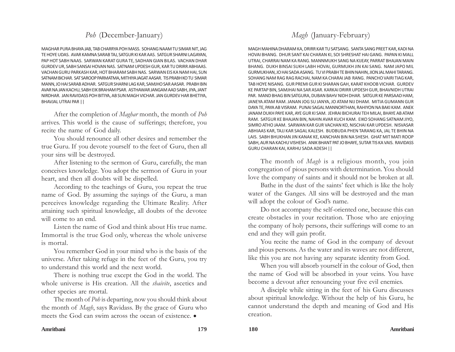# *Poh* (December-January)

MAGHAR PURA BHAYA JAB, TAB CHARRYA POH MASS. SOHANG NAAM TU SIMAR NIT, JAG TE HOYE UDAS. AVAR KAMNA SARAB TAJ, SATGUR KI KAR AAS. SATGUR SHARNI LAGAYAN, PAP HOT SABH NAAS. SARWAN KARAT GURA TE, SADHAN GIAN BILAS. VACHAN DHAR GURDEV UR, SABH SANSAI HOVAN NAS. SATNAM UPDESH GUR, KAR TU DRIRR ABHIAAS. VACHAN GURU PARKASH KAR, HOT BHARAM SABH NAS. SARWAN EIS KA NAM HAI, SUN SATNAM BICHAR. SAT SAROOP PARMATMA, MITHIYA JAGAT AASAR. TIS PRABH KO TU SIMAR MANN, JO HAI SARAB ADHAR. SATGUR SHARNI LAG KAR, SAMJHO SAR AASAR. PRABH BIN AVAR NA JAN KACHU, SABH EIK BRAHAM PSAR. ASTHAWAR JANGAM AAD SABH, JIYA, JANT NIRDHAR. JAN RAVIDASS POH BITIYA, AB SUN MAGH VICHAR. JAN GURDEV HAR BHETIYA, BHAVJAL UTRAI PAR ||

After the completion of *Maghar* month, the month of *Poh* arrives. This world is the cause of sufferings; therefore, you recite the name of God daily.

You should renounce all other desires and remember the true Guru. If you devote yourself to the feet of Guru, then all your sins will be destroyed.

After listening to the sermon of Guru, carefully, the man conceives knowledge. You adopt the sermon of Guru in your heart, and then all doubts will be dispelled.

According to the teachings of Guru, you repeat the true name of God. By assuming the sayings of the Guru, a man perceives knowledge regarding the Ultimate Reality. After attaining such spiritual knowledge, all doubts of the devotee will come to an end.

Listen the name of God and think about His true name. Immortal is the true God only, whereas the whole universe is mortal.

You remember God in your mind who is the basis of the universe. After taking refuge in the feet of the Guru, you try to understand this world and the next world.

There is nothing true except the God in the world. The whole universe is His creation. All the *shaivite*, ascetics and other species are mortal.

The month of *Poh* is departing, now you should think about the month of *Magh*, says Ravidass. By the grace of Guru who meets the God can swim across the ocean of existence.  $\bullet$ 

# *Magh* (January-February)

MAGH MAHINA DHARAM KA, DRIRR KAR TU SATSANG. SANTA SANG PREET KAR, KADI NA HOVAI BHANG. DHUR SANT KAI CHARAN KI, SOI SHRESHAT HAI GANG. PAPAN KI MALL UTRAI, CHARRAI NAM KA RANG. MANNMUKH SANG NA KIJEAY, PARRAT BHAJAN MAIN BHANG. DUKH BINSAI SUKH LABH HOVAI, GURMUKH JIN KAI SANG. NAM JAPO MIL GURMUKHAN, JO HAI SADA ASANG. TU VI PRABH TE BHIN NAHIN, JION JAL MAHI TARANG. SOHANG NAM RAG RAG RACHAI, NAM KA CHARAI JAB RANG. PANCHO VAIRI TIAG KAR, TAB HOYE NISANG. GUR PREMI GUR KI SHARAN GAH, KARAT KHOOB VICHAR. GURDEV KE PARTAP BIN, SAMJHAI NA SAR ASAR. KARKAI DRIRR UPDESH GUR, BHAVNIDH UTRAI PAR. MAND BHAG BIN SATGURA, DUBAN BAHV NIDH DHAR. SATGUR KE PARSAAD HAM, JANEYA ATAM RAM. JANAN JOG SU JANYA, JO ATAM NIJ DHAM. MITIA GUMANN GUR DAYA TE, PAYA AB VISRAM. PUNAI SAGAL MANNORTHAN, RAHIYON NA BAKI KAM. ANEK JANAM DUKH PAYE KAR, AYE GUR KI SAM. JEHRAI BICHURAI TEH MILAI, BHAYE AB ATAM RAM. SATGUR KE BHAJAN BIN, NAHIN AVAR KUCH KAM. EIKO SOHANG SATNAM JIYO, SIMRO ATHO JAAM. SARWAN KAR GUR VACHAN KO, NISCHAI KAR UPDESH. NISVASAR ABHIAAS KAR, TAJJ KAR SAGAL KALESH. BUDBUDA PHEN TARANG KA, JAL TE BHIN NA LAIS. SABH BHUKHAN JIN KANAK KE, KANCHAN BIN NA SHESH. GHAT MIT MATI ROOP SABH, AUR NA KACHU VISHESH. ANIK BHANT PAT JO BHAYE, SUTAR TIS KA VAIS. RAVIDASS GURU CHARAN KAI, KARHU SADA ADESH ||

The month of *Magh* is a religious month, you join congregation of pious persons with determination. You should love the company of saints and it should not be broken at all.

Bathe in the dust of the saints' feet which is like the holy water of the Ganges. All sins will be destroyed and the man will adopt the colour of God's name.

Do not accompany the self-oriented one, because this can create obstacles in your recitation. Those who are enjoying the company of holy persons, their sufferings will come to an end and they will gain profit.

You recite the name of God in the company of devout and pious persons. As the water and its waves are not different, like this you are not having any separate identity from God.

When you will absorb yourself in the colour of God, then the name of God will be absorbed in your veins. You have become a devout after renouncing your five evil enemies.

A disciple while sitting in the feet of his Guru discusses about spiritual knowledge. Without the help of his Guru, he cannot understand the depth and meaning of God and His creation.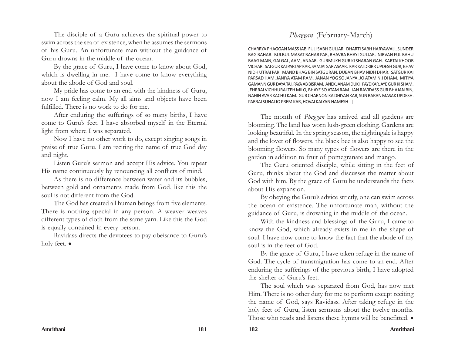The disciple of a Guru achieves the spiritual power to swim across the sea of existence, when he assumes the sermons of his Guru. An unfortunate man without the guidance of Guru drowns in the middle of the ocean.

By the grace of Guru, I have come to know about God, which is dwelling in me. I have come to know everything about the abode of God and soul.

My pride has come to an end with the kindness of Guru, now I am feeling calm. My all aims and objects have been fulfilled. There is no work to do for me.

After enduring the sufferings of so many births, I have come to Guru's feet. I have absorbed myself in the Eternal light from where I was separated.

Now I have no other work to do, except singing songs in praise of true Guru. I am reciting the name of true God day and night.

Listen Guru's sermon and accept His advice. You repeat His name continuously by renouncing all conflicts of mind.

As there is no difference between water and its bubbles, between gold and ornaments made from God, like this the soul is not different from the God.

The God has created all human beings from five elements. There is nothing special in any person. A weaver weaves different types of cloth from the same yarn. Like this the God is equally contained in every person.

Ravidass directs the devotees to pay obeisance to Guru's holy feet.  $\bullet$ 

# *Phaggan* (February-March)

CHARRYA PHAGGAN MASS JAB, FULI SABH GULJAR. DHARTI SABH HARYAWALI, SUNDER BAG BAHAR. BULBUL MASAT BAHAR PAR, BHAVRA BHAYI GULJAR. NIRVAN FUL BAHU BAAG MAIN, GALGAL, AAM, ANAAR. GURMUKH GUR KI SHARAN GAH. KARTAI KHOOB VICHAR. SATGUR KAI PARTAP KAR, SAMJAI SAR ASAAR. KAR KAI DRIRR UPDESH GUR, BHAV NIDH UTRAI PAR. MAND BHAG BIN SATGURAN, DUBAN BHAV NIDH DHAR. SATGUR KAI PARSAD HAM, JANIYA ATAM RAM. JANAN YOG SO JANYA, JO ATAM NIJ DHAM. MITIYA GAMANN GUR DAYA TAI, PAYA AB BISRAM. ANEK JANAM DUKH PAYE KAR, AYE GUR KI SHAM. JEHRRAI VICHHURAI TEH MILO, BHAYE SO ATAM RAM. JAN RAVIDASS GUR BHAJAN BIN, NAHIN AVAR KACHU KAM. GUR CHARNON KA DHIYAN KAR, SUN BARAN MASAK UPDESH. PARRAI SUNAI JO PREM KAR, HOVAI KALYAN HAMESH ||

The month of *Phaggan* has arrived and all gardens are blooming. The land has worn lush-green clothing. Gardens are looking beautiful. In the spring season, the nightingale is happy and the lover of flowers, the black bee is also happy to see the blooming flowers. So many types of flowers are there in the garden in addition to fruit of pomegranate and mango.

The Guru oriented disciple, while sitting in the feet of Guru, thinks about the God and discusses the matter about God with him. By the grace of Guru he understands the facts about His expansion.

By obeying the Guru's advice strictly, one can swim across the ocean of existence. The unfortunate man, without the guidance of Guru, is drowning in the middle of the ocean.

With the kindness and blessings of the Guru, I came to know the God, which already exists in me in the shape of soul. I have now come to know the fact that the abode of my soul is in the feet of God.

By the grace of Guru, I have taken refuge in the name of God. The cycle of transmigration has come to an end. After enduring the sufferings of the previous birth, I have adopted the shelter of Guru's feet.

The soul which was separated from God, has now met Him. There is no other duty for me to perform except reciting the name of God, says Ravidass. After taking refuge in the holy feet of Guru, listen sermons about the twelve months. Those who reads and listens these hymns will be benefitted.  $\bullet$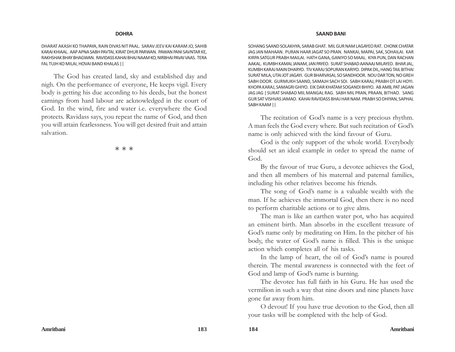#### **DOHRA**

DHARAT AKASH KO THAPAYA, RAIN DIVAS NIT PAAL. SARAV JEEV KAI KARAM JO, SAHIB KARAI KHIAAL. AAP APNA SABH PAVTAI, KIRAT DHUR PARWAN. PAWAN PANI SAVNTAR KE, RAKHSHAK BHAY BHAGWAN. RAVIDASS KAHAI BHAJ NAAM KO, NIRBHAI PAVAI VAAS. TERA FAL TUJH KO MILAI, HOVAI BAND KHALAS ||

The God has created land, sky and established day and nigh. On the performance of everyone, He keeps vigil. Every body is getting his due according to his deeds, but the honest earnings from hard labour are acknowledged in the court of God. In the wind, fire and water i.e. everywhere the God protects. Ravidass says, you repeat the name of God, and then you will attain fearlessness. You will get desired fruit and attain salvation.

本 本 本

#### **SAAND BANI**

SOHANG SAAND SOLAKHYA, SARAB GHAT. MIL GUR NAM LAGAYEO RAT. CHONK CHATAR JAG JAN MAHAAN. PURAN HAAR JAGAT SO PRAN. NANKAI, MAPAI, SAK, SOHAILAI. KAR KIRPA SATGUR PRABH MAILAI. HATH GANA, GANIYO SO MAAL. KIYA PUN, DAN RACHAN AAKAL. KUMBH KAMAL JANAM, JAN PAYEO. SURAT SHABAD AANAAJ MILAYEO. BHAR JAL, KUMBH KARAJ MAIN DHARYO. TIV KARAJ SOPURAN KARIYO. DIPAK DIL, HANG TAIL BITHAI SURAT MILA, UTAI JOT JAGAYI. GUR BHARVASAI, SO SANDHOOR. NOU DAR TON, NO GREH SABH DOOR. GURMUKH SAAND, SAMAJH SACH SOI. SABH KARAJ, PRABH OT LAI HOYI. KHOPA KARAJ, SAMAGRI GHIYO. EIK DAR KHATAM SOGANDI BHIYO. AB AMB, PAT JAGAN JAG JAG | SURAT SHABAD MIL MANGAL RAG. SABH MIL PRAN, PRAAN, BITHAO. SANG GUR SAT VISHVAS JAMAO. KAHAI RAVIDASS BHAJ HAR NAM. PRABH SO DHIYAN, SAPHAL SABH KAAM ||

The recitation of God's name is a very precious rhythm. A man feels the God every where. But such recitation of God's name is only achieved with the kind favour of Guru.

God is the only support of the whole world. Everybody should set an ideal example in order to spread the name of God.

By the favour of true Guru, a devotee achieves the God, and then all members of his maternal and paternal families, including his other relatives become his friends.

The song of God's name is a valuable wealth with the man. If he achieves the immortal God, then there is no need to perform charitable actions or to give alms.

The man is like an earthen water pot, who has acquired an eminent birth. Man absorbs in the excellent treasure of God's name only by meditating on Him. In the pitcher of his body, the water of God's name is filled. This is the unique action which completes all of his tasks.

In the lamp of heart, the oil of God's name is poured therein. The mental awareness is connected with the feet of God and lamp of God's name is burning.

The devotee has full faith in his Guru. He has used the vermilion in such a way that nine doors and nine planets have gone far away from him.

O devout! If you have true devotion to the God, then all your tasks will be completed with the help of God.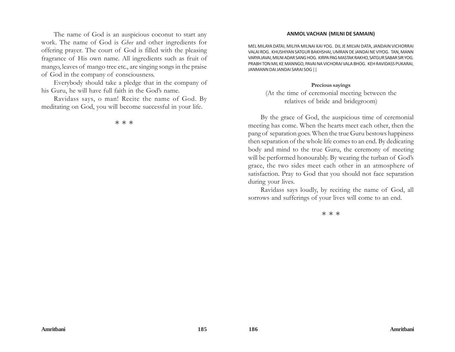The name of God is an auspicious coconut to start any work. The name of God is *Ghee* and other ingredients for offering prayer. The court of God is filled with the pleasing fragrance of His own name. All ingredients such as fruit of mango, leaves of mango tree etc., are singing songs in the praise of God in the company of consciousness.

Everybody should take a pledge that in the company of his Guru, he will have full faith in the God's name.

Ravidass says, o man! Recite the name of God. By meditating on God, you will become successful in your life.

率率率

### **ANMOL VACHAN (MILNI DE SAMAIN)**

MEL MILAYA DATAI, MILIYA MILNAI KAI YOG. DIL JE MILVAI DATA, JANDAIN VICHORRAI VALAI ROG. KHUSHIYAN SATGUR BAKHSHAI, UMRAN DE JANDAI NE VIYOG. TAN, MANN VARYA JAVAI, MILNI ADAR SANG HOG. KIRPA PAG MASTAK RAKHO, SATGUR SABAR SIR YOG. PRABH TON MIL KE MANNGO, PAVAI NA VICHORAI VALA BHOG. KEH RAVIDASS PUKARAI, JANMANN DAI JANDAI SARAI SOG ||

### **Precious sayings**

(At the time of ceremonial meeting between the relatives of bride and bridegroom)

By the grace of God, the auspicious time of ceremonial meeting has come. When the hearts meet each other, then the pang of separation goes. When the true Guru bestows happiness then separation of the whole life comes to an end. By dedicating body and mind to the true Guru, the ceremony of meeting will be performed honourably. By wearing the turban of God's grace, the two sides meet each other in an atmosphere of satisfaction. Pray to God that you should not face separation during your lives.

Ravidass says loudly, by reciting the name of God, all sorrows and sufferings of your lives will come to an end.

本 本 本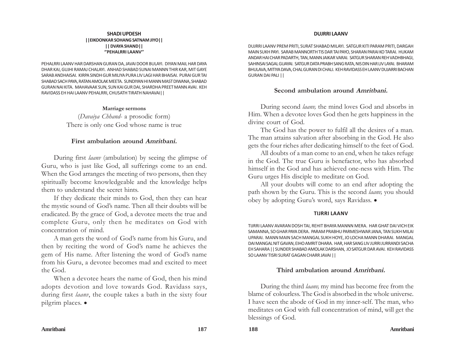#### **SHADI UPDESH ||EIKOONKAR SOHANG SATNAM JIYO|| || DVAYA SHAND|| ''PEHALRRI LAANV''**

PEHALRRI LAANV HAR DARSHAN GURAN DA, JAVAI DOOR BULAYI. DIYAN MAIL HAR DAYA DHAR KAI, GUJHI RAMAJ CHALAYI. ANHAD SHABAD SUNAI MANNN THIR KAR, MIT GAYE SARAB ANDHAISAI. KIRPA SINDH GUR MILIYA PURA LIV LAGI HAR BHAISAI. PURAI GUR TAI SHABAD SACH PAYA, RATAN AMOLAK MEETA. SUNDIYAN HI MANN MAST DIWANA, SHABAD GURAN NAI KITA. MAHAVAAK SUN, SUN KAI GUR DAI, SHARDHA PREET MANN AVAI. KEH RAVIDASS EH HAI LAANV PEHALRRI, CHUSATH TIRATH NAHAVAI||

# **Marriage sermons**

(*Davaiya Chhand-* a prosodic form) There is only one God whose name is true

# **First ambulation around Amritbani.**

During first *laanv* (ambulation) by seeing the glimpse of Guru, who is just like God, all sufferings come to an end. When the God arranges the meeting of two persons, then they spiritually become knowledgeable and the knowledge helps them to understand the secret hints.

If they dedicate their minds to God, then they can hear the mystic sound of God's name. Then all their doubts will be eradicated. By the grace of God, a devotee meets the true and complete Guru, only then he meditates on God with concentration of mind.

A man gets the word of God's name from his Guru, and then by reciting the word of God's name he achieves the gem of His name. After listening the word of God's name from his Guru, a devotee becomes mad and excited to meet the God.

When a devotee hears the name of God, then his mind adopts devotion and love towards God. Ravidass says, during first *laanv*, the couple takes a bath in the sixty four pilgrim places. •

## **DUJRRI LAANV**

DUJRRI LAANV PREM PRITI, SURAT SHABAD MILAYI. SATGUR KITI PARAM PRITI, DARGAH MAIN SUKH PAYI. SARAB MANNORTH TIS DAR TAI PAYO, SHARAN PARAI KO TARAI. HUKAM ANDAR HAI CHAR PADARTH, TAN, MANN JAIKAR VARAI. SATGUR SHARAN REH VADHBHAGI, SAHINSAI SAGAL GUAYAI. SATGUR DATA PRABH SANG RATA, NIS DIN HAR LIV LAYAI. BHARAM BHULAVA, MITIYA DAVA, CHAL GURAN DI CHALI. KEH RAVIDASS EH LAANV DUJARRI BACHAN GURAN DAI PALI ||

# **Second ambulation around Amritbani.**

During second *laanv,* the mind loves God and absorbs in Him. When a devotee loves God then he gets happiness in the divine court of God.

The God has the power to fulfil all the desires of a man. The man attains salvation after absorbing in the God. He also gets the four riches after dedicating himself to the feet of God.

All doubts of a man come to an end, when he takes refuge in the God. The true Guru is benefactor, who has absorbed himself in the God and has achieved one-ness with Him. The Guru urges His disciple to meditate on God.

All your doubts will come to an end after adopting the path shown by the Guru. This is the second *laanv,* you should obey by adopting Guru's word, says Ravidass. .

## **TIJRRI LAANV**

TIJRRI LAANV AVARAN DOSH TAI, REHIT BHAYA MANNN MERA. HAR GHAT DAI VICH EIK SAMANNA, SO GHAR PAYA DERA. PARAM PRABHU PARMESHWAR JANA, TAN SUKH MILAI UPARAI. MANN MAIN SACH MANGAL SUKH HOYE, JO LOCHA MANN DHARAI. MANGAL DAI MANGAL NIT GAVAN, EIHO AMRIT DHARA. HAR, HAR SANG LIV JURRI JURRANDI SACHA EH SAHARA || SUNDER SHABAD AMOLAK DARSHAN, JO SATGUR DAR AVAI. KEH RAVIDASS SO LAANV TISRI SURAT GAGAN CHARR JAVAI ||

# **Third ambulation around Amritbani.**

During the third *laanv,* my mind has become free from the blame of colourless. The God is absorbed in the whole universe. I have seen the abode of God in my inner-self. The man, who meditates on God with full concentration of mind, will get the blessings of God.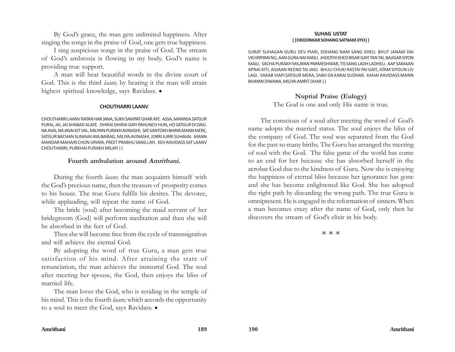By God's grace, the man gets unlimited happiness. After singing the songs in the praise of God, one gets true happiness.

I sing auspicious songs in the praise of God. The stream of God's ambrosia is flowing in my body. God's name is providing true support.

A man will hear beautiful words in the divine court of God. This is the third *laanv,* by hearing it the man will attain highest spiritual knowledge, says Ravidass. .

### **CHOUTHARRI LAANV**

CHOUTHARRI LAANV RATAN HAR JANA, SUKH SAMPAT GHAR AYE. ASSA, MANNSA SATGUR PURAI, JAI, JAI SHABAD ALAYE. DHIRAI DHIRAI GAYI PAHUNCH HUN, HO SATGUR DI DASI. NA AVAI, NA JAVAI KIT VAL, MILIYAN PURAKH AVINASHI. SAT SANTOKH BHAYA MANN MERE, SATGUR BACHAN SUNAVAI AYA BAIRAG, MILIYA AVINASHI, JORRI JURRI SUHAVAI. MANN MANDAR MAHAIN CHON UPJAYA, PREET PRABHU SANG LAYI. KEH RAVIDASS SAT LAANV CHOUTHARRI, PURKHAI PURAKH MILAYI ||

## **Fourth ambulation around Amritbani.**

During the fourth *laanv,* the man acquaints himself with the God's precious name, then the treasure of prosperity comes to his house. The true Guru fulfils his desires. The devotee, while applauding, will repeat the name of God.

The bride (soul) after becoming the maid servant of her bridegroom (God) will perform meditation and then she will be absorbed in the feet of God.

Then she will become free from the cycle of transmigration and will achieve the eternal God.

By adopting the word of true Guru, a man gets true satisfaction of his mind. After attaining the state of renunciation, the man achieves the immortal God. The soul after meeting her spouse, the God, then enjoys the bliss of married life.

The man loves the God, who is residing in the temple of his mind. This is the fourth *laanv,* which accords the opportunity to a soul to meet the God, says Ravidass.  $\bullet$ 

#### **SUHAG USTAT ||EIKOONKAR SOHANG SATNAM JIYO||**

SURAT SUHAGAN GURU DEV PIARI, SOHANG NAM SANG KHELI. BHUT JANAM DAI VICHRRYAN NU, AAN GURA NAI MAILI. JHOOTHI KHED BISAR GAYI TAN TAI, BAJIGAR SIYON MAILI. SACHA PURAKH MILAYAN PARMESHWAR, TIS SANG LADH LADHELI. AAP SAMAAN APNAI KITI, AGIAAN NEEND TAI JAGI. BHULI CHUKI RASTAI PAI GAYI, ATAM SIYOUN LIV LAGI. SARAB VIAPI SATGUR MERA, SABH DA KARAI SUDHAR. KAHAI RAVIDASS MANN BHAYAN DIWANA, MILIYA AMRIT DHAR ||

## **Nuptial Praise (Eulogy)**

The God is one and only His name is true.

The conscious of a soul after meeting the word of God's name adopts the married status. The soul enjoys the bliss of the company of God. The soul was separated from the God for the past so many births. The Guru has arranged the meeting of soul with the God. The false game of the world has come to an end for her because she has absorbed herself in the acrobat God due to the kindness of Guru. Now she is enjoying the happiness of eternal bliss because her ignorance has gone and she has become enlightened like God. She has adopted the right path by discarding the wrong path. The true Guru is omnipresent. He is engaged in the reformation of sinners. When a man becomes crazy after the name of God, only then he discovers the stream of God's elixir in his body.

本 本 本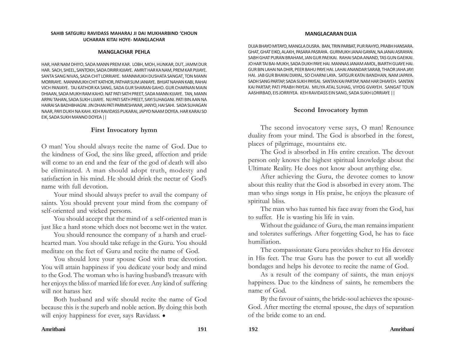#### **SAHIB SATGURU RAVIDASS MAHARAJ JI DAI MUKHARBIND 'CHOUN UCHARAN KITAI HOYE- MANGLACHAR**

### **MANGLACHAR PEHLA**

HAR, HAR NAM DHIYO, SADA MANN PREM KAR. LOBH, MOH, HUNKAR, DUT, JAMM DUR HAR. SACH, SHEEL, SANTOKH, SADA DRIRR KIJIAYE. AMRIT HAR KA NAM, PREM KAR PIJIAYE. SANTA SANG NIVAS, SADA CHIT LORRIAYE. MANNMUKH DUSHATA SANGAT, TON MANN MORRIAYE. MANNMUKH CHIT KATHOR, PATHAR SUM JANIAYE. BHIJAT NAHAN KABI, RAHAI VICH PANIAYE. TAJ KATHOR KA SANG, SADA GUR SHARAN GAHO. GUR CHARNAN MAIN DHIAAN, SADA MUKH RAM KAHO. NAT PATI SATH PREET, SADA MANN KIJIAYE. TAN, MANN ARPAI TAHAN, SADA SUKH LIJIAYE. NIJ PATI SATH PREET, SAYI SUHAGANI. PATI BIN AAN NA HAIRAI SA BADHBHAGNI. JIN DHAN PATI PARMESHWAR, JANYO, HAI SAHI. SADA SUHAGAN NAAR, PAYI DUKH NA KAHI. KEH RAVIDASS PUKARAI, JAPYO NAAM DOYEA. HAR KARAJ SO EIK, SADA SUKH MANNO DOYEA ||

# **First Invocatory hymn**

O man! You should always recite the name of God. Due to the kindness of God, the sins like greed, affection and pride will come to an end and the fear of the god of death will also be eliminated. A man should adopt truth, modesty and satisfaction in his mind. He should drink the nectar of God's name with full devotion.

Your mind should always prefer to avail the company of saints. You should prevent your mind from the company of self-oriented and wicked persons.

You should accept that the mind of a self-oriented man is just like a hard stone which does not become wet in the water.

You should renounce the company of a harsh and cruelhearted man. You should take refuge in the Guru. You should meditate on the feet of Guru and recite the name of God.

You should love your spouse God with true devotion. You will attain happiness if you dedicate your body and mind to the God. The woman who is having husband's treasure with her enjoys the bliss of married life for ever. Any kind of suffering will not harass her.

Both husband and wife should recite the name of God because this is the superb and noble action. By doing this both will enjoy happiness for ever, says Ravidass.  $\bullet$ 

### **MANGLACARAN DUJA**

DUJA BHAYO MITAYO, MANGLA DUSRA. BAN, TRIN PARBAT, PUR RAHYO, PRABH HANSARA. GHAT, GHAT EIKO, ALAKH, PASARA PASRAYA. GURMUKH JANAI GAYAN, NA JANAI ASRAYAN. SABH GHAT PURAN BRAHAM, JAN GUR PAEIKAI. RAHAI SADA ANAND, TAS GUN GAEIKAI. JO HAR TAI BAI-MUKH, SADA DUKH PAYE HAI. MANNAS JANAM AMOL, BIARTH GUAYE HAI. GUR BIN LAHAI NA DHIR, PEER BAHU PAYE HAI. LAHAI ANANDAR SARAB, THAOR JAHA JAYI HAI. JAB GUR BHAYAI DIAYAL, SO CHARNI LAYA. SATGUR KATAI BANDHAN, NAM JAPAYA. SADH SANG PARTAP, SADA SUKH PAYEAI. SANTAN KAI PARTAP, NAM HAR DHIAYEH. SANTAN KAI PARTAP, PATI PRABH PAYEAI. MILIYA ATAL SUHAG, VIYOG GVAYEH. SANGAT TOUN AASHIRBAD, EIS JORRIYEA. KEH RAVIDASS EIN SANG, SADA SUKH LORRIAYE ||

# **Second Invocatory hymn**

The second invocatory verse says, O man! Renounce duality from your mind. The God is absorbed in the forest, places of pilgrimage, mountains etc.

The God is absorbed in His entire creation. The devout person only knows the highest spiritual knowledge about the Ultimate Reality. He does not know about anything else.

After achieving the Guru, the devotee comes to know about this reality that the God is absorbed in every atom. The man who sings songs in His praise, he enjoys the pleasure of spiritual bliss.

The man who has turned his face away from the God, has to suffer. He is wasting his life in vain.

Without the guidance of Guru, the man remains impatient and tolerates sufferings. After forgetting God, he has to face humiliation.

The compassionate Guru provides shelter to His devotee in His feet. The true Guru has the power to cut all worldly bondages and helps his devotee to recite the name of God.

As a result of the company of saints, the man enjoys happiness. Due to the kindness of saints, he remembers the name of God.

By the favour of saints, the bride-soul achieves the spouse-God. After meeting the eternal spouse, the days of separation of the bride come to an end.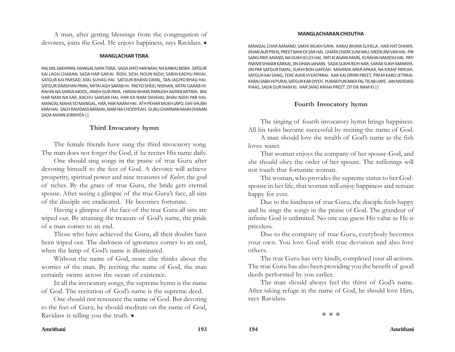A man, after getting blessings from the congregation of devotees, joins the God. He enjoys happiness, says Ravidass.  $\bullet$ 

### **MANGLACHAR TISRA**

RAL MIL SAKHIYAN, MANGAL GAYA TISRA. SADA JAPO HAR NAM, NA KABHU BISRA. SATGUR KAI LAGH CHARAN, SADA HAR GAYIAI. RIDH, SIDH, NOUN NIDH, SABHI KACHU PAYIAI. SATGUR KAI PARSAD, ATAL SUHAG HAI. SATGUR BHAYAI DAYAL, TAN JAGIYO BHAG HAI. SATGUR DARSHAN PAYAI, MITAI AGH SARAB HI. PAEYO SHEEL NIDHAN, MITAI GARAB HI. RAHYA NA SANSA MOOL, JINIEH GUR PAYA. HIRDAI BHAYA PARKASH AGYAN MITAYA. BIN HAR NAM NA SAR, KACHU SANSAR HAI. HAR KA NAM DHIAVAI, BHAV NIDH PAR HAI. MANGAL MAHA SO MANGAL, HAR, HAR NAAM HAI. ATH PEHAR MUKH JAPO, EIHI SHUBH KAM HAI. SACH RAVIDASS BATAVAI, NAM NA CHODIYEAH. GURU CHARNAN MAIN DHIAAN SADA MANN JORRIYEA ||

# **Third Invocatory hymn**

The female friends have sung the third invocatory song. The man does not forget the God, if he recites His name daily.

One should sing songs in the praise of true Guru after devoting himself to the feet of God. A devotee will achieve prosperity, spiritual power and nine treasures of *Kuber,* the god of riches. By the grace of true Guru, the bride gets eternal spouse. After seeing a glimpse of the true Guru's face, all sins of the disciple are eradicated. He becomes fortunate.

Having a glimpse of the face of the true Guru all sins are wiped out. By attaining the treasure of God's name, the pride of a man comes to an end.

Those who have achieved the Guru, all their doubts have been wiped out. The darkness of ignorance comes to an end, when the lamp of God's name is illuminated.

Without the name of God, none else thinks about the worries of the man. By reciting the name of God, the man certainly swims across the ocean of existence.

In all the invocatory songs, the supreme hymn is the name of God. The recitation of God's name is the supreme deed.

One should not renounce the name of God. But devoting to the feet of Guru, he should meditate on the name of God, Ravidass is telling you the truth.  $\bullet$ 

### **MANGLACHARAN CHOUTHA**

MANGAL CHAR AANAND, SAKHI MUKH GAYA. KARAJ BHAYA SUHELA , HAR HAT DHIAYA. DHAN AUR PIR KI, PREET BANI EK SAR HAI. GHATA CHATA SUM MILI, MEEN JIM VAR HAI. PIR SANG PAYE ANAND, NA DUKH KI LES HAI. PATI KI AGAYA MAIN, JO RAHAI HAMESH HAI. PATI PARMESHWAR KARKAI, JIN DHAN JANAYA. SADA SUKHI BOH NAR, SARAB SUKH MANNYA. JIN PAR SATGUR DAYAL, SUKHI BOH GAYEAH. MAHIMA APAR APAAR, NA KIMAT PAYEAH. SATGUR KAI SANG, TERE AVAR VI KAITRRAI. KAR KAI DRIRR PREET, PREM KARO JETRRAI. KARAJ SABH HI PURAI, SATGUR KAR DIYEH. PURAB PUN ANEK FAL TIS AB LIAYE. JAN RAVIDASS PIAAS, SADA GUR NAM KI. HAR SANG RAHAI PREET, OT EIK NAM KI ||

# **Fourth Invocatory hymn**

The singing of fourth invocatory hymn brings happiness. All his tasks become successful by reciting the name of God.

A man should love the wealth of God's name as the fish loves water.

That woman enjoys the company of her spouse-God, and she should obey the order of her spouse. The sufferings will not touch that fortunate woman.

The woman, who provides the supreme status to her Godspouse in her life, that woman will enjoy happiness and remain happy for ever.

Due to the kindness of true Guru, the disciple feels happy and he sings the songs in the praise of God. The grandeur of infinite God is unlimited. No one can guess His value as He is priceless.

Due to the company of true Guru, everybody becomes your own. You love God with true devotion and also love others.

The true Guru has very kindly, completed your all actions. The true Guru has also been providing you the benefit of good deeds performed by you earlier.

The man should always feel the thirst of God's name. After taking refuge in the name of God, he should love Him, says Ravidass.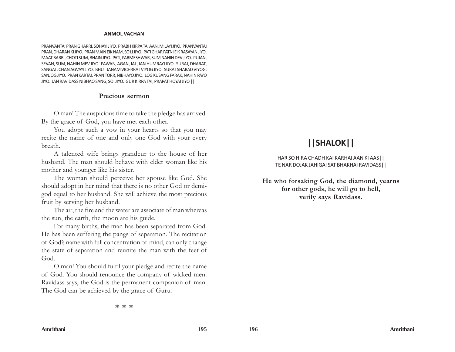#### **ANMOL VACHAN**

PRANVANTAI PRAN GHARRI, SOHAYI JIYO. PRABH KIRPA TAI AAN, MILAYI JIYO. PRANVANTAI PRAN, DHARAN KI JIYO. PRAN MAIN EIK NAM, SO LI JIYO. PATI GHAR PATNI EIK RASAYAN JIYO. MAAT BARRI, CHOTI SUM, BHAIN JIYO. PATI, PARMESHWAR, SUM NAHIN DEV JIYO. PUJAN, SEVAN, SUM, NAHIN MEV JIYO. PAWAN, AGAN, JAL, JAN HUMRAYI JIYO. SURAJ, DHARAT, SANGAT, CHAN AGVAYI JIYO. BHUT JANAM VICHRRAT VIYOG JIYO. SURAT SHABAD VIYOG, SANJOG JIYO. PRAN KARTAI, PRAN TORR, NIBHAYO JIYO. LOG KUSANG FARAK, NAHIN PAYO JIYO. JAN RAVIDASS NIBHAO SANG, SOI JIYO. GUR KIRPA TAI, PRAPAT HOYAI JIYO ||

### **Precious sermon**

O man! The auspicious time to take the pledge has arrived. By the grace of God, you have met each other.

You adopt such a vow in your hearts so that you may recite the name of one and only one God with your every breath.

A talented wife brings grandeur to the house of her husband. The man should behave with elder woman like his mother and younger like his sister.

The woman should perceive her spouse like God. She should adopt in her mind that there is no other God or demigod equal to her husband. She will achieve the most precious fruit by serving her husband.

The air, the fire and the water are associate of man whereas the sun, the earth, the moon are his guide.

For many births, the man has been separated from God. He has been suffering the pangs of separation. The recitation of God's name with full concentration of mind, can only change the state of separation and reunite the man with the feet of God.

O man! You should fulfil your pledge and recite the name of God. You should renounce the company of wicked men. Ravidass says, the God is the permanent companion of man. The God can be achieved by the grace of Guru.

# **||SHALOK||**

HAR SO HIRA CHADH KAI KARHAI AAN KI AAS|| TE NAR DOJAK JAHIGAI SAT BHAKHAI RAVIDASS||

**He who forsaking God, the diamond, yearns for other gods, he will go to hell, verily says Ravidass.**

本 本 本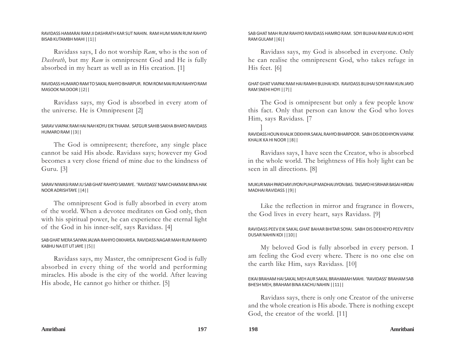## RAVIDASS HAMARAI RAM JI DASHRATH KAR SUT NAHIN. RAM HUM MAIN RUM RAHYO BISAB KUTAMBH MAHI ||1||

Ravidass says, I do not worship *Ram*, who is the son of *Dashrath*, but my *Ram* is omnipresent God and He is fully absorbed in my heart as well as in His creation. [1]

# RAVIDASS HUMARO RAM TO SAKAL RAHYO BHARPUR. ROM ROM MAI RUM RAHIYO RAM MASOOK NA DOOR ||2||

Ravidass says, my God is absorbed in every atom of the universe. He is Omnipresent [2]

# SARAV VIAPAK RAM HAI NAH KOYU EIK THAAM. SATGUR SAHIB SAKHA BHAYO RAVIDASS HUMARO RAM ||3||

The God is omnipresent; therefore, any single place cannot be said His abode. Ravidass says; however my God becomes a very close friend of mine due to the kindness of Guru. [3]

# SARAV NIWASI RAM JU SAB GHAT RAHIYO SAMAYE. 'RAVIDASS' NAM CHAKMAK BINA HAK NOOR ADRISHTAYE ||4||

The omnipresent God is fully absorbed in every atom of the world. When a devotee meditates on God only, then with his spiritual power, he can experience the eternal light of the God in his inner-self, says Ravidass. [4]

# SAB GHAT MERA SAIYAN JALWA RAHIYO DIKHAYEA. RAVIDASS NAGAR MAH RUM RAHIYO KABHU NA EIT UT JAYE ||5||

Ravidass says, my Master, the omnipresent God is fully absorbed in every thing of the world and performing miracles. His abode is the city of the world. After leaving His abode, He cannot go hither or thither. [5]

## SAB GHAT MAH RUM RAHIYO RAVIDASS HAMRO RAM. SOYI BUJHAI RAM KUN JO HOYE RAM GULAM ||6||

Ravidass says, my God is absorbed in everyone. Only he can realise the omnipresent God, who takes refuge in His feet. [6]

GHAT GHAT VIAPAK RAM HAI RAMHI BUJHAI KOI. RAVIDASS BUJHAI SOYI RAM KUN JAYO RAM SNEHI HOYI ||7||

The God is omnipresent but only a few people know this fact. Only that person can know the God who loves Him, says Ravidass. [7

] RAVIDASS HOUN KHALIK DEKHIYA SAKAL RAHYO BHARPOOR. SABH DIS DEKHIYON VIAPAK KHALIK KA HI NOOR ||8||

Ravidass says, I have seen the Creator, who is absorbed in the whole world. The brightness of His holy light can be seen in all directions. [8]

MUKUR MAH PARCHAYI JIYON PUHUP MADHAI JIYON BAS. TAISAYO HI SRIHAR BASAI HIRDAI MADHAI RAVIDASS ||9||

Like the reflection in mirror and fragrance in flowers, the God lives in every heart, says Ravidass. [9]

# RAVIDASS PEEV EIK SAKAL GHAT BAHAR BHITAR SOYAI. SABH DIS DEKHEYO PEEV PEEV DUSAR NAHIN KOI ||10||

My beloved God is fully absorbed in every person. I am feeling the God every where. There is no one else on the earth like Him, says Ravidass. [10]

## EIKAI BRAHAM HAI SAKAL MEH AUR SAKAL BRAHAMAH MAHI. 'RAVIDASS' BRAHAM SAB BHESH MEH, BRAHAM BINA KACHU NAHIN ||11||

Ravidass says, there is only one Creator of the universe and the whole creation is His abode. There is nothing except God, the creator of the world. [11]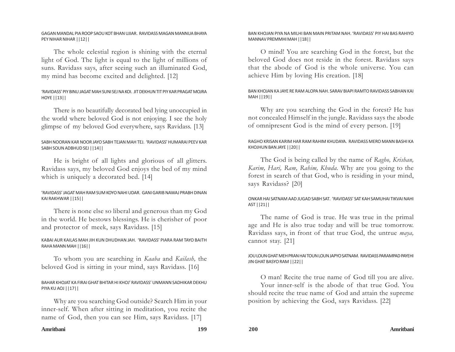## GAGAN MANDAL PIA ROOP SAOU KOT BHAN UJIAR. RAVIDASS MAGAN MANNUA BHAYA PEY NIHAR NIHAR ||12||

The whole celestial region is shining with the eternal light of God. The light is equal to the light of millions of suns. Ravidass says, after seeing such an illuminated God, my mind has become excited and delighted. [12]

# 'RAVIDASS' PIY BINU JAGAT MAH SUNI SEJ NA KOI. JIT DEKHUN TIT PIY KAR PRAGAT MOJRA HOYE ||13||

There is no beautifully decorated bed lying unoccupied in the world where beloved God is not enjoying. I see the holy glimpse of my beloved God everywhere, says Ravidass. [13]

# SABH NOORAN KAR NOOR JAYO SABH TEJAN MAH TEJ. 'RAVIDASS' HUMARAI PEEV KAR SABH SOUN ADBHUD SEJ ||14||

He is bright of all lights and glorious of all glitters. Ravidass says, my beloved God enjoys the bed of my mind which is uniquely a decorated bed. [14]

# 'RAVIDASS' JAGAT MAH RAM SUM KOYO NAHI UDAR. GANI GARIB NAWAJ PRABH DINAN KAI RAKHWAR ||15||

There is none else so liberal and generous than my God in the world. He bestows blessings. He is cherisher of poor and protector of meek, says Ravidass. [15]

# KABAI AUR KAILAS MAH JIH KUN DHUDHAN JAH. 'RAVIDASS' PIARA RAM TAYO BAITH RAHA MANN MAH ||16||

To whom you are searching in *Kaaba* and *Kailash,* the beloved God is sitting in your mind, says Ravidass. [16]

# BAHAR KHOJAT KA FIRAI GHAT BHITAR HI KHOJ' RAVIDASS' UNMANN SADHIKAR DEKHU PIYA KU AOJ ||17||

Why are you searching God outside? Search Him in your inner-self. When after sitting in meditation, you recite the name of God, then you can see Him, says Ravidass. [17]

## BAN KHOJAN PIYA NA MILHI BAN MAIN PRITAM NAH. 'RAVIDASS' PIY HAI BAS RAHIYO MANNAV PREMMHI MAH ||18||

O mind! You are searching God in the forest, but the beloved God does not reside in the forest. Ravidass says that the abode of God is the whole universe. You can achieve Him by loving His creation. [18]

# BAN KHOJAN KA JAYE RE RAM ALOPA NAH. SARAV BIAPI RAMTO RAVIDASS SABHAN KAI MAH ||19||

Why are you searching the God in the forest? He has not concealed Himself in the jungle. Ravidass says the abode of omnipresent God is the mind of every person. [19]

# RAGHO KRISAN KARIM HAR RAM RAHIM KHUDAYA. RAVIDASS MERO MANN BASHI KA KHOJHUN BAN JAYE ||20||

The God is being called by the name of *Ragho, Krishan, Karim, Hari, Ram, Rahim, Khuda.* Why are you going to the forest in search of that God, who is residing in your mind, says Ravidass? [20]

# ONKAR HAI SATNAM AAD JUGAD SABH SAT. 'RAVIDASS' SAT KAH SAMUHAI TIKVAI NAHI AST ||21||

The name of God is true. He was true in the primal age and He is also true today and will be true tomorrow. Ravidass says, in front of that true God, the untrue *maya,* cannot stay. [21]

# JOU LOUN GHAT MEH PRAN HAI TOUN LOUN JAPYO SATNAM. RAVIDASS PARAMPAD PAYEHI JIN GHAT BASYO RAM ||22||

O man! Recite the true name of God till you are alive. Your inner-self is the abode of that true God. You should recite the true name of God and attain the supreme position by achieving the God, says Ravidass. [22]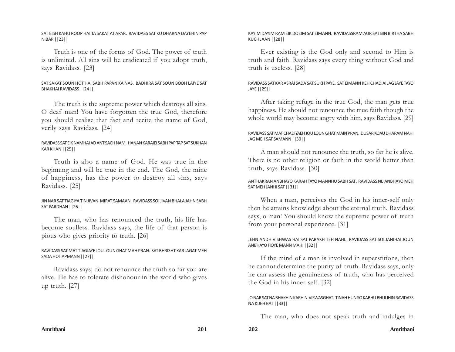## SAT EISH KAHU ROOP HAI TA SAKAT AT APAR. RAVIDASS SAT KU DHARNA DAYEHIN PAP NIBAR ||23||

Truth is one of the forms of God. The power of truth is unlimited. All sins will be eradicated if you adopt truth, says Ravidass. [23]

# SAT SAKAT SOUN HOT HAI SABH PAPAN KA NAS. BADHIRA SAT SOUN BODH LAIYE SAT BHAKHAI RAVIDASS ||24||

The truth is the supreme power which destroys all sins. O deaf man! You have forgotten the true God, therefore you should realise that fact and recite the name of God, verily says Ravidass. [24]

## RAVIDASS SAT EIK NAMHAI AD ANT SACH NAM. HANAN KARAIEI SABH PAP TAP SAT SUKHAN KAR KHAN ||25||

Truth is also a name of God. He was true in the beginning and will be true in the end. The God, the mine of happiness, has the power to destroy all sins, says Ravidass. [25]

## JIN NAR SAT TIAGIYA TIN JIVAN MIRAT SAMAAN. RAVIDASS SOI JIVAN BHALA JAHN SABH SAT PARDHAN ||26||

The man, who has renounced the truth, his life has become soulless. Ravidass says, the life of that person is pious who gives priority to truth. [26]

## RAVIDASS SAT MAT TIAGIAYE JOU LOUN GHAT MAH PRAN. SAT BHRISHT KAR JAGAT MEH SADA HOT APMANN ||27||

Ravidass says; do not renounce the truth so far you are alive. He has to tolerate dishonour in the world who gives up truth. [27]

## KAYIM DAYIM RAM EIK DOEIM SAT EIMANN. RAVIDASSRAM AUR SAT BIN BIRTHA SABH KUCH JAAN ||28||

Ever existing is the God only and second to Him is truth and faith. Ravidass says every thing without God and truth is useless. [28]

# RAVIDASS SAT KAR ASRAI SADA SAT SUKH PAYE. SAT EIMANN KEH CHADIAI JAG JAYE TAYO JAYE ||29||

After taking refuge in the true God, the man gets true happiness. He should not renounce the true faith though the whole world may become angry with him, says Ravidass. [29]

## RAVIDASS SAT MAT CHADIYAEH JOU LOUN GHAT MAIN PRAN. DUSAR KOAU DHARAM NAHI JAG MEH SAT SAMANN ||30||

A man should not renounce the truth, so far he is alive. There is no other religion or faith in the world better than truth, says Ravidass. [30]

## ANTHAKRAN ANBHAYO KARAH TAYO MANNHU SABH SAT. RAVIDASS NIJ ANBHAYO MEH SAT MEH JANHI SAT ||31||

When a man, perceives the God in his inner-self only then he attains knowledge about the eternal truth. Ravidass says, o man! You should know the supreme power of truth from your personal experience. [31]

## JEHN ANDH VISHWAS HAI SAT PARAKH TEH NAHI. RAVIDASS SAT SOI JANIHAI JOUN ANBHAYO HOYE MANN MAHI ||32||

If the mind of a man is involved in superstitions, then he cannot determine the purity of truth. Ravidass says, only he can assess the genuineness of truth, who has perceived the God in his inner-self. [32]

## JO NAR SAT NA BHAKHIN KARHIN VISWASGHAT. TINAH HUN SO KABHU BHULIHIN RAVIDASS NA KIJEH BAT ||33||

The man, who does not speak truth and indulges in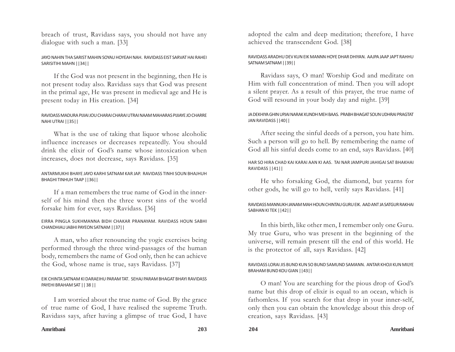breach of trust, Ravidass says, you should not have any dialogue with such a man. [33]

# JAYO NAHIN THA SARIST MAHIN SOYAU HOYEAH NAH. RAVIDASS EIST SARVAT HAI RAHEI SARISITIHI MAHN ||34||

If the God was not present in the beginning, then He is not present today also. Ravidass says that God was present in the primal age, He was present in medieval age and He is present today in His creation. [34]

# RAVIDASS MADURA PIJIAI JOU CHARAI CHARAI UTRAI NAAM MAHARAS PIJIAYE JO CHARRE NAHI UTRAI ||35||

What is the use of taking that liquor whose alcoholic influence increases or decreases repeatedly. You should drink the elixir of God's name whose intoxication when increases, does not decrease, says Ravidass. [35]

## ANTARMUKHI BHAYE JAYO KARHI SATNAM KAR JAP. RAVIDASS TINHI SOUN BHAJHUH BHAGHI TINHUH TAAP ||36||

If a man remembers the true name of God in the innerself of his mind then the three worst sins of the world forsake him for ever, says Ravidass. [36]

## EIRRA PINGLA SUKHMANNA BIDH CHAKAR PRANAYAM. RAVIDASS HOUN SABHI CHANDHIAU JABHI PAYEON SATNAM ||37||

A man, who after renouncing the yogic exercises being performed through the three wind-passages of the human body, remembers the name of God only, then he can achieve the God, whose name is true, says Ravidass. [37]

## EIK CHINTA SATNAM KI DARAEIHU PARAM TAT. SEHAJ PARAM BHAGAT BHAYI RAVIDASS PAYEHI BRAHAM SAT || 38 ||

I am worried about the true name of God. By the grace of true name of God, I have realised the supreme Truth. Ravidass says, after having a glimpse of true God, I have

adopted the calm and deep meditation; therefore, I have achieved the transcendent God. [38]

## RAVIDASS ARADHU DEV KUN EIK MANNN HOYE DHAR DHIYAN. AAJPA JAAP JAPT RAHHU SATNAM SATNAM ||39||

Ravidass says, O man! Worship God and meditate on Him with full concentration of mind. Then you will adopt a silent prayer. As a result of this prayer, the true name of God will resound in your body day and night. [39]

## JA DEKHIYA GHIN UPJAI NARAK KUNDH MEH BAAS. PRABH BHAGAT SOUN UDHRAI PRAGTAT JAN RAVIDASS ||40||

After seeing the sinful deeds of a person, you hate him. Such a person will go to hell. By remembering the name of God all his sinful deeds come to an end, says Ravidass. [40]

# HAR SO HIRA CHAD KAI KARAI AAN KI AAS. TAI NAR JAMPURI JAHIGAI SAT BHAKHAI RAVIDASS ||41||

He who forsaking God, the diamond, but yearns for other gods, he will go to hell, verily says Ravidass. [41]

# RAVIDASS MANNUKH JANAM MAH HOUN CHINTAU GURU EIK. AAD ANT JA SATGUR RAKHAI SABHAN KI TEK ||42||

In this birth, like other men, I remember only one Guru. My true Guru, who was present in the beginning of the universe, will remain present till the end of this world. He is the protector of all, says Ravidass. [42]

# RAVIDASS LORAI JIS BUND KUN SO BUND SAMUND SAMANN. ANTAR KHOJI KUN MILYE BRAHAM BUND KOU GIAN ||43||

O man! You are searching for the pious drop of God's name but this drop of elixir is equal to an ocean, which is fathomless. If you search for that drop in your inner-self, only then you can obtain the knowledge about this drop of creation, says Ravidass. [43]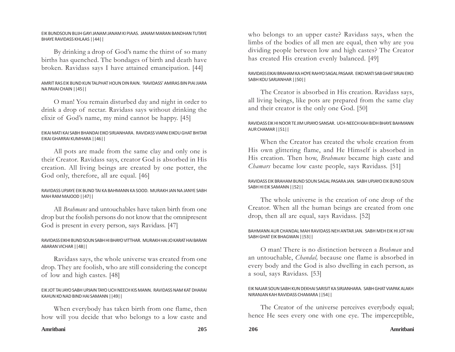## EIK BUNDSOUN BUJH GAYI JANAM JANAM KI PIAAS. JANAM MARAN BANDHAN TUTAYE BHAYE RAVIDASS KHLAAS ||44||

By drinking a drop of God's name the thirst of so many births has quenched. The bondages of birth and death have broken. Ravidass says I have attained emancipation. [44]

# AMRIT RAS EIK BUND KUN TALPHAT HOUN DIN RAIN. 'RAVIDASS' AMIRAS BIN PIAI JIARA NA PAVAI CHAIN ||45||

O man! You remain disturbed day and night in order to drink a drop of nectar. Ravidass says without drinking the elixir of God's name, my mind cannot be happy. [45]

# EIKAI MATI KAI SABH BHANDAI EIKO SIRJANHARA. RAVIDASS VIAPAI EIKOU GHAT BHITAR EIKAI GHARRAI KUMHARA ||46||

All pots are made from the same clay and only one is their Creator. Ravidass says, creator God is absorbed in His creation. All living beings are created by one potter, the God only, therefore, all are equal. [46]

# RAVIDASS UPJAYE EIK BUND TAI KA BAHMANN KA SOOD. MURAKH JAN NA JANYE SABH MAH RAM MAJOOD ||47||

All *Brahmans* and untouchables have taken birth from one drop but the foolish persons do not know that the omnipresent God is present in every person, says Ravidass. [47]

## RAVIDASS EIKHI BUND SOUN SABH HI BHAYO VITTHAR. MURAKH HAI JO KARAT HAI BARAN ABARAN VICHAR ||48||

Ravidass says, the whole universe was created from one drop. They are foolish, who are still considering the concept of low and high castes. [48]

## EIK JOT TAI JAYO SABH UPJAIN TAYO UCH NEECH KIS MANN. RAVIDASS NAM KAT DHARAI KAHUN KO NAD BIND HAI SAMANN ||49||

When everybody has taken birth from one flame, then how will you decide that who belongs to a low caste and

who belongs to an upper caste? Ravidass says, when the limbs of the bodies of all men are equal, then why are you dividing people between low and high castes? The Creator has created His creation evenly balanced. [49]

# RAVIDASS EIKAI BRAHAM KA HOYE RAHYO SAGAL PASAAR. EIKO MATI SAB GHAT SIRJAI EIKO SABH KOU SARJANHAR ||50||

The Creator is absorbed in His creation. Ravidass says, all living beings, like pots are prepared from the same clay and their creator is the only one God. [50]

## RAVIDASS EIK HI NOOR TE JIM UPJAYO SANSAR. UCH-NEECH KAH BIDH BHAYE BAHMANN AUR CHAMAR ||51||

When the Creator has created the whole creation from His own glittering flame, and He Himself is absorbed in His creation. Then how, *Brahmans* became high caste and *Chamars* became low caste people, says Ravidass. [51]

## RAVIDASS EIK BRAHAM BUND SOUN SAGAL PASARA JAN. SABH UPJAYO EIK BUND SOUN SABH HI EIK SAMANN ||52||

The whole universe is the creation of one drop of the Creator. When all the human beings are created from one drop, then all are equal, says Ravidass. [52]

## BAHMANN AUR CHANDAL MAH RAVIDASS NEH ANTAR JAN. SABH MEH EIK HI JOT HAI SABH GHAT EIK BHAGWAN ||53||

O man! There is no distinction between a *Brahman* and an untouchable, *Chandal,* because one flame is absorbed in every body and the God is also dwelling in each person, as a soul, says Ravidass. [53]

## EIK NAJAR SOUN SABH KUN DEKHAI SARISIT KA SIRJANHARA. SABH GHAT VIAPAK ALAKH NIRANJAN KAH RAVIDASS CHAMARA ||54||

The Creator of the universe perceives everybody equal; hence He sees every one with one eye. The imperceptible,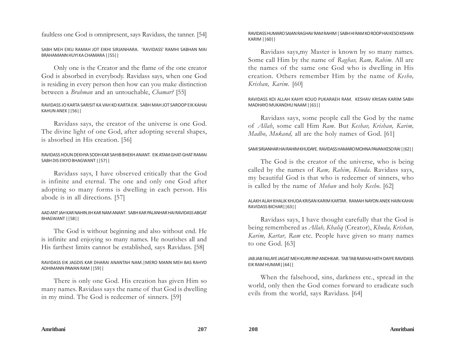faultless one God is omnipresent, says Ravidass, the tanner. [54]

SABH MEH EIKU RAMAH JOT EIKHI SIRJANHARA. 'RAVIDASS' RAMHI SABHAN MAI BRAHAMANN HUYI KA CHAMARA ||55||

Only one is the Creator and the flame of the one creator God is absorbed in everybody. Ravidass says, when one God is residing in every person then how can you make distinction between a *Brahman* and an untouchable, *Chamar?* [55]

# RAVIDASS JO KARTA SARISIT KA VAH KO KARTA EIK. SABH MAH JOT SAROOP EIK KAHAI KAHUN ANEK ||56||

Ravidass says, the creator of the universe is one God. The divine light of one God, after adopting several shapes, is absorbed in His creation. [56]

## RAVIDASS HOUN DEKHYA SODH KAR SAHIB BHEKH ANANT. EIK ATAM GHAT-GHAT RAMAI SABH DIS EIKYO BHAGWANT ||57||

Ravidass says, I have observed critically that the God is infinite and eternal. The one and only one God after adopting so many forms is dwelling in each person. His abode is in all directions. [57]

# AAD ANT JAH KAR NAHIN JIH KAR NAM ANANT. SABH KAR PALANHAR HAI RAVIDASS ABGAT BHAGWANT ||58||

The God is without beginning and also without end. He is infinite and enjoying so many names. He nourishes all and His farthest limits cannot be established, says Ravidass. [58]

# RAVIDASS EIK JAGDIS KAR DHARAI ANANTAH NAM.|MERO MANN MEH BAS RAHYO ADHIMANN PAWAN RAM ||59||

There is only one God. His creation has given Him so many names. Ravidass says the name of that God is dwelling in my mind. The God is redeemer of sinners. [59]

## RAVIDASS HUMARO SAIAN RAGHAV RAM RAHIM | SABH HI RAM KO ROOP HAI KESO KISHAN KARIM ||60||

Ravidass says,my Master is known by so many names. Some call Him by the name of *Raghav, Ram, Rahim*. All are the names of the same one God who is dwelling in His creation. Others remember Him by the name of *Kesho, Krishan, Karim.* [60]

## RAVIDASS KOI ALLAH KAHYI KOUO PUKARAEH RAM. KESHAV KRISAN KARIM SABH MADHAYO MUKANDHU NAAM ||61||

Ravidass says, some people call the God by the name of *Allah*, some call Him *Ram*. But *Keshav, Krishan, Karim, Madho, Mukand,* all are the holy names of God. [61]

# SAMI SIRJANHAR HAI RAHIM KHUDAYE. RAVIDASS HAMARO MOHNA PAVAN KESO RAI ||62||

The God is the creator of the universe, who is being called by the names of *Ram, Rahim, Khuda.* Ravidass says, my beautiful God is that who is redeemer of sinners, who is called by the name of *Mohan* and holy *Kesho*. [62]

## ALAKH ALAH KHALIK KHUDA KRISAN KARIM KARTAR. RAMAH NAYON ANEK HAIN KAHAI RAVIDASS BICHAR||63||

Ravidass says, I have thought carefully that the God is being remembered as *Allah, Khaliq* (Creator), *Khuda, Krishan, Karim, Kartar, Ram* etc. People have given so many names to one God. [63]

# JAB JAB FAILAYE JAGAT MEH KURR PAP ANDHKAR. TAB TAB RAKHAI HATH DAIYE RAVIDASS EIK RAM HUMAR||64||

When the falsehood, sins, darkness etc., spread in the world, only then the God comes forward to eradicate such evils from the world, says Ravidass. [64]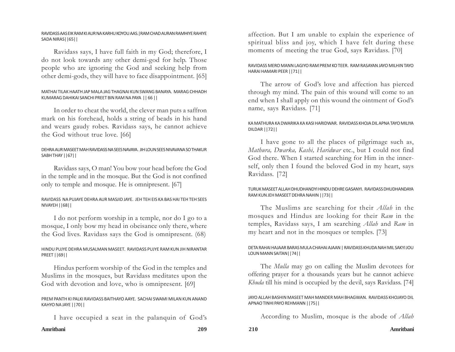## RAVIDASS AAS EIK RAM KI AUR NA KARHU KOYOU AAS.|RAM CHAD AURAN RAMHIYE RAHIYE SADA NIRAS||65||

Ravidass says, I have full faith in my God; therefore, I do not look towards any other demi-god for help. Those people who are ignoring the God and seeking help from other demi-gods, they will have to face disappointment. [65]

## MATHAI TILAK HAATH JAP MALA JAG THAGNAI KUN SWANG BANAYA. MARAG CHHADH KUMARAG DAHIKAI SANCHI PREET BIN RAM NA PAYA || 66 ||

In order to cheat the world, the clever man puts a saffron mark on his forehead, holds a string of beads in his hand and wears gaudy robes. Ravidass says, he cannot achieve the God without true love. [66]

# DEHRA AUR MASEET MAH RAVIDASS NA SEES NAVAYA. JIH LOUN SEES NIVAVANA SO THAKUR SABH THAY ||67||

Ravidass says, O man! You bow your head before the God in the temple and in the mosque. But the God is not confined only to temple and mosque. He is omnipresent. [67]

# RAVIDASS NA PUJAYE DEHRA AUR MASJID JAYE. JEH TEH EIS KA BAS HAI TEH TEH SEES NIVAYEH ||68||

I do not perform worship in a temple, nor do I go to a mosque, I only bow my head in obeisance only there, where the God lives. Ravidass says the God is omnipresent. (68)

# HINDU PUJYE DEHRA MUSALMAN MASEET. RAVIDASS PUJYE RAM KUN JIH NIRANTAR PREET ||69||

Hindus perform worship of the God in the temples and Muslims in the mosques, but Ravidass meditates upon the God with devotion and love, who is omnipresent. [69]

## PREM PANTH KI PALKI RAVIDASS BAITHAYO AAYE. SACHAI SWAMI MILAN KUN ANAND KAHYO NA JAYE ||70||

I have occupied a seat in the palanquin of God's

affection. But I am unable to explain the experience of spiritual bliss and joy, which I have felt during these moments of meeting the true God, says Ravidass. [70]

# RAVIDASS MERO MANN LAGIYO RAM PREM KO TEER. RAM RASAYAN JAYO MILHIN TAYO HARAI HAMARI PEER ||71||

The arrow of God's love and affection has pierced through my mind. The pain of this wound will come to an end when I shall apply on this wound the ointment of God's name, says Ravidass. [71]

# KA MATHURA KA DWARIKA KA KASI HARIDWAR. RAVIDASS KHOJA DIL APNA TAYO MILIYA DILDAR ||72||

I have gone to all the places of pilgrimage such as, *Mathura, Dwarka, Kashi, Haridwar* etc., but I could not find God there. When I started searching for Him in the innerself, only then I found the beloved God in my heart, says Ravidass. [72]

## TURUK MASEET ALLAH DHUDHANDYI HINDU DEHRE GASANYI. RAVIDASS DHUDHANDAYA RAM KUN JEH MASEET DEHRA NAHIN ||73||

The Muslims are searching for their *Allah* in the mosques and Hindus are looking for their *Ram* in the temples, Ravidass says, I am searching *Allah* and *Ram* in my heart and not in the mosques or temples. [73]

# DETA RAHAI HAJAAR BARAS MULA CHAHAI AJAAN | RAVIDASS KHUDA NAH MIL SAKYI JOU LOUN MANN SAITAN||74||

The *Mulla* may go on calling the Muslim devotees for offering prayer for a thousands years but he cannot achieve *Khuda* till his mind is occupied by the devil, says Ravidass. [74]

## JAYO ALLAH BASHIN MASEET MAH MANDER MAH BHAGWAN. RAVIDASS KHOJAYO DIL APNAO TINHI PAYO REHMANN ||75||

According to Muslim, mosque is the abode of *Allah*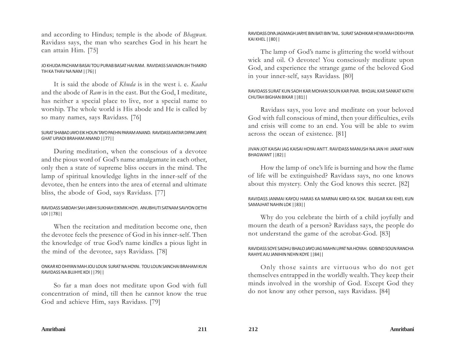and according to Hindus; temple is the abode of *Bhagwan.* Ravidass says, the man who searches God in his heart he can attain Him. [75]

## JO KHUDA PACHAM BASAI TOU PURAB BASAT HAI RAM. RAVIDASS SAIVAON JIH THAKRO TIH KA THAV NA NAM ||76||

It is said the abode of *Khuda* is in the west i. e. *Kaaba* and the abode of *Ram* is in the east. But the God, I meditate, has neither a special place to live, nor a special name to worship. The whole world is His abode and He is called by so many names, says Ravidass. [76]

## SURAT SHABAD JAYO EIK HOUN TAYO PAEHN PARAM ANAND. RAVIDASS ANTAR DIPAK JARYE GHAT UPJADI BRAHAM ANAND ||77||

During meditation, when the conscious of a devotee and the pious word of God's name amalgamate in each other, only then a state of supreme bliss occurs in the mind. The lamp of spiritual knowledge lights in the inner-self of the devotee, then he enters into the area of eternal and ultimate bliss, the abode of God, says Ravidass. [77]

# RAVIDASS SABDAH SAH JABHI SUKHAH EIKMIK HOYI. ANUBHUTI SATNAM SAVYON DETHI LOI ||78||

When the recitation and meditation become one, then the devotee feels the presence of God in his inner-self. Then the knowledge of true God's name kindles a pious light in the mind of the devotee, says Ravidass. [78]

## ONKAR KO DHIYAN MAH JOU LOUN SURAT NA HOYAI. TOU LOUN SANCHAI BRAHAM KUN RAVIDASS NA BUJHYE KOI ||79||

So far a man does not meditate upon God with full concentration of mind, till then he cannot know the true God and achieve Him, says Ravidass. [79]

## RAVIDASS DIYA JAGMAGH JARYE BIN BATI BIN TAIL. SURAT SADHIKAR HEYA MAH DEKH PIYA KAI KHEL ||80||

The lamp of God's name is glittering the world without wick and oil. O devotee! You consciously meditate upon God, and experience the strange game of the beloved God in your inner-self, says Ravidass. [80]

## RAVIDASS SURAT KUN SADH KAR MOHAN SOUN KAR PIAR. BHOJAL KAR SANKAT KATHI CHUTAH BIGHAN BIKAR ||81||

Ravidass says, you love and meditate on your beloved God with full conscious of mind, then your difficulties, evils and crisis will come to an end. You will be able to swim across the ocean of existence. [81]

## JIVAN JOT KAISAI JAG KAISAI HOYAI ANTT. RAVIDASS MANUSH NA JAN HI JANAT HAIN BHAGWANT ||82||

How the lamp of one's life is burning and how the flame of life will be extinguished? Ravidass says, no one knows about this mystery. Only the God knows this secret. [82]

## RAVIDASS JANMAI KAYOU HARAS KA MARNAI KAYO KA SOK. BAJIGAR KAI KHEL KUN SAMAJHAT NAHIN LOK ||83||

Why do you celebrate the birth of a child joyfully and mourn the death of a person? Ravidass says, the people do not understand the game of the acrobat-God. [83]

## RAVIDASS SOYE SADHU BHALO JAYO JAG MAHN LIPAT NA HOYAH. GOBIND SOUN RANCHA RAHIYE AIU JANIHIN NEHN KOYE ||84||

Only those saints are virtuous who do not get themselves entrapped in the worldly wealth. They keep their minds involved in the worship of God. Except God they do not know any other person, says Ravidass. [84]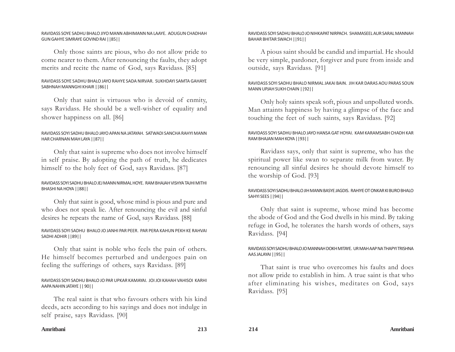## RAVIDASS SOYE SADHU BHALO JIYO MANN ABHIMANN NA LAAYE. AOUGUN CHADHAH GUN GAHYE SIMRAYE GOVIND RAI ||85||

Only those saints are pious, who do not allow pride to come nearer to them. After renouncing the faults, they adopt merits and recite the name of God, says Ravidass. [85]

## RAVIDASS SOYE SADHU BHALO JAYO RAHYE SADA NIRVAR. SUKHDAYI SAMTA GAHAYE SABHNAH MANNGHI KHAIR ||86||

Only that saint is virtuous who is devoid of enmity, says Ravidass. He should be a well-wisher of equality and shower happiness on all. [86]

## RAVIDASS SOYI SADHU BHALO JAYO APAN NA JATAYAH. SATWADI SANCHA RAHYI MANN HAR CHARNAN MAH LAYA ||87||

Only that saint is supreme who does not involve himself in self praise. By adopting the path of truth, he dedicates himself to the holy feet of God, says Ravidass. [87]

# RAVIDASS SOYI SADHU BHALO JEJ MANN NIRMAL HOYE. RAM BHAJAH VISHYA TAJHI MITHI BHASHI NA HOYA ||88||

Only that saint is good, whose mind is pious and pure and who does not speak lie. After renouncing the evil and sinful desires he repeats the name of God, says Ravidass. [88]

## RAVIDASS SOYI SADHU BHALO JO JANHI PAR PEER. PAR PERA KAHUN PEKH KE RAHVAI SADHI ADHIR ||89||

Only that saint is noble who feels the pain of others. He himself becomes perturbed and undergoes pain on feeling the sufferings of others, says Ravidass. [89]

# RAVIDASS SOYI SADHU BHALO JO PAR UPKAR KAMAYAI. JOI JOI KAHAH VAHISOI KARHI AAPA NAHIN JATAYE || 90||

The real saint is that who favours others with his kind deeds, acts according to his sayings and does not indulge in self praise, says Ravidass. [90]

## RAVIDASS SOYI SADHU BHALO JO NIHKAPAT NIRPACH. SHAMASEEL AUR SARAL MANNAH BAHAR BHITAR SWACH ||91||

A pious saint should be candid and impartial. He should be very simple, pardoner, forgiver and pure from inside and outside, says Ravidass. [91]

# RAVIDASS SOYI SADHU BHALO NIRMAL JAKAI BAIN. JIH KAR DARAS AOU PARAS SOUN MANN UPJAH SUKH CHAIN ||92||

Only holy saints speak soft, pious and unpolluted words. Man attaints happiness by having a glimpse of the face and touching the feet of such saints, says Ravidass. [92]

# RAVIDASS SOYI SADHU BHALO JAYO HANSA GAT HOYAI. KAM KARAMSABH CHADH KAR RAM BHAJAN MAH KOYA ||93||

Ravidass says, only that saint is supreme, who has the spiritual power like swan to separate milk from water. By renouncing all sinful desires he should devote himself to the worship of God. [93]

# RAVIDASS SOYI SADHU BHALO JIH MANN BASYE JAGDIS. RAHIYE OT ONKAR KI BURO BHALO SAHYI SEES ||94||

Only that saint is supreme, whose mind has become the abode of God and the God dwells in his mind. By taking refuge in God, he tolerates the harsh words of others, says Ravidass. [94]

# RAVIDASS SOYI SADHU BHALO JO MANNAH DOKH MITAYE. UR MAH AAP NA THAPYI TRISHNA AAS JALAYAI ||95||

That saint is true who overcomes his faults and does not allow pride to establish in him. A true saint is that who after eliminating his wishes, meditates on God, says Ravidass. [95]

## **Amritbani 213 214 Amritbani**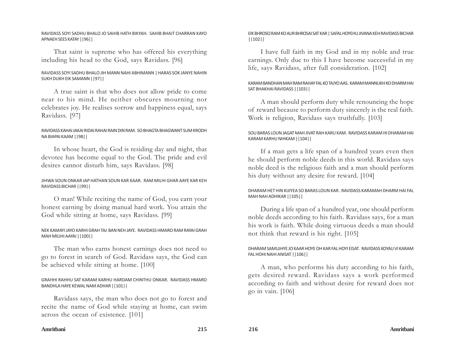#### RAVIDASS SOYI SADHU BHALO JO SAHIB HATH BIKYAH. SAHIB BHAIT CHARRAN KAYO APNAEH SEES KATAY ||96||

That saint is supreme who has offered his everything including his head to the God, says Ravidass. [96]

## RAVIDASS SOYI SADHU BHALO JIH MANN NAHI ABHIMANN | HARAS SOK JANYE NAHIN SUKH DUKH EIK SAMANN ||97||

A true saint is that who does not allow pride to come near to his mind. He neither obscures mourning nor celebrates joy. He realises sorrow and happiness equal, says Ravidass. [97]

## RAVIDASS KAHAI JAKAI RIDAI RAHAI RAIN DIN RAM. SO BHAGTA BHAGWANT SUM KRODH NA BIAPAI KAAM ||98||

In whose heart, the God is residing day and night, that devotee has become equal to the God. The pride and evil desires cannot disturb him, says Ravidass. [98]

## JIHWA SOUN ONKAR JAP HATHAN SOUN KAR KAAR. RAM MILHI GHAR AAYE KAR KEH RAVIDASS BICHAR ||99||

O man! While reciting the name of God, you earn your honest earning by doing manual hard work. You attain the God while sitting at home, says Ravidass. [99]

## NEK KAMAYI JAYO KARHI GRAH TAJ BAN NEH JAYE. RAVIDASS HMARO RAM RAYAI GRAH MAH MILIHI AAYAI ||100||

The man who earns honest earnings does not need to go to forest in search of God. Ravidass says, the God can be achieved while sitting at home. [100]

## GRAHHI RAHHU SAT KARAM KARHU HARDAM CHINTHU ONKAR. RAVIDASS HMARO BANDHLA HAYE KEWAL NAM ADHAR ||101||

Ravidass says, the man who does not go to forest and recite the name of God while staying at home, can swim across the ocean of existence. [101]

## EIK BHROSO RAM KO AUR BHROSAI SAT KAR | SAFAL HOYEHU JIVANA KEH RAVIDASS BICHAR ||102||

I have full faith in my God and in my noble and true earnings. Only due to this I have become successful in my life, says Ravidass, after full consideration. [102]

## KARAM BANDHAN MAH RAM RAHAY FAL KO TAJYO AAS. KARAM MANNUKH KO DHARM HAI SAT BHAKHAI RAVIDASS ||103||

A man should perform duty while renouncing the hope of reward because to perform duty sincerely is the real faith. Work is religion, Ravidass says truthfully. [103]

## SOU BARAS LOUN JAGAT MAH JIVAT RAH KARU KAM. RAVIDASS KARAM HI DHARAM HAI KARAM KARHU NIHKAM ||104||

If a man gets a life span of a hundred years even then he should perform noble deeds in this world. Ravidass says noble deed is the religious faith and a man should perform his duty without any desire for reward. [104]

# DHARAM HET HIN KIJIYEA SO BARAS LOUN KAR. RAVIDASS KARAMAH DHARM HAI FAL MAH NAH ADHIKAR ||105||

During a life span of a hundred year, one should perform noble deeds according to his faith. Ravidass says, for a man his work is faith. While doing virtuous deeds a man should not think that reward is his right. [105]

## DHARAM SAMUJHYE JO KAAR HOYE OH KAR FAL HOYI EISAT. RAVIDASS KOYAU VI KARAM FAL HOHI NAHI ANISAT ||106||

A man, who performs his duty according to his faith, gets desired reward. Ravidass says a work performed according to faith and without desire for reward does not go in vain. [106]

#### **Amritbani 215 216 Amritbani**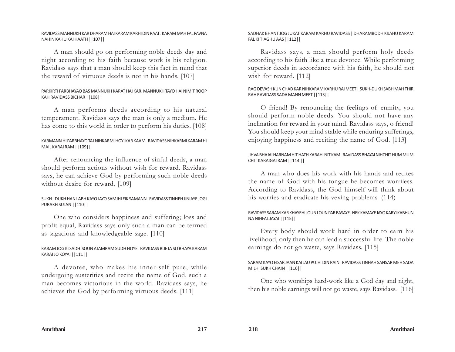#### RAVIDASS MANNUKH KAR DHARAM HAI KARAM KARHI DIN RAAT. KARAM MAH FAL PAVNA NAHIN KAHU KAI HAATH ||107||

A man should go on performing noble deeds day and night according to his faith because work is his religion. Ravidass says that a man should keep this fact in mind that the reward of virtuous deeds is not in his hands. [107]

## PARKIRTI PARBHAYAO BAS MANNUKH KARAT HAI KAR. MANNUKH TAYO HAI NIMIT ROOP KAH RAVIDASS BICHAR ||108||

A man performs deeds according to his natural temperament. Ravidass says the man is only a medium. He has come to this world in order to perform his duties. [108]

## KARMANN HI PARBHAYO TAJ NIHKARMI HOYI KAR KAAM. RAVIDASS NIHKARMI KARAM HI MAIL KARAI RAM ||109||

After renouncing the influence of sinful deeds, a man should perform actions without wish for reward. Ravidass says, he can achieve God by performing such noble deeds without desire for reward. [109]

## SUKH –DUKH HAN LABH KAYO JAYO SAMJHI EIK SAMANN. RAVIDASS TINHEH JINIAYE JOGI PURAKH SUJAN ||110||

One who considers happiness and suffering; loss and profit equal, Ravidass says only such a man can be termed as sagacious and knowledgeable sage. [110]

# KARAM JOG KI SADH SOUN ATAMRAM SUDH HOYE. RAVIDASS BIJETA SO BHAYA KARAM KARAI JO KOYAI ||111||

A devotee, who makes his inner-self pure, while undergoing austerities and recite the name of God, such a man becomes victorious in the world. Ravidass says, he achieves the God by performing virtuous deeds. [111]

## SADHAK BHANT JOG JUKAT KARAM KARHU RAVIDASS | DHARAMBODH KIJAHU KARAM FAL KI TIAGHU AAS ||112||

Ravidass says, a man should perform holy deeds according to his faith like a true devotee. While performing superior deeds in accordance with his faith, he should not wish for reward. [112]

# RAG DEVASH KUN CHAD KAR NIHKARAM KARHU RAI MEET | SUKH-DUKH SABH MAH THIR RAH RAVIDASS SADA MANN MEET ||113||

O friend! By renouncing the feelings of enmity, you should perform noble deeds. You should not have any inclination for reward in your mind. Ravidass says, o friend! You should keep your mind stable while enduring sufferings, enjoying happiness and reciting the name of God. [113]

## JIHVA BHAJAI HARNAM HIT HATH KARAHI NIT KAM. RAVIDASS BHAYAI NIHCHIT HUM MUM CHIT KARAIGAI RAM ||114 ||

A man who does his work with his hands and recites the name of God with his tongue he becomes worriless. According to Ravidass, the God himself will think about his worries and eradicate his vexing problems. (114)

## RAVIDASS SARAM KAR KHAYEHI JOUN LOUN PAR BASAYE. NEK KAMAYE JAYO KARYI KABHUN NA NIHFAL JAYAI ||115||

Every body should work hard in order to earn his livelihood, only then he can lead a successful life. The noble earnings do not go waste, says Ravidass. [115]

## SARAM KAYO EISAR JAAN KAI JAU PUJHI DIN RAIN. RAVIDASS TINHAH SANSAR MEH SADA MILHI SUKH CHAIN ||116||

One who worships hard-work like a God day and night, then his noble earnings will not go waste, says Ravidass. [116]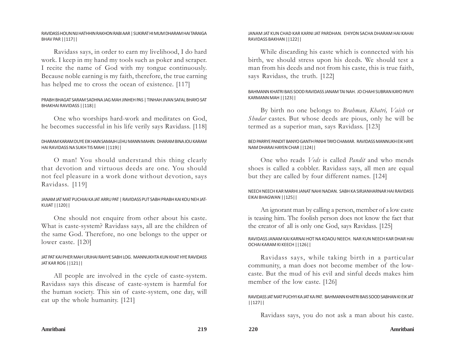#### RAVIDASS HOUN NIJ HATHHIN RAKHON RABI AAR | SUKIRAT HI MUM DHARAM HAI TARAIGA BHAV PAR ||117||

Ravidass says, in order to earn my livelihood, I do hard work. I keep in my hand my tools such as poker and scraper. I recite the name of God with my tongue continuously. Because noble earning is my faith, therefore, the true earning has helped me to cross the ocean of existence. [117]

## PRABH BHAGAT SARAM SADHNA JAG MAH JINHEH PAS | TINHAH JIVAN SAFAL BHAYO SAT BHAKHAI RAVIDASS ||118||

One who worships hard-work and meditates on God, he becomes successful in his life verily says Ravidass. [118]

## DHARAM KARAM DUYE EIK HAIN SAMAJH LEHU MANN MAHIN. DHARAM BINA JOU KARAM HAI RAVIDASS NA SUKH TIS MAHI ||119||

O man! You should understand this thing clearly that devotion and virtuous deeds are one. You should not feel pleasure in a work done without devotion, says Ravidass. [119]

## JANAM JAT MAT PUCHIAI KA JAT ARRU PAT | RAVIDASS PUT SABH PRABH KAI KOU NEH JAT-KUJAT ||120||

One should not enquire from other about his caste. What is caste-system? Ravidass says, all are the children of the same God. Therefore, no one belongs to the upper or lower caste. [120]

## JAT PAT KAI PHER MAH URJHAI RAHYE SABH LOG. MANNUKHTA KUN KHAT HYE RAVIDASS JAT KAR ROG ||121||

All people are involved in the cycle of caste-system. Ravidass says this disease of caste-system is harmful for the human society. This sin of caste-system, one day, will eat up the whole humanity. [121]

### JANAM JAT KUN CHAD KAR KARNI JAT PARDHAN. EHIYON SACHA DHARAM HAI KAHAI RAVIDASS BAKHAN ||122||

While discarding his caste which is connected with his birth, we should stress upon his deeds. We should test a man from his deeds and not from his caste, this is true faith, says Ravidass, the truth. [122]

#### BAHMANN KHATRI BAIS SOOD RAVIDASS JANAM TAI NAH. JO CHAHI SUBRAN KAYO PAVYI KARMANN MAH ||123||

By birth no one belongs to *Brahman, Khatri, Vaish* or *Shudar* castes. But whose deeds are pious, only he will be termed as a superior man, says Ravidass. [123]

## BED PARRYE PANDIT BANYO GANTH PANHI TAYO CHAMAR. RAVIDASS MANNUKH EIK HAYE NAM DHARAI HAYEN CHAR ||124||

One who reads *Veds* is called *Pandit* and who mends shoes is called a cobbler. Ravidass says, all men are equal but they are called by four different names. [124]

## NEECH NEECH KAR MARHI JANAT NAHI NADAN. SABH KA SIRJANHARNAR HAI RAVIDASS EIKAI BHAGWAN ||125||

An ignorant man by calling a person, member of a low caste is teasing him. The foolish person does not know the fact that the creator of all is only one God, says Ravidass. [125]

## RAVIDASS JANAM KAI KARNAI HOT NA KOAOU NEECH. NAR KUN NEECH KAR DHAR HAI OCHAI KARAM KI KEECH ||126||

Ravidass says, while taking birth in a particular community, a man does not become member of the lowcaste. But the mud of his evil and sinful deeds makes him member of the low caste. [126]

## RAVIDASS JAT MAT PUCHYI KA JAT KA PAT. BAHMANN KHATRI BAIS SOOD SABHAN KI EIK JAT ||127||

Ravidass says, you do not ask a man about his caste.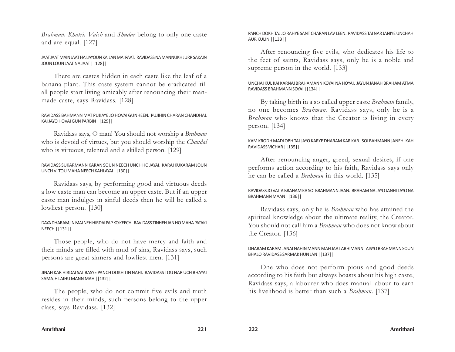*Brahman, Khatri, Vaish* and *Shudar* belong to only one caste and are equal. [127]

#### JAAT JAAT MAIN JAAT HAI JAYOUN KAILAN MAI PAAT. RAVIDASS NA MANNUKH JURR SAKAIN JOUN LOUN JAAT NA JAAT ||128||

There are castes hidden in each caste like the leaf of a banana plant. This caste-system cannot be eradicated till all people start living amicably after renouncing their manmade caste, says Ravidass. [128]

#### RAVIDASS BAHMANN MAT PUJIAYE JO HOVAI GUNHEEN. PUJIHIN CHARAN CHANDHAL KAI JAYO HOVAI GUN PARBIN ||129||

Ravidass says, O man! You should not worship a *Brahman* who is devoid of virtues, but you should worship the *Chandal* who is virtuous, talented and a skilled person. [129]

#### RAVIDASS SUKARMANN KARAN SOUN NEECH UNCH HO JAYAI. KARAI KUKARAM JOUN UNCH VI TOU MAHA NEECH KAHLAYAI ||130||

Ravidass says, by performing good and virtuous deeds a low caste man can become an upper caste. But if an upper caste man indulges in sinful deeds then he will be called a lowliest person. [130]

## DAYA DHARAMJIN MAI NEH HIRDAI PAP KO KEECH. RAVIDASS TINHEH JAN HO MAHA PATAKI NEECH ||131||

Those people, who do not have mercy and faith and their minds are filled with mud of sins, Ravidass says, such persons are great sinners and lowliest men. [131]

## JINAH KAR HIRDAI SAT BASYE PANCH DOKH TIN NAHI. RAVIDASS TOU NAR UCH BHAYAI SAMAJH LAIHU MANN MAH ||132||

The people, who do not commit five evils and truth resides in their minds, such persons belong to the upper class, says Ravidass. [132]

#### PANCH DOKH TAJ JO RAHYE SANT CHARAN LAV LEEN. RAVIDASS TAI NAR JANIYE UNCHAH AUR KULIN ||133||

After renouncing five evils, who dedicates his life to the feet of saints, Ravidass says, only he is a noble and supreme person in the world. [133]

## UNCHAI KUL KAI KARNAI BRAHAMANN KOYAI NA HOYAI. JAYUN JANAH BRAHAM ATMA RAVIDASS BRAHMANN SOYAI ||134||

By taking birth in a so called upper caste *Brahman* family, no one becomes *Brahman*. Ravidass says, only he is a *Brahman* who knows that the Creator is living in every person. [134]

### KAM KRODH MADLOBH TAJ JAYO KARYE DHARAM KAR KAR. SOI BAHMANN JANEHI KAH RAVIDASS VICHAR ||135||

After renouncing anger, greed, sexual desires, if one performs action according to his faith, Ravidass says only he can be called a *Brahman* in this world. [135]

## RAVIDASS JO VAITA BRAHAM KA SOI BRAHMANN JAAN. BRAHAM NA JAYO JANHI TAYO NA BRAHMANN MAAN ||136||

Ravidass says, only he is *Brahman* who has attained the spiritual knowledge about the ultimate reality, the Creator. You should not call him a *Brahman* who does not know about the Creator. [136]

## DHARAM KARAM JANAI NAHIN MANN MAH JAAT ABHIMANN. AISYO BRAHMANN SOUN BHALO RAVIDASS SARMAK HUN JAN ||137||

One who does not perform pious and good deeds according to his faith but always boasts about his high caste, Ravidass says, a labourer who does manual labour to earn his livelihood is better than such a *Brahman*. [137]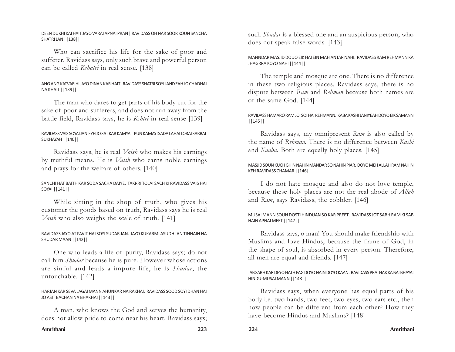#### DEEN DUKHI KAI HAIT JAYO VARAI APNAI PRAN | RAVIDASS OH NAR SOOR KOUN SANCHA SHATRI JAN ||138||

Who can sacrifice his life for the sake of poor and sufferer, Ravidass says, only such brave and powerful person can be called *Kshatri* in real sense. [138]

# ANG ANG KATVAEIHI JAYO DINAN KAR HAIT. RAVIDASS SHATRI SOYI JANIYEAH JO CHADHAI NA KHAIT ||139||

The man who dares to get parts of his body cut for the sake of poor and sufferers, and does not run away from the battle field, Ravidass says, he is *Kshtri* in real sense [139]

# RAVIDASS VAIS SOYAI JANIEYH JO SAT KAR KAMYAI. PUN KAMAYI SADA LAHAI LORAI SARBAT SUKHAYAH ||140||

Ravidass says, he is real *Vaish* who makes his earnings by truthful means. He is *Vaish* who earns noble earnings and prays for the welfare of others. [140]

# SANCHI HAT BAITH KAR SODA SACHA DAIYE. TAKRRI TOLAI SACH KI RAVIDASS VAIS HAI SOYAI ||141||

While sitting in the shop of truth, who gives his customer the goods based on truth, Ravidass says he is real *Vaish* who also weighs the scale of truth. [141]

# RAVIDASS JAYO AT PAVIT HAI SOYI SUDAR JAN. JAYO KUKARMI ASUDH JAN TINHAIN NA SHUDAR MAAN ||142||

One who leads a life of purity, Ravidass says; do not call him *Shudar* because he is pure. However whose actions are sinful and leads a impure life, he is *Shudar*, the untouchable. [142]

## HARJAN KAR SEVA LAGAI MANN AHUNKAR NA RAKHAI. RAVIDASS SOOD SOYI DHAN HAI JO ASIT BACHAN NA BHAKHAI ||143||

A man, who knows the God and serves the humanity, does not allow pride to come near his heart. Ravidass says;

## MANNDAR MASJID DOUO EIK HAI EIN MAH ANTAR NAHI. RAVIDASS RAM REHMANN KA JHAGRRA KOYO NAHI ||144||

The temple and mosque are one. There is no difference in these two religious places. Ravidass says, there is no dispute between *Ram* and *Rehman* because both names are of the same God. [144]

## RAVIDASS HAMARO RAM JOI SOI HAI REHMANN. KABA KASHI JANIYEAH DOYO EIK SAMANN ||145||

Ravidass says, my omnipresent *Ram* is also called by the name of *Rehman*. There is no difference between *Kashi* and *Kaaba*. Both are equally holy places. [145]

### MASJID SOUN KUCH GHIN NAHIN MANDAR SO NAHIN PIAR. DOYO MEH ALLAH RAM NAHIN KEH RAVIDASS CHAMAR ||146||

I do not hate mosque and also do not love temple, because these holy places are not the real abode of *Allah* and *Ram*, says Ravidass, the cobbler. [146]

## MUSALMANN SOUN DOSTI HINDUAN SO KAR PREET. RAVIDASS JOT SABH RAM KI SAB HAIN APNAI MEET ||147||

Ravidass says, o man! You should make friendship with Muslims and love Hindus, because the flame of God, in the shape of soul, is absorbed in every person. Therefore, all men are equal and friends. [147]

## JAB SABH KAR DEYO HATH PAG DOYO NAIN DOYO KAAN. RAVIDASS PRATHAK KAISAI BHAYAI HINDU-MUSALMANN ||148||

Ravidass says, when everyone has equal parts of his body i.e. two hands, two feet, two eyes, two ears etc., then how people can be different from each other? How they have become Hindus and Muslims? [148]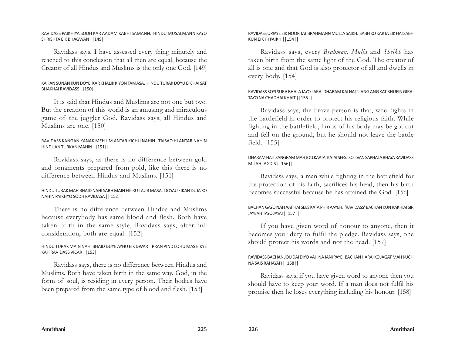#### RAVIDASS PAIKHIYA SODH KAR AADAM KABHI SAMANN. HINDU MUSALMANN KAYO SHRISHTA EIK BHAGWAN ||149||

Ravidass says, I have assessed every thing minutely and reached to this conclusion that all men are equal, because the Creator of all Hindus and Muslims is the only one God. [149]

# KAHAN SUNAN KUN DOYEI KAR KHALIK KIYON TAMASA. HINDU TURAK DOYU EIK HAI SAT BHAKHAI RAVIDASS ||150||

It is said that Hindus and Muslims are not one but two. But the creation of this world is an amusing and miraculous game of the juggler God. Ravidass says, all Hindus and Muslims are one. [150]

## RAVIDASS KANGAN KANAK MEH JIM ANTAR KICHU NAHIN. TAISAO HI ANTAR NAHIN HINDUAN TURKAN MAHIN ||151||

Ravidass says, as there is no difference between gold and ornaments prepared from gold, like this there is no difference between Hindus and Muslims. [151]

# HINDU TURAK MAH BHAID NAHI SABH MAIN EIK RUT AUR MASA. DOYAU EIKAH DUJA KO NAHIN PAIKHYO SODH RAVIDASA || 152||

There is no difference between Hindus and Muslims because everybody has same blood and flesh. Both have taken birth in the same style, Ravidass says, after full consideration, both are equal. [152]

# HINDU TURAK MAIN NAHI BHAID DUYE AYHU EIK DWAR | PRAN PIND LOHU MAS EIKYE KAH RAVIDASS VICAR ||153||

Ravidass says, there is no difference between Hindus and Muslims. Both have taken birth in the same way. God, in the form of soul, is residing in every person. Their bodies have been prepared from the same type of blood and flesh. [153]

## RAVIDASS UPJAYE EIK NOOR TAI BRAHMANN MULLA SAIKH. SABH KO KARTA EIK HAI SABH KUN EIK HI PAIKH ||154||

Ravidass says, every *Brahman, Mulla* and *Sheikh* has taken birth from the same light of the God. The creator of all is one and that God is also protector of all and dwells in every body. [154]

### RAVIDASS SOYI SURA BHALA JAYO LARAI DHARAM KAI HAIT. ANG ANG KAT BHUEIN GIRAI TAYO NA CHADHAI KHAIT ||155||

Ravidass says, the brave person is that, who fights in the battlefield in order to protect his religious faith. While fighting in the battlefield, limbs of his body may be got cut and fell on the ground, but he should not leave the battle field. [155]

## DHARAM HAIT SANGRAM MAH JOU KAATAI KATAI SEES. SO JIVAN SAPHALA BHAYA RAVIDASS MILAH JAGDIS ||156||

Ravidass says, a man while fighting in the battlefield for the protection of his faith, sacrifices his head, then his birth becomes successful because he has attained the God. [156]

## BACHAN GAYO NAH AAT HAI SEES KATA PHIR AAYEH. 'RAVIDASS' BACHAN KUN RAKHIAI SIR JAYEAH TAYO JAYAI ||157||

If you have given word of honour to anyone, then it becomes your duty to fulfil the pledge. Ravidass says, one should protect his words and not the head. [157]

## RAVIDASS BACHAN JOU DAI DIYO VAH NA JANI PAYE. BACHAN HARAI KO JAGAT MAH KUCH NA SAIS RAHAYAH ||158||

Ravidass says, if you have given word to anyone then you should have to keep your word. If a man does not fulfil his promise then he loses everything including his honour. [158]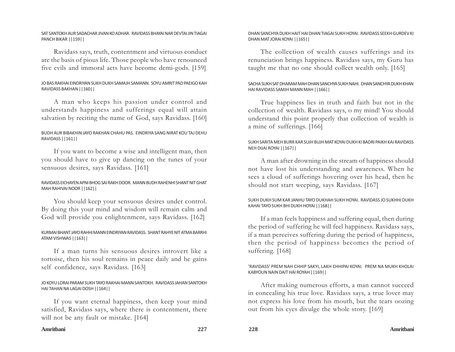#### SAT SANTOKH AUR SADACHAR JIVAN KO ADHAR. RAVIDASS BHAYAI NAR DEVTAI JIN TIAGAI PANCH BIKAR ||159||

Ravidass says, truth, contentment and virtuous conduct are the basis of pious life. Those people who have renounced five evils and immoral acts have become demi-gods. [159]

# JO BAS RAKHAI EINDRIYAN SUKH DUKH SAMAJH SAMANN. SOYU AMRIT PAD PAEIGO KAH RAVIDASS BAKHAN ||160||

A man who keeps his passion under control and understands happiness and sufferings equal will attain salvation by reciting the name of God, says Ravidass. [160]

# BUDH AUR BIBAKHIN JAYO RAKHAN CHAHU PAS. EINDRIYA SANG NIRAT KOU TAJ DEHU RAVIDASS ||161||

If you want to become a wise and intelligent man, then you should have to give up dancing on the tunes of your sensuous desires, says Ravidass. [161]

## RAVIDASS EICHAYEN APNI BHOG SAI RAKH DOOR. MANN BUDH RAHENHI SHANT NIT GHAT MAH RAHIVAI NOOR ||162||

You should keep your sensuous desires under control. By doing this your mind and wisdom will remain calm and God will provide you enlightenment, says Ravidass. [162]

## KURMAI BHANT JAYO RAHHI MANN EINDRIYAN RAVIDASS. SHANT RAHYE NIT ATMA BARRHI ATAM VISHWAS ||163||

If a man turns his sensuous desires introvert like a tortoise, then his soul remains in peace daily and he gains self confidence, says Ravidass. [163]

## JO KOYU LORAI PARAM SUKH TAYO RAKHAI MANN SANTOKH. RAVIDASS JAHAN SANTOKH HAI TAHAN NA LAGAI DOSH ||164||

If you want eternal happiness, then keep your mind satisfied, Ravidass says, where there is contentment, there will not be any fault or mistake. [164]

## DHAN SANCHYA DUKH HAIT HAI DHAN TIAGAI SUKH HOYAI. RAVIDASS SEEKH GURDEV KI DHAN MAT JORAI KOYAI ||165||

The collection of wealth causes sufferings and its renunciation brings happiness. Ravidass says, my Guru has taught me that no one should collect wealth only. [165]

## SACHA SUKH SAT DHARAM MAH DHAN SANCHYA SUKH NAHI. DHAN SANCHYA DUKH KHAN HAI RAVIDASS SAMJH MANN MAH ||166||

True happiness lies in truth and faith but not in the collection of wealth. Ravidass says, o my mind! You should understand this point properly that collection of wealth is a mine of sufferings. [166]

## SUKH SARITA MEH BURR KAR SUJH BUJH MAT KOYAI DUKH KI BADRI PAIKH KAI RAVIDASS NEH DIJAI ROYAI ||167||

A man after drowning in the stream of happiness should not have lost his understanding and awareness. When he sees a cloud of sufferings hovering over his head, then he should not start weeping, says Ravidass. [167]

## SUKH DUKH SUM KAR JANHU TAYO DUKHAH SUKH HOYAI. RAVIDASS JO SUKHHI DUKH KAHAI TAYO SUKH BHI DUKH HOYAI ||168||

If a man feels happiness and suffering equal, then during the period of suffering he will feel happiness. Ravidass says, if a man perceives suffering during the period of happiness, then the period of happiness becomes the period of suffering. [168]

## 'RAVIDASS' PREM NAH CHHIP SAKYI, LAKH CHHIPAI KOYAI. PREM NA MUKH KHOLAI KABYOUN NAIN DAIT HAI ROYAH ||169||

After making numerous efforts, a man cannot succeed in concealing his true love. Ravidass says, a true lover may not express his love from his mouth, but the tears oozing out from his eyes divulge the whole story. [169]

#### **Amritbani 227 228 Amritbani**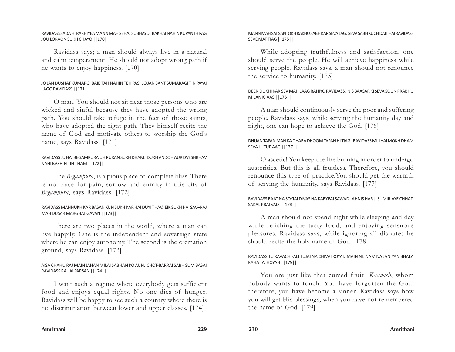#### RAVIDASS SADA HI RAKHIYEA MANN MAH SEHAJ SUBHAYO. RAKHAI NAHIN KUPANTH PAG JOU LORAON SUKH CHAYO ||170||

Ravidass says; a man should always live in a natural and calm temperament. He should not adopt wrong path if he wants to enjoy happiness. [170]

# JO JAN DUSHAT KUMARGI BAIEITAH NAHIN TEH PAS. JO JAN SANT SUMARAGI TIN PAYAI LAGO RAVIDASS ||171||

O man! You should not sit near those persons who are wicked and sinful because they have adopted the wrong path. You should take refuge in the feet of those saints, who have adopted the right path. They himself recite the name of God and motivate others to worship the God's name, says Ravidass. [171]

## RAVIDASS JU HAI BEGAMPURA UH PURAN SUKH DHAM. DUKH ANDOH AUR DVESHBHAV NAHI BASHIN TIH THAM ||172||

The *Begampura*, is a pious place of complete bliss. There is no place for pain, sorrow and enmity in this city of *Begampura*, says Ravidass. [172]

## RAVIDASS MANNUKH KAR BASAN KUN SUKH KAR HAI DUYI THAV. EIK SUKH HAI SAV–RAJ MAH DUSAR MARGHAT GAVAN ||173||

There are two places in the world, where a man can live happily. One is the independent and sovereign state where he can enjoy autonomy. The second is the cremation ground, says Ravidass. [173]

## AISA CHAHU RAJ MAIN JAHAN MILAI SABHAN KO AUN. CHOT-BARRAI SABH SUM BASAI RAVIDASS RAHAI PARSAN ||174||

I want such a regime where everybody gets sufficient food and enjoys equal rights. No one dies of hunger. Ravidass will be happy to see such a country where there is no discrimination between lower and upper classes. [174]

### MANN MAH SAT SANTOKH RAKHU SABH KAR SEVA LAG. SEVA SABH KUCH DAIT HAI RAVIDASS SEVE MAT TIAG ||175||

While adopting truthfulness and satisfaction, one should serve the people. He will achieve happiness while serving people. Ravidass says, a man should not renounce the service to humanity. [175]

## DEEN DUKHI KAR SEV MAH LAAG RAHIYO RAVIDASS. NIS BAASAR KI SEVA SOUN PRABHU MILAN KI AAS ||176||

A man should continuously serve the poor and suffering people. Ravidass says, while serving the humanity day and night, one can hope to achieve the God. [176]

## DHUAN TAPAN MAH KA DHARA DHOOM TAPAN HI TIAG. RAVIDASS MILIHAI MOKH DHAM SEVA HI TUP AAG ||177||

O ascetic! You keep the fire burning in order to undergo austerities. But this is all fruitless. Therefore, you should renounce this type of practice.You should get the warmth of serving the humanity, says Ravidass. [177]

## RAVIDASS RAAT NA SOYIAI DIVAS NA KARYEAI SAWAD. AHNIS HAR JI SUMIRIAYE CHHAD SAKAL PRATVAD || 178||

A man should not spend night while sleeping and day while relishing the tasty food, and enjoying sensuous pleasures. Ravidass says, while ignoring all disputes he should recite the holy name of God. [178]

## RAVIDASS TU KAVACH FALI TUJAI NA CHIVAI KOYAI. MAIN NIJ NAM NA JANIYAN BHALA KAHA TAI HOYAH ||179||

You are just like that cursed fruit- *Kaavach*, whom nobody wants to touch. You have forgotten the God; therefore, you have become a sinner. Ravidass says how you will get His blessings, when you have not remembered the name of God. [179]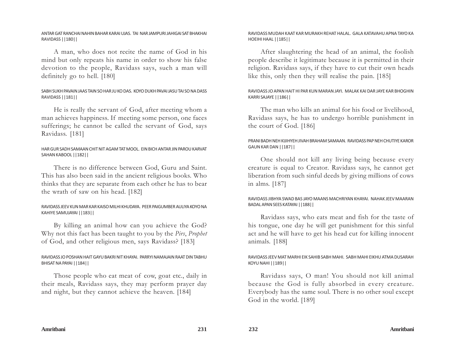#### ANTAR GAT RANCHAI NAHIN BAHAR KARAI UJAS. TAI NAR JAMPURI JAHIGAI SAT BHAKHAI RAVIDASS ||180||

A man, who does not recite the name of God in his mind but only repeats his name in order to show his false devotion to the people, Ravidass says, such a man will definitely go to hell. [180]

## SABH SUKH PAVAIN JAAS TAIN SO HAR JU KO DAS. KOYO DUKH PAVAI JASU TAI SO NA DASS RAVIDASS ||181||

He is really the servant of God, after meeting whom a man achieves happiness. If meeting some person, one faces sufferings; he cannot be called the servant of God, says Ravidass. [181]

## HAR GUR SADH SAMAAN CHIT NIT AGAM TAT MOOL. EIN BICH ANTAR JIN PAROU KARVAT SAHAN KABOOL ||182||

There is no difference between God, Guru and Saint. This has also been said in the ancient religious books. Who thinks that they are separate from each other he has to bear the wrath of saw on his head. [182]

#### RAVIDASS JEEV KUN MAR KAR KAISO MILHI KHUDAYA. PEER PAIGUMBER AULIYA KOYO NA KAHIYE SAMUJAYAI ||183||

By killing an animal how can you achieve the God? Why not this fact has been taught to you by the *Pirs*, *Prophet* of God, and other religious men, says Ravidass? [183]

## RAVIDASS JO POSHAN HAIT GAYU BAKRI NIT KHAYAI. PARRYI NAMAJAIN RAAT DIN TABHU BHISAT NA PAYAI ||184||

Those people who eat meat of cow, goat etc., daily in their meals, Ravidass says, they may perform prayer day and night, but they cannot achieve the heaven. [184]

### RAVIDASS MUDAH KAAT KAR MURAKH REHAT HALAL. GALA KATAVAHU APNA TAYO KA HOEIHI HAAL ||185||

After slaughtering the head of an animal, the foolish people describe it legitimate because it is permitted in their religion. Ravidass says, if they have to cut their own heads like this, only then they will realise the pain. [185]

## RAVIDASS JO APAN HAIT HI PAR KUN MARAN JAYI. MALAK KAI DAR JAYE KAR BHOGHIN KARRI SAJAYE ||186||

The man who kills an animal for his food or livelihood, Ravidass says, he has to undergo horrible punishment in the court of God. [186]

## PRANI BADH NEH KIJIHYEH JIVAH BRAHAM SAMAAN. RAVIDASS PAP NEH CHUTIYE KAROR GAUN KAR DAN ||187||

One should not kill any living being because every creature is equal to Creator. Ravidass says, he cannot get liberation from such sinful deeds by giving millions of cows in alms. [187]

#### RAVIDASS JIBHYA SWAD BAS JAYO MAANS MACHRIYAN KHAYAI. NAHAK JEEV MAARAN BADAL APAN SEES KATAYAI ||188||

Ravidass says, who eats meat and fish for the taste of his tongue, one day he will get punishment for this sinful act and he will have to get his head cut for killing innocent animals. [188]

## RAVIDASS JEEV MAT MARHI EIK SAHIB SABH MAHI. SABH MAHI EIKHU ATMA DUSARAH KOYU NAHI ||189||

Ravidass says, O man! You should not kill animal because the God is fully absorbed in every creature. Everybody has the same soul. There is no other soul except God in the world. [189]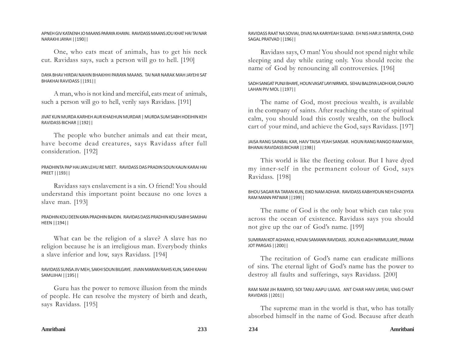APNEH GIV KATAENH JO MAANS PARAYA KHAYAI. RAVIDASS MAANS JOU KHAT HAI TAI NAR NARAKHI JAYAH ||190||

One, who eats meat of animals, has to get his neck cut. Ravidass says, such a person will go to hell. [190]

#### DAYA BHAV HIRDAI NAHIN BHAKHHI PARAYA MAANS. TAI NAR NARAK MAH JAYEHI SAT BHAKHAI RAVIDASS ||191||

A man, who is not kind and merciful, eats meat of animals, such a person will go to hell, verily says Ravidass. [191]

#### JIVAT KUN MURDA KARHEH AUR KHAEHUN MURDAR | MURDA SUM SABH HOEIHIN KEH RAVIDASS BICHAR ||192||

The people who butcher animals and eat their meat, have become dead creatures, says Ravidass after full consideration. [192]

#### PRADHINTA PAP HAI JAN LEHU RE MEET. RAVIDASS DAS PRADIN SOUN KAUN KARAI HAI PREET ||193||

Ravidass says enslavement is a sin. O friend! You should understand this important point because no one loves a slave man. [193]

#### PRADHIN KOU DEEN KAYA PRADHIN BAIDIN. RAVIDAS DASS PRADHIN KOU SABHI SAMJHAI HEEN ||194||

What can be the religion of a slave? A slave has no religion because he is an irreligious man. Everybody thinks a slave inferior and low, says Ravidass. [194]

## RAVIDASS SUNSA JIV MEH, SAKHI SOUN BILGAYE. JIVAN MARAN RAHIS KUN, SAKHI KAHAI SAMUJHAI ||195||

Guru has the power to remove illusion from the minds of people. He can resolve the mystery of birth and death, says Ravidass. [195]

#### RAVIDASS RAAT NA SOVIAI, DIVAS NA KARIYEAH SUAAD. EH NIS HAR JI SIMRIYEA, CHAD SAGAL PRATVAD ||196||

Ravidass says, O man! You should not spend night while sleeping and day while eating only. You should recite the name of God by renouncing all controversies. [196]

### SADH SANGAT PUNJI BHAYE, HOUN VASAT LAYI NIRMOL. SEHAJ BALDIYA LADH KAR, CHALIYO LAHAN PIV MOL ||197||

The name of God, most precious wealth, is available in the company of saints. After reaching the state of spiritual calm, you should load this costly wealth, on the bullock cart of your mind, and achieve the God, says Ravidass. [197]

## JAISA RANG SAINBAL KAR, HAIV TAISA YEAH SANSAR. HOUN RANG RANGO RAM MAH, BHANAI RAVIDASS BICHAR ||198||

This world is like the fleeting colour. But I have dyed my inner-self in the permanent colour of God, says Ravidass. [198]

#### BHOU SAGAR RA TARAN KUN, EIKO NAM ADHAR. RAVIDASS KABHYOUN NEH CHADIYEA RAM MANN PATWAR ||199||

The name of God is the only boat which can take you across the ocean of existence. Ravidass says you should not give up the oar of God's name. [199]

## SUMIRAN KOT AGHAN KI, HOVAI SAMANN RAVIDASS. JIOUN KI AGH NIRMULIAYE, PARAM JOT PARGAS ||200||

The recitation of God's name can eradicate millions of sins. The eternal light of God's name has the power to destroy all faults and sufferings, says Ravidass. [200]

#### RAM NAM JIH RAMIYO, SOI TANU AAPU UJAAS. ANT CHAR HAIV JAYEAI, VAIG CHAIT RAVIDASS ||201||

The supreme man in the world is that, who has totally absorbed himself in the name of God. Because after death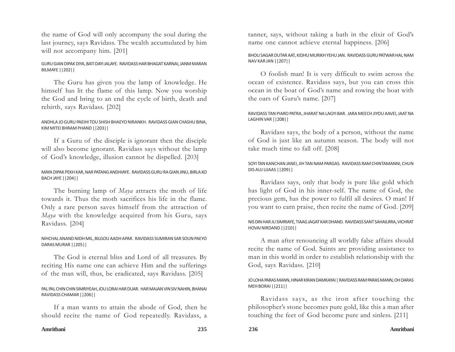the name of God will only accompany the soul during the last journey, says Ravidass. The wealth accumulated by him will not accompany him. [201]

#### GURU GIAN DIPAK DIYA, BATI DAYI JALAYE. RAVIDASS HAR BHAGAT KARNAI, JANM MARAN BILMAYE ||202||

The Guru has given you the lamp of knowledge. He himself has lit the flame of this lamp. Now you worship the God and bring to an end the cycle of birth, death and rebirth, says Ravidass. [202]

#### ANDHLA JO GURU PAEIHI TOU SHISH BHAEYO NIRANKH. RAVIDASS GIAN CHASHU BINA, KIM MITEI BHRAM PHAND ||203||

If a Guru of the disciple is ignorant then the disciple will also become ignorant. Ravidass says without the lamp of God's knowledge, illusion cannot be dispelled. [203]

### MAYA DIPAK PEKH KAR, NAR PATANG ANDHIAYE. RAVIDASS GURU RA GIAN JINU, BIRLA KO BACH JAYE ||204||

The burning lamp of *Maya* attracts the moth of life towards it. Thus the moth sacrifices his life in the flame. Only a rare person saves himself from the attraction of *Maya* with the knowledge acquired from his Guru, says Ravidass. [204]

#### NIHCHAL ANAND NIDH MIL, BILGOU AADH APAR. RAVIDASS SUMIRAN SAR SOUN PAEYO DARAS MURAR ||205||

The God is eternal bliss and Lord of all treasures. By reciting His name one can achieve Him and the sufferings of the man will, thus, be eradicated, says Ravidass. [205]

#### PAL PAL CHIN CHIN SIMRIYEAH, JOU LORAI HAR DUAR. HAR MAJAN VIN SIV NAHIN, BHANAI RAVIDASS CHAMAR ||206||

If a man wants to attain the abode of God, then he should recite the name of God repeatedly. Ravidass, a

tanner, says, without taking a bath in the elixir of God's name one cannot achieve eternal happiness. [206]

### BHOU SAGAR DUTAR AAT, KIDHU MURIKH YEHU JAN. RAVIDASS GURU PATWAR HAI, NAM NAV KAR JAN ||207||

O foolish man! It is very difficult to swim across the ocean of existence. Ravidass says, but you can cross this ocean in the boat of God's name and rowing the boat with the oars of Guru's name. [207]

### RAVIDASS TAN PIARO PATRA, JHARAT NA LAGYI BAR. JARA MEECH JIYOU AAVEI, JAAT NA LAGHIN VAR ||208||

Ravidass says, the body of a person, without the name of God is just like an autumn season. The body will not take much time to fall off. [208]

#### SOYI TAN KANCHAN JANEI, JIH TAN NAM PARGAS. RAVIDASS RAM CHINTAMANNI, CHUN DIS AUJ UJAAS ||209||

Ravidass says, only that body is pure like gold which has light of God in his inner-self. The name of God, the precious gem, has the power to fulfil all desires. O man! If you want to earn praise, then recite the name of God. [209]

#### NIS DIN HAR JU SIMRIAYE, TIAAG JAGAT KAR DHAND. RAVIDASS SANT SAHAILRRA, VICHRAT HOVAI NIRDAND ||210||

A man after renouncing all worldly false affairs should recite the name of God. Saints are providing assistance to man in this world in order to establish relationship with the God, says Ravidass. [210]

## JO LOHA PARAS MANN, HINAR KIRAN DAMKAYAI | RAVIDASS RAM PARAS MANN, OH DARAS MEH BORAI ||211||

Ravidass says, as the iron after touching the philosopher's stone becomes pure gold, like this a man after touching the feet of God become pure and sinless. [211]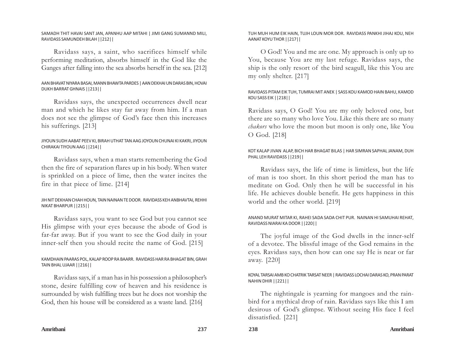#### SAMADH THIT HAVAI SANT JAN, APANHU AAP MITAHI | JIMI GANG SUMANND MILI, RAVIDASS SAMUNDEH BILAH ||212||

Ravidass says, a saint, who sacrifices himself while performing meditation, absorbs himself in the God like the Ganges after falling into the sea absorbs herself in the sea. [212]

# AAN BHAVAT NIYARA BASAI, MANN BHAWTA PARDES | AAN DEKHAI UN DARAS BIN, HOVAI DUKH BARRAT GHNAIS ||213||

Ravidass says, the unexpected occurrences dwell near man and which he likes stay far away from him. If a man does not see the glimpse of God's face then this increases his sufferings. [213]

## JIYOUN SUDH AABAT PEEV KI, BIRAH UTHAT TAN AAG JOYOUN CHUNAI KI KAKRI, JIYOUN CHIRAKAI TIYOUN AAG ||214||

Ravidass says, when a man starts remembering the God then the fire of separation flares up in his body. When water is sprinkled on a piece of lime, then the water incites the fire in that piece of lime. [214]

## JIH NIT DEKHAN CHAH HOUN, TAIN NAINAN TE DOOR. RAVIDASS KEH ANBHAVTAI, REHHI NIKAT BHARPUR ||215||

Ravidass says, you want to see God but you cannot see His glimpse with your eyes because the abode of God is far-far away. But if you want to see the God daily in your inner-self then you should recite the name of God. [215]

## KAMDHAIN PAARAS POL, KALAP ROOP RA BAARR. RAVIDASS HAR RA BHAGAT BIN, GRAH TAIN BHAL UJAAR ||216||

Ravidass says, if a man has in his possession a philosopher's stone, desire fulfilling cow of heaven and his residence is surrounded by wish fulfilling trees but he does not worship the God, then his house will be considered as a waste land. [216]

TUH MUH HUM EIK HAIN, TUJH LOUN MOR DOR. RAVIDASS PANKHI JIHAJ KOU, NEH AANAT KOYU THOR ||217||

O God! You and me are one. My approach is only up to You, because You are my last refuge. Ravidass says, the ship is the only resort of the bird seagull, like this You are my only shelter. [217]

## RAVIDASS PITAM EIK TUH, TUMRAI MIT ANEK | SASS KOU KAMOD HAIN BAHU, KAMOD KOU SASS EIK ||218||

Ravidass says, O God! You are my only beloved one, but there are so many who love You. Like this there are so many *chakors* who love the moon but moon is only one, like You O God. [218]

## KOT KALAP JIVAN ALAP, BICH HAR BHAGAT BILAS | HAR SIMRAN SAPHAL JANAM, DUH PHAL LEH RAVIDASS ||219||

Ravidass says, the life of time is limitless, but the life of man is too short. In this short period the man has to meditate on God. Only then he will be successful in his life. He achieves double benefit. He gets happiness in this world and the other world. [219]

## ANAND MURAT MITAR KI, RAHEI SADA SADA CHIT PUR. NAINAN HI SAMUHAI REHAT, RAVIDASS NIARAI KA DOOR ||220||

The joyful image of the God dwells in the inner-self of a devotee. The blissful image of the God remains in the eyes. Ravidass says, then how can one say He is near or far away. [220]

## KOYAL TARSAI AMB KO CHATRIK TARSAT NEER | RAVIDASS LOCHAI DARAS KO, PRAN PARAT NAHIN DHIR ||221||

The nightingale is yearning for mangoes and the rainbird for a mythical drop of rain. Ravidass says like this I am desirous of God's glimpse. Without seeing His face I feel dissatisfied. [221]